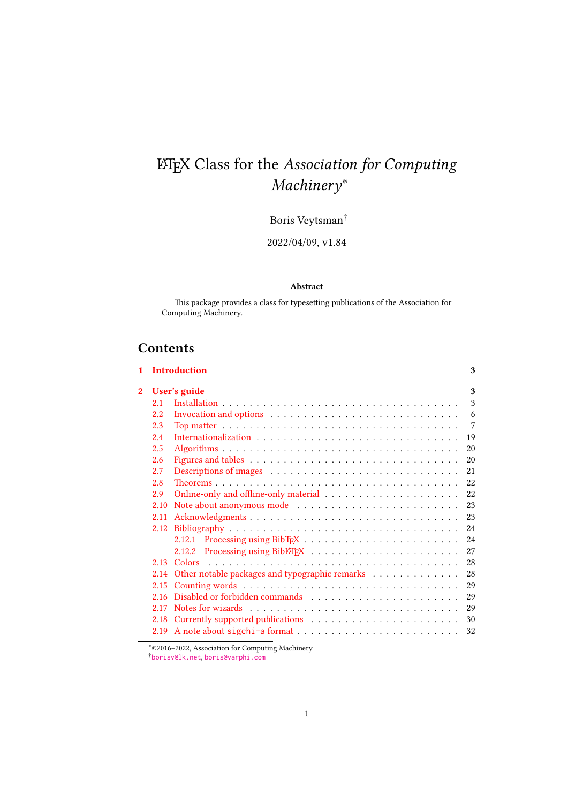# LATEX Class for the Association for Computing Machinery∗

# Boris Veytsman $^\dagger$

2022/04/09, v1.84

## Abstract

This package provides a class for typesetting publications of the Association for Computing Machinery.

# Contents

| $\mathbf{1}$   |      | <b>Introduction</b>                                                                                                                                                                                                            | 3  |  |
|----------------|------|--------------------------------------------------------------------------------------------------------------------------------------------------------------------------------------------------------------------------------|----|--|
| $\overline{2}$ |      | User's guide<br>3                                                                                                                                                                                                              |    |  |
|                | 2.1  |                                                                                                                                                                                                                                | 3  |  |
|                | 2.2  | Invocation and options $\dots \dots \dots \dots \dots \dots \dots \dots \dots \dots \dots$                                                                                                                                     | 6  |  |
|                | 2.3  |                                                                                                                                                                                                                                | 7  |  |
|                | 2.4  |                                                                                                                                                                                                                                | 19 |  |
|                | 2.5  |                                                                                                                                                                                                                                | 20 |  |
|                | 2.6  |                                                                                                                                                                                                                                | 20 |  |
|                | 2.7  |                                                                                                                                                                                                                                | 21 |  |
|                | 2.8  |                                                                                                                                                                                                                                | 22 |  |
|                | 2.9  |                                                                                                                                                                                                                                | 22 |  |
|                | 2.10 |                                                                                                                                                                                                                                | 23 |  |
|                | 2.11 |                                                                                                                                                                                                                                | 23 |  |
|                | 2.12 |                                                                                                                                                                                                                                | 24 |  |
|                |      | 2.12.1                                                                                                                                                                                                                         | 24 |  |
|                |      | 2.12.2                                                                                                                                                                                                                         | 27 |  |
|                | 2.13 | Colors                                                                                                                                                                                                                         | 28 |  |
|                |      | 2.14 Other notable packages and typographic remarks                                                                                                                                                                            | 28 |  |
|                | 2.15 |                                                                                                                                                                                                                                | 29 |  |
|                |      |                                                                                                                                                                                                                                | 29 |  |
|                | 2.17 | Notes for wizards enterprised in the set of the set of the set of the set of the set of the set of the set of the set of the set of the set of the set of the set of the set of the set of the set of the set of the set of th | 29 |  |
|                | 2.18 |                                                                                                                                                                                                                                | 30 |  |
|                | 2.19 |                                                                                                                                                                                                                                | 32 |  |

∗©2016–2022, Association for Computing Machinery

†[borisv@lk.net](mailto:borisv@lk.net), [boris@varphi.com](mailto:boris@varphi.com)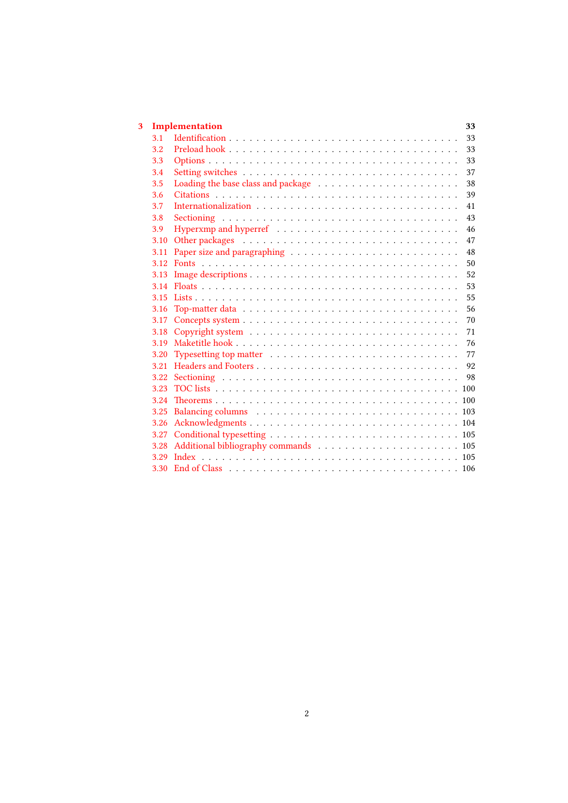| 3 |      | Implementation       | 33 |
|---|------|----------------------|----|
|   | 3.1  |                      | 33 |
|   | 3.2  |                      | 33 |
|   | 3.3  |                      | 33 |
|   | 3.4  |                      | 37 |
|   | 3.5  |                      | 38 |
|   | 3.6  |                      | 39 |
|   | 3.7  | Internationalization | 41 |
|   | 3.8  |                      | 43 |
|   | 3.9  |                      | 46 |
|   | 3.10 |                      | 47 |
|   | 3.11 |                      | 48 |
|   | 3.12 |                      | 50 |
|   | 3.13 |                      | 52 |
|   | 3.14 |                      | 53 |
|   | 3.15 |                      | 55 |
|   | 3.16 |                      | 56 |
|   | 3.17 |                      | 70 |
|   | 3.18 |                      | 71 |
|   | 3.19 |                      | 76 |
|   | 3.20 |                      | 77 |
|   | 3.21 |                      | 92 |
|   | 3.22 |                      | 98 |
|   | 3.23 |                      |    |
|   | 3.24 |                      |    |
|   | 3.25 |                      |    |
|   | 3.26 |                      |    |
|   | 3.27 |                      |    |
|   | 3.28 |                      |    |
|   | 3.29 |                      |    |
|   | 3.30 |                      |    |
|   |      |                      |    |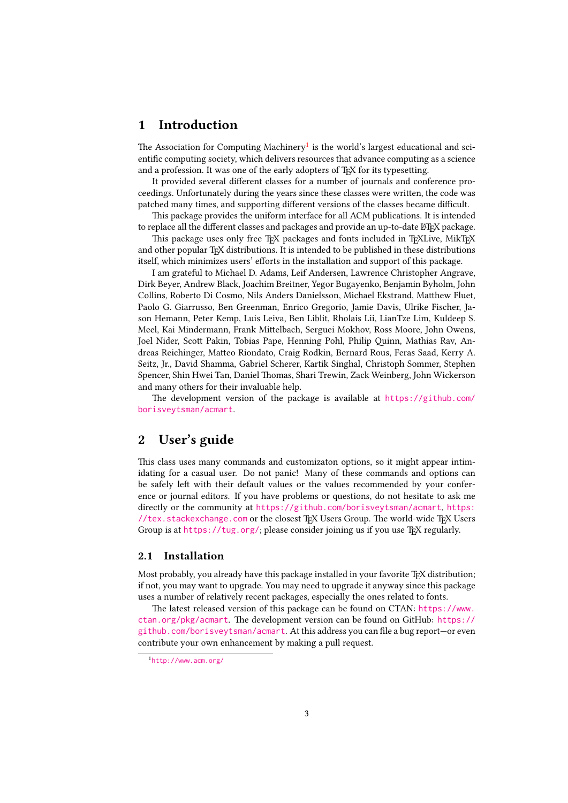## <span id="page-2-0"></span>1 Introduction

The Association for Computing Machinery<sup>[1](#page-2-3)</sup> is the world's largest educational and scientific computing society, which delivers resources that advance computing as a science and a profession. It was one of the early adopters of T<sub>E</sub>X for its typesetting.

It provided several different classes for a number of journals and conference proceedings. Unfortunately during the years since these classes were written, the code was patched many times, and supporting different versions of the classes became difficult.

This package provides the uniform interface for all ACM publications. It is intended to replace all the different classes and packages and provide an up-to-date LATEX package.

This package uses only free TFX packages and fonts included in TFXLive, MikTFX and other popular TFX distributions. It is intended to be published in these distributions itself, which minimizes users' efforts in the installation and support of this package.

I am grateful to Michael D. Adams, Leif Andersen, Lawrence Christopher Angrave, Dirk Beyer, Andrew Black, Joachim Breitner, Yegor Bugayenko, Benjamin Byholm, John Collins, Roberto Di Cosmo, Nils Anders Danielsson, Michael Ekstrand, Matthew Fluet, Paolo G. Giarrusso, Ben Greenman, Enrico Gregorio, Jamie Davis, Ulrike Fischer, Jason Hemann, Peter Kemp, Luis Leiva, Ben Liblit, Rholais Lii, LianTze Lim, Kuldeep S. Meel, Kai Mindermann, Frank Mittelbach, Serguei Mokhov, Ross Moore, John Owens, Joel Nider, Scott Pakin, Tobias Pape, Henning Pohl, Philip Quinn, Mathias Rav, Andreas Reichinger, Matteo Riondato, Craig Rodkin, Bernard Rous, Feras Saad, Kerry A. Seitz, Jr., David Shamma, Gabriel Scherer, Kartik Singhal, Christoph Sommer, Stephen Spencer, Shin Hwei Tan, Daniel Thomas, Shari Trewin, Zack Weinberg, John Wickerson and many others for their invaluable help.

The development version of the package is available at [https://github.com/](https://github.com/borisveytsman/acmart) [borisveytsman/acmart](https://github.com/borisveytsman/acmart).

## <span id="page-2-1"></span>2 User's guide

This class uses many commands and customizaton options, so it might appear intimidating for a casual user. Do not panic! Many of these commands and options can be safely left with their default values or the values recommended by your conference or journal editors. If you have problems or questions, do not hesitate to ask me directly or the community at <https://github.com/borisveytsman/acmart>, [https:](https://tex.stackexchange.com) [//tex.stackexchange.com](https://tex.stackexchange.com) or the closest TEX Users Group. The world-wide TEX Users Group is at <https://tug.org/>; please consider joining us if you use TEX regularly.

## <span id="page-2-2"></span>2.1 Installation

Most probably, you already have this package installed in your favorite T<sub>E</sub>X distribution; if not, you may want to upgrade. You may need to upgrade it anyway since this package uses a number of relatively recent packages, especially the ones related to fonts.

The latest released version of this package can be found on CTAN: [https://www.](https://www.ctan.org/pkg/acmart) [ctan.org/pkg/acmart](https://www.ctan.org/pkg/acmart). The development version can be found on GitHub: [https://](https://github.com/borisveytsman/acmart) [github.com/borisveytsman/acmart](https://github.com/borisveytsman/acmart). At this address you can file a bug report—or even contribute your own enhancement by making a pull request.

<span id="page-2-3"></span><sup>1</sup><http://www.acm.org/>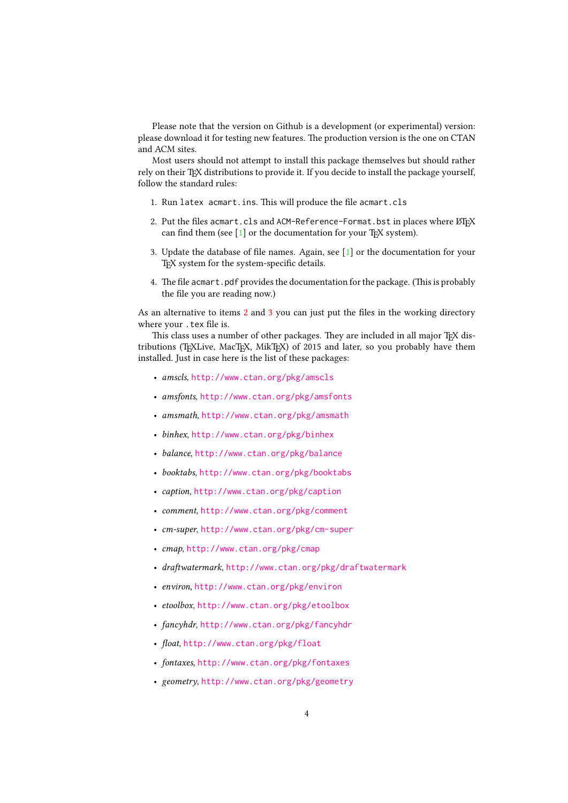Please note that the version on Github is a development (or experimental) version: please download it for testing new features. The production version is the one on CTAN and ACM sites.

Most users should not attempt to install this package themselves but should rather rely on their TFX distributions to provide it. If you decide to install the package yourself, follow the standard rules:

- 1. Run latex acmart.ins. This will produce the file acmart.cls
- <span id="page-3-0"></span>2. Put the files acmart.cls and ACM-Reference-Format.bst in places where  $\operatorname{\mathbb{E}F} X$ can find them (see  $[1]$  or the documentation for your T<sub>E</sub>X system).
- <span id="page-3-1"></span>3. Update the database of file names. Again, see [\[1\]](#page-106-0) or the documentation for your T<sub>E</sub>X system for the system-specific details.
- 4. The file acmart.pdf provides the documentation for the package. (This is probably the file you are reading now.)

As an alternative to items [2](#page-3-0) and [3](#page-3-1) you can just put the files in the working directory where your .tex file is.

This class uses a number of other packages. They are included in all major TEX distributions (TEXLive, MacTEX, MikTEX) of 2015 and later, so you probably have them installed. Just in case here is the list of these packages:

- amscls, <http://www.ctan.org/pkg/amscls>
- amsfonts, <http://www.ctan.org/pkg/amsfonts>
- amsmath, <http://www.ctan.org/pkg/amsmath>
- binhex, <http://www.ctan.org/pkg/binhex>
- balance, <http://www.ctan.org/pkg/balance>
- booktabs, <http://www.ctan.org/pkg/booktabs>
- caption, <http://www.ctan.org/pkg/caption>
- comment, <http://www.ctan.org/pkg/comment>
- cm-super, <http://www.ctan.org/pkg/cm-super>
- cmap, <http://www.ctan.org/pkg/cmap>
- draftwatermark, <http://www.ctan.org/pkg/draftwatermark>
- environ, <http://www.ctan.org/pkg/environ>
- etoolbox, <http://www.ctan.org/pkg/etoolbox>
- fancyhdr, <http://www.ctan.org/pkg/fancyhdr>
- float, <http://www.ctan.org/pkg/float>
- fontaxes, <http://www.ctan.org/pkg/fontaxes>
- geometry, <http://www.ctan.org/pkg/geometry>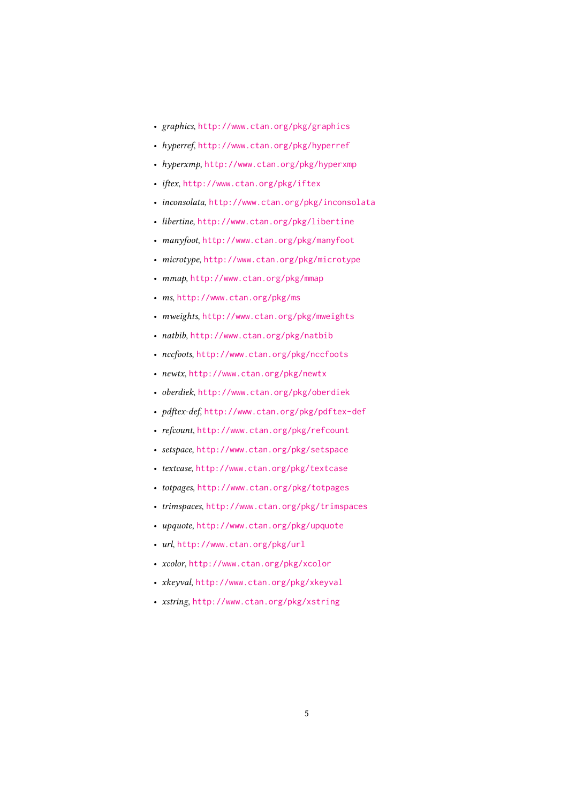- graphics, <http://www.ctan.org/pkg/graphics>
- hyperref, <http://www.ctan.org/pkg/hyperref>
- hyperxmp, <http://www.ctan.org/pkg/hyperxmp>
- iftex, <http://www.ctan.org/pkg/iftex>
- inconsolata, <http://www.ctan.org/pkg/inconsolata>
- libertine, <http://www.ctan.org/pkg/libertine>
- manyfoot, <http://www.ctan.org/pkg/manyfoot>
- microtype, <http://www.ctan.org/pkg/microtype>
- mmap, <http://www.ctan.org/pkg/mmap>
- ms, <http://www.ctan.org/pkg/ms>
- mweights, <http://www.ctan.org/pkg/mweights>
- natbib, <http://www.ctan.org/pkg/natbib>
- nccfoots, <http://www.ctan.org/pkg/nccfoots>
- newtx, <http://www.ctan.org/pkg/newtx>
- oberdiek, <http://www.ctan.org/pkg/oberdiek>
- pdftex-def, <http://www.ctan.org/pkg/pdftex-def>
- refcount, <http://www.ctan.org/pkg/refcount>
- setspace, <http://www.ctan.org/pkg/setspace>
- textcase, <http://www.ctan.org/pkg/textcase>
- totpages, <http://www.ctan.org/pkg/totpages>
- trimspaces, <http://www.ctan.org/pkg/trimspaces>
- upquote, <http://www.ctan.org/pkg/upquote>
- url, <http://www.ctan.org/pkg/url>
- xcolor, <http://www.ctan.org/pkg/xcolor>
- xkeyval, <http://www.ctan.org/pkg/xkeyval>
- xstring, <http://www.ctan.org/pkg/xstring>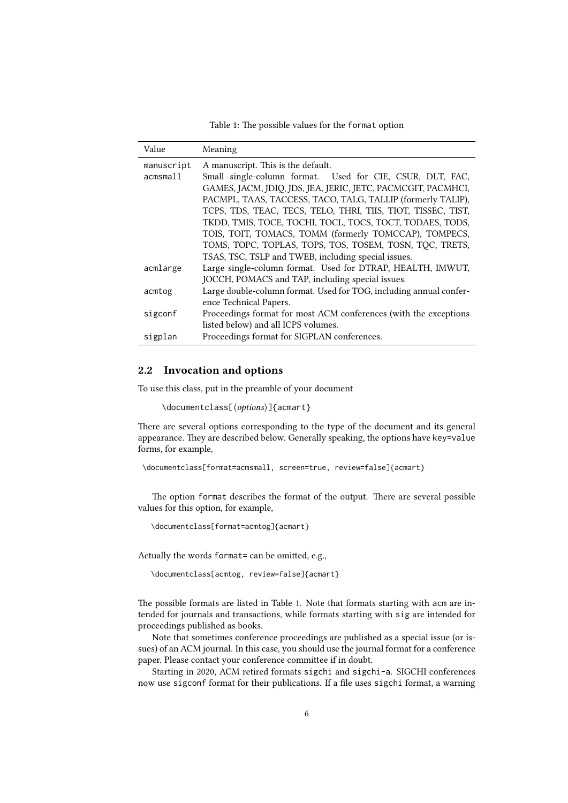Table 1: The possible values for the format option

<span id="page-5-1"></span>

| Value      | Meaning                                                            |
|------------|--------------------------------------------------------------------|
| manuscript | A manuscript. This is the default.                                 |
| acmsmall   | Small single-column format. Used for CIE, CSUR, DLT, FAC,          |
|            | GAMES, JACM, JDIQ, JDS, JEA, JERIC, JETC, PACMCGIT, PACMHCI,       |
|            | PACMPL, TAAS, TACCESS, TACO, TALG, TALLIP (formerly TALIP),        |
|            | TCPS, TDS, TEAC, TECS, TELO, THRI, TIIS, TIOT, TISSEC, TIST,       |
|            | TKDD, TMIS, TOCE, TOCHI, TOCL, TOCS, TOCT, TODAES, TODS,           |
|            | TOIS, TOIT, TOMACS, TOMM (formerly TOMCCAP), TOMPECS,              |
|            | TOMS, TOPC, TOPLAS, TOPS, TOS, TOSEM, TOSN, TOC, TRETS,            |
|            | TSAS, TSC, TSLP and TWEB, including special issues.                |
| acmlarge   | Large single-column format. Used for DTRAP, HEALTH, IMWUT,         |
|            | JOCCH, POMACS and TAP, including special issues.                   |
| acmtog     | Large double-column format. Used for TOG, including annual confer- |
|            | ence Technical Papers.                                             |
| sigconf    | Proceedings format for most ACM conferences (with the exceptions   |
|            | listed below) and all ICPS volumes.                                |
| sigplan    | Proceedings format for SIGPLAN conferences.                        |

## <span id="page-5-0"></span>2.2 Invocation and options

To use this class, put in the preamble of your document

```
\documentclass[⟨options⟩]{acmart}
```
There are several options corresponding to the type of the document and its general appearance. They are described below. Generally speaking, the options have key=value forms, for example,

```
\documentclass[format=acmsmall, screen=true, review=false]{acmart}
```
The option format describes the format of the output. There are several possible values for this option, for example,

\documentclass[format=acmtog]{acmart}

Actually the words format= can be omitted, e.g.,

\documentclass[acmtog, review=false]{acmart}

The possible formats are listed in Table [1.](#page-5-1) Note that formats starting with acm are intended for journals and transactions, while formats starting with sig are intended for proceedings published as books.

Note that sometimes conference proceedings are published as a special issue (or issues) of an ACM journal. In this case, you should use the journal format for a conference paper. Please contact your conference committee if in doubt.

Starting in 2020, ACM retired formats sigchi and sigchi-a. SIGCHI conferences now use sigconf format for their publications. If a file uses sigchi format, a warning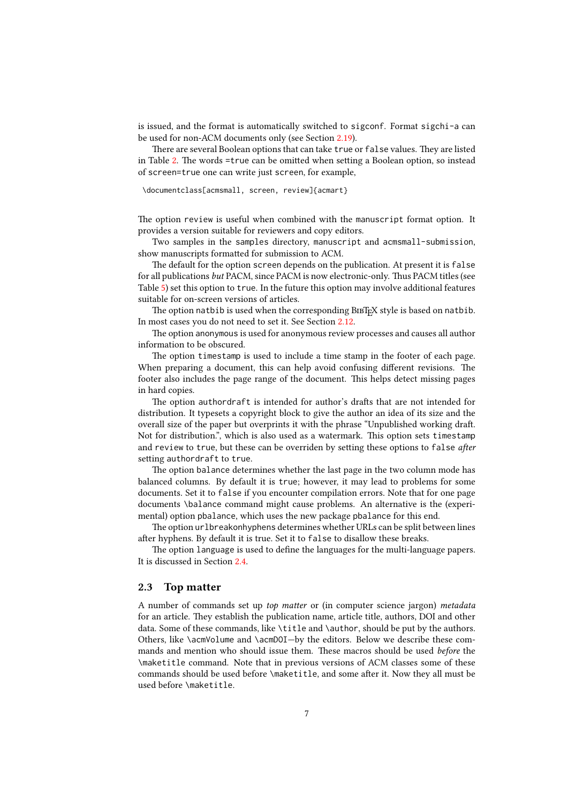is issued, and the format is automatically switched to sigconf. Format sigchi-a can be used for non-ACM documents only (see Section [2.19\)](#page-31-0).

There are several Boolean options that can take true or false values. They are listed in Table [2.](#page-7-0) The words =true can be omitted when setting a Boolean option, so instead of screen=true one can write just screen, for example,

\documentclass[acmsmall, screen, review]{acmart}

The option review is useful when combined with the manuscript format option. It provides a version suitable for reviewers and copy editors.

Two samples in the samples directory, manuscript and acmsmall-submission, show manuscripts formatted for submission to ACM.

The default for the option screen depends on the publication. At present it is false for all publications but PACM, since PACM is now electronic-only. Thus PACM titles (see Table [5\)](#page-29-1) set this option to true. In the future this option may involve additional features suitable for on-screen versions of articles.

The option natbib is used when the corresponding BIBT<sub>E</sub>X style is based on natbib. In most cases you do not need to set it. See Section [2.12.](#page-23-0)

The option anonymous is used for anonymous review processes and causes all author information to be obscured.

The option timestamp is used to include a time stamp in the footer of each page. When preparing a document, this can help avoid confusing different revisions. The footer also includes the page range of the document. This helps detect missing pages in hard copies.

The option authordraft is intended for author's drafts that are not intended for distribution. It typesets a copyright block to give the author an idea of its size and the overall size of the paper but overprints it with the phrase "Unpublished working draft. Not for distribution.", which is also used as a watermark. This option sets timestamp and review to true, but these can be overriden by setting these options to false after setting authordraft to true.

The option balance determines whether the last page in the two column mode has balanced columns. By default it is true; however, it may lead to problems for some documents. Set it to false if you encounter compilation errors. Note that for one page documents \balance command might cause problems. An alternative is the (experimental) option pbalance, which uses the new package pbalance for this end.

The option urlbreakonhyphens determines whether URLs can be split between lines after hyphens. By default it is true. Set it to false to disallow these breaks.

The option language is used to define the languages for the multi-language papers. It is discussed in Section [2.4.](#page-18-0)

## <span id="page-6-0"></span>2.3 Top matter

A number of commands set up top matter or (in computer science jargon) metadata for an article. They establish the publication name, article title, authors, DOI and other data. Some of these commands, like \title and \author, should be put by the authors. Others, like \acmVolume and \acmDOI—by the editors. Below we describe these commands and mention who should issue them. These macros should be used before the \maketitle command. Note that in previous versions of ACM classes some of these commands should be used before \maketitle, and some after it. Now they all must be used before \maketitle.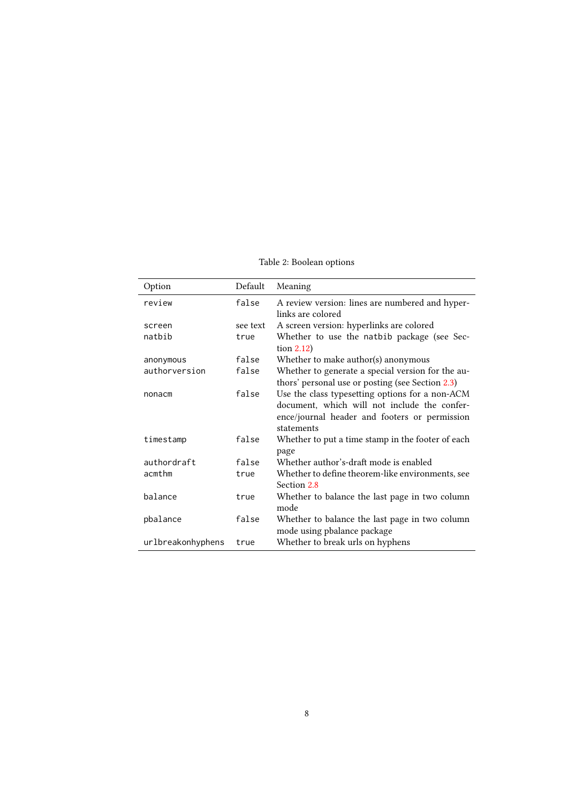Table 2: Boolean options

<span id="page-7-0"></span>

| Option            | Default  | Meaning                                                                                                                                                        |
|-------------------|----------|----------------------------------------------------------------------------------------------------------------------------------------------------------------|
| review            | false    | A review version: lines are numbered and hyper-<br>links are colored                                                                                           |
| screen            | see text | A screen version: hyperlinks are colored                                                                                                                       |
| natbib            | true     | Whether to use the natbib package (see Sec-<br>tion $2.12$ )                                                                                                   |
| anonymous         | false    | Whether to make author(s) anonymous                                                                                                                            |
| authorversion     | false    | Whether to generate a special version for the au-<br>thors' personal use or posting (see Section 2.3)                                                          |
| nonacm            | false    | Use the class typesetting options for a non-ACM<br>document, which will not include the confer-<br>ence/journal header and footers or permission<br>statements |
| timestamp         | false    | Whether to put a time stamp in the footer of each<br>page                                                                                                      |
| authordraft       | false    | Whether author's-draft mode is enabled                                                                                                                         |
| acmthm            | true     | Whether to define theorem-like environments, see<br>Section 2.8                                                                                                |
| balance           | true     | Whether to balance the last page in two column<br>mode                                                                                                         |
| pbalance          | false    | Whether to balance the last page in two column<br>mode using pbalance package                                                                                  |
| urlbreakonhyphens | true     | Whether to break urls on hyphens                                                                                                                               |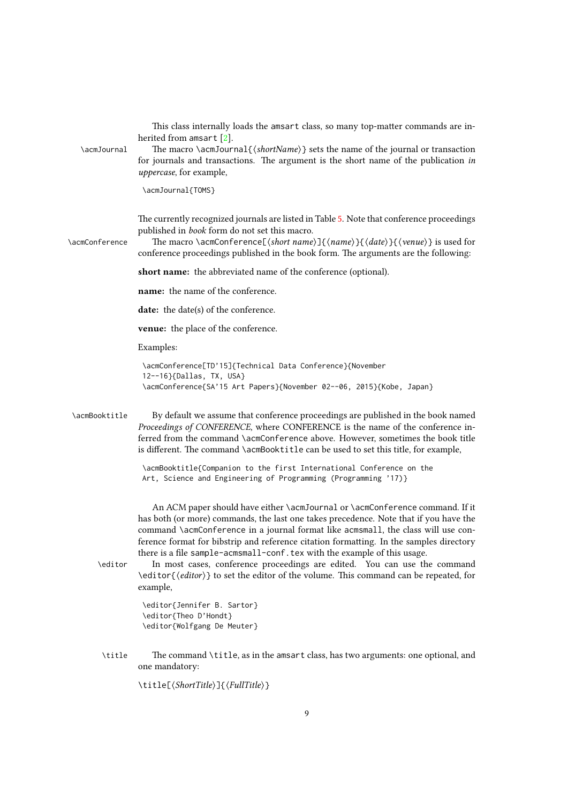|                | 9                                                                                                                                                                                                                                                                                                                                                                                                                                                                                                                                                                                                                   |
|----------------|---------------------------------------------------------------------------------------------------------------------------------------------------------------------------------------------------------------------------------------------------------------------------------------------------------------------------------------------------------------------------------------------------------------------------------------------------------------------------------------------------------------------------------------------------------------------------------------------------------------------|
|                | \title[{ShortTitle}]{\fullTitle}}                                                                                                                                                                                                                                                                                                                                                                                                                                                                                                                                                                                   |
| \title         | The command \title, as in the amsart class, has two arguments: one optional, and<br>one mandatory:                                                                                                                                                                                                                                                                                                                                                                                                                                                                                                                  |
|                | \editor{Jennifer B. Sartor}<br>\editor{Theo D'Hondt}<br>\editor{Wolfgang De Meuter}                                                                                                                                                                                                                                                                                                                                                                                                                                                                                                                                 |
| \editor        | An ACM paper should have either \acmJournal or \acmConference command. If it<br>has both (or more) commands, the last one takes precedence. Note that if you have the<br>command \acmConference in a journal format like acmsmall, the class will use con-<br>ference format for bibstrip and reference citation formatting. In the samples directory<br>there is a file sample-acmsmall-conf. tex with the example of this usage.<br>In most cases, conference proceedings are edited. You can use the command<br>\editor{(editor)} to set the editor of the volume. This command can be repeated, for<br>example, |
| \acmBooktitle  | By default we assume that conference proceedings are published in the book named<br>Proceedings of CONFERENCE, where CONFERENCE is the name of the conference in-<br>ferred from the command \acmConference above. However, sometimes the book title<br>is different. The command \acmBooktitle can be used to set this title, for example,<br>\acmBooktitle{Companion to the first International Conference on the<br>Art, Science and Engineering of Programming (Programming '17)}                                                                                                                               |
|                | <b>venue:</b> the place of the conference.<br>Examples:<br>\acmConference[TD'15]{Technical Data Conference}{November<br>12--16}{Dallas, TX, USA}<br>\acmConference{SA'15 Art Papers}{November 02--06, 2015}{Kobe, Japan}                                                                                                                                                                                                                                                                                                                                                                                            |
|                | name: the name of the conference.<br>date: the date(s) of the conference.                                                                                                                                                                                                                                                                                                                                                                                                                                                                                                                                           |
|                | short name: the abbreviated name of the conference (optional).                                                                                                                                                                                                                                                                                                                                                                                                                                                                                                                                                      |
| \acmConference | The currently recognized journals are listed in Table 5. Note that conference proceedings<br>published in book form do not set this macro.<br>The macro \acmConference[ $\langle short\ name \rangle$ ]{ $\langle name \rangle$ }{ $\langle date \rangle$ }{ $\langle v$ enue}} is used for<br>conference proceedings published in the book form. The arguments are the following:                                                                                                                                                                                                                                  |
|                | \acmJournal{TOMS}                                                                                                                                                                                                                                                                                                                                                                                                                                                                                                                                                                                                   |
| \acmJournal    | This class internally loads the amsart class, so many top-matter commands are in-<br>herited from amsart $[2]$ .<br>The macro \acmJournal{ $\{shortName\}$ } sets the name of the journal or transaction<br>for journals and transactions. The argument is the short name of the publication in<br>uppercase, for example,                                                                                                                                                                                                                                                                                          |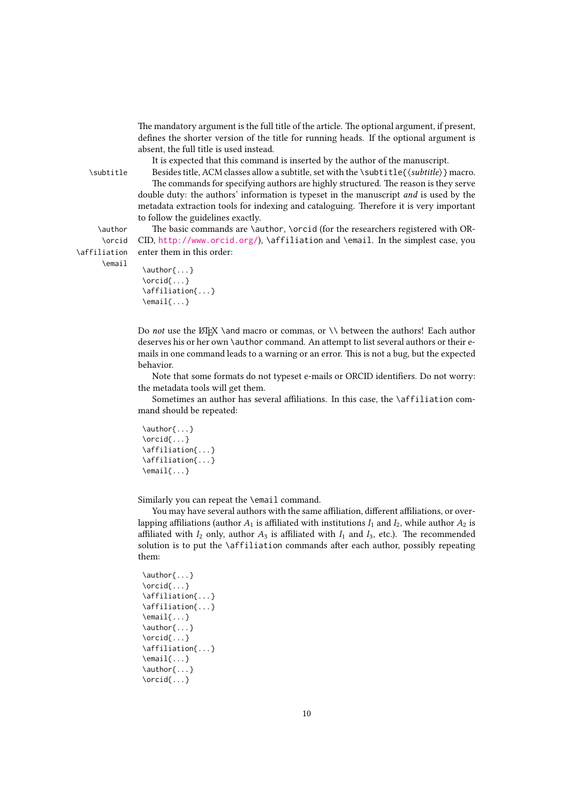The mandatory argument is the full title of the article. The optional argument, if present, defines the shorter version of the title for running heads. If the optional argument is absent, the full title is used instead.

It is expected that this command is inserted by the author of the manuscript.

\subtitle Besides title, ACM classes allow a subtitle, set with the \subtitle{⟨subtitle⟩} macro. The commands for specifying authors are highly structured. The reason is they serve double duty: the authors' information is typeset in the manuscript and is used by the metadata extraction tools for indexing and cataloguing. Therefore it is very important to follow the guidelines exactly.

\author The basic commands are \author, \orcid (for the researchers registered with OR- CID, <http://www.orcid.org/>), \affiliation and \email. In the simplest case, you enter them in this order:

\affiliation \email

\orcid

```
\author{...}
\orcid{...}
\affiliation{...}
\email{...}
```
Do not use the ETEX \and macro or commas, or \\ between the authors! Each author deserves his or her own \author command. An attempt to list several authors or their emails in one command leads to a warning or an error. This is not a bug, but the expected behavior.

Note that some formats do not typeset e-mails or ORCID identifiers. Do not worry: the metadata tools will get them.

Sometimes an author has several affiliations. In this case, the \affiliation command should be repeated:

```
\author{...}
\orcid{...}
\affiliation{...}
\affiliation{...}
\email{...}
```
Similarly you can repeat the \email command.

You may have several authors with the same affiliation, different affiliations, or overlapping affiliations (author  $A_1$  is affiliated with institutions  $I_1$  and  $I_2$ , while author  $A_2$  is affiliated with  $I_2$  only, author  $A_3$  is affiliated with  $I_1$  and  $I_3$ , etc.). The recommended solution is to put the \affiliation commands after each author, possibly repeating them:

```
\author{...}
\orcid{...}
\affiliation{...}
\affiliation{...}
\email{...}
\author{...}
\orcid{...}
\affiliation{...}
\email{...}
\author{...}
\orcid{...}
```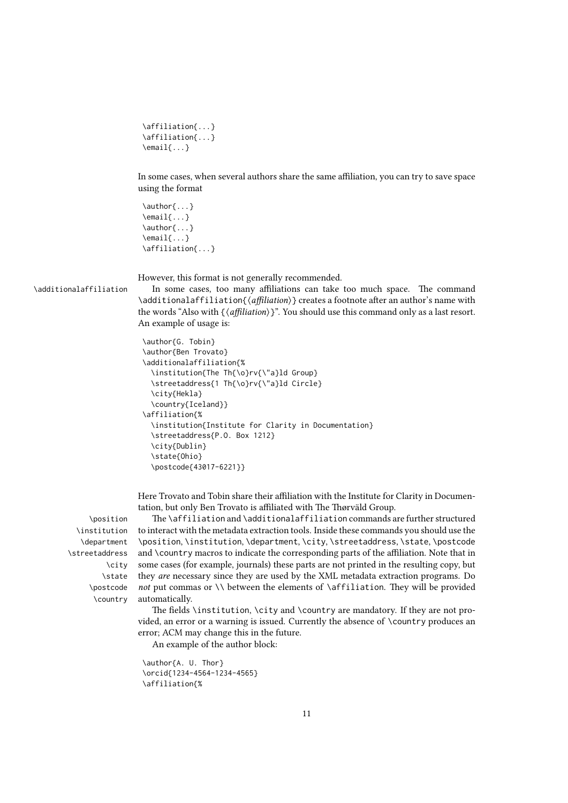```
\affiliation{...}
\affiliation{...}
\email{...}
```
In some cases, when several authors share the same affiliation, you can try to save space using the format

```
\author{...}
\email{...}
\author{...}
\email{...}
\affiliation{...}
```
However, this format is not generally recommended.

\additionalaffiliation In some cases, too many affiliations can take too much space. The command \additionalaffiliation{⟨affiliation⟩} creates a footnote after an author's name with the words "Also with  $\{\langle \textit{affiliation}\rangle\}$ ". You should use this command only as a last resort. An example of usage is:

```
\author{G. Tobin}
\author{Ben Trovato}
\additionalaffiliation{%
  \institution{The Th{\o}rv{\"a}ld Group}
  \streetaddress{1 Th{\o}rv{\"a}ld Circle}
  \city{Hekla}
  \country{Iceland}}
\affiliation{%
  \institution{Institute for Clarity in Documentation}
  \streetaddress{P.O. Box 1212}
  \city{Dublin}
  \state{Ohio}
  \postcode{43017-6221}}
```
Here Trovato and Tobin share their affiliation with the Institute for Clarity in Documentation, but only Ben Trovato is affiliated with The Thørväld Group.

\institution \department \streetaddress \city \state \postcode \country

\position The \affiliation and \additionalaffiliation commands are further structured to interact with the metadata extraction tools. Inside these commands you should use the \position, \institution, \department, \city, \streetaddress, \state, \postcode and \country macros to indicate the corresponding parts of the affiliation. Note that in some cases (for example, journals) these parts are not printed in the resulting copy, but they are necessary since they are used by the XML metadata extraction programs. Do not put commas or  $\setminus \}$  between the elements of  $\A$ ffiliation. They will be provided automatically.

> The fields \institution, \city and \country are mandatory. If they are not provided, an error or a warning is issued. Currently the absence of \country produces an error; ACM may change this in the future.

An example of the author block:

```
\author{A. U. Thor}
\orcid{1234-4564-1234-4565}
\affiliation{%
```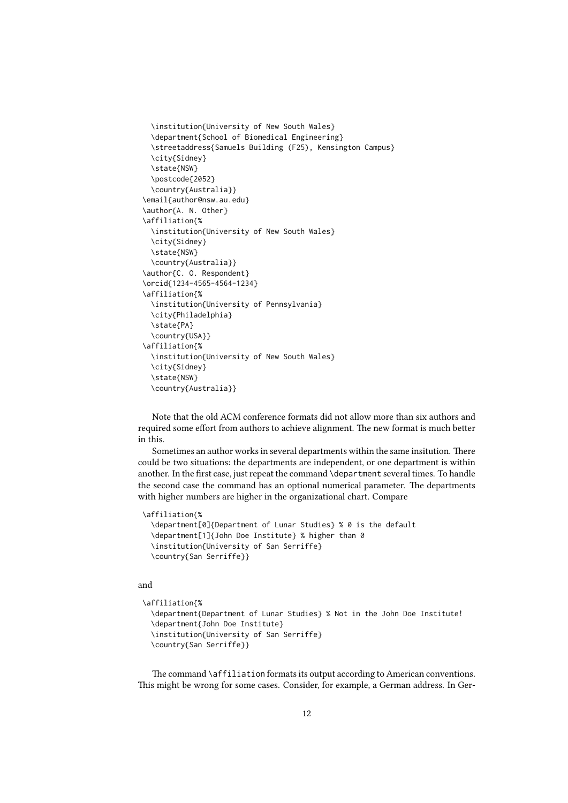```
\institution{University of New South Wales}
  \department{School of Biomedical Engineering}
  \streetaddress{Samuels Building (F25), Kensington Campus}
  \city{Sidney}
  \state{NSW}
  \postcode{2052}
  \country{Australia}}
\email{author@nsw.au.edu}
\author{A. N. Other}
\affiliation{%
  \institution{University of New South Wales}
 \city{Sidney}
 \state{NSW}
 \country{Australia}}
\author{C. O. Respondent}
\orcid{1234-4565-4564-1234}
\affiliation{%
  \institution{University of Pennsylvania}
  \city{Philadelphia}
  \state{PA}
 \country{USA}}
\affiliation{%
  \institution{University of New South Wales}
  \city{Sidney}
  \state{NSW}
  \country{Australia}}
```
Note that the old ACM conference formats did not allow more than six authors and required some effort from authors to achieve alignment. The new format is much better in this.

Sometimes an author works in several departments within the same insitution. There could be two situations: the departments are independent, or one department is within another. In the first case, just repeat the command \department several times. To handle the second case the command has an optional numerical parameter. The departments with higher numbers are higher in the organizational chart. Compare

```
\affiliation{%
```

```
\department[0]{Department of Lunar Studies} % 0 is the default
\department[1]{John Doe Institute} % higher than 0
\institution{University of San Serriffe}
\country{San Serriffe}}
```
#### and

```
\affiliation{%
  \department{Department of Lunar Studies} % Not in the John Doe Institute!
  \department{John Doe Institute}
  \institution{University of San Serriffe}
  \country{San Serriffe}}
```
The command \affiliation formats its output according to American conventions. This might be wrong for some cases. Consider, for example, a German address. In Ger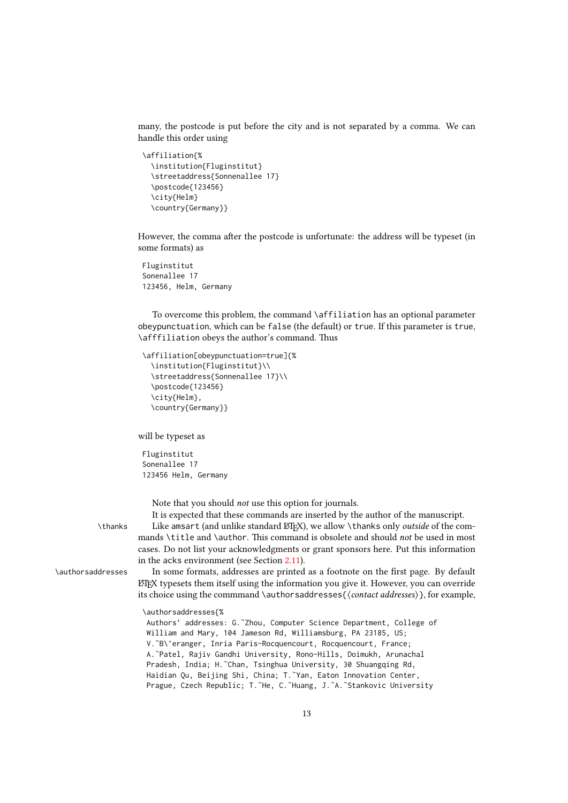many, the postcode is put before the city and is not separated by a comma. We can handle this order using

```
\affiliation{%
 \institution{Fluginstitut}
  \streetaddress{Sonnenallee 17}
 \postcode{123456}
 \city{Helm}
 \country{Germany}}
```
However, the comma after the postcode is unfortunate: the address will be typeset (in some formats) as

Fluginstitut Sonenallee 17 123456, Helm, Germany

To overcome this problem, the command \affiliation has an optional parameter obeypunctuation, which can be false (the default) or true. If this parameter is true, \afffiliation obeys the author's command. Thus

```
\affiliation[obeypunctuation=true]{%
  \institution{Fluginstitut}\\
  \streetaddress{Sonnenallee 17}\\
  \postcode{123456}
  \city{Helm},
  \country{Germany}}
```
will be typeset as

Fluginstitut Sonenallee 17 123456 Helm, Germany

Note that you should not use this option for journals.

It is expected that these commands are inserted by the author of the manuscript.

\thanks Like amsart (and unlike standard LATEX), we allow \thanks only *outside* of the commands \title and \author. This command is obsolete and should not be used in most cases. Do not list your acknowledgments or grant sponsors here. Put this information in the acks environment (see Section [2.11\)](#page-22-1).

\authorsaddresses In some formats, addresses are printed as a footnote on the first page. By default  $E$ <sub>TF</sub> $X$  typesets them itself using the information you give it. However, you can override its choice using the commmand \authorsaddresses{⟨contact addresses⟩}, for example,

\authorsaddresses{%

Authors' addresses: G.˜Zhou, Computer Science Department, College of William and Mary, 104 Jameson Rd, Williamsburg, PA 23185, US; V.˜B\'eranger, Inria Paris-Rocquencourt, Rocquencourt, France; A.˜Patel, Rajiv Gandhi University, Rono-Hills, Doimukh, Arunachal Pradesh, India; H.˜Chan, Tsinghua University, 30 Shuangqing Rd, Haidian Qu, Beijing Shi, China; T. Yan, Eaton Innovation Center, Prague, Czech Republic; T.˜He, C.˜Huang, J.˜A.˜Stankovic University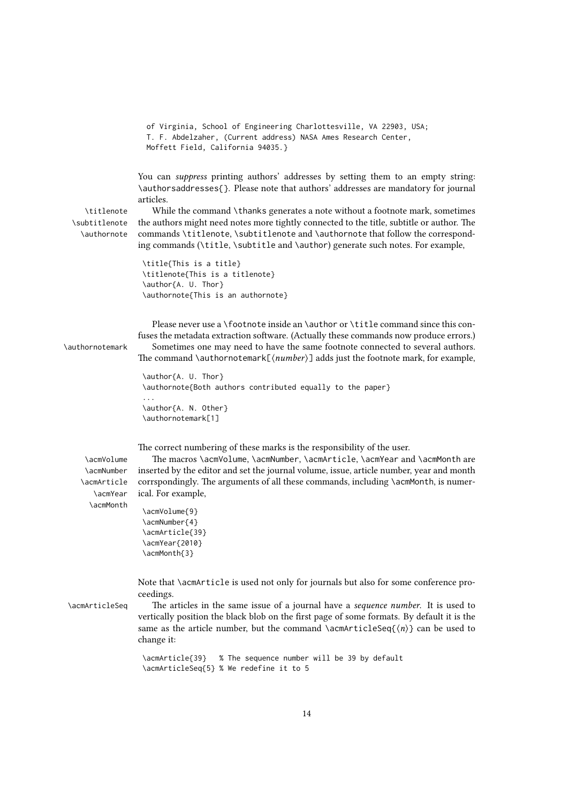```
of Virginia, School of Engineering Charlottesville, VA 22903, USA;
T. F. Abdelzaher, (Current address) NASA Ames Research Center,
Moffett Field, California 94035.}
```
You can suppress printing authors' addresses by setting them to an empty string: \authorsaddresses{}. Please note that authors' addresses are mandatory for journal articles.

```
\subtitlenote
  \authornote
```
\titlenote While the command \thanks generates a note without a footnote mark, sometimes the authors might need notes more tightly connected to the title, subtitle or author. The commands \titlenote, \subtitlenote and \authornote that follow the corresponding commands (\title, \subtitle and \author) generate such notes. For example,

```
\title{This is a title}
\titlenote{This is a titlenote}
\author{A. U. Thor}
\authornote{This is an authornote}
```
Please never use a \footnote inside an \author or \title command since this confuses the metadata extraction software. (Actually these commands now produce errors.)

\authornotemark Sometimes one may need to have the same footnote connected to several authors. The command \authornotemark $[(number)]$  adds just the footnote mark, for example,

```
\author{A. U. Thor}
\authornote{Both authors contributed equally to the paper}
...
```

```
\author{A. N. Other}
\authornotemark[1]
```
The correct numbering of these marks is the responsibility of the user.

\acmNumber \acmArticle \acmYear \acmMonth

\acmVolume The macros \acmVolume, \acmNumber, \acmArticle, \acmYear and \acmMonth are inserted by the editor and set the journal volume, issue, article number, year and month corrspondingly. The arguments of all these commands, including \acmMonth, is numerical. For example,

```
\acmVolume{9}
\acmNumber{4}
\acmArticle{39}
\acmYear{2010}
\acmMonth{3}
```
Note that \acmArticle is used not only for journals but also for some conference proceedings.

\acmArticleSeq The articles in the same issue of a journal have a sequence number. It is used to vertically position the black blob on the first page of some formats. By default it is the same as the article number, but the command \acmArticleSeq{ $\langle n \rangle$ } can be used to change it:

```
\acmArticle{39} % The sequence number will be 39 by default
\acmArticleSeq{5} % We redefine it to 5
```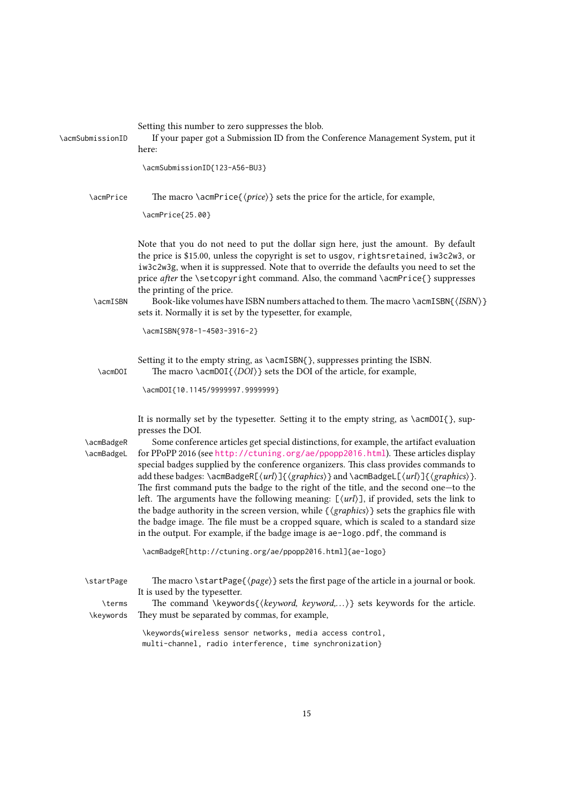| \acmSubmissionID         | Setting this number to zero suppresses the blob.<br>If your paper got a Submission ID from the Conference Management System, put it<br>here:                                                                                                                                                                                                                                                                                                                                                                                                                                                                                                                                                                                                                                                                                                                                                                                                                              |
|--------------------------|---------------------------------------------------------------------------------------------------------------------------------------------------------------------------------------------------------------------------------------------------------------------------------------------------------------------------------------------------------------------------------------------------------------------------------------------------------------------------------------------------------------------------------------------------------------------------------------------------------------------------------------------------------------------------------------------------------------------------------------------------------------------------------------------------------------------------------------------------------------------------------------------------------------------------------------------------------------------------|
|                          | \acmSubmissionID{123-A56-BU3}                                                                                                                                                                                                                                                                                                                                                                                                                                                                                                                                                                                                                                                                                                                                                                                                                                                                                                                                             |
| \acmPrice                | The macro $\arrow$ acmPrice{ $\langle price \rangle$ } sets the price for the article, for example,                                                                                                                                                                                                                                                                                                                                                                                                                                                                                                                                                                                                                                                                                                                                                                                                                                                                       |
|                          | \acmPrice{25.00}                                                                                                                                                                                                                                                                                                                                                                                                                                                                                                                                                                                                                                                                                                                                                                                                                                                                                                                                                          |
| \acmISBN                 | Note that you do not need to put the dollar sign here, just the amount. By default<br>the price is \$15.00, unless the copyright is set to usgov, rightsretained, iw3c2w3, or<br>iw3c2w3g, when it is suppressed. Note that to override the defaults you need to set the<br>price after the \setcopyright command. Also, the command \acmPrice{} suppresses<br>the printing of the price.<br>Book-like volumes have ISBN numbers attached to them. The macro \acmISBN{\ISBN}}<br>sets it. Normally it is set by the typesetter, for example,                                                                                                                                                                                                                                                                                                                                                                                                                              |
|                          | \acmISBN{978-1-4503-3916-2}                                                                                                                                                                                                                                                                                                                                                                                                                                                                                                                                                                                                                                                                                                                                                                                                                                                                                                                                               |
| \acmDOI                  | Setting it to the empty string, as \acmISBN{}, suppresses printing the ISBN.<br>The macro \acmDOI{ $\langle DOI \rangle$ } sets the DOI of the article, for example,                                                                                                                                                                                                                                                                                                                                                                                                                                                                                                                                                                                                                                                                                                                                                                                                      |
|                          | \acmDOI{10.1145/9999997.9999999}                                                                                                                                                                                                                                                                                                                                                                                                                                                                                                                                                                                                                                                                                                                                                                                                                                                                                                                                          |
| \acmBadgeR<br>\acmBadgeL | It is normally set by the typesetter. Setting it to the empty string, as \acmDOI{}, sup-<br>presses the DOI.<br>Some conference articles get special distinctions, for example, the artifact evaluation<br>for PPoPP 2016 (see http://ctuning.org/ae/ppopp2016.html). These articles display<br>special badges supplied by the conference organizers. This class provides commands to<br>add these badges: \acmBadgeR[\url\]{\graphics\} and \acmBadgeL[\url\]{\graphics\}.<br>The first command puts the badge to the right of the title, and the second one-to the<br>left. The arguments have the following meaning: $[\langle url \rangle]$ , if provided, sets the link to<br>the badge authority in the screen version, while $\{\langle graphics \rangle\}$ sets the graphics file with<br>the badge image. The file must be a cropped square, which is scaled to a standard size<br>in the output. For example, if the badge image is ae-logo.pdf, the command is |
|                          | \acmBadgeR[http://ctuning.org/ae/ppopp2016.html]{ae-logo}                                                                                                                                                                                                                                                                                                                                                                                                                                                                                                                                                                                                                                                                                                                                                                                                                                                                                                                 |
| \startPage               | The macro \startPage{ $\langle page \rangle$ } sets the first page of the article in a journal or book.<br>It is used by the typesetter.                                                                                                                                                                                                                                                                                                                                                                                                                                                                                                                                                                                                                                                                                                                                                                                                                                  |
| \terms<br>\keywords      | The command \keywords{ $\{keyword, keyword,\}$ } sets keywords for the article.<br>They must be separated by commas, for example,                                                                                                                                                                                                                                                                                                                                                                                                                                                                                                                                                                                                                                                                                                                                                                                                                                         |
|                          | \keywords{wireless sensor networks, media access control,<br>multi-channel, radio interference, time synchronization}                                                                                                                                                                                                                                                                                                                                                                                                                                                                                                                                                                                                                                                                                                                                                                                                                                                     |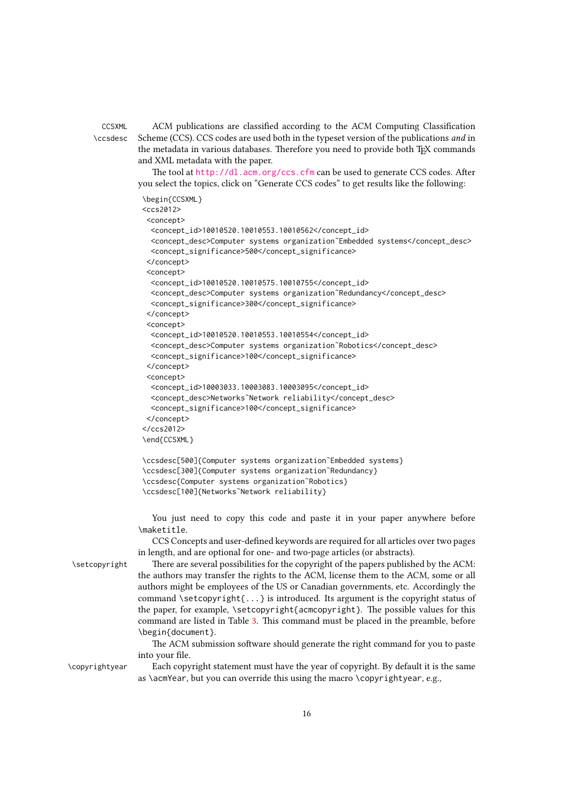CCSXML ACM publications are classified according to the ACM Computing Classification \ccsdesc Scheme (CCS). CCS codes are used both in the typeset version of the publications and in the metadata in various databases. Therefore you need to provide both TEX commands and XML metadata with the paper.

> The tool at <http://dl.acm.org/ccs.cfm> can be used to generate CCS codes. After you select the topics, click on "Generate CCS codes" to get results like the following:

```
\begin{CCSXML}
<<<<<>2012><concept>
  <concept_id>10010520.10010553.10010562</concept_id>
  <concept_desc>Computer systems organization˜Embedded systems</concept_desc>
  <concept_significance>500</concept_significance>
 </concept>
 <concept>
  <concept_id>10010520.10010575.10010755</concept_id>
  <concept_desc>Computer systems organization˜Redundancy</concept_desc>
  <concept_significance>300</concept_significance>
 </concept>
 <concept>
  <concept_id>10010520.10010553.10010554</concept_id>
  <concept_desc>Computer systems organization˜Robotics</concept_desc>
  <concept_significance>100</concept_significance>
 </concept>
 <concept>
 <concept_id>10003033.10003083.10003095</concept_id>
 <concept_desc>Networks˜Network reliability</concept_desc>
 <concept_significance>100</concept_significance>
 </concept>
</ccs2012>
\end{CCSXML}
\ccsdesc[500]{Computer systems organization˜Embedded systems}
\ccsdesc[300]{Computer systems organization˜Redundancy}
\ccsdesc{Computer systems organization˜Robotics}
\ccsdesc[100]{Networks˜Network reliability}
```
You just need to copy this code and paste it in your paper anywhere before \maketitle.

CCS Concepts and user-defined keywords are required for all articles over two pages in length, and are optional for one- and two-page articles (or abstracts).

\setcopyright There are several possibilities for the copyright of the papers published by the ACM: the authors may transfer the rights to the ACM, license them to the ACM, some or all authors might be employees of the US or Canadian governments, etc. Accordingly the command \setcopyright ${...}$  is introduced. Its argument is the copyright status of the paper, for example, \setcopyright{acmcopyright}. The possible values for this command are listed in Table [3.](#page-16-0) This command must be placed in the preamble, before \begin{document}.

> The ACM submission software should generate the right command for you to paste into your file.

\copyrightyear Each copyright statement must have the year of copyright. By default it is the same as \acmYear, but you can override this using the macro \copyrightyear, e.g.,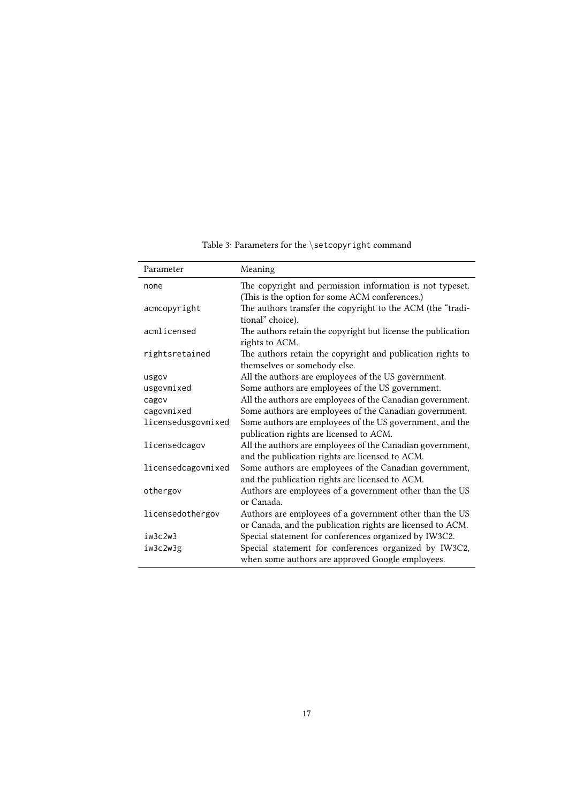<span id="page-16-0"></span>

| Parameter          | Meaning                                                                                                      |
|--------------------|--------------------------------------------------------------------------------------------------------------|
| none               | The copyright and permission information is not typeset.                                                     |
|                    | (This is the option for some ACM conferences.)                                                               |
| acmcopyright       | The authors transfer the copyright to the ACM (the "tradi-<br>tional" choice).                               |
| acmlicensed        | The authors retain the copyright but license the publication                                                 |
|                    | rights to ACM.                                                                                               |
| rightsretained     | The authors retain the copyright and publication rights to<br>themselves or somebody else.                   |
| usgov              | All the authors are employees of the US government.                                                          |
| usgovmixed         | Some authors are employees of the US government.                                                             |
| cagov              | All the authors are employees of the Canadian government.                                                    |
| cagovmixed         | Some authors are employees of the Canadian government.                                                       |
| licensedusgovmixed | Some authors are employees of the US government, and the                                                     |
|                    | publication rights are licensed to ACM.                                                                      |
| licensedcagov      | All the authors are employees of the Canadian government,<br>and the publication rights are licensed to ACM. |
| licensedcagovmixed | Some authors are employees of the Canadian government,                                                       |
|                    | and the publication rights are licensed to ACM.                                                              |
| othergov           | Authors are employees of a government other than the US<br>or Canada.                                        |
| licensedothergov   | Authors are employees of a government other than the US                                                      |
|                    | or Canada, and the publication rights are licensed to ACM.                                                   |
| iw3c2w3            | Special statement for conferences organized by IW3C2.                                                        |
| iw3c2w3g           | Special statement for conferences organized by IW3C2,<br>when some authors are approved Google employees.    |

Table 3: Parameters for the \setcopyright command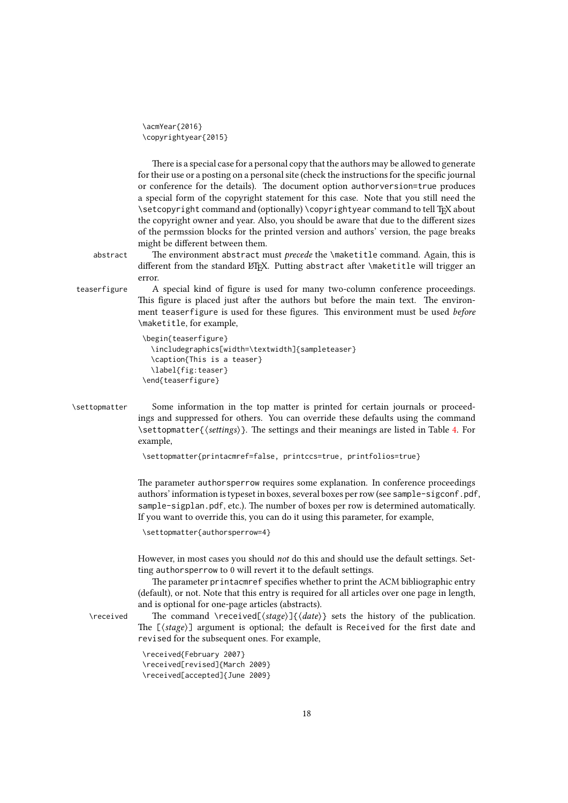```
\acmYear{2016}
\copyrightyear{2015}
```
There is a special case for a personal copy that the authors may be allowed to generate for their use or a posting on a personal site (check the instructions for the specific journal or conference for the details). The document option authorversion=true produces a special form of the copyright statement for this case. Note that you still need the \setcopyright command and (optionally) \copyrightyear command to tell TEX about the copyright owner and year. Also, you should be aware that due to the different sizes of the permssion blocks for the printed version and authors' version, the page breaks might be different between them.

abstract The environment abstract must *precede* the \maketitle command. Again, this is different from the standard LATEX. Putting abstract after \maketitle will trigger an error.

teaserfigure A special kind of figure is used for many two-column conference proceedings. This figure is placed just after the authors but before the main text. The environment teaserfigure is used for these figures. This environment must be used before \maketitle, for example,

```
\begin{teaserfigure}
  \includegraphics[width=\textwidth]{sampleteaser}
  \caption{This is a teaser}
  \label{fig:teaser}
\end{teaserfigure}
```
\settopmatter Some information in the top matter is printed for certain journals or proceedings and suppressed for others. You can override these defaults using the command \settopmatter{⟨settings⟩}. The settings and their meanings are listed in Table [4.](#page-18-1) For example,

\settopmatter{printacmref=false, printccs=true, printfolios=true}

The parameter authorsperrow requires some explanation. In conference proceedings authors' information is typeset in boxes, several boxes per row (see sample-sigconf.pdf, sample-sigplan.pdf, etc.). The number of boxes per row is determined automatically. If you want to override this, you can do it using this parameter, for example,

```
\settopmatter{authorsperrow=4}
```
However, in most cases you should not do this and should use the default settings. Setting authorsperrow to 0 will revert it to the default settings.

The parameter printacmref specifies whether to print the ACM bibliographic entry (default), or not. Note that this entry is required for all articles over one page in length, and is optional for one-page articles (abstracts).

\received The command \received[⟨stage⟩]{⟨date⟩} sets the history of the publication. The  $[\langle stage \rangle]$  argument is optional; the default is Received for the first date and revised for the subsequent ones. For example,

> \received{February 2007} \received[revised]{March 2009} \received[accepted]{June 2009}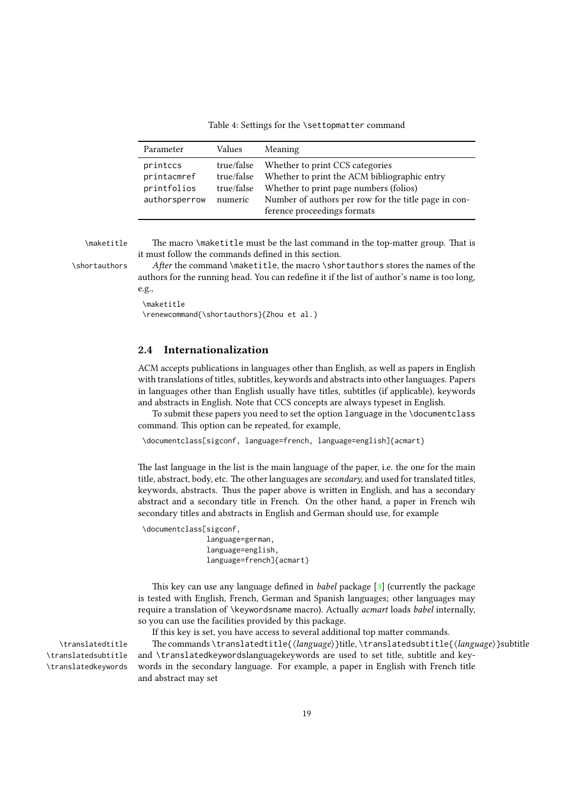Table 4: Settings for the \settopmatter command

<span id="page-18-1"></span>

| Parameter                                               | Values                                            | Meaning                                                                                                                                                                                                          |
|---------------------------------------------------------|---------------------------------------------------|------------------------------------------------------------------------------------------------------------------------------------------------------------------------------------------------------------------|
| printccs<br>printacmref<br>printfolios<br>authorsperrow | true/false<br>true/false<br>true/false<br>numeric | Whether to print CCS categories<br>Whether to print the ACM bibliographic entry<br>Whether to print page numbers (folios)<br>Number of authors per row for the title page in con-<br>ference proceedings formats |

\maketitle The macro \maketitle must be the last command in the top-matter group. That is it must follow the commands defined in this section.

\shortauthors After the command \maketitle, the macro \shortauthors stores the names of the authors for the running head. You can redefine it if the list of author's name is too long, e.g.,

```
\maketitle
\renewcommand{\shortauthors}{Zhou et al.}
```
## <span id="page-18-0"></span>2.4 Internationalization

ACM accepts publications in languages other than English, as well as papers in English with translations of titles, subtitles, keywords and abstracts into other languages. Papers in languages other than English usually have titles, subtitles (if applicable), keywords and abstracts in English. Note that CCS concepts are always typeset in English.

To submit these papers you need to set the option language in the \documentclass command. This option can be repeated, for example,

\documentclass[sigconf, language=french, language=english]{acmart}

The last language in the list is the main language of the paper, i.e. the one for the main title, abstract, body, etc. The other languages are *secondary*, and used for translated titles, keywords, abstracts. Thus the paper above is written in English, and has a secondary abstract and a secondary title in French. On the other hand, a paper in French wih secondary titles and abstracts in English and German should use, for example

```
\documentclass[sigconf,
```

```
language=german,
language=english,
language=french]{acmart}
```
This key can use any language defined in babel package [\[3\]](#page-106-2) (currently the package is tested with English, French, German and Spanish languages; other languages may require a translation of \keywordsname macro). Actually acmart loads babel internally, so you can use the facilities provided by this package.

If this key is set, you have access to several additional top matter commands. \translatedtitle The commands \translatedtitle{ $\langle \text{language} \rangle$ }title, \translatedsubtitle{ $\langle \text{language} \rangle$ }subtitle and \translatedkeywordslanguagekeywords are used to set title, subtitle and keywords in the secondary language. For example, a paper in English with French title and abstract may set

\translatedsubtitle \translatedkeywords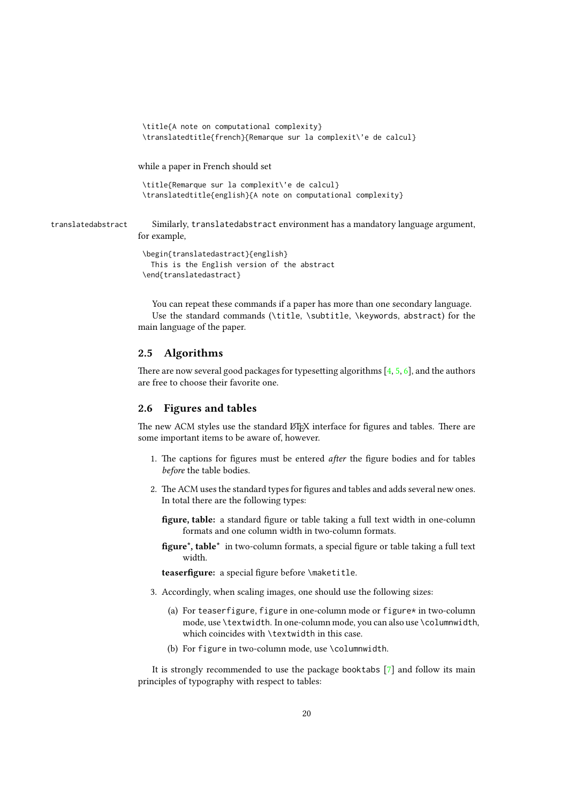```
\title{A note on computational complexity}
                     \translatedtitle{french}{Remarque sur la complexit\'e de calcul}
                    while a paper in French should set
                     \title{Remarque sur la complexit\'e de calcul}
                     \translatedtitle{english}{A note on computational complexity}
translatedabstract Similarly, translatedabstract environment has a mandatory language argument,
                    for example,
                     \begin{translatedastract}{english}
```

```
This is the English version of the abstract
\end{translatedastract}
```
You can repeat these commands if a paper has more than one secondary language. Use the standard commands (\title, \subtitle, \keywords, abstract) for the main language of the paper.

## <span id="page-19-0"></span>2.5 Algorithms

There are now several good packages for typesetting algorithms  $[4, 5, 6]$  $[4, 5, 6]$  $[4, 5, 6]$  $[4, 5, 6]$  $[4, 5, 6]$ , and the authors are free to choose their favorite one.

## <span id="page-19-1"></span>2.6 Figures and tables

The new ACM styles use the standard LATEX interface for figures and tables. There are some important items to be aware of, however.

- 1. The captions for figures must be entered after the figure bodies and for tables before the table bodies.
- 2. The ACM uses the standard types for figures and tables and adds several new ones. In total there are the following types:
	- figure, table: a standard figure or table taking a full text width in one-column formats and one column width in two-column formats.
	- figure\*, table\* in two-column formats, a special figure or table taking a full text width.

teaserfigure: a special figure before \maketitle.

- 3. Accordingly, when scaling images, one should use the following sizes:
	- (a) For teaserfigure, figure in one-column mode or figure\* in two-column mode, use \textwidth. In one-column mode, you can also use \columnwidth, which coincides with \textwidth in this case.
	- (b) For figure in two-column mode, use \columnwidth.

It is strongly recommended to use the package booktabs [\[7\]](#page-106-6) and follow its main principles of typography with respect to tables: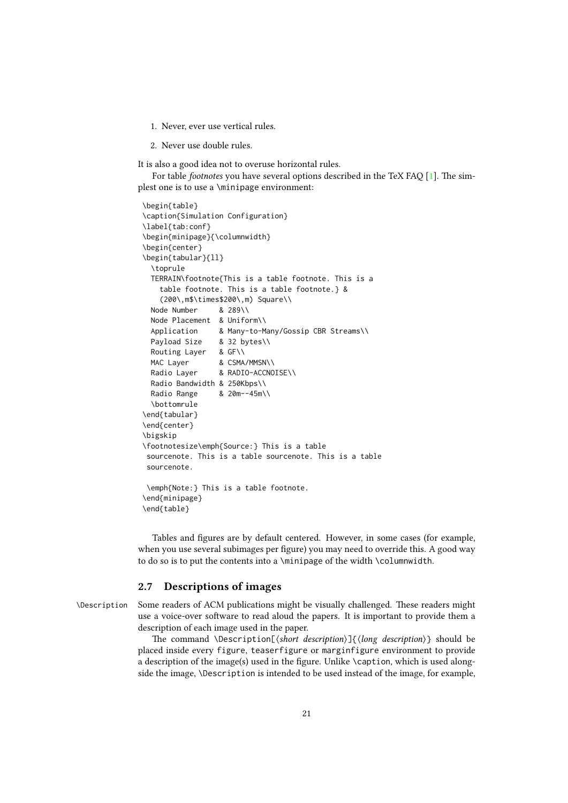- 1. Never, ever use vertical rules.
- 2. Never use double rules.

It is also a good idea not to overuse horizontal rules.

For table footnotes you have several options described in the TeX FAQ [\[1\]](#page-106-0). The simplest one is to use a \minipage environment:

```
\begin{table}
\caption{Simulation Configuration}
\label{tab:conf}
\begin{minipage}{\columnwidth}
\begin{center}
\begin{tabular}{ll}
 \toprule
 TERRAIN\footnote{This is a table footnote. This is a
   table footnote. This is a table footnote.} &
   (200\,m$\times$200\,m) Square\\
 Node Number & 289\\
 Node Placement & Uniform\\
 Application & Many-to-Many/Gossip CBR Streams\\
 Payload Size & 32 bytes\\
 Routing Layer & GF\\
 MAC Layer & CSMA/MMSN\\
 Radio Layer & RADIO-ACCNOISE\\
 Radio Bandwidth & 250Kbps\\
 Radio Range & 20m--45m\\
 \bottomrule
\end{tabular}
\end{center}
\bigskip
\footnotesize\emph{Source:} This is a table
sourcenote. This is a table sourcenote. This is a table
sourcenote.
\emph{Note:} This is a table footnote.
\end{minipage}
```
\end{table}

Tables and figures are by default centered. However, in some cases (for example, when you use several subimages per figure) you may need to override this. A good way to do so is to put the contents into a \minipage of the width \columnwidth.

## <span id="page-20-0"></span>2.7 Descriptions of images

\Description Some readers of ACM publications might be visually challenged. These readers might use a voice-over software to read aloud the papers. It is important to provide them a description of each image used in the paper.

> The command \Description[ $\langle short\ description\rangle$ ] $\{ \langle long\ description\rangle \}$  should be placed inside every figure, teaserfigure or marginfigure environment to provide a description of the image(s) used in the figure. Unlike \caption, which is used alongside the image, \Description is intended to be used instead of the image, for example,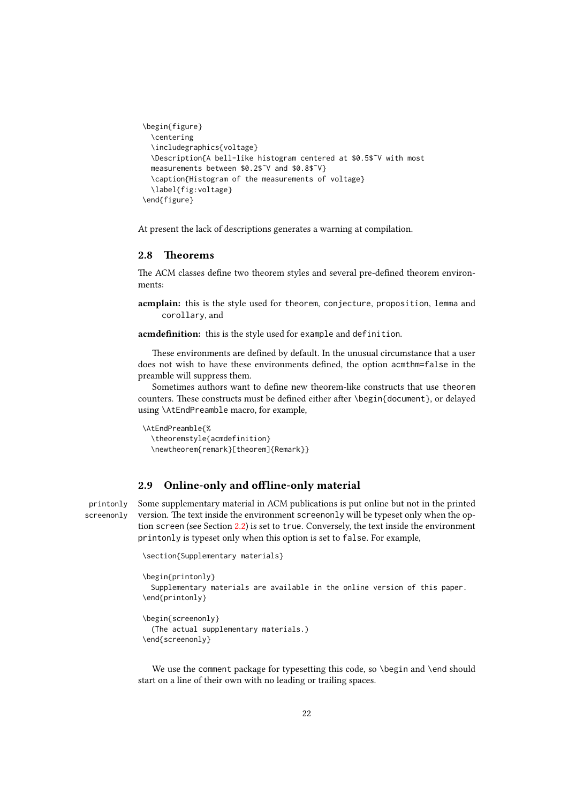```
\begin{figure}
  \centering
  \includegraphics{voltage}
  \Description{A bell-like histogram centered at $0.5$˜V with most
 measurements between $0.2$˜V and $0.8$˜V}
  \caption{Histogram of the measurements of voltage}
  \label{fig:voltage}
\end{figure}
```
At present the lack of descriptions generates a warning at compilation.

#### <span id="page-21-0"></span>2.8 Theorems

The ACM classes define two theorem styles and several pre-defined theorem environments:

acmplain: this is the style used for theorem, conjecture, proposition, lemma and corollary, and

acmdefinition: this is the style used for example and definition.

These environments are defined by default. In the unusual circumstance that a user does not wish to have these environments defined, the option acmthm=false in the preamble will suppress them.

Sometimes authors want to define new theorem-like constructs that use theorem counters. These constructs must be defined either after \begin{document}, or delayed using \AtEndPreamble macro, for example,

```
\AtEndPreamble{%
 \theoremstyle{acmdefinition}
 \newtheorem{remark}[theorem]{Remark}}
```
## <span id="page-21-1"></span>2.9 Online-only and offline-only material

printonly Some supplementary material in ACM publications is put online but not in the printed screenonly version. The text inside the environment screenonly will be typeset only when the option screen (see Section [2.2\)](#page-5-0) is set to true. Conversely, the text inside the environment printonly is typeset only when this option is set to false. For example,

```
\section{Supplementary materials}
```

```
\begin{printonly}
 Supplementary materials are available in the online version of this paper.
\end{printonly}
```

```
\begin{screenonly}
  (The actual supplementary materials.)
\end{screenonly}
```
We use the comment package for typesetting this code, so \begin and \end should start on a line of their own with no leading or trailing spaces.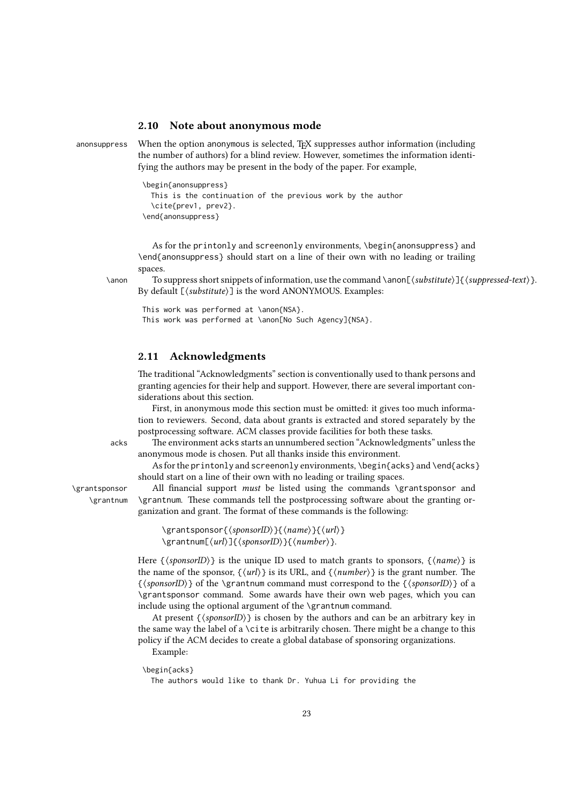## <span id="page-22-0"></span>2.10 Note about anonymous mode

anonsuppress When the option anonymous is selected, T<sub>EX</sub> suppresses author information (including the number of authors) for a blind review. However, sometimes the information identifying the authors may be present in the body of the paper. For example,

```
\begin{anonsuppress}
 This is the continuation of the previous work by the author
 \cite{prev1, prev2}.
\end{anonsuppress}
```
As for the printonly and screenonly environments, \begin{anonsuppress} and \end{anonsuppress} should start on a line of their own with no leading or trailing spaces.

\anon To suppress short snippets of information, use the command \anon[⟨substitute⟩]{⟨suppressed-text⟩}. By default [⟨substitute⟩] is the word ANONYMOUS. Examples:

```
This work was performed at \anon{NSA}.
This work was performed at \anon[No Such Agency]{NSA}.
```
## <span id="page-22-1"></span>2.11 Acknowledgments

The traditional "Acknowledgments" section is conventionally used to thank persons and granting agencies for their help and support. However, there are several important considerations about this section.

First, in anonymous mode this section must be omitted: it gives too much information to reviewers. Second, data about grants is extracted and stored separately by the postprocessing software. ACM classes provide facilities for both these tasks.

acks The environment acks starts an unnumbered section "Acknowledgments" unless the anonymous mode is chosen. Put all thanks inside this environment.

As for the printonly and screenonly environments,  $\begin{cases} \begin{array}{c} \Delta \geq 0 \\ \Delta \geq 0 \end{array} \end{cases}$ should start on a line of their own with no leading or trailing spaces.

\grantsponsor All financial support must be listed using the commands \grantsponsor and \grantnum \grantnum. These commands tell the postprocessing software about the granting organization and grant. The format of these commands is the following:

```
\grantsponsor{⟨sponsorID⟩}{⟨name⟩}{⟨url⟩}
\grantnum[⟨url⟩]{⟨sponsorID⟩}{⟨number⟩}.
```
Here  $\{\langle sponsorID \rangle\}$  is the unique ID used to match grants to sponsors,  $\{\langle name \rangle\}$  is the name of the sponsor,  $\{\langle url \rangle\}$  is its URL, and  $\{\langle number \rangle\}$  is the grant number. The {⟨sponsorID⟩} of the \grantnum command must correspond to the {⟨sponsorID⟩} of a \grantsponsor command. Some awards have their own web pages, which you can include using the optional argument of the \grantnum command.

At present  $\{\langle sponsorID \rangle\}$  is chosen by the authors and can be an arbitrary key in the same way the label of a \cite is arbitrarily chosen. There might be a change to this policy if the ACM decides to create a global database of sponsoring organizations.

Example:

\begin{acks}

The authors would like to thank Dr. Yuhua Li for providing the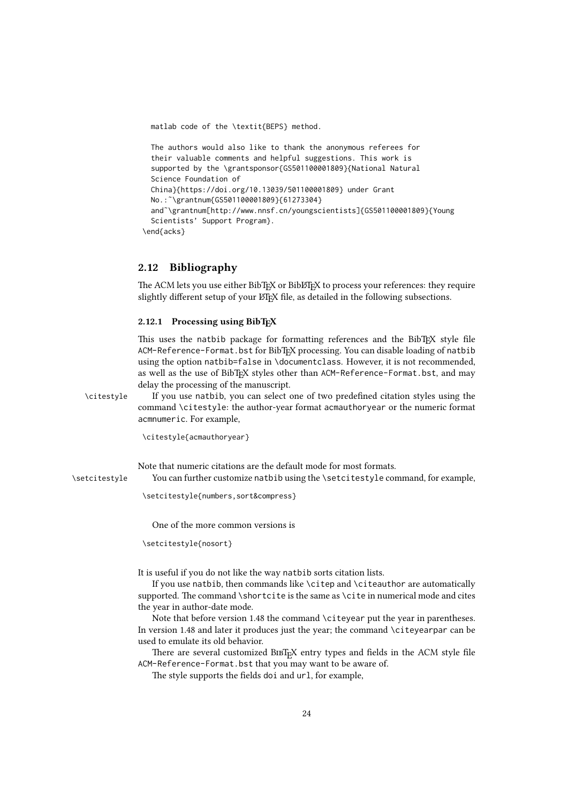```
matlab code of the \textit{BEPS} method.
```

```
The authors would also like to thank the anonymous referees for
  their valuable comments and helpful suggestions. This work is
  supported by the \grantsponsor{GS501100001809}{National Natural
  Science Foundation of
  China}{https://doi.org/10.13039/501100001809} under Grant
 No.:˜\grantnum{GS501100001809}{61273304}
  and˜\grantnum[http://www.nnsf.cn/youngscientists]{GS501100001809}{Young
  Scientists' Support Program}.
\end{acks}
```
## <span id="page-23-0"></span>2.12 Bibliography

The ACM lets you use either BibTFX or BibLTFX to process your references: they require slightly different setup of your LATEX file, as detailed in the following subsections.

## <span id="page-23-1"></span>2.12.1 Processing using BibTFX

This uses the natbib package for formatting references and the BibT<sub>EX</sub> style file ACM-Reference-Format.bst for BibTEX processing. You can disable loading of natbib using the option natbib=false in \documentclass. However, it is not recommended, as well as the use of BibTEX styles other than ACM-Reference-Format.bst, and may delay the processing of the manuscript.

\citestyle If you use natbib, you can select one of two predefined citation styles using the command \citestyle: the author-year format acmauthoryear or the numeric format acmnumeric. For example,

\citestyle{acmauthoryear}

Note that numeric citations are the default mode for most formats.

\setcitestyle You can further customize natbib using the \setcitestyle command, for example,

\setcitestyle{numbers,sort&compress}

One of the more common versions is

\setcitestyle{nosort}

It is useful if you do not like the way natbib sorts citation lists.

If you use natbib, then commands like \citep and \citeauthor are automatically supported. The command \shortcite is the same as \cite in numerical mode and cites the year in author-date mode.

Note that before version 1.48 the command \citeyear put the year in parentheses. In version 1.48 and later it produces just the year; the command \citeyearpar can be used to emulate its old behavior.

There are several customized BIBTEX entry types and fields in the ACM style file ACM-Reference-Format.bst that you may want to be aware of.

The style supports the fields doi and url, for example,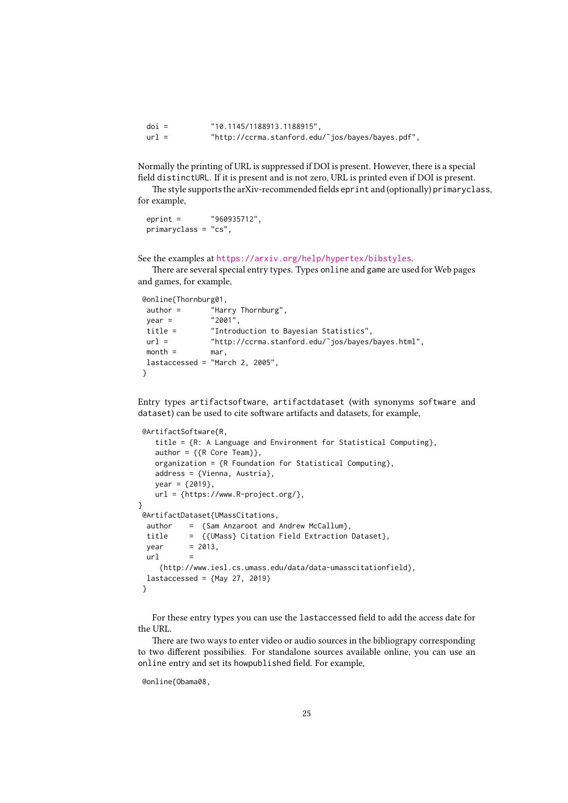| $\dot{\text{doi}} =$ | "10.1145/1188913.1188915",                        |
|----------------------|---------------------------------------------------|
| $url =$              | "http://ccrma.stanford.edu/~jos/bayes/bayes.pdf", |

Normally the printing of URL is suppressed if DOI is present. However, there is a special field distinctURL. If it is present and is not zero, URL is printed even if DOI is present.

The style supports the arXiv-recommended fields eprint and (optionally) primaryclass, for example,

```
eprint = "960935712",
primaryclass = "cs",
```
See the examples at <https://arxiv.org/help/hypertex/bibstyles>.

There are several special entry types. Types online and game are used for Web pages and games, for example,

```
@online{Thornburg01,
```

```
author = "Harry Thornburg",
year = "2001",
title = "Introduction to Bayesian Statistics",
url = "http://ccrma.stanford.edu/˜jos/bayes/bayes.html",
month = mar,
lastaccessed = "March 2, 2005",
}
```
Entry types artifactsoftware, artifactdataset (with synonyms software and dataset) can be used to cite software artifacts and datasets, for example,

```
@ArtifactSoftware{R,
   title = {R: A Language and Environment for Statistical Computing},
   author = \{R \text{ Core Team}\},\organization = {R Foundation for Statistical Computing},
   address = {Vienna, Austria},
   year = {2019},
   url = {https://www.R-project.org/},
}
 @ArtifactDataset{UMassCitations,
 author = {Sam Anzaroot and Andrew McCallum},
  title = {{UMass} Citation Field Extraction Dataset},
  vear = 2013.
  ur1{http://www.iesl.cs.umass.edu/data/data-umasscitationfield},
  lastaccessed = {May 27, 2019}}
```
For these entry types you can use the lastaccessed field to add the access date for the URL.

There are two ways to enter video or audio sources in the bibliograpy corresponding to two different possibilies. For standalone sources available online, you can use an online entry and set its howpublished field. For example,

<sup>@</sup>online{Obama08,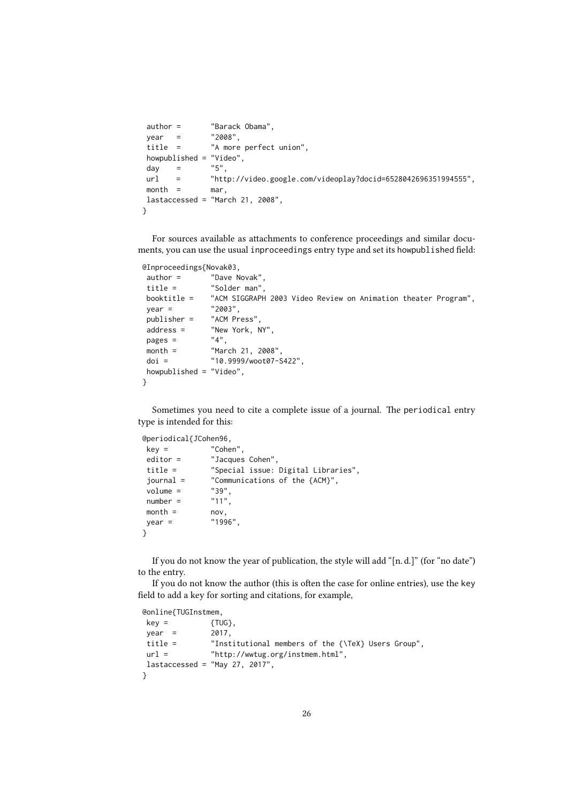```
author = "Barack Obama",
year = "2008",
title = "A more perfect union",
howpublished = "Video",
day = "5",
url = "http://video.google.com/videoplay?docid=6528042696351994555",
month = mar,lastaccessed = "March 21, 2008",
}
```
For sources available as attachments to conference proceedings and similar documents, you can use the usual inproceedings entry type and set its howpublished field:

```
@Inproceedings{Novak03,
```

```
author = "Dave Novak",
title = "Solder man",
booktitle = "ACM SIGGRAPH 2003 Video Review on Animation theater Program",
year = "2003",<br>publisher = "ACM Press".
publicer =address = "New York, NY",
pages = "4",
month = "March 21, 2008",
doi = "10.9999/woot07-S422",
howpublished = "Video",
}
```
Sometimes you need to cite a complete issue of a journal. The periodical entry type is intended for this:

```
@periodical{JCohen96,
```

```
key = "Cohen",
editor = "Jacques Cohen",
title = "Special issue: Digital Libraries",
journal = "Communications of the {ACM}",<br>volume = "39",
volume = "39",<br>number = "11",number =month = nov.vear = "1996".
}
```
If you do not know the year of publication, the style will add "[n. d.]" (for "no date") to the entry.

If you do not know the author (this is often the case for online entries), use the key field to add a key for sorting and citations, for example,

```
@online{TUGInstmem,
key = {TUG},
vear = 2017.
title = "Institutional members of the {\TeX} Users Group",
url = "http://wwtug.org/instmem.html",
lastaccessed = "May 27, 2017",}
```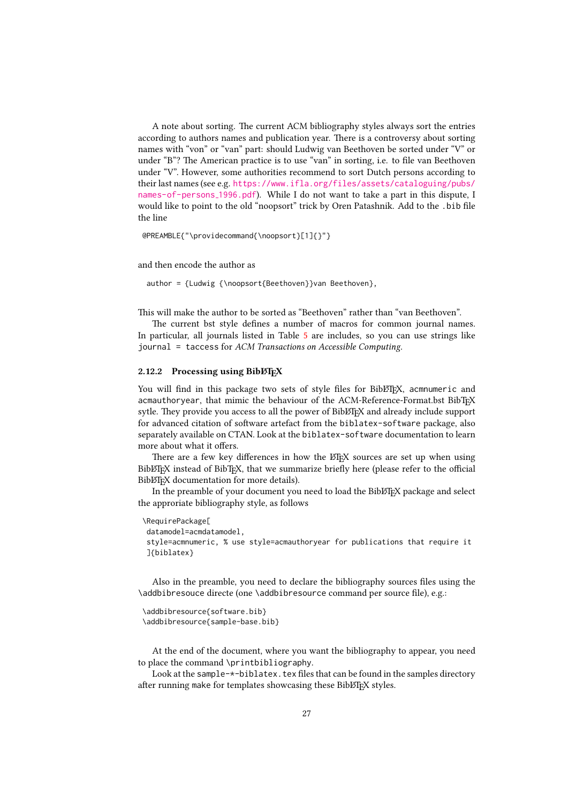A note about sorting. The current ACM bibliography styles always sort the entries according to authors names and publication year. There is a controversy about sorting names with "von" or "van" part: should Ludwig van Beethoven be sorted under "V" or under "B"? The American practice is to use "van" in sorting, i.e. to file van Beethoven under "V". However, some authorities recommend to sort Dutch persons according to their last names (see e.g. [https://www.ifla.org/files/assets/cataloguing/pubs/](https://www.ifla.org/files/assets/cataloguing/pubs/names-of-persons_1996.pdf) [names-of-persons](https://www.ifla.org/files/assets/cataloguing/pubs/names-of-persons_1996.pdf) 1996.pdf). While I do not want to take a part in this dispute, I would like to point to the old "noopsort" trick by Oren Patashnik. Add to the .bib file the line

@PREAMBLE{"\providecommand{\noopsort}[1]{}"}

and then encode the author as

author = {Ludwig {\noopsort{Beethoven}}van Beethoven},

This will make the author to be sorted as "Beethoven" rather than "van Beethoven".

The current bst style defines a number of macros for common journal names. In particular, all journals listed in Table [5](#page-29-1) are includes, so you can use strings like journal = taccess for ACM Transactions on Accessible Computing.

#### <span id="page-26-0"></span>2.12.2 Processing using BiblAT<sub>EX</sub>

You will find in this package two sets of style files for BibLATEX, acmnumeric and acmauthoryear, that mimic the behaviour of the ACM-Reference-Format.bst BibTFX sytle. They provide you access to all the power of BibLATEX and already include support for advanced citation of software artefact from the biblatex-software package, also separately available on CTAN. Look at the biblatex-software documentation to learn more about what it offers.

There are a few key differences in how the ETFX sources are set up when using BibLIFX instead of BibTFX, that we summarize briefly here (please refer to the official BibLTFX documentation for more details).

In the preamble of your document you need to load the BibLATEX package and select the approriate bibliography style, as follows

```
\RequirePackage[
datamodel=acmdatamodel,
 style=acmnumeric, % use style=acmauthoryear for publications that require it
]{biblatex}
```
Also in the preamble, you need to declare the bibliography sources files using the \addbibresouce directe (one \addbibresource command per source file), e.g.:

```
\addbibresource{software.bib}
\addbibresource{sample-base.bib}
```
At the end of the document, where you want the bibliography to appear, you need to place the command \printbibliography.

Look at the sample- $*$ -biblatex.tex files that can be found in the samples directory after running make for templates showcasing these BibLTFX styles.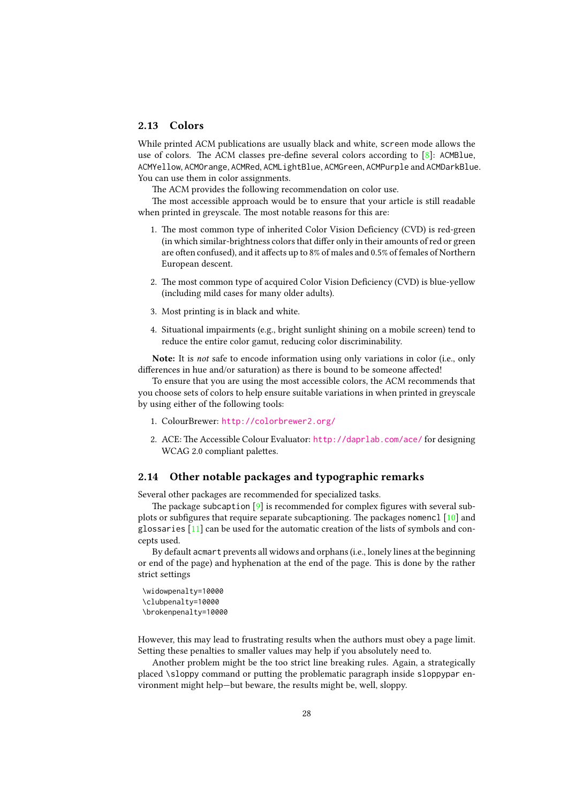#### <span id="page-27-0"></span>2.13 Colors

While printed ACM publications are usually black and white, screen mode allows the use of colors. The ACM classes pre-define several colors according to [\[8\]](#page-106-7): ACMBlue, ACMYellow, ACMOrange, ACMRed, ACMLightBlue, ACMGreen, ACMPurple and ACMDarkBlue. You can use them in color assignments.

The ACM provides the following recommendation on color use.

The most accessible approach would be to ensure that your article is still readable when printed in greyscale. The most notable reasons for this are:

- 1. The most common type of inherited Color Vision Deficiency (CVD) is red-green (in which similar-brightness colors that differ only in their amounts of red or green are often confused), and it affects up to 8% of males and 0.5% of females of Northern European descent.
- 2. The most common type of acquired Color Vision Deficiency (CVD) is blue-yellow (including mild cases for many older adults).
- 3. Most printing is in black and white.
- 4. Situational impairments (e.g., bright sunlight shining on a mobile screen) tend to reduce the entire color gamut, reducing color discriminability.

Note: It is not safe to encode information using only variations in color (i.e., only differences in hue and/or saturation) as there is bound to be someone affected!

To ensure that you are using the most accessible colors, the ACM recommends that you choose sets of colors to help ensure suitable variations in when printed in greyscale by using either of the following tools:

- 1. ColourBrewer: <http://colorbrewer2.org/>
- 2. ACE: The Accessible Colour Evaluator: <http://daprlab.com/ace/> for designing WCAG 2.0 compliant palettes.

## <span id="page-27-1"></span>2.14 Other notable packages and typographic remarks

Several other packages are recommended for specialized tasks.

The package subcaption  $[9]$  is recommended for complex figures with several subplots or subfigures that require separate subcaptioning. The packages nomencl [\[10\]](#page-106-9) and glossaries [\[11\]](#page-106-10) can be used for the automatic creation of the lists of symbols and concepts used.

By default acmart prevents all widows and orphans (i.e., lonely lines at the beginning or end of the page) and hyphenation at the end of the page. This is done by the rather strict settings

```
\widowpenalty=10000
\clubpenalty=10000
\brokenpenalty=10000
```
However, this may lead to frustrating results when the authors must obey a page limit. Setting these penalties to smaller values may help if you absolutely need to.

Another problem might be the too strict line breaking rules. Again, a strategically placed \sloppy command or putting the problematic paragraph inside sloppypar environment might help—but beware, the results might be, well, sloppy.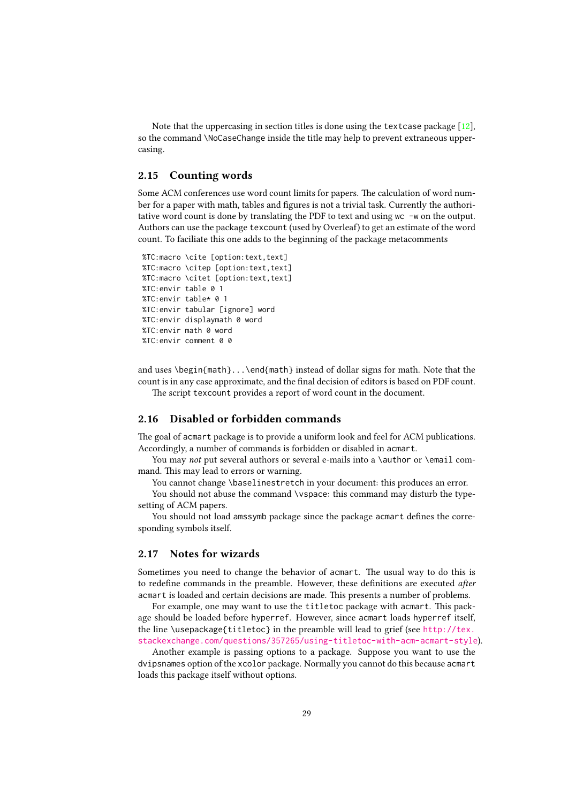Note that the uppercasing in section titles is done using the textcase package [\[12\]](#page-106-11), so the command \NoCaseChange inside the title may help to prevent extraneous uppercasing.

## <span id="page-28-0"></span>2.15 Counting words

Some ACM conferences use word count limits for papers. The calculation of word number for a paper with math, tables and figures is not a trivial task. Currently the authoritative word count is done by translating the PDF to text and using wc -w on the output. Authors can use the package texcount (used by Overleaf) to get an estimate of the word count. To faciliate this one adds to the beginning of the package metacomments

```
%TC:macro \cite [option:text,text]
%TC:macro \citep [option:text,text]
%TC:macro \citet [option:text,text]
%TC:envir table 0 1
%TC:envir table* 0 1
%TC:envir tabular [ignore] word
%TC:envir displaymath 0 word
%TC:envir math 0 word
%TC:envir comment 0 0
```
and uses \begin{math}...\end{math} instead of dollar signs for math. Note that the count is in any case approximate, and the final decision of editors is based on PDF count.

The script texcount provides a report of word count in the document.

## <span id="page-28-1"></span>2.16 Disabled or forbidden commands

The goal of acmart package is to provide a uniform look and feel for ACM publications. Accordingly, a number of commands is forbidden or disabled in acmart.

You may not put several authors or several e-mails into a \author or \email command. This may lead to errors or warning.

You cannot change \baselinestretch in your document: this produces an error.

You should not abuse the command \vspace: this command may disturb the typesetting of ACM papers.

You should not load amssymb package since the package acmart defines the corresponding symbols itself.

#### <span id="page-28-2"></span>2.17 Notes for wizards

Sometimes you need to change the behavior of acmart. The usual way to do this is to redefine commands in the preamble. However, these definitions are executed after acmart is loaded and certain decisions are made. This presents a number of problems.

For example, one may want to use the titletoc package with acmart. This package should be loaded before hyperref. However, since acmart loads hyperref itself, the line \usepackage{titletoc} in the preamble will lead to grief (see [http://tex.](http://tex.stackexchange.com/questions/357265/using-titletoc-with-acm-acmart-style) [stackexchange.com/questions/357265/using-titletoc-with-acm-acmart-style](http://tex.stackexchange.com/questions/357265/using-titletoc-with-acm-acmart-style)).

Another example is passing options to a package. Suppose you want to use the dvipsnames option of the xcolor package. Normally you cannot do this because acmart loads this package itself without options.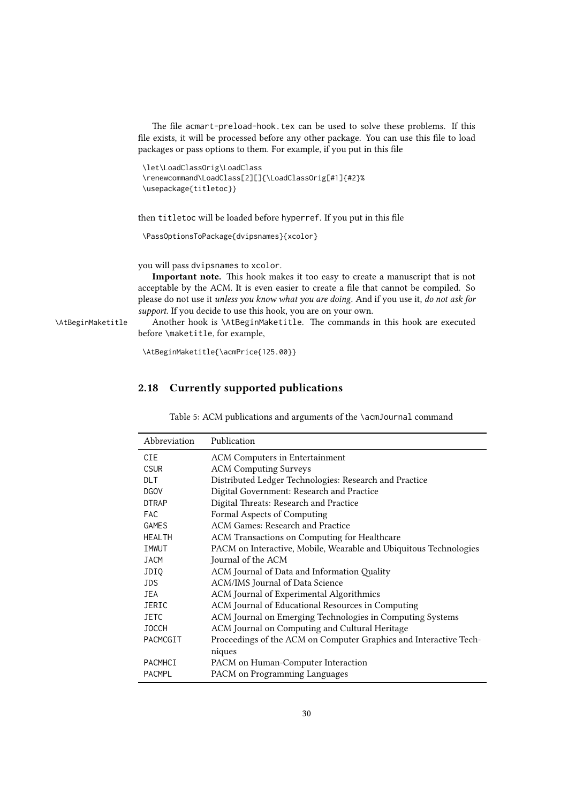The file acmart-preload-hook.tex can be used to solve these problems. If this file exists, it will be processed before any other package. You can use this file to load packages or pass options to them. For example, if you put in this file

```
\let\LoadClassOrig\LoadClass
\renewcommand\LoadClass[2][]{\LoadClassOrig[#1]{#2}%
\usepackage{titletoc}}
```
then titletoc will be loaded before hyperref. If you put in this file

\PassOptionsToPackage{dvipsnames}{xcolor}

you will pass dvipsnames to xcolor.

Important note. This hook makes it too easy to create a manuscript that is not acceptable by the ACM. It is even easier to create a file that cannot be compiled. So please do not use it unless you know what you are doing. And if you use it, do not ask for support. If you decide to use this hook, you are on your own.

\AtBeginMaketitle Another hook is \AtBeginMaketitle. The commands in this hook are executed before \maketitle, for example,

\AtBeginMaketitle{\acmPrice{125.00}}

## <span id="page-29-0"></span>2.18 Currently supported publications

Table 5: ACM publications and arguments of the \acmJournal command

<span id="page-29-1"></span>

| Abbreviation   | Publication                                                       |
|----------------|-------------------------------------------------------------------|
| CIE.           | <b>ACM Computers in Entertainment</b>                             |
| <b>CSUR</b>    | <b>ACM Computing Surveys</b>                                      |
| <b>DLT</b>     | Distributed Ledger Technologies: Research and Practice            |
| <b>DGOV</b>    | Digital Government: Research and Practice                         |
| <b>DTRAP</b>   | Digital Threats: Research and Practice                            |
| <b>FAC</b>     | Formal Aspects of Computing                                       |
| <b>GAMES</b>   | ACM Games: Research and Practice                                  |
| <b>HEALTH</b>  | ACM Transactions on Computing for Healthcare                      |
| IMWUT          | PACM on Interactive, Mobile, Wearable and Ubiquitous Technologies |
| <b>JACM</b>    | Journal of the ACM                                                |
| JDI0           | ACM Journal of Data and Information Quality                       |
| JDS.           | ACM/IMS Journal of Data Science                                   |
| <b>JEA</b>     | ACM Journal of Experimental Algorithmics                          |
| <b>JERIC</b>   | ACM Journal of Educational Resources in Computing                 |
| <b>JETC</b>    | ACM Journal on Emerging Technologies in Computing Systems         |
| <b>JOCCH</b>   | ACM Journal on Computing and Cultural Heritage                    |
| PACMCGIT       | Proceedings of the ACM on Computer Graphics and Interactive Tech- |
|                | niques                                                            |
| <b>PACMHCI</b> | PACM on Human-Computer Interaction                                |
| <b>PACMPL</b>  | PACM on Programming Languages                                     |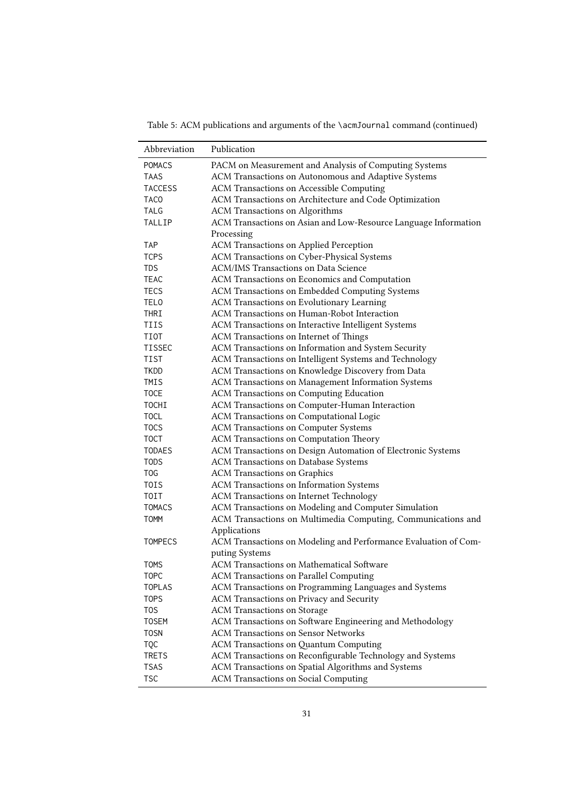Abbreviation Publication POMACS PACM on Measurement and Analysis of Computing Systems TAAS ACM Transactions on Autonomous and Adaptive Systems TACCESS ACM Transactions on Accessible Computing TACO ACM Transactions on Architecture and Code Optimization TALG ACM Transactions on Algorithms TALLIP ACM Transactions on Asian and Low-Resource Language Information Processing TAP ACM Transactions on Applied Perception TCPS ACM Transactions on Cyber-Physical Systems TDS ACM/IMS Transactions on Data Science TEAC ACM Transactions on Economics and Computation TECS ACM Transactions on Embedded Computing Systems TELO ACM Transactions on Evolutionary Learning THRI ACM Transactions on Human-Robot Interaction TIIS ACM Transactions on Interactive Intelligent Systems TIOT ACM Transactions on Internet of Things TISSEC ACM Transactions on Information and System Security TIST ACM Transactions on Intelligent Systems and Technology TKDD ACM Transactions on Knowledge Discovery from Data TMIS ACM Transactions on Management Information Systems TOCE ACM Transactions on Computing Education TOCHI ACM Transactions on Computer-Human Interaction TOCL ACM Transactions on Computational Logic TOCS ACM Transactions on Computer Systems TOCT ACM Transactions on Computation Theory TODAES ACM Transactions on Design Automation of Electronic Systems TODS ACM Transactions on Database Systems TOG ACM Transactions on Graphics TOIS ACM Transactions on Information Systems TOIT ACM Transactions on Internet Technology TOMACS ACM Transactions on Modeling and Computer Simulation TOMM ACM Transactions on Multimedia Computing, Communications and Applications TOMPECS ACM Transactions on Modeling and Performance Evaluation of Computing Systems TOMS ACM Transactions on Mathematical Software TOPC ACM Transactions on Parallel Computing TOPLAS ACM Transactions on Programming Languages and Systems TOPS ACM Transactions on Privacy and Security TOS ACM Transactions on Storage TOSEM ACM Transactions on Software Engineering and Methodology TOSN ACM Transactions on Sensor Networks TQC ACM Transactions on Quantum Computing TRETS ACM Transactions on Reconfigurable Technology and Systems TSAS ACM Transactions on Spatial Algorithms and Systems TSC ACM Transactions on Social Computing

Table 5: ACM publications and arguments of the \acmJournal command (continued)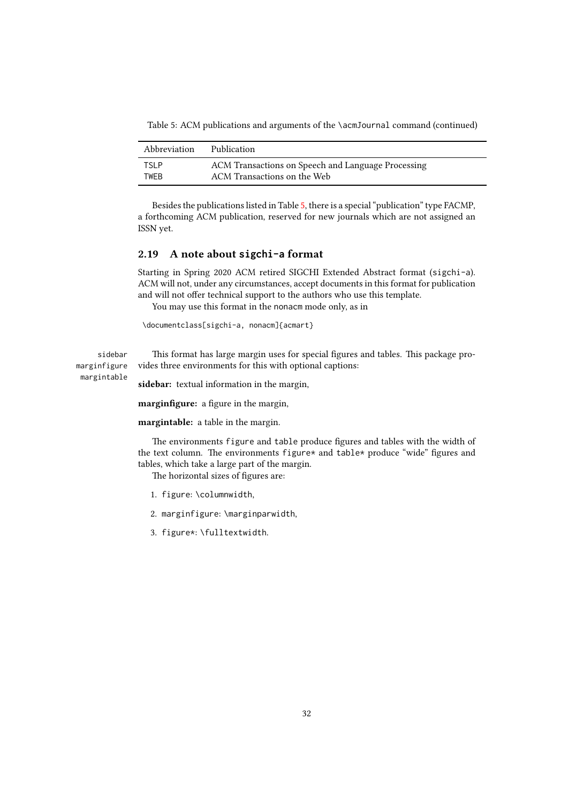Table 5: ACM publications and arguments of the \acmJournal command (continued)

| Abbreviation | Publication                                        |
|--------------|----------------------------------------------------|
| TSI P        | ACM Transactions on Speech and Language Processing |
| <b>TWFR</b>  | ACM Transactions on the Web                        |

Besides the publications listed in Table [5,](#page-29-1) there is a special "publication" type FACMP, a forthcoming ACM publication, reserved for new journals which are not assigned an ISSN yet.

## <span id="page-31-0"></span>2.19 A note about **sigchi-a** format

Starting in Spring 2020 ACM retired SIGCHI Extended Abstract format (sigchi-a). ACM will not, under any circumstances, accept documents in this format for publication and will not offer technical support to the authors who use this template.

You may use this format in the nonacm mode only, as in

```
\documentclass[sigchi-a, nonacm]{acmart}
```
marginfigure margintable

sidebar This format has large margin uses for special figures and tables. This package provides three environments for this with optional captions:

sidebar: textual information in the margin,

marginfigure: a figure in the margin,

margintable: a table in the margin.

The environments figure and table produce figures and tables with the width of the text column. The environments figure\* and table\* produce "wide" figures and tables, which take a large part of the margin.

The horizontal sizes of figures are:

- 1. figure: \columnwidth,
- 2. marginfigure: \marginparwidth,
- 3. figure\*: \fulltextwidth.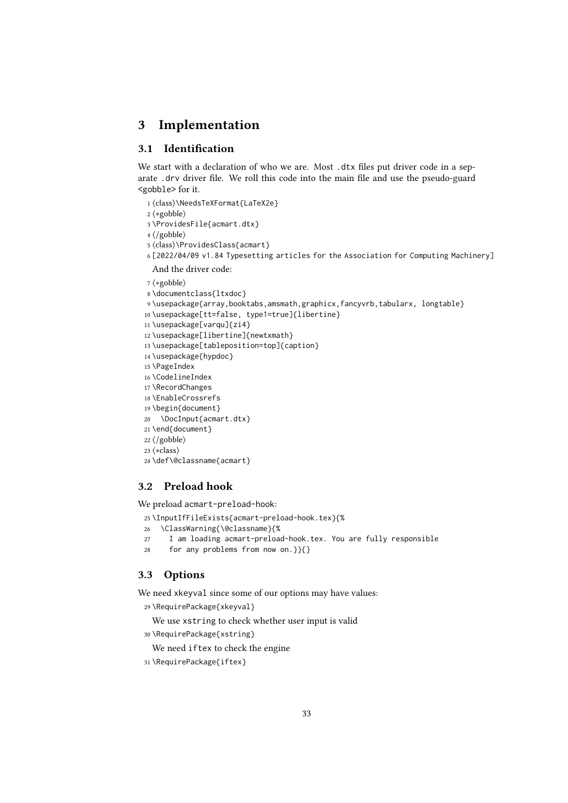# <span id="page-32-0"></span>3 Implementation

## <span id="page-32-1"></span>3.1 Identification

We start with a declaration of who we are. Most .dtx files put driver code in a separate .drv driver file. We roll this code into the main file and use the pseudo-guard <gobble> for it.

⟨class⟩\NeedsTeXFormat{LaTeX2e}

⟨∗gobble⟩

- \ProvidesFile{acmart.dtx}
- ⟨/gobble⟩
- ⟨class⟩\ProvidesClass{acmart}
- [2022/04/09 v1.84 Typesetting articles for the Association for Computing Machinery] And the driver code:
- ⟨∗gobble⟩

```
8 \documentclass{ltxdoc}
```

```
9 \usepackage{array,booktabs,amsmath,graphicx,fancyvrb,tabularx, longtable}
```
\usepackage[tt=false, type1=true]{libertine}

```
11 \usepackage[varqu]{zi4}
```
- \usepackage[libertine]{newtxmath}
- \usepackage[tableposition=top]{caption}
- \usepackage{hypdoc}
- \PageIndex
- \CodelineIndex
- \RecordChanges
- \EnableCrossrefs
- \begin{document} \DocInput{acmart.dtx}
- 
- \end{document} ⟨/gobble⟩
- ⟨∗class⟩

```
24 \def\@classname{acmart}
```
## <span id="page-32-2"></span>3.2 Preload hook

We preload acmart-preload-hook:

- \InputIfFileExists{acmart-preload-hook.tex}{%
- \ClassWarning{\@classname}{%
- I am loading acmart-preload-hook.tex. You are fully responsible
- for any problems from now on.}}{}

## <span id="page-32-3"></span>3.3 Options

We need xkeyval since some of our options may have values:

```
29 \RequirePackage{xkeyval}
```
We use xstring to check whether user input is valid

\RequirePackage{xstring}

```
We need iftex to check the engine
```

```
31 \RequirePackage{iftex}
```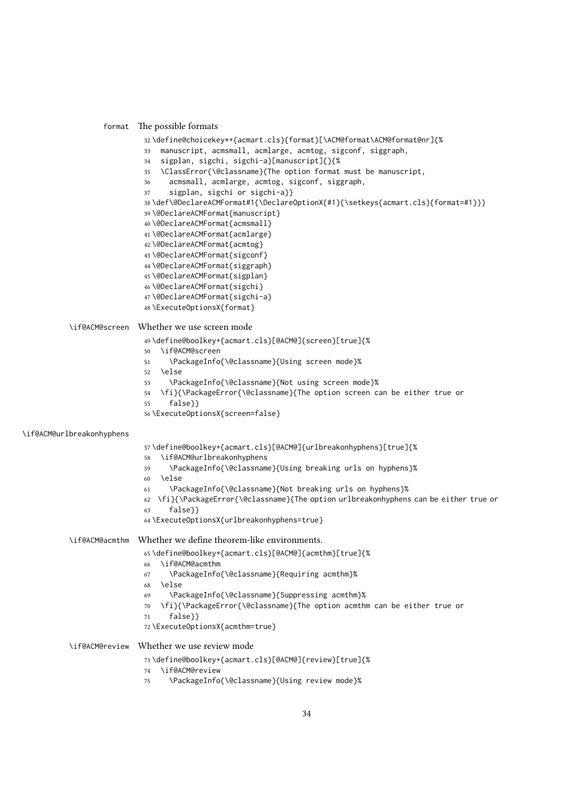#### format The possible formats

```
32 \define@choicekey*+{acmart.cls}{format}[\ACM@format\ACM@format@nr]{%
```
- manuscript, acmsmall, acmlarge, acmtog, sigconf, siggraph,
- sigplan, sigchi, sigchi-a}[manuscript]{}{%
- \ClassError{\@classname}{The option format must be manuscript,
- acmsmall, acmlarge, acmtog, sigconf, siggraph,
- sigplan, sigchi or sigchi-a}}
- 38\def\@DeclareACMFormat#1{\DeclareOptionX{#1}{\setkeys{acmart.cls}{format=#1}}}
- \@DeclareACMFormat{manuscript}
- \@DeclareACMFormat{acmsmall}
- \@DeclareACMFormat{acmlarge}
- \@DeclareACMFormat{acmtog}
- \@DeclareACMFormat{sigconf}
- \@DeclareACMFormat{siggraph}
- \@DeclareACMFormat{sigplan}
- \@DeclareACMFormat{sigchi}
- \@DeclareACMFormat{sigchi-a}
- \ExecuteOptionsX{format}

#### \if@ACM@screen Whether we use screen mode

\define@boolkey+{acmart.cls}[@ACM@]{screen}[true]{%

- \if@ACM@screen
- \PackageInfo{\@classname}{Using screen mode}%
- \else
- \PackageInfo{\@classname}{Not using screen mode}%
- \fi}{\PackageError{\@classname}{The option screen can be either true or
- false}}
- \ExecuteOptionsX{screen=false}

#### \if@ACM@urlbreakonhyphens

\define@boolkey+{acmart.cls}[@ACM@]{urlbreakonhyphens}[true]{%

- \if@ACM@urlbreakonhyphens
- \PackageInfo{\@classname}{Using breaking urls on hyphens}%
- \else
- \PackageInfo{\@classname}{Not breaking urls on hyphens}%
- \fi}{\PackageError{\@classname}{The option urlbreakonhyphens can be either true or false}}
- \ExecuteOptionsX{urlbreakonhyphens=true}

#### \if@ACM@acmthm Whether we define theorem-like environments.

- \define@boolkey+{acmart.cls}[@ACM@]{acmthm}[true]{%
- \if@ACM@acmthm
- \PackageInfo{\@classname}{Requiring acmthm}%
- \else
- \PackageInfo{\@classname}{Suppressing acmthm}%
- \fi}{\PackageError{\@classname}{The option acmthm can be either true or
- false}}
- \ExecuteOptionsX{acmthm=true}

#### \if@ACM@review Whether we use review mode

```
73 \define@boolkey+{acmart.cls}[@ACM@]{review}[true]{%
```
- \if@ACM@review
- \PackageInfo{\@classname}{Using review mode}%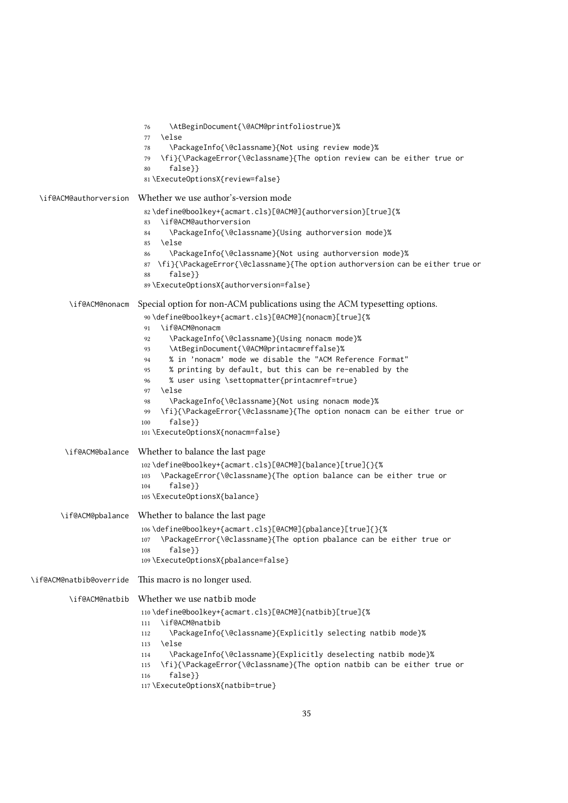\AtBeginDocument{\@ACM@printfoliostrue}% \else \PackageInfo{\@classname}{Not using review mode}% \fi}{\PackageError{\@classname}{The option review can be either true or false}} \ExecuteOptionsX{review=false} \if@ACM@authorversion Whether we use author's-version mode \define@boolkey+{acmart.cls}[@ACM@]{authorversion}[true]{% \if@ACM@authorversion \PackageInfo{\@classname}{Using authorversion mode}% \else \PackageInfo{\@classname}{Not using authorversion mode}% \fi}{\PackageError{\@classname}{The option authorversion can be either true or false}} \ExecuteOptionsX{authorversion=false} \if@ACM@nonacm Special option for non-ACM publications using the ACM typesetting options. \define@boolkey+{acmart.cls}[@ACM@]{nonacm}[true]{% \if@ACM@nonacm \PackageInfo{\@classname}{Using nonacm mode}% \AtBeginDocument{\@ACM@printacmreffalse}% % in 'nonacm' mode we disable the "ACM Reference Format" % printing by default, but this can be re-enabled by the % user using \settopmatter{printacmref=true} \else \PackageInfo{\@classname}{Not using nonacm mode}% \fi}{\PackageError{\@classname}{The option nonacm can be either true or false}} \ExecuteOptionsX{nonacm=false} \if@ACM@balance Whether to balance the last page \define@boolkey+{acmart.cls}[@ACM@]{balance}[true]{}{% \PackageError{\@classname}{The option balance can be either true or false}} \ExecuteOptionsX{balance} \if@ACM@pbalance Whether to balance the last page \define@boolkey+{acmart.cls}[@ACM@]{pbalance}[true]{}{% \PackageError{\@classname}{The option pbalance can be either true or false}} \ExecuteOptionsX{pbalance=false} \if@ACM@natbib@override This macro is no longer used. \if@ACM@natbib Whether we use natbib mode \define@boolkey+{acmart.cls}[@ACM@]{natbib}[true]{% \if@ACM@natbib \PackageInfo{\@classname}{Explicitly selecting natbib mode}% \else \PackageInfo{\@classname}{Explicitly deselecting natbib mode}% \fi}{\PackageError{\@classname}{The option natbib can be either true or false}} \ExecuteOptionsX{natbib=true}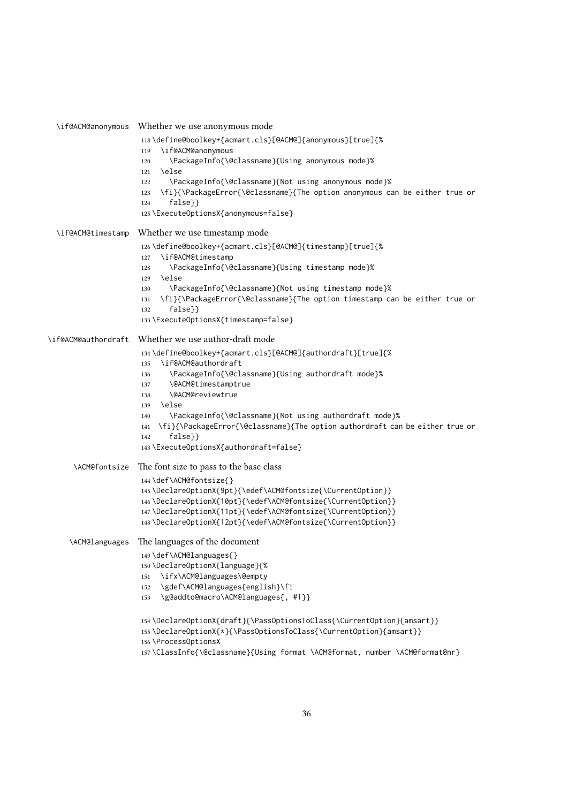```
\if@ACM@anonymous Whether we use anonymous mode
                     118 \define@boolkey+{acmart.cls}[@ACM@]{anonymous}[true]{%
                     119 \if@ACM@anonymous
                     120 \PackageInfo{\@classname}{Using anonymous mode}%
                     121 \else
                     122 \PackageInfo{\@classname}{Not using anonymous mode}%
                     123 \fi}{\PackageError{\@classname}{The option anonymous can be either true or
                     124 false}}
                     125 \ExecuteOptionsX{anonymous=false}
  \if@ACM@timestamp Whether we use timestamp mode
                     126 \define@boolkey+{acmart.cls}[@ACM@]{timestamp}[true]{%
                     127 \if@ACM@timestamp
                     128 \PackageInfo{\@classname}{Using timestamp mode}%
                     129 \else
                     130 \PackageInfo{\@classname}{Not using timestamp mode}%
                     131 \fi}{\PackageError{\@classname}{The option timestamp can be either true or
                     132 false}}
                     133 \ExecuteOptionsX{timestamp=false}
\if@ACM@authordraft Whether we use author-draft mode
                     134 \define@boolkey+{acmart.cls}[@ACM@]{authordraft}[true]{%
                     135 \if@ACM@authordraft
                     136 \PackageInfo{\@classname}{Using authordraft mode}%
                     137 \@ACM@timestamptrue
                     138 \@ACM@reviewtrue
                     139 \text{ kg}140 \PackageInfo{\@classname}{Not using authordraft mode}%
                     141 \fi}{\PackageError{\@classname}{The option authordraft can be either true or
                     142 false}}
                     143 \ExecuteOptionsX{authordraft=false}
      \ACM@fontsize The font size to pass to the base class
                     144 \def\ACM@fontsize{}
                     145 \DeclareOptionX{9pt}{\edef\ACM@fontsize{\CurrentOption}}
                     146 \DeclareOptionX{10pt}{\edef\ACM@fontsize{\CurrentOption}}
                     147 \DeclareOptionX{11pt}{\edef\ACM@fontsize{\CurrentOption}}
                     148 \DeclareOptionX{12pt}{\edef\ACM@fontsize{\CurrentOption}}
     \ACM@languages The languages of the document
                     149 \def\ACM@languages{}
                     150 \DeclareOptionX{language}{%
                     151 \ifx\ACM@languages\@empty
                     152 \gdef\ACM@languages{english}\fi
                     153 \g@addto@macro\ACM@languages{, #1}}
                      154 \DeclareOptionX{draft}{\PassOptionsToClass{\CurrentOption}{amsart}}
                      155 \DeclareOptionX{*}{\PassOptionsToClass{\CurrentOption}{amsart}}
                     156 \ProcessOptionsX
                     157 \ClassInfo{\@classname}{Using format \ACM@format, number \ACM@format@nr}
```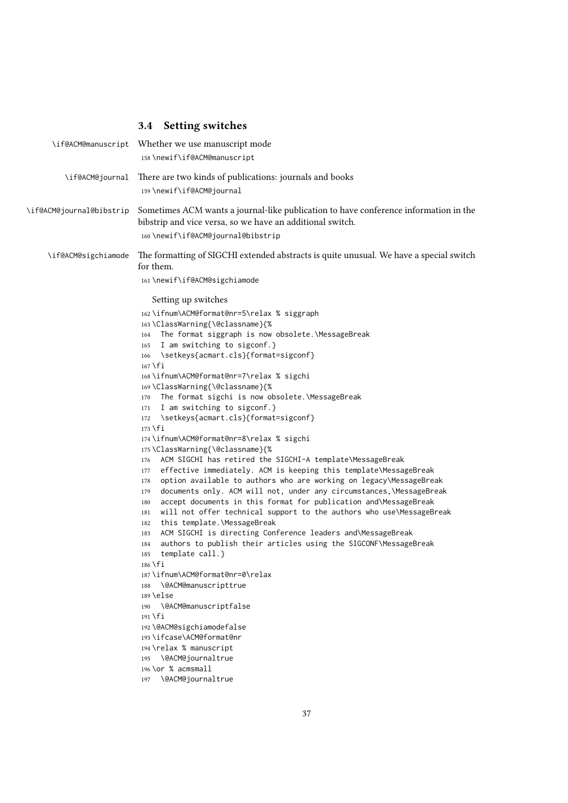# 3.4 Setting switches

|                          | \if@ACM@manuscript Whether we use manuscript mode<br>158\newif\if@ACM@manuscript                                                                                                                                                                                                                                                                                                                                                                                                                                                                                                                                                                                                                                                                                                                                                                                                                                                                                                                                           |
|--------------------------|----------------------------------------------------------------------------------------------------------------------------------------------------------------------------------------------------------------------------------------------------------------------------------------------------------------------------------------------------------------------------------------------------------------------------------------------------------------------------------------------------------------------------------------------------------------------------------------------------------------------------------------------------------------------------------------------------------------------------------------------------------------------------------------------------------------------------------------------------------------------------------------------------------------------------------------------------------------------------------------------------------------------------|
| \if@ACM@journal          | There are two kinds of publications: journals and books<br>159 \newif\if@ACM@journal                                                                                                                                                                                                                                                                                                                                                                                                                                                                                                                                                                                                                                                                                                                                                                                                                                                                                                                                       |
| \if@ACM@journal@bibstrip | Sometimes ACM wants a journal-like publication to have conference information in the<br>bibstrip and vice versa, so we have an additional switch.<br>160\newif\if@ACM@journal@bibstrip                                                                                                                                                                                                                                                                                                                                                                                                                                                                                                                                                                                                                                                                                                                                                                                                                                     |
| \if@ACM@sigchiamode      | The formatting of SIGCHI extended abstracts is quite unusual. We have a special switch<br>for them.<br>161\newif\if@ACM@sigchiamode<br>Setting up switches<br>162\ifnum\ACM@format@nr=5\relax % siggraph<br>163\ClassWarning{\@classname}{%<br>The format siggraph is now obsolete. \MessageBreak<br>164<br>I am switching to sigconf.}<br>165<br>\setkeys{acmart.cls}{format=sigconf}<br>166<br>$167 \text{ } \text{fi}$<br>168\ifnum\ACM@format@nr=7\relax % sigchi<br>169\ClassWarning{\@classname}{%<br>The format sigchi is now obsolete.\MessageBreak<br>170<br>I am switching to sigconf.}<br>171<br>\setkeys{acmart.cls}{format=sigconf}<br>172<br>173 \fi                                                                                                                                                                                                                                                                                                                                                         |
|                          | 174\ifnum\ACM@format@nr=8\relax % sigchi<br>175\ClassWarning{\@classname}{%<br>ACM SIGCHI has retired the SIGCHI-A template\MessageBreak<br>176<br>effective immediately. ACM is keeping this template\MessageBreak<br>177<br>option available to authors who are working on legacy\MessageBreak<br>178<br>documents only. ACM will not, under any circumstances, \MessageBreak<br>179<br>accept documents in this format for publication and\MessageBreak<br>180<br>will not offer technical support to the authors who use\MessageBreak<br>181<br>this template.\MessageBreak<br>182<br>ACM SIGCHI is directing Conference leaders and\MessageBreak<br>183<br>authors to publish their articles using the SIGCONF\MessageBreak<br>184<br>template call.}<br>185<br>186 \fi<br>187\ifnum\ACM@format@nr=0\relax<br>\@ACM@manuscripttrue<br>188<br>$189$ \else<br>\@ACM@manuscriptfalse<br>190<br>191 \fi<br>192 \@ACM@sigchiamodefalse<br>193 \ifcase\ACM@format@nr<br>194 \relax % manuscript<br>\@ACM@journaltrue<br>195 |
|                          | 196 \or % acmsmall<br>\@ACM@journaltrue<br>197                                                                                                                                                                                                                                                                                                                                                                                                                                                                                                                                                                                                                                                                                                                                                                                                                                                                                                                                                                             |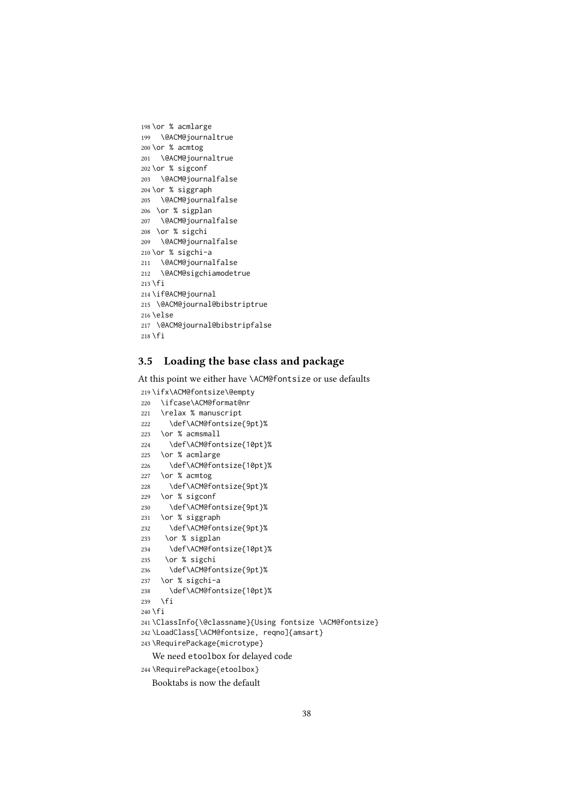```
198 \or % acmlarge
199 \@ACM@journaltrue
200 \or % acmtog
201 \@ACM@journaltrue
202 \or % sigconf
203 \@ACM@journalfalse
204 \or % siggraph
205 \@ACM@journalfalse
206 \or % sigplan
207 \@ACM@journalfalse
208 \or % sigchi
209 \@ACM@journalfalse
210 \or % sigchi-a
211 \@ACM@journalfalse
212 \@ACM@sigchiamodetrue
213 \fi
214 \if@ACM@journal
215 \@ACM@journal@bibstriptrue
216 \else
217 \@ACM@journal@bibstripfalse
218 \text{ } \text{ } \text{ } 21
```
# 3.5 Loading the base class and package

At this point we either have \ACM@fontsize or use defaults

```
219 \ifx\ACM@fontsize\@empty
220 \ifcase\ACM@format@nr
221 \relax % manuscript
222 \def\ACM@fontsize{9pt}%
223 \or % acmsmall
224 \def\ACM@fontsize{10pt}%
225 \or % acmlarge
226 \def\ACM@fontsize{10pt}%
227 \or % acmtog
228 \def\ACM@fontsize{9pt}%
229 \or % sigconf
230 \def\ACM@fontsize{9pt}%
231 \or % siggraph
232 \def\ACM@fontsize{9pt}%
233 \or % sigplan
234 \def\ACM@fontsize{10pt}%
235 \or % sigchi
236 \def\ACM@fontsize{9pt}%
237 \or % sigchi-a
238 \def\ACM@fontsize{10pt}%
239 \fi
240 \overline{\text{f}i}241 \ClassInfo{\@classname}{Using fontsize \ACM@fontsize}
242 \LoadClass[\ACM@fontsize, reqno]{amsart}
243 \RequirePackage{microtype}
  We need etoolbox for delayed code
```
\RequirePackage{etoolbox}

Booktabs is now the default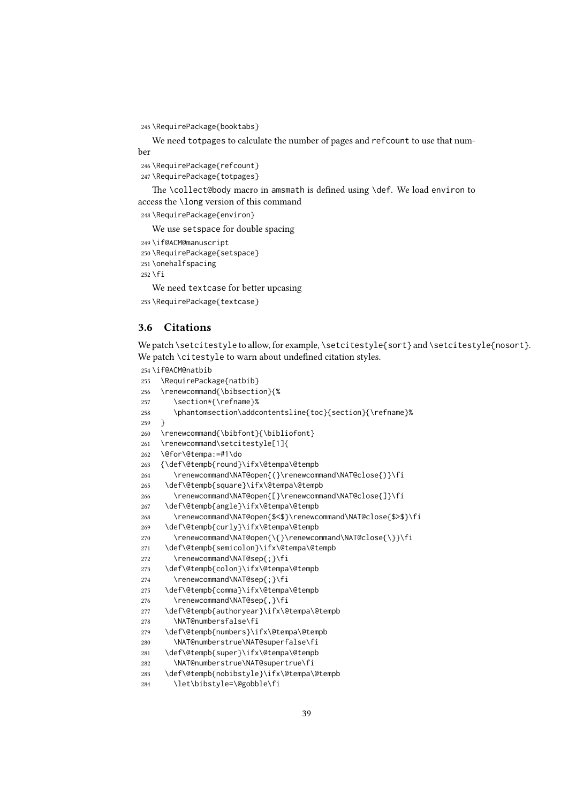\RequirePackage{booktabs}

We need totpages to calculate the number of pages and refcount to use that number

 \RequirePackage{refcount} \RequirePackage{totpages}

The \collect@body macro in amsmath is defined using \def. We load environ to access the \long version of this command

\RequirePackage{environ}

We use setspace for double spacing

```
249 \if@ACM@manuscript
250 \RequirePackage{setspace}
251 \onehalfspacing
252 \fi
```
We need textcase for better upcasing

```
253 \RequirePackage{textcase}
```
### 3.6 Citations

We patch \setcitestyle to allow, for example, \setcitestyle{sort} and \setcitestyle{nosort}. We patch \citestyle to warn about undefined citation styles.

```
254 \if@ACM@natbib
255 \RequirePackage{natbib}
256 \renewcommand{\bibsection}{%
257 \section*{\refname}%
258 \phantomsection\addcontentsline{toc}{section}{\refname}%
259 }
260 \renewcommand{\bibfont}{\bibliofont}
261 \renewcommand\setcitestyle[1]{
262 \@for\@tempa:=#1\do
263 {\def\@tempb{round}\ifx\@tempa\@tempb
264 \renewcommand\NAT@open{(}\renewcommand\NAT@close{)}\fi
265 \def\@tempb{square}\ifx\@tempa\@tempb
266 \renewcommand\NAT@open{[}\renewcommand\NAT@close{]}\fi
267 \def\@tempb{angle}\ifx\@tempa\@tempb
268 \renewcommand\NAT@open{$<$}\renewcommand\NAT@close{$>$}\fi
269 \def\@tempb{curly}\ifx\@tempa\@tempb
270 \renewcommand\NAT@open{\{}\renewcommand\NAT@close{\}}\fi
271 \def\@tempb{semicolon}\ifx\@tempa\@tempb
272 \renewcommand\NAT@sep{;}\fi
273 \def\@tempb{colon}\ifx\@tempa\@tempb
274 \renewcommand\NAT@sep{;}\fi
275 \def\@tempb{comma}\ifx\@tempa\@tempb
276 \renewcommand\NAT@sep{,}\fi
277 \def\@tempb{authoryear}\ifx\@tempa\@tempb
278 \NAT@numbersfalse\fi
279 \def\@tempb{numbers}\ifx\@tempa\@tempb
280 \NAT@numberstrue\NAT@superfalse\fi
281 \def\@tempb{super}\ifx\@tempa\@tempb
282 \NAT@numberstrue\NAT@supertrue\fi
283 \def\@tempb{nobibstyle}\ifx\@tempa\@tempb
284 \let\bibstyle=\@gobble\fi
```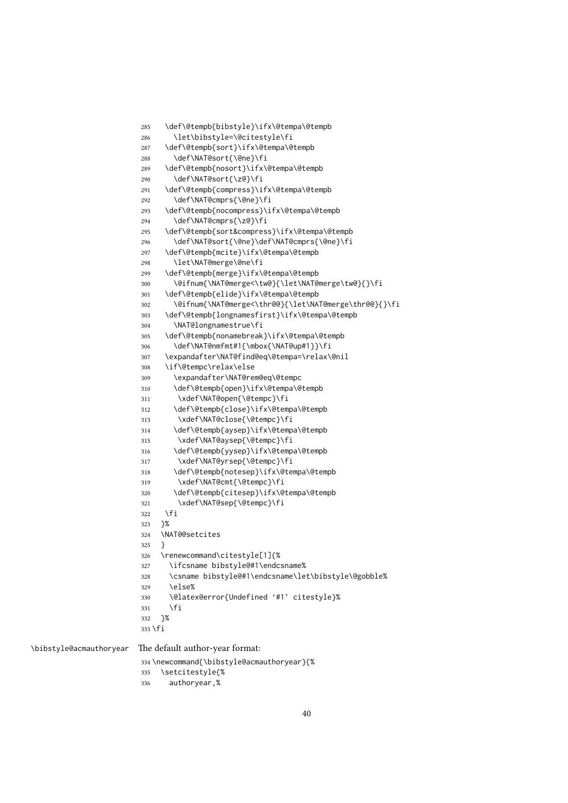```
285 \def\@tempb{bibstyle}\ifx\@tempa\@tempb
                        286 \let\bibstyle=\@citestyle\fi
                        287 \def\@tempb{sort}\ifx\@tempa\@tempb
                        288 \def\NAT@sort{\@ne}\fi
                        289 \def\@tempb{nosort}\ifx\@tempa\@tempb
                        290 \def\NAT@sort{\z@}\fi
                        291 \def\@tempb{compress}\ifx\@tempa\@tempb
                        292 \def\NAT@cmprs{\@ne}\fi
                        293 \def\@tempb{nocompress}\ifx\@tempa\@tempb
                        294 \def\NAT@cmprs{\z@}\fi
                        295 \def\@tempb{sort&compress}\ifx\@tempa\@tempb
                        296 \def\NAT@sort{\@ne}\def\NAT@cmprs{\@ne}\fi
                        297 \def\@tempb{mcite}\ifx\@tempa\@tempb
                        298 \let\NAT@merge\@ne\fi
                        299 \def\@tempb{merge}\ifx\@tempa\@tempb
                        300 \@ifnum{\NAT@merge<\tw@}{\let\NAT@merge\tw@}{}\fi
                        301 \def\@tempb{elide}\ifx\@tempa\@tempb
                        302 \@ifnum{\NAT@merge<\thr@@}{\let\NAT@merge\thr@@}{}\fi
                        303 \def\@tempb{longnamesfirst}\ifx\@tempa\@tempb
                        304 \NAT@longnamestrue\fi
                        305 \def\@tempb{nonamebreak}\ifx\@tempa\@tempb
                        306 \def\NAT@nmfmt#1{\mbox{\NAT@up#1}}\fi
                        307 \expandafter\NAT@find@eq\@tempa=\relax\@nil
                        308 \if\@tempc\relax\else
                        309 \expandafter\NAT@rem@eq\@tempc
                        310 \def\@tempb{open}\ifx\@tempa\@tempb
                        311 \xdef\NAT@open{\@tempc}\fi
                        312 \def\@tempb{close}\ifx\@tempa\@tempb
                        313 \xdef\NAT@close{\@tempc}\fi
                        314 \def\@tempb{aysep}\ifx\@tempa\@tempb
                        315 \xdef\NAT@aysep{\@tempc}\fi
                        316 \def\@tempb{yysep}\ifx\@tempa\@tempb
                        317 \xdef\NAT@yrsep{\@tempc}\fi
                        318 \def\@tempb{notesep}\ifx\@tempa\@tempb
                        319 \xdef\NAT@cmt{\@tempc}\fi
                        320 \def\@tempb{citesep}\ifx\@tempa\@tempb
                        321 \xdef\NAT@sep{\@tempc}\fi
                        322 \fi
                        323 }%
                        324 \NAT@@setcites
                        325 }
                        326 \renewcommand\citestyle[1]{%
                        327 \ifcsname bibstyle@#1\endcsname%
                        328 \csname bibstyle@#1\endcsname\let\bibstyle\@gobble%
                        329 \else%
                        330 \@latex@error{Undefined '#1' citestyle}%
                        331 \fi
                        332 }%
                        333 \fi
\bibstyle@acmauthoryear The default author-year format:
                        334 \newcommand{\bibstyle@acmauthoryear}{%
                        335 \setcitestyle{%
```

```
336 authoryear,%
```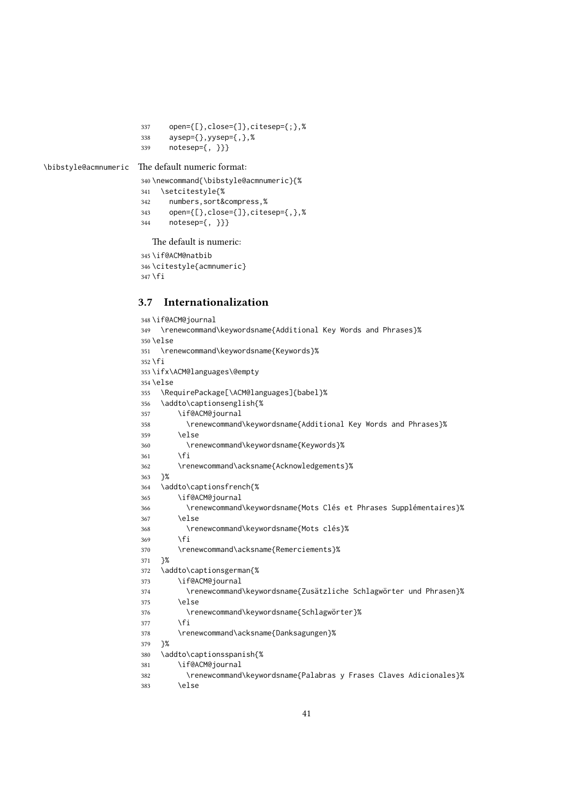```
337 open={[},close={]},citesep={;},%
338 aysep={},yysep={,},%
339 notesep={, }}}
```
\bibstyle@acmnumeric The default numeric format:

```
340 \newcommand{\bibstyle@acmnumeric}{%
341 \setcitestyle{%
342 numbers,sort&compress,%
343 open={[},close={]},citesep={,},%
344 notesep={, }}}
```
The default is numeric:

```
345 \if@ACM@natbib
346 \citestyle{acmnumeric}
347 \fi
```
### 3.7 Internationalization

```
348 \if@ACM@journal
349 \renewcommand\keywordsname{Additional Key Words and Phrases}%
350 \else
351 \renewcommand\keywordsname{Keywords}%
352 \fi
353 \ifx\ACM@languages\@empty
354 \else
355 \RequirePackage[\ACM@languages]{babel}%
356 \addto\captionsenglish{%
357 \if@ACM@journal
358 \renewcommand\keywordsname{Additional Key Words and Phrases}%
359 \else
360 \renewcommand\keywordsname{Keywords}%
361 \qquad \qquad \setminus \text{fi}362 \renewcommand\acksname{Acknowledgements}%
363
364 \addto\captionsfrench{%
365 \if@ACM@journal
366 \renewcommand\keywordsname{Mots Clés et Phrases Supplémentaires}%
367 \else
368 \renewcommand\keywordsname{Mots clés}%
369 \fi
370 \renewcommand\acksname{Remerciements}%
371 }%
372 \addto\captionsgerman{%
373 \if@ACM@journal
374 \renewcommand\keywordsname{Zusätzliche Schlagwörter und Phrasen}%
375 \else
376 \renewcommand\keywordsname{Schlagwörter}%
377 \fi
378 \renewcommand\acksname{Danksagungen}%
379 }%
380 \addto\captionsspanish{%
381 \if@ACM@journal
382 \renewcommand\keywordsname{Palabras y Frases Claves Adicionales}%
383 \else
```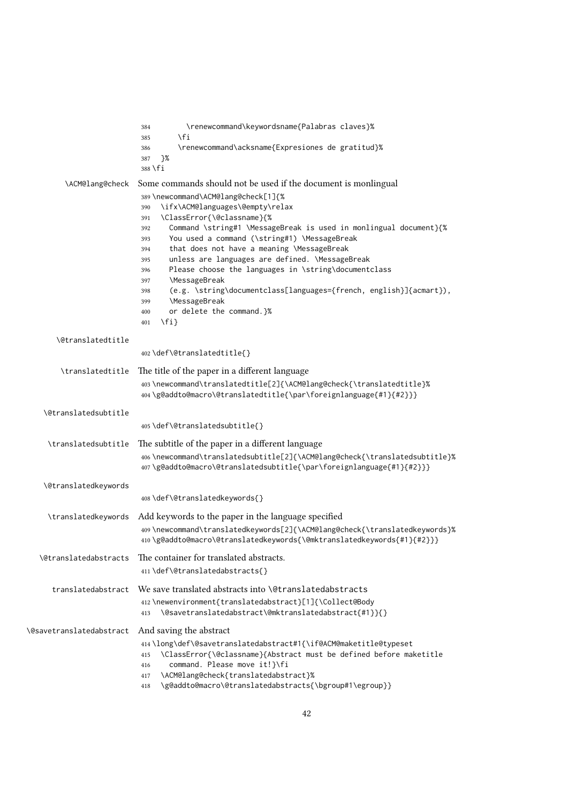|                             | \renewcommand\keywordsname{Palabras claves}%<br>384<br>\fi<br>385<br>\renewcommand\acksname{Expresiones de gratitud}%<br>386<br>}%<br>387<br>388 \fi                                                                                                                                                                                                                                                                                                                                                                                                                                                                                                                                                    |
|-----------------------------|---------------------------------------------------------------------------------------------------------------------------------------------------------------------------------------------------------------------------------------------------------------------------------------------------------------------------------------------------------------------------------------------------------------------------------------------------------------------------------------------------------------------------------------------------------------------------------------------------------------------------------------------------------------------------------------------------------|
| \ACM@lang@check             | Some commands should not be used if the document is monlingual<br>389 \newcommand\ACM@lang@check[1]{%<br>\ifx\ACM@languages\@empty\relax<br>390<br>\ClassError{\@classname}{%<br>391<br>Command \string#1 \MessageBreak is used in monlingual document}{%<br>392<br>You used a command (\string#1) \MessageBreak<br>393<br>that does not have a meaning \MessageBreak<br>394<br>unless are languages are defined. \MessageBreak<br>395<br>Please choose the languages in \string\documentclass<br>396<br><b>\MessageBreak</b><br>397<br>(e.g. \string\documentclass[languages={french, english}]{acmart}),<br>398<br><b>\MessageBreak</b><br>399<br>or delete the command.}%<br>400<br>$\{f_i\}$<br>401 |
| \@translatedtitle           | 402\def\@translatedtitle{}                                                                                                                                                                                                                                                                                                                                                                                                                                                                                                                                                                                                                                                                              |
| \translatedtitle            | The title of the paper in a different language<br>403\newcommand\translatedtitle[2]{\ACM@lang@check{\translatedtitle}%<br>404\g@addto@macro\@translatedtitle{\par\foreignlanguage{#1}{#2}}}                                                                                                                                                                                                                                                                                                                                                                                                                                                                                                             |
| <b>\@translatedsubtitle</b> | 405\def\@translatedsubtitle{}                                                                                                                                                                                                                                                                                                                                                                                                                                                                                                                                                                                                                                                                           |
| \translatedsubtitle         | The subtitle of the paper in a different language<br>406\newcommand\translatedsubtitle[2]{\ACM@lang@check{\translatedsubtitle}%<br>407\g@addto@macro\@translatedsubtitle{\par\foreignlanguage{#1}{#2}}}                                                                                                                                                                                                                                                                                                                                                                                                                                                                                                 |
| \@translatedkeywords        | 408\def\@translatedkeywords{}                                                                                                                                                                                                                                                                                                                                                                                                                                                                                                                                                                                                                                                                           |
| \translatedkeywords         | Add keywords to the paper in the language specified<br>409\newcommand\translatedkeywords[2]{\ACM@lang@check{\translatedkeywords}%<br>410\g@addto@macro\@translatedkeywords{\@mktranslatedkeywords{#1}{#2}}}                                                                                                                                                                                                                                                                                                                                                                                                                                                                                             |
| \@translatedabstracts       | The container for translated abstracts.<br>411\def\@translatedabstracts{}                                                                                                                                                                                                                                                                                                                                                                                                                                                                                                                                                                                                                               |
| translatedabstract          | We save translated abstracts into \@translatedabstracts<br>412\newenvironment{translatedabstract}[1]{\Collect@Body<br>\@savetranslatedabstract\@mktranslatedabstract{#1}}{}<br>413                                                                                                                                                                                                                                                                                                                                                                                                                                                                                                                      |
| \@savetranslatedabstract    | And saving the abstract<br>414\long\def\@savetranslatedabstract#1{\if@ACM@maketitle@typeset<br>\ClassError{\@classname}{Abstract must be defined before maketitle<br>415<br>command. Please move it!}\fi<br>416<br>\ACM@lang@check{translatedabstract}%<br>417<br>\g@addto@macro\@translatedabstracts{\bgroup#1\egroup}}<br>418                                                                                                                                                                                                                                                                                                                                                                         |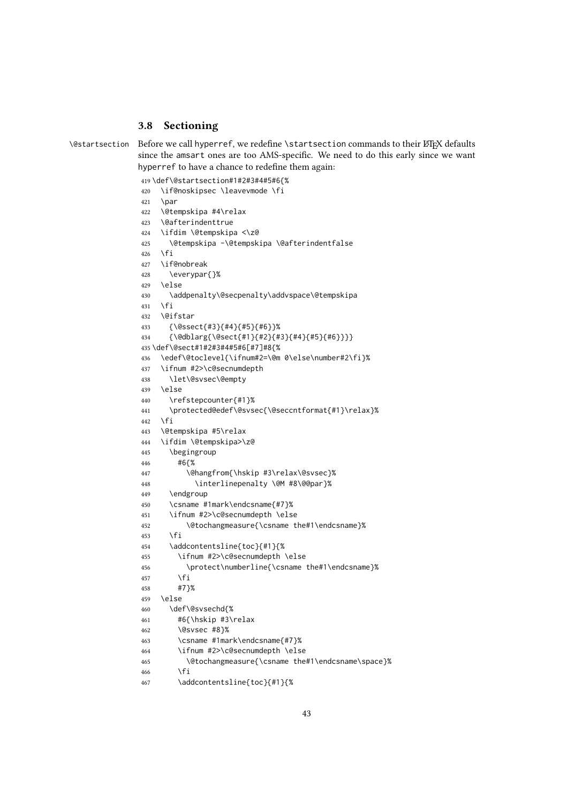### 3.8 Sectioning

```
\@startsection Before we call hyperref, we redefine \startsection commands to their LATEX defaults
                 since the amsart ones are too AMS-specific. We need to do this early since we want
                hyperref to have a chance to redefine them again:
```

```
419 \def\@startsection#1#2#3#4#5#6{%
420 \if@noskipsec \leavevmode \fi
421 \par
422 \@tempskipa #4\relax
423 \@afterindenttrue
424 \ifdim \@tempskipa <\z@
425 \@tempskipa -\@tempskipa \@afterindentfalse
426 \fi
427 \if@nobreak
428 \everypar{}%
429 \else
430 \addpenalty\@secpenalty\addvspace\@tempskipa
431 \quad \text{If}432 \@ifstar
433 {\@ssect{#3}{#4}{#5}{#6}}%
434 {\@dblarg{\@sect{#1}{#2}{#3}{#4}{#5}{#6}}}}
435 \def\@sect#1#2#3#4#5#6[#7]#8{%
436 \edef\@toclevel{\ifnum#2=\@m 0\else\number#2\fi}%
437 \ifnum #2>\c@secnumdepth
438 \let\@svsec\@empty
439 \text{ kg}440 \refstepcounter{#1}%
441 \protected@edef\@svsec{\@seccntformat{#1}\relax}%
442 \fi
443 \@tempskipa #5\relax
444 \ifdim \@tempskipa>\z@
445 \begingroup
446 #6{%
447 \@hangfrom{\hskip #3\relax\@svsec}%
448 \interlinepenalty \@M #8\@@par}%
449 \endgroup
450 \csname #1mark\endcsname{#7}%
451 \ifnum #2>\c@secnumdepth \else
452 \@tochangmeasure{\csname the#1\endcsname}%
453 \fi
454 \addcontentsline{toc}{#1}{%
455 \ifnum #2>\c@secnumdepth \else
456 \protect\numberline{\csname the#1\endcsname}%
457 \fi
458 #7}%
459 \else
460 \def\@svsechd{%
461 #6{\hskip #3\relax
462 \@svsec #8}%
463 \csname #1mark\endcsname{#7}%
464 \ifnum #2>\c@secnumdepth \else
465 \@tochangmeasure{\csname the#1\endcsname\space}%
466 \fi
467 \addcontentsline{toc}{#1}{%
```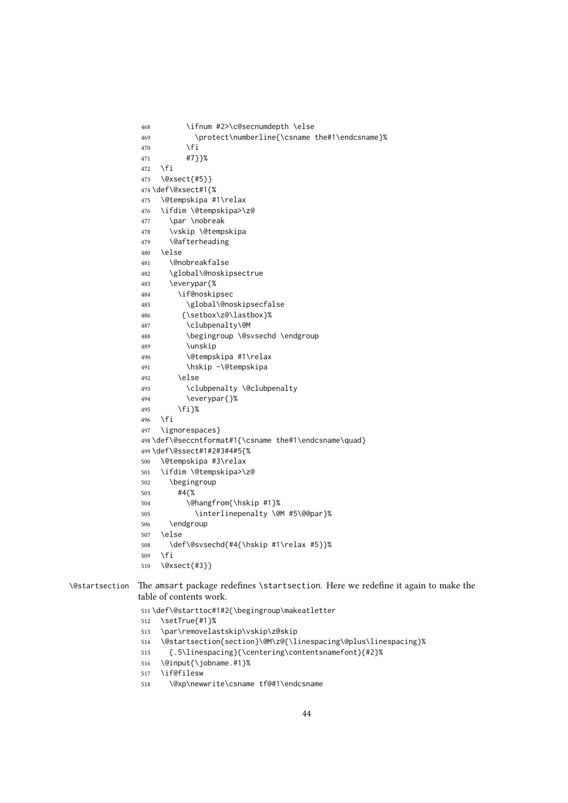```
468 \ifnum #2>\c@secnumdepth \else
469 \protect\numberline{\csname the#1\endcsname}%
470 \quad \text{If}471 #7}}%
472 \fi
473 \@xsect{#5}}
474 \def\@xsect#1{%
475 \@tempskipa #1\relax
476 \ifdim \@tempskipa>\z@
477 \par \nobreak
478 \vskip \@tempskipa
479 \@afterheading
480 \text{ } \text{e}481 \@nobreakfalse
482 \global\@noskipsectrue
483 \everypar{%
484 \if@noskipsec
485 \global\@noskipsecfalse
486 {\setbox\z@\lastbox}%
487 \clubpenalty\@M
488 \begingroup \@svsechd \endgroup
489 \unskip
490 \@tempskipa #1\relax
491 \hskip -\@tempskipa
492 \else
493 \clubpenalty \@clubpenalty
494 \everypar{}%
495 \fi}%
496 \fi
497 \ignorespaces}
498 \def\@seccntformat#1{\csname the#1\endcsname\quad}
499 \def\@ssect#1#2#3#4#5{%
500 \@tempskipa #3\relax
501 \ifdim \@tempskipa>\z@
502 \begingroup
503 #4{%
504 \@hangfrom{\hskip #1}%
505 \interlinepenalty \@M #5\@@par}%
506 \endgroup
507 \else
508 \def\@svsechd{#4{\hskip #1\relax #5}}%
509 \text{ } \sqrt{fi}510 \@xsect{#3}}
```
\@startsection The amsart package redefines \startsection. Here we redefine it again to make the table of contents work.

\def\@starttoc#1#2{\begingroup\makeatletter

- \setTrue{#1}%
- \par\removelastskip\vskip\z@skip
- \@startsection{section}\@M\z@{\linespacing\@plus\linespacing}%
- {.5\linespacing}{\centering\contentsnamefont}{#2}%
- \@input{\jobname.#1}%
- \if@filesw
- \@xp\newwrite\csname tf@#1\endcsname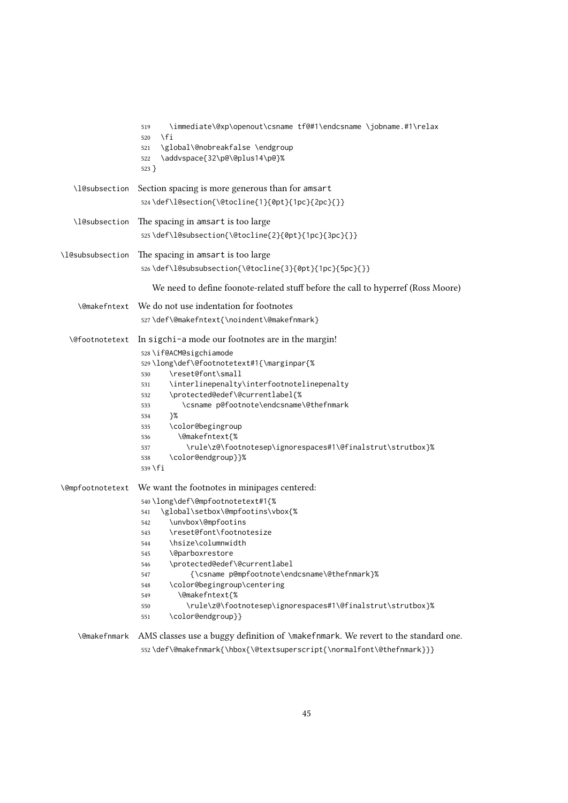|                     | \immediate\@xp\openout\csname tf@#1\endcsname \jobname.#1\relax<br>519<br>\fi<br>520<br>\global\@nobreakfalse \endgroup<br>521<br>\addvspace{32\p@\@plus14\p@}%<br>522<br>$523$ }                                                                                                                                                                                                                                                                                                                                                         |
|---------------------|-------------------------------------------------------------------------------------------------------------------------------------------------------------------------------------------------------------------------------------------------------------------------------------------------------------------------------------------------------------------------------------------------------------------------------------------------------------------------------------------------------------------------------------------|
| \l@subsection       | Section spacing is more generous than for amsart                                                                                                                                                                                                                                                                                                                                                                                                                                                                                          |
|                     | 524\def\l@section{\@tocline{1}{0pt}{1pc}{2pc}{}}                                                                                                                                                                                                                                                                                                                                                                                                                                                                                          |
| \l@subsection       | The spacing in amsart is too large                                                                                                                                                                                                                                                                                                                                                                                                                                                                                                        |
|                     | 525\def\l@subsection{\@tocline{2}{0pt}{1pc}{3pc}{}}                                                                                                                                                                                                                                                                                                                                                                                                                                                                                       |
| \l@subsubsection    | The spacing in amsart is too large                                                                                                                                                                                                                                                                                                                                                                                                                                                                                                        |
|                     | 526\def\l@subsubsection{\@tocline{3}{0pt}{1pc}{5pc}{}}                                                                                                                                                                                                                                                                                                                                                                                                                                                                                    |
|                     | We need to define foonote-related stuff before the call to hyperref (Ross Moore)                                                                                                                                                                                                                                                                                                                                                                                                                                                          |
|                     | \@makefntext We do not use indentation for footnotes                                                                                                                                                                                                                                                                                                                                                                                                                                                                                      |
|                     | 527\def\@makefntext{\noindent\@makefnmark}                                                                                                                                                                                                                                                                                                                                                                                                                                                                                                |
| \@footnotetext      | In sigchi-a mode our footnotes are in the margin!<br>528 \if@ACM@sigchiamode<br>529\long\def\@footnotetext#1{\marginpar{%<br>\reset@font\small<br>530<br>\interlinepenalty\interfootnotelinepenalty<br>531<br>\protected@edef\@currentlabel{%<br>532<br>\csname p@footnote\endcsname\@thefnmark<br>533<br>}%<br>534<br>\color@begingroup<br>535<br>\@makefntext{%<br>536<br>\rule\z@\footnotesep\ignorespaces#1\@finalstrut\strutbox}%<br>537<br>\color@endgroup}}%<br>538                                                                |
|                     | \@mpfootnotetext We want the footnotes in minipages centered:<br>540\long\def\@mpfootnotetext#1{%<br>\global\setbox\@mpfootins\vbox{%<br>541<br>\unvbox\@mpfootins<br>542<br>\reset@font\footnotesize<br>543<br>\hsize\columnwidth<br>544<br><b>\@parboxrestore</b><br>545<br>\protected@edef\@currentlabel<br>546<br>{\csname p@mpfootnote\endcsname\@thefnmark}%<br>547<br>\color@begingroup\centering<br>548<br>\@makefntext{%<br>549<br>\rule\z@\footnotesep\ignorespaces#1\@finalstrut\strutbox}%<br>550<br>\color@endgroup}}<br>551 |
| <b>\@makefnmark</b> | AMS classes use a buggy definition of \makefnmark. We revert to the standard one.                                                                                                                                                                                                                                                                                                                                                                                                                                                         |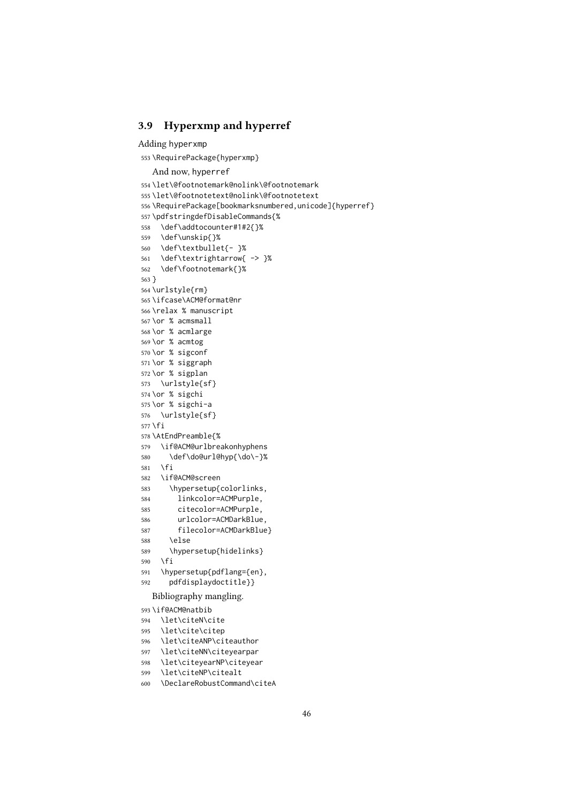### 3.9 Hyperxmp and hyperref

### Adding hyperxmp

\RequirePackage{hyperxmp}

### And now, hyperref

```
554 \let\@footnotemark@nolink\@footnotemark
555 \let\@footnotetext@nolink\@footnotetext
556 \RequirePackage[bookmarksnumbered,unicode]{hyperref}
557 \pdfstringdefDisableCommands{%
558 \def\addtocounter#1#2{}%
559 \def\unskip{}%
560 \def\textbullet{- }%
561 \def\textrightarrow{ -> }%
562 \def\footnotemark{}%
563 }
564 \urlstyle{rm}
565 \ifcase\ACM@format@nr
566 \relax % manuscript
567 \or % acmsmall
568 \or % acmlarge
569 \or % acmtog
570 \or % sigconf
571 \or % siggraph
572 \or % sigplan
573 \urlstyle{sf}
574 \or % sigchi
575 \or % sigchi-a
576 \urlstyle{sf}
577 \fi
578 \AtEndPreamble{%
579 \if@ACM@urlbreakonhyphens
580 \def\do@url@hyp{\do\-}%
581 \fi
582 \if@ACM@screen
583 \hypersetup{colorlinks,
584 linkcolor=ACMPurple,
585 citecolor=ACMPurple,
586 urlcolor=ACMDarkBlue,
587 filecolor=ACMDarkBlue}
588 \else
589 \hypersetup{hidelinks}
590 \fi
591 \hypersetup{pdflang={en},
592 pdfdisplaydoctitle}}
  Bibliography mangling.
593 \if@ACM@natbib
594 \let\citeN\cite
595 \let\cite\citep
596 \let\citeANP\citeauthor
597 \let\citeNN\citeyearpar
598 \let\citeyearNP\citeyear
599 \let\citeNP\citealt
```
\DeclareRobustCommand\citeA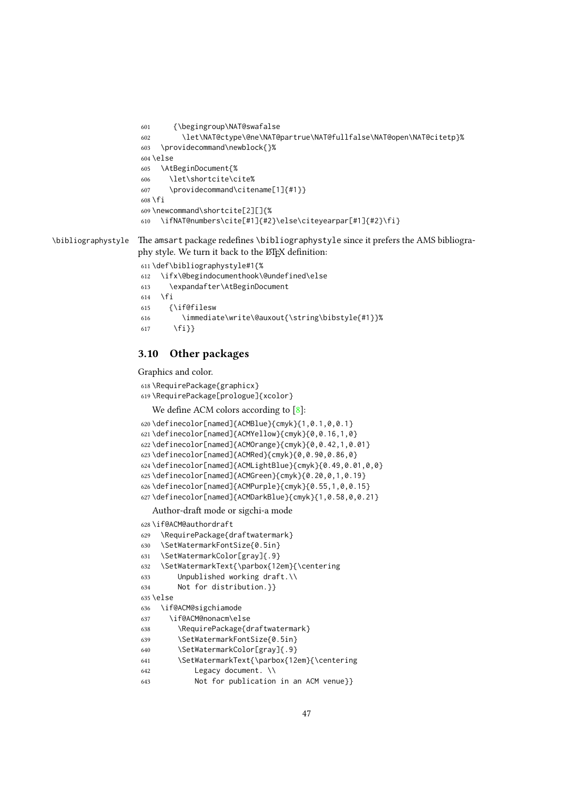```
601 {\begingroup\NAT@swafalse
                    602 \let\NAT@ctype\@ne\NAT@partrue\NAT@fullfalse\NAT@open\NAT@citetp}%
                    603 \providecommand\newblock{}%
                    604 \else
                    605 \AtBeginDocument{%
                    606 \let\shortcite\cite%
                    607 \providecommand\citename[1]{#1}}
                    608 \fi
                    609 \newcommand\shortcite[2][]{%
                    610 \ifNAT@numbers\cite[#1]{#2}\else\citeyearpar[#1]{#2}\fi}
\bibliographystyle The amsart package redefines \bibliographystyle since it prefers the AMS bibliogra-
                   phy style. We turn it back to the LHEX definition:
                    611 \def\bibliographystyle#1{%
                    612 \ifx\@begindocumenthook\@undefined\else
                    613 \expandafter\AtBeginDocument
                    614 \fi
                    615 {\if@filesw
                    616 \immediate\write\@auxout{\string\bibstyle{#1}}%
```
3.10 Other packages

\fi}}

```
Graphics and color.
618 \RequirePackage{graphicx}
619 \RequirePackage[prologue]{xcolor}
   [8]:
620 \definecolor[named]{ACMBlue}{cmyk}{1,0.1,0,0.1}
621 \definecolor[named]{ACMYellow}{cmyk}{0,0.16,1,0}
622 \definecolor[named]{ACMOrange}{cmyk}{0,0.42,1,0.01}
623 \definecolor[named]{ACMRed}{cmyk}{0,0.90,0.86,0}
624 \definecolor[named]{ACMLightBlue}{cmyk}{0.49,0.01,0,0}
625 \definecolor[named]{ACMGreen}{cmyk}{0.20,0,1,0.19}
626 \definecolor[named]{ACMPurple}{cmyk}{0.55,1,0,0.15}
627 \definecolor[named]{ACMDarkBlue}{cmyk}{1,0.58,0,0.21}
   Author-draft mode or sigchi-a mode
628 \if@ACM@authordraft
629 \RequirePackage{draftwatermark}
630 \SetWatermarkFontSize{0.5in}
631 \SetWatermarkColor[gray]{.9}
632 \SetWatermarkText{\parbox{12em}{\centering
633 Unpublished working draft.\\
634 Not for distribution.}}
635 \else
636 \if@ACM@sigchiamode
637 \if@ACM@nonacm\else
638 \RequirePackage{draftwatermark}
639 \SetWatermarkFontSize{0.5in}
640 \SetWatermarkColor[gray]{.9}
641 \SetWatermarkText{\parbox{12em}{\centering
642 Legacy document. \\
643 Not for publication in an ACM venue}}
```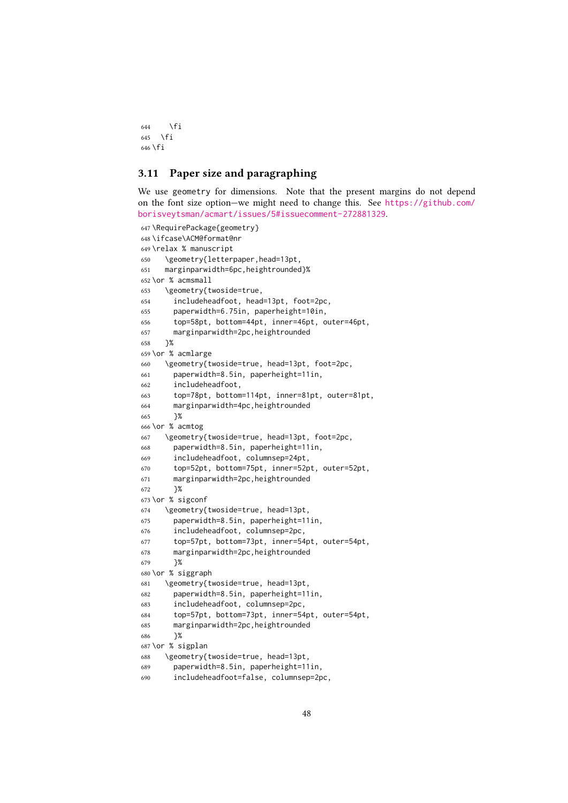```
644 \fi
645 \fi
646 \fi
```
### 3.11 Paper size and paragraphing

We use geometry for dimensions. Note that the present margins do not depend on the font size option—we might need to change this. See [https://github.com/](https://github.com/borisveytsman/acmart/issues/5#issuecomment-272881329) [borisveytsman/acmart/issues/5#issuecomment-272881329](https://github.com/borisveytsman/acmart/issues/5#issuecomment-272881329).

```
647 \RequirePackage{geometry}
648 \ifcase\ACM@format@nr
649 \relax % manuscript
650 \geometry{letterpaper,head=13pt,
651 marginparwidth=6pc,heightrounded}%
652 \or % acmsmall
653 \geometry{twoside=true,
654 includeheadfoot, head=13pt, foot=2pc,
655 paperwidth=6.75in, paperheight=10in,
656 top=58pt, bottom=44pt, inner=46pt, outer=46pt,
657 marginparwidth=2pc,heightrounded
658 }%
659 \or % acmlarge
660 \geometry{twoside=true, head=13pt, foot=2pc,
661 paperwidth=8.5in, paperheight=11in,
662 includeheadfoot,
663 top=78pt, bottom=114pt, inner=81pt, outer=81pt,
664 marginparwidth=4pc,heightrounded
665 }%
666 \or % acmtog
667 \geometry{twoside=true, head=13pt, foot=2pc,
668 paperwidth=8.5in, paperheight=11in,
669 includeheadfoot, columnsep=24pt,
670 top=52pt, bottom=75pt, inner=52pt, outer=52pt,
671 marginparwidth=2pc,heightrounded
672 }%
673 \or % sigconf
674 \geometry{twoside=true, head=13pt,
675 paperwidth=8.5in, paperheight=11in,
676 includeheadfoot, columnsep=2pc,
677 top=57pt, bottom=73pt, inner=54pt, outer=54pt,
678 marginparwidth=2pc,heightrounded
679 }%
680 \or % siggraph
681 \geometry{twoside=true, head=13pt,
682 paperwidth=8.5in, paperheight=11in,
683 includeheadfoot, columnsep=2pc,
684 top=57pt, bottom=73pt, inner=54pt, outer=54pt,
685 marginparwidth=2pc,heightrounded
686 }%
687 \or % sigplan
688 \geometry{twoside=true, head=13pt,
689 paperwidth=8.5in, paperheight=11in,
690 includeheadfoot=false, columnsep=2pc,
```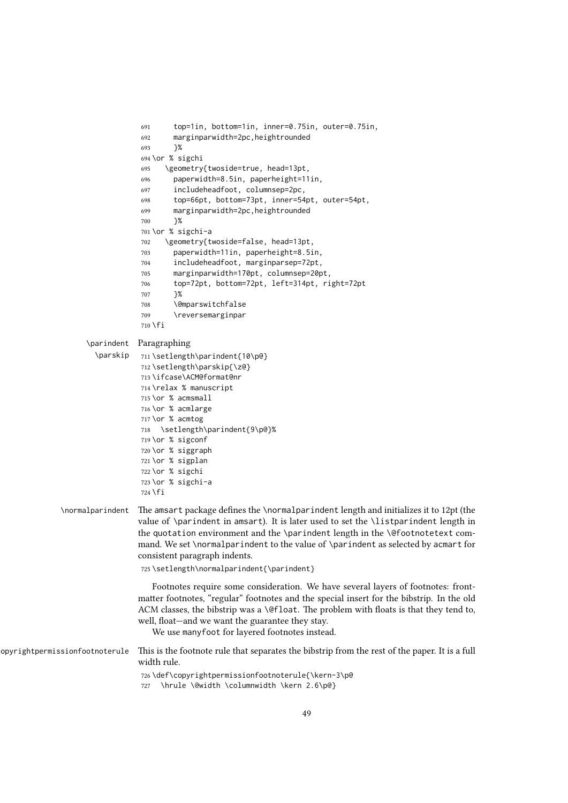```
691 top=1in, bottom=1in, inner=0.75in, outer=0.75in,
                                  692 marginparwidth=2pc,heightrounded
                                  693 }%
                                  694 \or % sigchi
                                  695 \geometry{twoside=true, head=13pt,
                                  696 paperwidth=8.5in, paperheight=11in,
                                  697 includeheadfoot, columnsep=2pc,
                                  698 top=66pt, bottom=73pt, inner=54pt, outer=54pt,
                                  699 marginparwidth=2pc,heightrounded
                                  700 }%
                                  701 \or % sigchi-a
                                  702 \geometry{twoside=false, head=13pt,
                                  703 paperwidth=11in, paperheight=8.5in,
                                  704 includeheadfoot, marginparsep=72pt,
                                  705 marginparwidth=170pt, columnsep=20pt,
                                  706 top=72pt, bottom=72pt, left=314pt, right=72pt
                                  707 }%
                                  708 \@mparswitchfalse
                                  709 \reversemarginpar
                                  710 \text{ } \text{ } \text{ } \text{ } 71\parindent
Paragraphing
                      \parskip
                                  711 \setlength\parindent{10\p@}
                                  712 \setlength\parskip{\z@}
                                  713 \ifcase\ACM@format@nr
                                  714 \relax % manuscript
                                  715 \or % acmsmall
                                  716 \or % acmlarge
                                  717 \or % acmtog
                                  718 \setlength\parindent{9\p@}%
                                  719 \or % sigconf
                                  720 \or % siggraph
                                  721 \or % sigplan
                                  722 \or % sigchi
                                  723 \or % sigchi-a
                                  724 \fi
              \normalparindent The amsart package defines the \normalparindent length and initializes it to 12pt (the
                                 value of \parindent in amsart). It is later used to set the \listparindent length in
                                 the quotation environment and the \parindent length in the \@footnotetext com-
                                 mand. We set \normalparindent to the value of \parindent as selected by acmart for
                                 consistent paragraph indents.
                                  725 \setlength\normalparindent{\parindent}
                                     Footnotes require some consideration. We have several layers of footnotes: front-
                                 matter footnotes, "regular" footnotes and the special insert for the bibstrip. In the old
                                 ACM classes, the bibstrip was a \@float. The problem with floats is that they tend to,
                                 well, float—and we want the guarantee they stay.
                                     We use manyfoot for layered footnotes instead.
\copyrightpermissionfootnoterule This is the footnote rule that separates the bibstrip from the rest of the paper. It is a full
                                 width rule.
                                  726 \def\copyrightpermissionfootnoterule{\kern-3\p@
                                  727 \hrule \@width \columnwidth \kern 2.6\p@}
```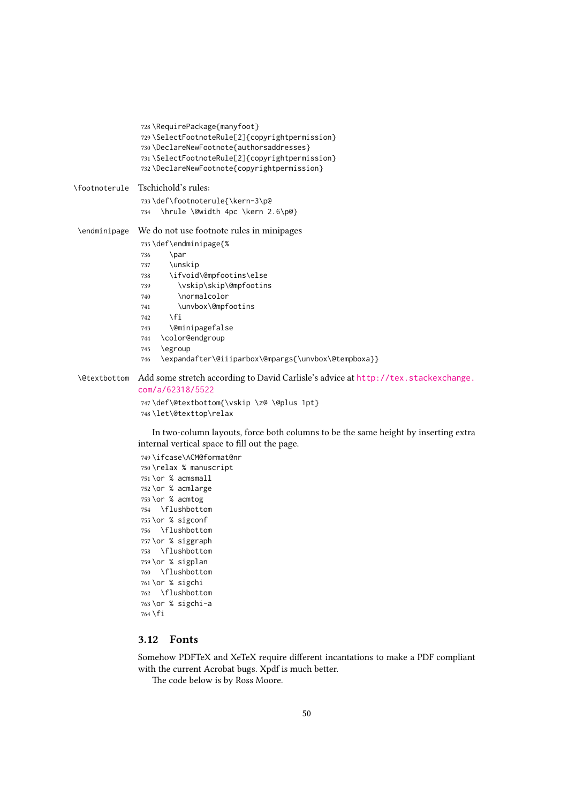|               | 728 \RequirePackage{manyfoot}<br>729 \SelectFootnoteRule[2]{copyrightpermission}<br>730 \DeclareNewFootnote{authorsaddresses}<br>731\SelectFootnoteRule[2]{copyrightpermission}<br>732 \DeclareNewFootnote{copyrightpermission}                                                                                                                                               |
|---------------|-------------------------------------------------------------------------------------------------------------------------------------------------------------------------------------------------------------------------------------------------------------------------------------------------------------------------------------------------------------------------------|
| \footnoterule | Tschichold's rules:                                                                                                                                                                                                                                                                                                                                                           |
|               | 733\def\footnoterule{\kern-3\p@                                                                                                                                                                                                                                                                                                                                               |
|               | \hrule \@width 4pc \kern 2.6\p@}<br>734                                                                                                                                                                                                                                                                                                                                       |
| \endminipage  | We do not use footnote rules in minipages<br>735 \def\endminipage{%<br>\par<br>736<br>\unskip<br>737<br>\ifvoid\@mpfootins\else<br>738<br>\vskip\skip\@mpfootins<br>739<br>\normalcolor<br>740<br>\unvbox\@mpfootins<br>741<br>\fi<br>742<br>\@minipagefalse<br>743<br>\color@endgroup<br>744<br>\egroup<br>745<br>\expandafter\@iiiparbox\@mpargs{\unvbox\@tempboxa}}<br>746 |

### \@textbottom Add some stretch according to David Carlisle's advice at [http://tex.stackexchange.](http://tex.stackexchange.com/a/62318/5522) [com/a/62318/5522](http://tex.stackexchange.com/a/62318/5522)

```
747 \def\@textbottom{\vskip \z@ \@plus 1pt}
748 \let\@texttop\relax
```
In two-column layouts, force both columns to be the same height by inserting extra internal vertical space to fill out the page.

```
749 \ifcase\ACM@format@nr
750 \relax % manuscript
751 \or % acmsmall
752 \or % acmlarge
753 \or % acmtog
754 \flushbottom
755 \or % sigconf
756 \flushbottom
757 \or % siggraph
758 \flushbottom
759 \or % sigplan
760 \flushbottom
761 \or % sigchi
762 \flushbottom
763 \or % sigchi-a
764 \fi
```
### 3.12 Fonts

Somehow PDFTeX and XeTeX require different incantations to make a PDF compliant with the current Acrobat bugs. Xpdf is much better.

The code below is by Ross Moore.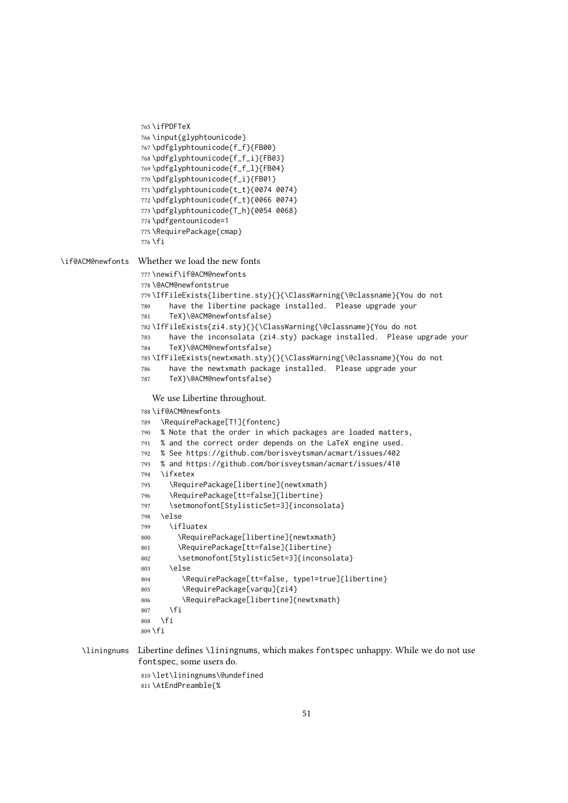```
765 \ifPDFTeX
                  766 \input{glyphtounicode}
                  767 \pdfglyphtounicode{f_f}{FB00}
                  768 \pdfglyphtounicode{f_f_i}{FB03}
                  769 \pdfglyphtounicode{f_f_l}{FB04}
                  770 \pdfglyphtounicode{f_i}{FB01}
                  771 \pdfglyphtounicode{t_t}{0074 0074}
                  772 \pdfglyphtounicode{f_t}{0066 0074}
                  773 \pdfglyphtounicode{T_h}{0054 0068}
                  774 \pdfgentounicode=1
                  775 \RequirePackage{cmap}
                  776 \fi
\if@ACM@newfonts Whether we load the new fonts
                  777 \newif\if@ACM@newfonts
                  778 \@ACM@newfontstrue
                  779 \IfFileExists{libertine.sty}{}{\ClassWarning{\@classname}{You do not
                  780 have the libertine package installed. Please upgrade your
                  781 TeX}\@ACM@newfontsfalse}
                  782 \IfFileExists{zi4.sty}{}{\ClassWarning{\@classname}{You do not
                  783 have the inconsolata (zi4.sty) package installed. Please upgrade your
                  784 TeX}\@ACM@newfontsfalse}
                  785 \IfFileExists{newtxmath.sty}{}{\ClassWarning{\@classname}{You do not
                  786 have the newtxmath package installed. Please upgrade your
                  787 TeX}\@ACM@newfontsfalse}
                     We use Libertine throughout.
                  788 \if@ACM@newfonts
                  789 \RequirePackage[T1]{fontenc}
                  790 % Note that the order in which packages are loaded matters,
                  791 % and the correct order depends on the LaTeX engine used.
                  792 % See https://github.com/borisveytsman/acmart/issues/402
                  793 % and https://github.com/borisveytsman/acmart/issues/410
                  794 \ifxetex
                  795 \RequirePackage[libertine]{newtxmath}
                  796 \RequirePackage[tt=false]{libertine}
                  797 \setmonofont[StylisticSet=3]{inconsolata}
                  798 \else
                  799 \ifluatex
                  800 \RequirePackage[libertine]{newtxmath}
                  801 \RequirePackage[tt=false]{libertine}
                  802 \setmonofont[StylisticSet=3]{inconsolata}
                  803 \qquad \text{e}804 \RequirePackage[tt=false, type1=true]{libertine}
                  805 \RequirePackage[varqu]{zi4}
                  806 \RequirePackage[libertine]{newtxmath}
                  807 \fi
                  808 \fi
                  809 \fi
```
\liningnums Libertine defines \liningnums, which makes fontspec unhappy. While we do not use fontspec, some users do.

> \let\liningnums\@undefined \AtEndPreamble{%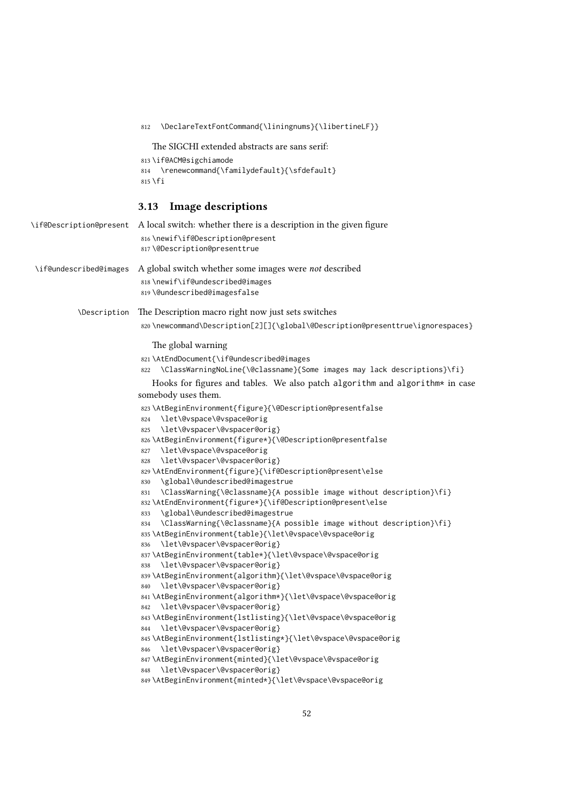```
812 \DeclareTextFontCommand{\liningnums}{\libertineLF}}
                             The SIGCHI extended abstracts are sans serif:
                          813 \if@ACM@sigchiamode
                          814 \renewcommand{\familydefault}{\sfdefault}
                          815 \fi
                         3.13 Image descriptions
\if@Description@present A local switch: whether there is a description in the given figure
                          816 \newif\if@Description@present
                          817 \@Description@presenttrue
 \if@undescribed@images A global switch whether some images were not described
                          818 \newif\if@undescribed@images
                          819 \@undescribed@imagesfalse
           \Description The Description macro right now just sets switches
                          820 \newcommand\Description[2][]{\global\@Description@presenttrue\ignorespaces}
                             The global warning
                          821 \AtEndDocument{\if@undescribed@images
                          822 \ClassWarningNoLine{\@classname}{Some images may lack descriptions}\fi}
                             Hooks for figures and tables. We also patch algorithm and algorithm* in case
                         somebody uses them.
                          823 \AtBeginEnvironment{figure}{\@Description@presentfalse
                          824 \let\@vspace\@vspace@orig
                          825 \let\@vspacer\@vspacer@orig}
                          826 \AtBeginEnvironment{figure*}{\@Description@presentfalse
                          827 \let\@vspace\@vspace@orig
                          828 \let\@vspacer\@vspacer@orig}
                          829 \AtEndEnvironment{figure}{\if@Description@present\else
                          830 \global\@undescribed@imagestrue
                          831 \ClassWarning{\@classname}{A possible image without description}\fi}
                          832 \AtEndEnvironment{figure*}{\if@Description@present\else
                          833 \global\@undescribed@imagestrue
                          834 \ClassWarning{\@classname}{A possible image without description}\fi}
                          835 \AtBeginEnvironment{table}{\let\@vspace\@vspace@orig
                          836 \let\@vspacer\@vspacer@orig}
                          837 \AtBeginEnvironment{table*}{\let\@vspace\@vspace@orig
                          838 \let\@vspacer\@vspacer@orig}
                          839 \AtBeginEnvironment{algorithm}{\let\@vspace\@vspace@orig
                          840 \let\@vspacer\@vspacer@orig}
                          841 \AtBeginEnvironment{algorithm*}{\let\@vspace\@vspace@orig
                          842 \let\@vspacer\@vspacer@orig}
                          843 \AtBeginEnvironment{lstlisting}{\let\@vspace\@vspace@orig
                          844 \let\@vspacer\@vspacer@orig}
                          845 \AtBeginEnvironment{lstlisting*}{\let\@vspace\@vspace@orig
                          846 \let\@vspacer\@vspacer@orig}
                          847 \AtBeginEnvironment{minted}{\let\@vspace\@vspace@orig
                          848 \let\@vspacer\@vspacer@orig}
                          849 \AtBeginEnvironment{minted*}{\let\@vspace\@vspace@orig
```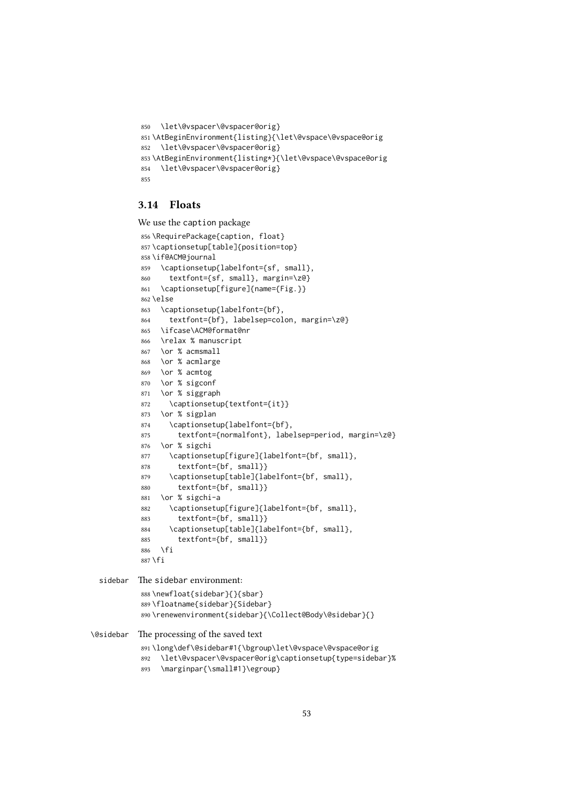```
850 \let\@vspacer\@vspacer@orig}
851 \AtBeginEnvironment{listing}{\let\@vspace\@vspace@orig
852 \let\@vspacer\@vspacer@orig}
853 \AtBeginEnvironment{listing*}{\let\@vspace\@vspace@orig
854 \let\@vspacer\@vspacer@orig}
855
```
## 3.14 Floats

We use the caption package

```
856 \RequirePackage{caption, float}
           857 \captionsetup[table]{position=top}
           858 \if@ACM@journal
           859 \captionsetup{labelfont={sf, small},
           860 textfont={sf, small}, margin=\z@}
           861 \captionsetup[figure]{name={Fig.}}
           862 \else
           863 \captionsetup{labelfont={bf},
           864 textfont={bf}, labelsep=colon, margin=\z@}
           865 \ifcase\ACM@format@nr
           866 \relax % manuscript
           867 \or % acmsmall
           868 \or % acmlarge
           869 \or % acmtog
           870 \or % sigconf
           871 \or % siggraph
           872 \captionsetup{textfont={it}}
           873 \or % sigplan
           874 \captionsetup{labelfont={bf},
           875 textfont={normalfont}, labelsep=period, margin=\z@}
           876 \or % sigchi
           877 \captionsetup[figure]{labelfont={bf, small},
           878 textfont={bf, small}}
           879 \captionsetup[table]{labelfont={bf, small},
           880 textfont={bf, small}}
           881 \or % sigchi-a
           882 \captionsetup[figure]{labelfont={bf, small},
           883 textfont={bf, small}}
           884 \captionsetup[table]{labelfont={bf, small},
           885 textfont={bf, small}}
           886 \fi
           887 \fi
 sidebar The sidebar environment:
           888 \newfloat{sidebar}{}{sbar}
           889 \floatname{sidebar}{Sidebar}
           890 \renewenvironment{sidebar}{\Collect@Body\@sidebar}{}
\@sidebar The processing of the saved text
```

```
891 \long\def\@sidebar#1{\bgroup\let\@vspace\@vspace@orig
```
- \let\@vspacer\@vspacer@orig\captionsetup{type=sidebar}%
- \marginpar{\small#1}\egroup}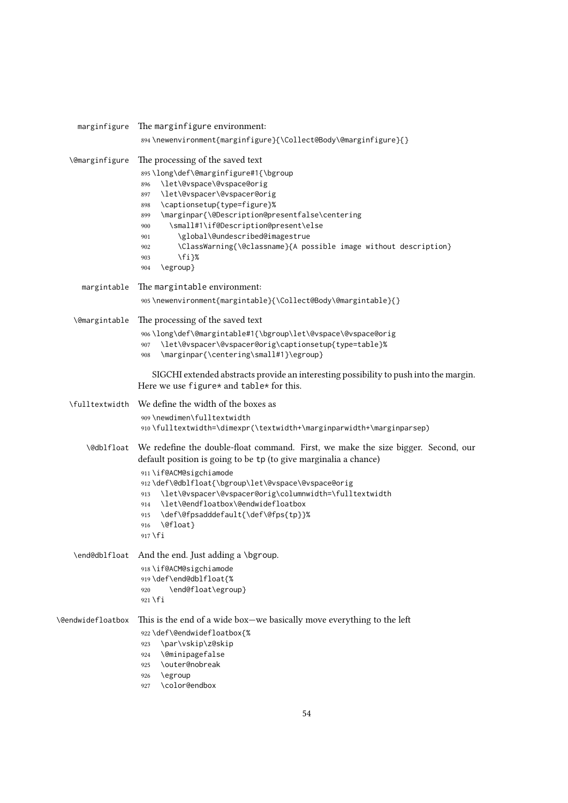|                       | marginfigure The marginfigure environment:                                                                                                                                                                                                                                                                                                                                                                                                                      |
|-----------------------|-----------------------------------------------------------------------------------------------------------------------------------------------------------------------------------------------------------------------------------------------------------------------------------------------------------------------------------------------------------------------------------------------------------------------------------------------------------------|
|                       | 894\newenvironment{marginfigure}{\Collect@Body\@marginfigure}{}                                                                                                                                                                                                                                                                                                                                                                                                 |
| <b>\@marginfigure</b> | The processing of the saved text<br>895\long\def\@marginfigure#1{\bgroup<br>\let\@vspace\@vspace@orig<br>896<br>\let\@vspacer\@vspacer@orig<br>897<br>\captionsetup{type=figure}%<br>898<br>\marginpar{\@Description@presentfalse\centering<br>899<br>\small#1\if@Description@present\else<br>900<br>\global\@undescribed@imagestrue<br>901<br>\ClassWarning{\@classname}{A possible image without description}<br>902<br>$\{f_i\}$ %<br>903<br>\egroup}<br>904 |
| margintable           | The margintable environment:<br>905\newenvironment{margintable}{\Collect@Body\@margintable}{}                                                                                                                                                                                                                                                                                                                                                                   |
| <b>\@margintable</b>  | The processing of the saved text<br>906\long\def\@margintable#1{\bgroup\let\@vspace\@vspace@orig<br>\let\@vspacer\@vspacer@orig\captionsetup{type=table}%<br>907<br>\marginpar{\centering\small#1}\egroup}<br>908                                                                                                                                                                                                                                               |
|                       | SIGCHI extended abstracts provide an interesting possibility to push into the margin.<br>Here we use figure* and table* for this.                                                                                                                                                                                                                                                                                                                               |
|                       | \fulltextwidth We define the width of the boxes as<br>909\newdimen\fulltextwidth<br>910\fulltextwidth=\dimexpr(\textwidth+\marginparwidth+\marginparsep)                                                                                                                                                                                                                                                                                                        |
|                       | \@db1f1oat We redefine the double-float command. First, we make the size bigger. Second, our<br>default position is going to be tp (to give marginalia a chance)<br>911 \if@ACM@sigchiamode<br>912\def\@dblfloat{\bgroup\let\@vspace\@vspace@orig<br>\let\@vspacer\@vspacer@orig\columnwidth=\fulltextwidth<br>913<br>\let\@endfloatbox\@endwidefloatbox<br>914<br>\def\@fpsadddefault{\def\@fps{tp}}%<br>915<br>\@float}<br>916<br>$917$ \fi                   |
|                       | \end@dblfloat And the end. Just adding a \bgroup.<br>918 \if@ACM@sigchiamode<br>919\def\end@dblfloat{%<br>\end@float\egroup}<br>920<br>$921$ \fi                                                                                                                                                                                                                                                                                                                |
| \@endwidefloatbox     | This is the end of a wide box-we basically move everything to the left<br>922\def\@endwidefloatbox{%<br>\par\vskip\z@skip<br>923<br>\@minipagefalse<br>924<br>\outer@nobreak<br>925<br>\egroup<br>926<br>\color@endbox<br>927                                                                                                                                                                                                                                   |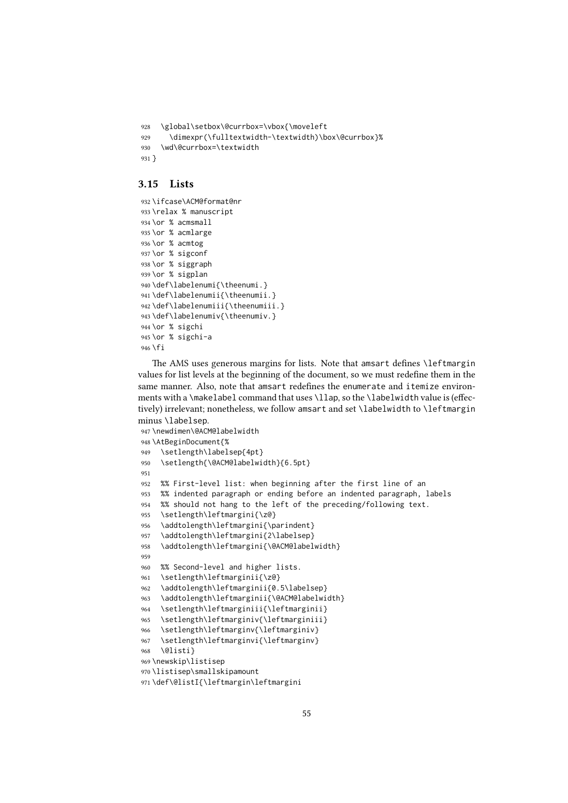```
928 \global\setbox\@currbox=\vbox{\moveleft
929 \dimexpr(\fulltextwidth-\textwidth)\box\@currbox}%
930 \wd\@currbox=\textwidth
931 }
```
### 3.15 Lists

```
932 \ifcase\ACM@format@nr
933 \relax % manuscript
934 \or % acmsmall
935 \or % acmlarge
936 \or % acmtog
937 \or % sigconf
938 \or % siggraph
939 \or % sigplan
940 \def\labelenumi{\theenumi.}
941 \def\labelenumii{\theenumii.}
942 \def\labelenumiii{\theenumiii.}
943 \def\labelenumiv{\theenumiv.}
944 \or % sigchi
945 \or % sigchi-a
946 \fi
```
The AMS uses generous margins for lists. Note that amsart defines \leftmargin values for list levels at the beginning of the document, so we must redefine them in the same manner. Also, note that amsart redefines the enumerate and itemize environments with a \makelabel command that uses \llap, so the \labelwidth value is (effectively) irrelevant; nonetheless, we follow amsart and set \labelwidth to \leftmargin minus \labelsep.

```
947 \newdimen\@ACM@labelwidth
948 \AtBeginDocument{%
949 \setlength\labelsep{4pt}
950 \setlength{\@ACM@labelwidth}{6.5pt}
951
952 %% First-level list: when beginning after the first line of an
953 %% indented paragraph or ending before an indented paragraph, labels
954 %% should not hang to the left of the preceding/following text.
955 \setlength\leftmargini{\z@}
956 \addtolength\leftmargini{\parindent}
957 \addtolength\leftmargini{2\labelsep}
958 \addtolength\leftmargini{\@ACM@labelwidth}
959
960 %% Second-level and higher lists.
961 \setlength\leftmarginii{\z@}
962 \addtolength\leftmarginii{0.5\labelsep}
963 \addtolength\leftmarginii{\@ACM@labelwidth}
964 \setlength\leftmarginiii{\leftmarginii}
965 \setlength\leftmarginiv{\leftmarginiii}
966 \setlength\leftmarginv{\leftmarginiv}
967 \setlength\leftmarginvi{\leftmarginv}
968 \@listi}
969 \newskip\listisep
970 \listisep\smallskipamount
971 \def\@listI{\leftmargin\leftmargini
```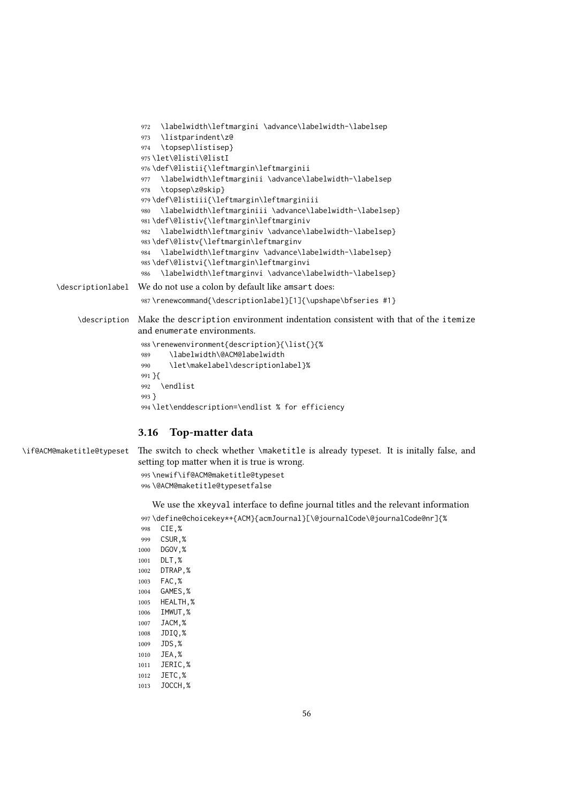|                   | \labelwidth\leftmargini \advance\labelwidth-\labelsep<br>972                     |
|-------------------|----------------------------------------------------------------------------------|
|                   | \listparindent\z@<br>973                                                         |
|                   | \topsep\listisep}<br>974                                                         |
|                   | 975\let\@listi\@listI                                                            |
|                   | 976\def\@listii{\leftmargin\leftmarginii                                         |
|                   | \labelwidth\leftmarginii \advance\labelwidth-\labelsep<br>977                    |
|                   | \topsep\z@skip}<br>978                                                           |
|                   | 979\def\@listiii{\leftmargin\leftmarginiii                                       |
|                   | \labelwidth\leftmarginiii \advance\labelwidth-\labelsep}<br>980                  |
|                   | 981\def\@listiv{\leftmargin\leftmarginiv                                         |
|                   | \labelwidth\leftmarginiv \advance\labelwidth-\labelsep}<br>982                   |
|                   | 983\def\@listv{\leftmargin\leftmarginv                                           |
|                   | \labelwidth\leftmarginv \advance\labelwidth-\labelsep}<br>984                    |
|                   | 985\def\@listvi{\leftmargin\leftmarginvi                                         |
|                   | \labelwidth\leftmarginvi \advance\labelwidth-\labelsep}<br>986                   |
| \descriptionlabel | We do not use a colon by default like amsart does:                               |
|                   | 987\renewcommand{\descriptionlabel}[1]{\upshape\bfseries #1}                     |
| \description      | Make the description environment indentation consistent with that of the itemize |
|                   | and enumerate environments.                                                      |
|                   | 988\renewenvironment{description}{\list{}{%                                      |
|                   | \labelwidth\@ACM@labelwidth<br>989                                               |
|                   | \let\makelabel\descriptionlabel}%<br>990                                         |
|                   | $991 \}$ {                                                                       |
|                   | <b>\endlist</b><br>992                                                           |
|                   | $993$ }                                                                          |
|                   | 994 \let\enddescription=\endlist % for efficiency                                |
|                   |                                                                                  |
|                   |                                                                                  |

# 3.16 Top-matter data

\if@ACM@maketitle@typeset The switch to check whether \maketitle is already typeset. It is initally false, and setting top matter when it is true is wrong.

> \newif\if@ACM@maketitle@typeset \@ACM@maketitle@typesetfalse

We use the xkeyval interface to define journal titles and the relevant information \define@choicekey\*+{ACM}{acmJournal}[\@journalCode\@journalCode@nr]{% CIE,%

 CSUR,% DGOV,% DLT,% DTRAP,% FAC,% GAMES,% HEALTH,% IMWUT,% JACM,% JDIQ,% JDS,% JEA,% JERIC,% JETC,% JOCCH,%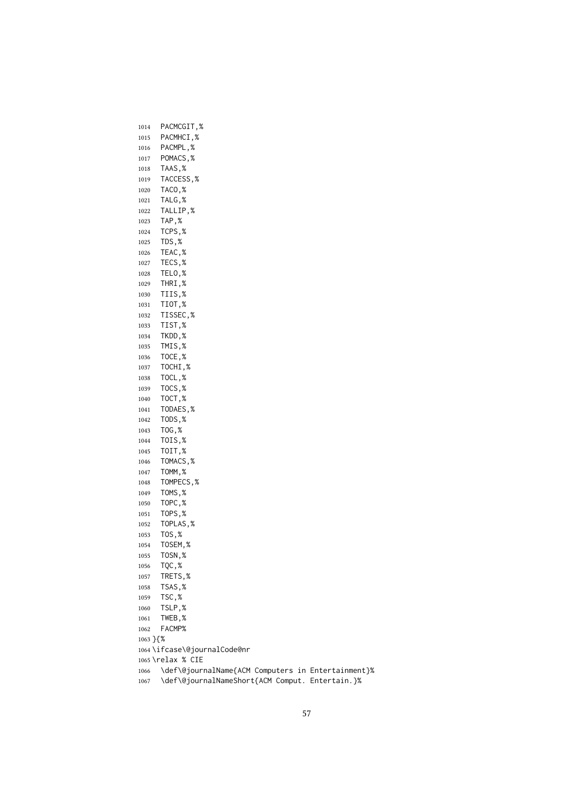PACMCGIT,% PACMHCI,% PACMPL,% POMACS,% TAAS,% TACCESS,% TACO,% TALG,% TALLIP,% TAP,% TCPS,% TDS,% TEAC,% TECS,% TELO,% THRI,% TIIS,% TIOT,% TISSEC,% TIST,% TKDD,% TMIS,% TOCE,% TOCHI,% TOCL,% TOCS,% TOCT,% TODAES,% TODS,% TOG,% TOIS,% TOIT,% TOMACS,% TOMM,% TOMPECS,% TOMS,% TOPC,% TOPS,% TOPLAS,% TOS,% TOSEM,% TOSN,% TQC,% TRETS,% TSAS,% TSC,% TSLP,% TWEB,% FACMP% }{% \ifcase\@journalCode@nr \relax % CIE \def\@journalName{ACM Computers in Entertainment}% \def\@journalNameShort{ACM Comput. Entertain.}%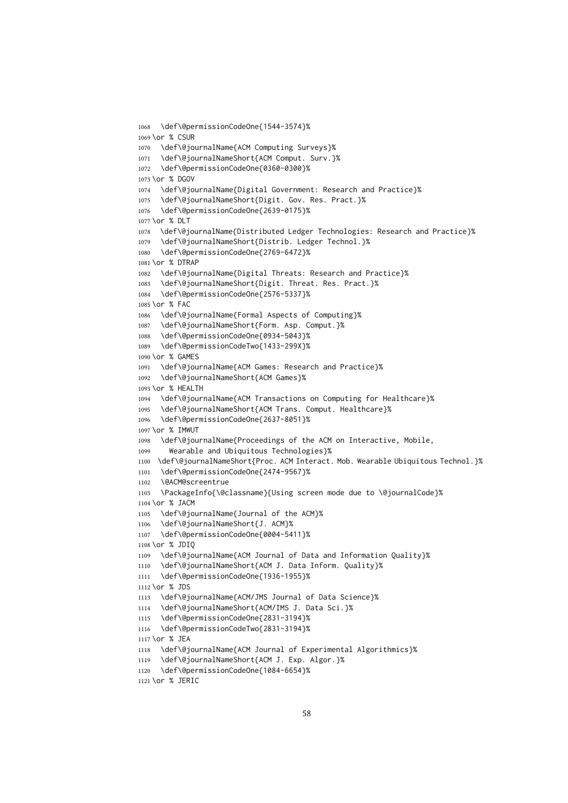```
1068 \def\@permissionCodeOne{1544-3574}%
1069 \or % CSUR
1070 \def\@journalName{ACM Computing Surveys}%
1071 \def\@journalNameShort{ACM Comput. Surv.}%
1072 \def\@permissionCodeOne{0360-0300}%
1073 \or % DGOV
1074 \def\@journalName{Digital Government: Research and Practice}%
1075 \def\@journalNameShort{Digit. Gov. Res. Pract.}%
1076 \def\@permissionCodeOne{2639-0175}%
1077 \or % DLT
1078 \def\@journalName{Distributed Ledger Technologies: Research and Practice}%
1079 \def\@journalNameShort{Distrib. Ledger Technol.}%
1080 \def\@permissionCodeOne{2769-6472}%
1081 \or % DTRAP
1082 \def\@journalName{Digital Threats: Research and Practice}%
1083 \def\@journalNameShort{Digit. Threat. Res. Pract.}%
1084 \def\@permissionCodeOne{2576-5337}%
1085 \or % FAC
1086 \def\@journalName{Formal Aspects of Computing}%
1087 \def\@journalNameShort{Form. Asp. Comput.}%
1088 \def\@permissionCodeOne{0934-5043}%
1089 \def\@permissionCodeTwo{1433-299X}%
1090 \or % GAMES
1091 \def\@journalName{ACM Games: Research and Practice}%
1092 \def\@journalNameShort{ACM Games}%
1093 \or % HEALTH
1094 \def\@journalName{ACM Transactions on Computing for Healthcare}%
1095 \def\@journalNameShort{ACM Trans. Comput. Healthcare}%
1096 \def\@permissionCodeOne{2637-8051}%
1097 \or % IMWUT
1098 \def\@journalName{Proceedings of the ACM on Interactive, Mobile,
1099 Wearable and Ubiquitous Technologies}%
1100 \def\@journalNameShort{Proc. ACM Interact. Mob. Wearable Ubiquitous Technol.}%
1101 \def\@permissionCodeOne{2474-9567}%
1102 \@ACM@screentrue
1103 \PackageInfo{\@classname}{Using screen mode due to \@journalCode}%
1104 \or % JACM
1105 \def\@journalName{Journal of the ACM}%
1106 \def\@journalNameShort{J. ACM}%
1107 \def\@permissionCodeOne{0004-5411}%
1108 \or % JDIQ
1109 \def\@journalName{ACM Journal of Data and Information Quality}%
1110 \def\@journalNameShort{ACM J. Data Inform. Quality}%
1111 \def\@permissionCodeOne{1936-1955}%
1112 \or % JDS
1113 \def\@journalName{ACM/JMS Journal of Data Science}%
1114 \def\@journalNameShort{ACM/IMS J. Data Sci.}%
1115 \def\@permissionCodeOne{2831-3194}%
1116 \def\@permissionCodeTwo{2831-3194}%
1117 \or % JEA
1118 \def\@journalName{ACM Journal of Experimental Algorithmics}%
1119 \def\@journalNameShort{ACM J. Exp. Algor.}%
1120 \def\@permissionCodeOne{1084-6654}%
1121 \or % JERIC
```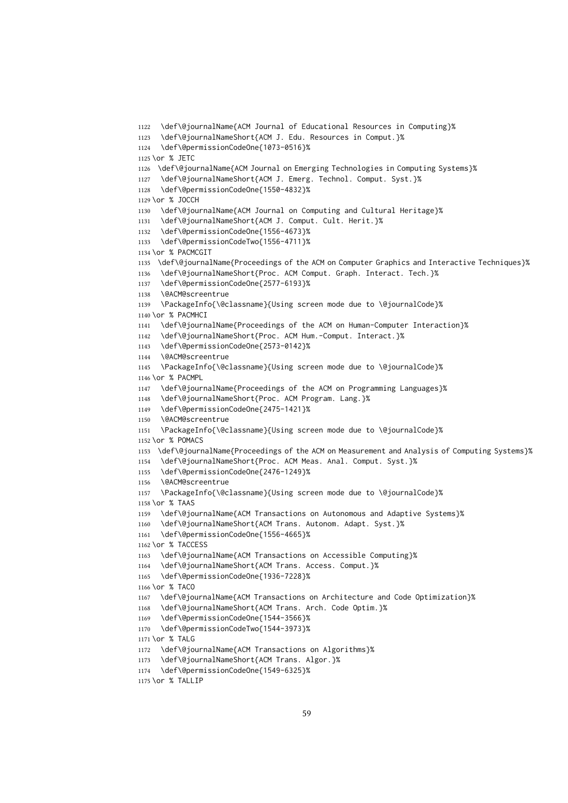\def\@journalName{ACM Journal of Educational Resources in Computing}% \def\@journalNameShort{ACM J. Edu. Resources in Comput.}% \def\@permissionCodeOne{1073-0516}% \or % JETC \def\@journalName{ACM Journal on Emerging Technologies in Computing Systems}% \def\@journalNameShort{ACM J. Emerg. Technol. Comput. Syst.}% \def\@permissionCodeOne{1550-4832}% \or % JOCCH \def\@journalName{ACM Journal on Computing and Cultural Heritage}% \def\@journalNameShort{ACM J. Comput. Cult. Herit.}% \def\@permissionCodeOne{1556-4673}% \def\@permissionCodeTwo{1556-4711}% \or % PACMCGIT \def\@journalName{Proceedings of the ACM on Computer Graphics and Interactive Techniques}% \def\@journalNameShort{Proc. ACM Comput. Graph. Interact. Tech.}% \def\@permissionCodeOne{2577-6193}% \@ACM@screentrue \PackageInfo{\@classname}{Using screen mode due to \@journalCode}% \or % PACMHCI \def\@journalName{Proceedings of the ACM on Human-Computer Interaction}% \def\@journalNameShort{Proc. ACM Hum.-Comput. Interact.}% \def\@permissionCodeOne{2573-0142}% \@ACM@screentrue \PackageInfo{\@classname}{Using screen mode due to \@journalCode}% \or % PACMPL \def\@journalName{Proceedings of the ACM on Programming Languages}% \def\@journalNameShort{Proc. ACM Program. Lang.}% \def\@permissionCodeOne{2475-1421}% \@ACM@screentrue \PackageInfo{\@classname}{Using screen mode due to \@journalCode}% \or % POMACS \def\@journalName{Proceedings of the ACM on Measurement and Analysis of Computing Systems}% \def\@journalNameShort{Proc. ACM Meas. Anal. Comput. Syst.}% \def\@permissionCodeOne{2476-1249}% \@ACM@screentrue \PackageInfo{\@classname}{Using screen mode due to \@journalCode}% \or % TAAS \def\@journalName{ACM Transactions on Autonomous and Adaptive Systems}% \def\@journalNameShort{ACM Trans. Autonom. Adapt. Syst.}% \def\@permissionCodeOne{1556-4665}% 1162 \or % TACCESS \def\@journalName{ACM Transactions on Accessible Computing}% \def\@journalNameShort{ACM Trans. Access. Comput.}% \def\@permissionCodeOne{1936-7228}% \or % TACO \def\@journalName{ACM Transactions on Architecture and Code Optimization}% \def\@journalNameShort{ACM Trans. Arch. Code Optim.}% \def\@permissionCodeOne{1544-3566}% \def\@permissionCodeTwo{1544-3973}% \or % TALG \def\@journalName{ACM Transactions on Algorithms}% \def\@journalNameShort{ACM Trans. Algor.}% \def\@permissionCodeOne{1549-6325}% \or % TALLIP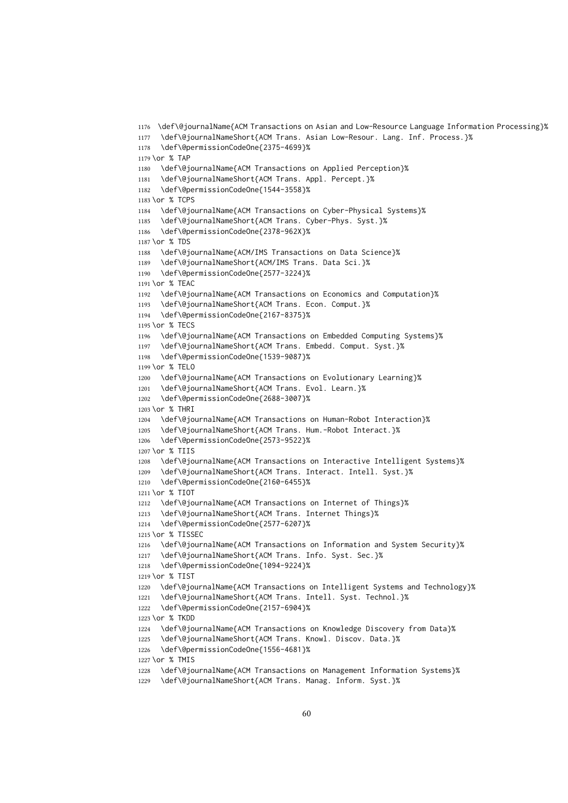\def\@journalName{ACM Transactions on Asian and Low-Resource Language Information Processing}% \def\@journalNameShort{ACM Trans. Asian Low-Resour. Lang. Inf. Process.}% \def\@permissionCodeOne{2375-4699}% \or % TAP \def\@journalName{ACM Transactions on Applied Perception}% \def\@journalNameShort{ACM Trans. Appl. Percept.}% \def\@permissionCodeOne{1544-3558}% \or % TCPS \def\@journalName{ACM Transactions on Cyber-Physical Systems}% \def\@journalNameShort{ACM Trans. Cyber-Phys. Syst.}% \def\@permissionCodeOne{2378-962X}% \or % TDS \def\@journalName{ACM/IMS Transactions on Data Science}% \def\@journalNameShort{ACM/IMS Trans. Data Sci.}% \def\@permissionCodeOne{2577-3224}% \or % TEAC \def\@journalName{ACM Transactions on Economics and Computation}% \def\@journalNameShort{ACM Trans. Econ. Comput.}% \def\@permissionCodeOne{2167-8375}% \or % TECS \def\@journalName{ACM Transactions on Embedded Computing Systems}% \def\@journalNameShort{ACM Trans. Embedd. Comput. Syst.}% \def\@permissionCodeOne{1539-9087}% \or % TELO \def\@journalName{ACM Transactions on Evolutionary Learning}% \def\@journalNameShort{ACM Trans. Evol. Learn.}% \def\@permissionCodeOne{2688-3007}% \or % THRI \def\@journalName{ACM Transactions on Human-Robot Interaction}% \def\@journalNameShort{ACM Trans. Hum.-Robot Interact.}% \def\@permissionCodeOne{2573-9522}% \or % TIIS \def\@journalName{ACM Transactions on Interactive Intelligent Systems}% 1209 \def\@journalNameShort{ACM Trans. Interact. Intell. Syst.}% \def\@permissionCodeOne{2160-6455}% \or % TIOT \def\@journalName{ACM Transactions on Internet of Things}% \def\@journalNameShort{ACM Trans. Internet Things}% \def\@permissionCodeOne{2577-6207}% \or % TISSEC \def\@journalName{ACM Transactions on Information and System Security}% \def\@journalNameShort{ACM Trans. Info. Syst. Sec.}% \def\@permissionCodeOne{1094-9224}% \or % TIST \def\@journalName{ACM Transactions on Intelligent Systems and Technology}% \def\@journalNameShort{ACM Trans. Intell. Syst. Technol.}% \def\@permissionCodeOne{2157-6904}% \or % TKDD \def\@journalName{ACM Transactions on Knowledge Discovery from Data}% 1225 \def\@journalNameShort{ACM Trans. Knowl. Discov. Data.}% \def\@permissionCodeOne{1556-4681}% \or % TMIS \def\@journalName{ACM Transactions on Management Information Systems}%

\def\@journalNameShort{ACM Trans. Manag. Inform. Syst.}%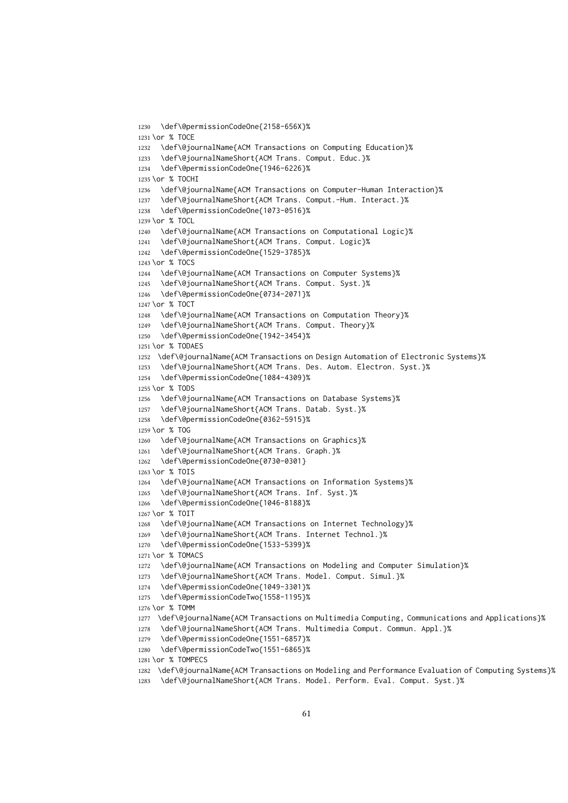```
1230 \def\@permissionCodeOne{2158-656X}%
1231 \or % TOCE
1232 \def\@journalName{ACM Transactions on Computing Education}%
1233 \def\@journalNameShort{ACM Trans. Comput. Educ.}%
1234 \def\@permissionCodeOne{1946-6226}%
1235 \or % TOCHI
1236 \def\@journalName{ACM Transactions on Computer-Human Interaction}%
1237 \def\@journalNameShort{ACM Trans. Comput.-Hum. Interact.}%
1238 \def\@permissionCodeOne{1073-0516}%
1239 \or % TOCL
1240 \def\@journalName{ACM Transactions on Computational Logic}%
1241 \def\@journalNameShort{ACM Trans. Comput. Logic}%
1242 \def\@permissionCodeOne{1529-3785}%
1243 \or % TOCS
1244 \def\@journalName{ACM Transactions on Computer Systems}%
1245 \def\@journalNameShort{ACM Trans. Comput. Syst.}%
1246 \def\@permissionCodeOne{0734-2071}%
1247 \or % TOCT
1248 \def\@journalName{ACM Transactions on Computation Theory}%
1249 \def\@journalNameShort{ACM Trans. Comput. Theory}%
1250 \def\@permissionCodeOne{1942-3454}%
1251 \or % TODAES
1252 \def\@journalName{ACM Transactions on Design Automation of Electronic Systems}%
1253 \def\@journalNameShort{ACM Trans. Des. Autom. Electron. Syst.}%
1254 \def\@permissionCodeOne{1084-4309}%
1255 \or % TODS
1256 \def\@journalName{ACM Transactions on Database Systems}%
1257 \def\@journalNameShort{ACM Trans. Datab. Syst.}%
1258 \def\@permissionCodeOne{0362-5915}%
1259 \or % TOG
1260 \def\@journalName{ACM Transactions on Graphics}%
1261 \def\@journalNameShort{ACM Trans. Graph.}%
1262 \def\@permissionCodeOne{0730-0301}
1263 \or % TOIS
1264 \def\@journalName{ACM Transactions on Information Systems}%
1265 \def\@journalNameShort{ACM Trans. Inf. Syst.}%
1266 \def\@permissionCodeOne{1046-8188}%
1267 \or % TOIT
1268 \def\@journalName{ACM Transactions on Internet Technology}%
1269 \def\@journalNameShort{ACM Trans. Internet Technol.}%
1270 \def\@permissionCodeOne{1533-5399}%
1271 \or % TOMACS
1272 \def\@journalName{ACM Transactions on Modeling and Computer Simulation}%
1273 \def\@journalNameShort{ACM Trans. Model. Comput. Simul.}%
1274 \def\@permissionCodeOne{1049-3301}%
1275 \def\@permissionCodeTwo{1558-1195}%
1276 \or % TOMM
1277 \def\@journalName{ACM Transactions on Multimedia Computing, Communications and Applications}%
1278 \def\@journalNameShort{ACM Trans. Multimedia Comput. Commun. Appl.}%
1279 \def\@permissionCodeOne{1551-6857}%
1280 \def\@permissionCodeTwo{1551-6865}%
1281 \or % TOMPECS
1282 \def\@journalName{ACM Transactions on Modeling and Performance Evaluation of Computing Systems}%
1283 \def\@journalNameShort{ACM Trans. Model. Perform. Eval. Comput. Syst.}%
```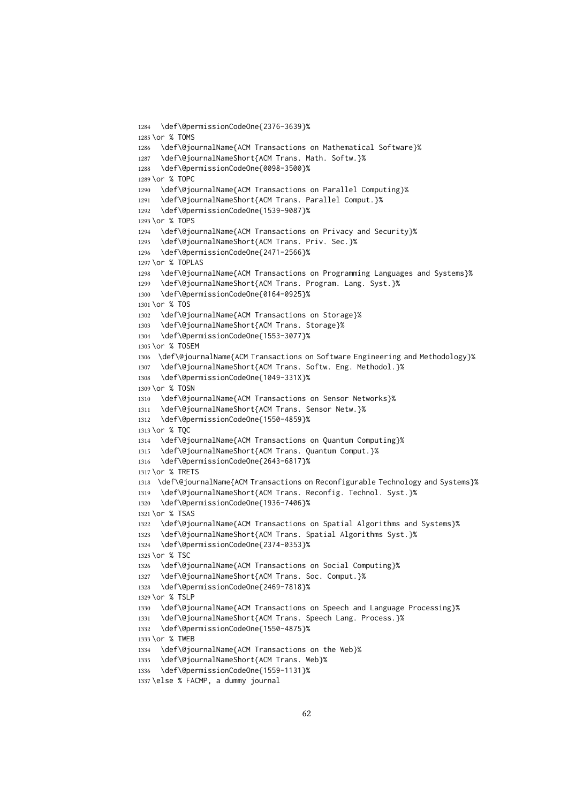```
1284 \def\@permissionCodeOne{2376-3639}%
1285 \or % TOMS
1286 \def\@journalName{ACM Transactions on Mathematical Software}%
1287 \def\@journalNameShort{ACM Trans. Math. Softw.}%
1288 \def\@permissionCodeOne{0098-3500}%
1289 \or % TOPC
1290 \def\@journalName{ACM Transactions on Parallel Computing}%
1291 \def\@journalNameShort{ACM Trans. Parallel Comput.}%
1292 \def\@permissionCodeOne{1539-9087}%
1293 \or % TOPS
1294 \def\@journalName{ACM Transactions on Privacy and Security}%
1295 \def\@journalNameShort{ACM Trans. Priv. Sec.}%
1296 \def\@permissionCodeOne{2471-2566}%
1297 \or % TOPLAS
1298 \def\@journalName{ACM Transactions on Programming Languages and Systems}%
1299 \def\@journalNameShort{ACM Trans. Program. Lang. Syst.}%
1300 \def\@permissionCodeOne{0164-0925}%
1301 \or % TOS
1302 \def\@journalName{ACM Transactions on Storage}%
1303 \def\@journalNameShort{ACM Trans. Storage}%
1304 \def\@permissionCodeOne{1553-3077}%
1305 \or % TOSEM
1306 \def\@journalName{ACM Transactions on Software Engineering and Methodology}%
1307 \def\@journalNameShort{ACM Trans. Softw. Eng. Methodol.}%
1308 \def\@permissionCodeOne{1049-331X}%
1309 \or % TOSN
1310 \def\@journalName{ACM Transactions on Sensor Networks}%
1311 \def\@journalNameShort{ACM Trans. Sensor Netw.}%
1312 \def\@permissionCodeOne{1550-4859}%
1313 \or % TQC
1314 \def\@journalName{ACM Transactions on Quantum Computing}%
1315 \def\@journalNameShort{ACM Trans. Quantum Comput.}%
1316 \def\@permissionCodeOne{2643-6817}%
1317 \or % TRETS
1318 \def\@journalName{ACM Transactions on Reconfigurable Technology and Systems}%
1319 \def\@journalNameShort{ACM Trans. Reconfig. Technol. Syst.}%
1320 \def\@permissionCodeOne{1936-7406}%
1321 \or % TSAS
1322 \def\@journalName{ACM Transactions on Spatial Algorithms and Systems}%
1323 \def\@journalNameShort{ACM Trans. Spatial Algorithms Syst.}%
1324 \def\@permissionCodeOne{2374-0353}%
1325 \or % TSC
1326 \def\@journalName{ACM Transactions on Social Computing}%
1327 \def\@journalNameShort{ACM Trans. Soc. Comput.}%
1328 \def\@permissionCodeOne{2469-7818}%
1329 \or % TSLP
1330 \def\@journalName{ACM Transactions on Speech and Language Processing}%
1331 \def\@journalNameShort{ACM Trans. Speech Lang. Process.}%
1332 \def\@permissionCodeOne{1550-4875}%
1333 \or % TWEB
1334 \def\@journalName{ACM Transactions on the Web}%
1335 \def\@journalNameShort{ACM Trans. Web}%
1336 \def\@permissionCodeOne{1559-1131}%
```

```
1337 \else % FACMP, a dummy journal
```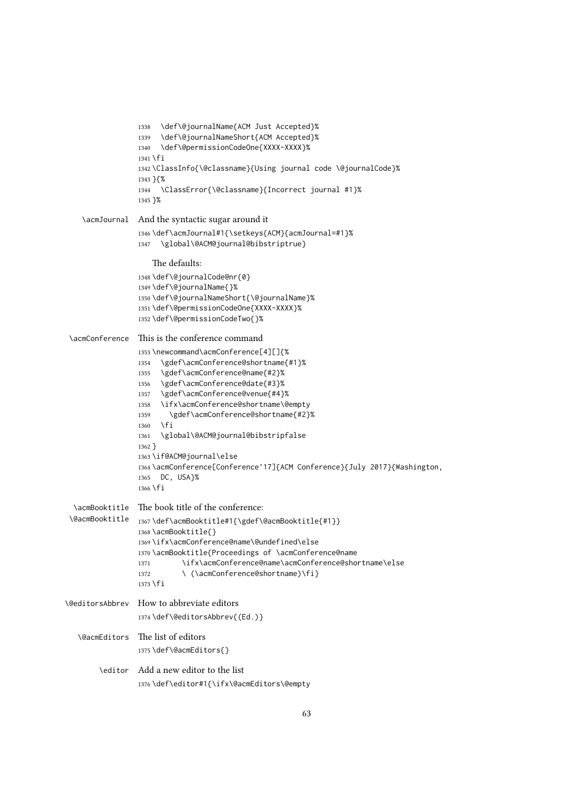```
1338 \def\@journalName{ACM Just Accepted}%
                 1339 \def\@journalNameShort{ACM Accepted}%
                 1340 \def\@permissionCodeOne{XXXX-XXXX}%
                 1341 \fi
                 1342 \ClassInfo{\@classname}{Using journal code \@journalCode}%
                 1343 }{%
                 1344 \ClassError{\@classname}{Incorrect journal #1}%
                 1345 }%
    \acmJournal And the syntactic sugar around it
                 1346 \def\acmJournal#1{\setkeys{ACM}{acmJournal=#1}%
                 1347 \global\@ACM@journal@bibstriptrue}
                     The defaults:
                 1348 \def\@journalCode@nr{0}
                 1349 \def\@journalName{}%
                 1350 \def\@journalNameShort{\@journalName}%
                 1351 \def\@permissionCodeOne{XXXX-XXXX}%
                 1352 \def\@permissionCodeTwo{}%
 \acmConference This is the conference command
                 1353 \newcommand\acmConference[4][]{%
                 1354 \gdef\acmConference@shortname{#1}%
                 1355 \gdef\acmConference@name{#2}%
                 1356 \gdef\acmConference@date{#3}%
                 1357 \gdef\acmConference@venue{#4}%
                 1358 \ifx\acmConference@shortname\@empty
                 1359 \gdef\acmConference@shortname{#2}%
                 1360 \fi
                 1361 \global\@ACM@journal@bibstripfalse
                 1362 }
                 1363 \if@ACM@journal\else
                 1364 \acmConference[Conference'17]{ACM Conference}{July 2017}{Washington,
                 1365 DC, USA}%
                 1366 \fi
  \acmBooktitle
The book title of the conference:
 \@acmBooktitle
1367 \def\acmBooktitle#1{\gdef\@acmBooktitle{#1}}
                 1368 \acmBooktitle{}
                 1369 \ifx\acmConference@name\@undefined\else
                 1370 \acmBooktitle{Proceedings of \acmConference@name
                 1371 \ifx\acmConference@name\acmConference@shortname\else
                 1372 \ (\acmConference@shortname)\fi}
                 1373 \fi
\@editorsAbbrev How to abbreviate editors
                 1374 \def\@editorsAbbrev{(Ed.)}
   \@acmEditors The list of editors
                 1375 \def\@acmEditors{}
        \editor Add a new editor to the list
                 1376 \def\editor#1{\ifx\@acmEditors\@empty
```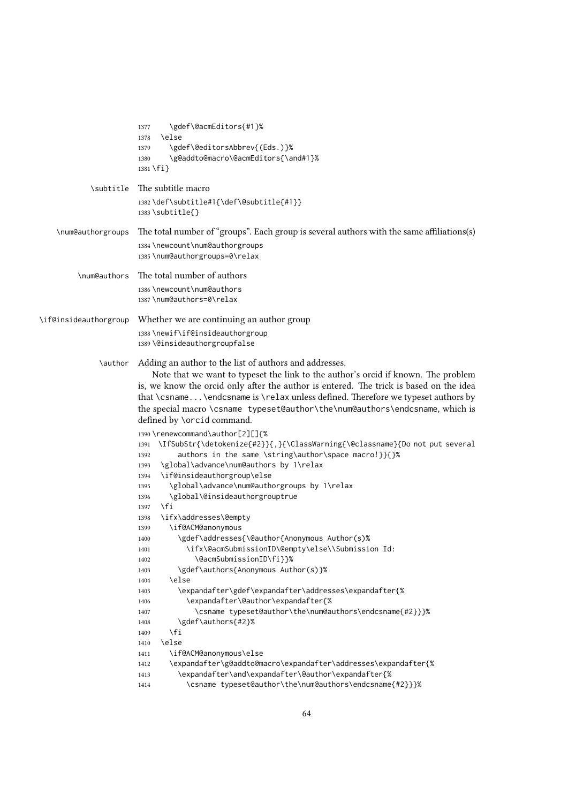|                       | \gdef\@acmEditors{#1}%<br>1377<br>\else<br>1378<br>\gdef\@editorsAbbrev{(Eds.)}%<br>1379                                                                                                                                                                                                                                                                                                                                                                                                                                                                                                                                                                                      |
|-----------------------|-------------------------------------------------------------------------------------------------------------------------------------------------------------------------------------------------------------------------------------------------------------------------------------------------------------------------------------------------------------------------------------------------------------------------------------------------------------------------------------------------------------------------------------------------------------------------------------------------------------------------------------------------------------------------------|
|                       | \g@addto@macro\@acmEditors{\and#1}%<br>1380<br>$1381 \text{ if }$                                                                                                                                                                                                                                                                                                                                                                                                                                                                                                                                                                                                             |
| \subtitle             | The subtitle macro                                                                                                                                                                                                                                                                                                                                                                                                                                                                                                                                                                                                                                                            |
|                       | 1382\def\subtitle#1{\def\@subtitle{#1}}<br>$1383$ \subtitle{}                                                                                                                                                                                                                                                                                                                                                                                                                                                                                                                                                                                                                 |
| \num@authorgroups     | The total number of "groups". Each group is several authors with the same affiliations(s)                                                                                                                                                                                                                                                                                                                                                                                                                                                                                                                                                                                     |
|                       | 1384 \newcount\num@authorgroups<br>1385 \num@authorgroups=0\relax                                                                                                                                                                                                                                                                                                                                                                                                                                                                                                                                                                                                             |
| \num@authors          | The total number of authors                                                                                                                                                                                                                                                                                                                                                                                                                                                                                                                                                                                                                                                   |
|                       | 1386 \newcount\num@authors<br>1387\num@authors=0\relax                                                                                                                                                                                                                                                                                                                                                                                                                                                                                                                                                                                                                        |
| \if@insideauthorgroup | Whether we are continuing an author group                                                                                                                                                                                                                                                                                                                                                                                                                                                                                                                                                                                                                                     |
|                       | 1388\newif\if@insideauthorgroup                                                                                                                                                                                                                                                                                                                                                                                                                                                                                                                                                                                                                                               |
|                       | 1389 \@insideauthorgroupfalse                                                                                                                                                                                                                                                                                                                                                                                                                                                                                                                                                                                                                                                 |
| \author               | Adding an author to the list of authors and addresses.<br>Note that we want to typeset the link to the author's orcid if known. The problem<br>is, we know the orcid only after the author is entered. The trick is based on the idea<br>that \csname\endcsname is \relax unless defined. Therefore we typeset authors by<br>the special macro \csname typeset@author\the\num@authors\endcsname, which is<br>defined by \orcid command.                                                                                                                                                                                                                                       |
|                       | 1390 \renewcommand\author[2][]{%<br>\IfSubStr{\detokenize{#2}}{,}{\ClassWarning{\@classname}{Do not put several<br>1391<br>authors in the same \string\author\space macro!}}{}%<br>1392<br>\global\advance\num@authors by 1\relax<br>1393<br>\if@insideauthorgroup\else<br>1394<br>\global\advance\num@authorgroups by 1\relax<br>1395<br>\global\@insideauthorgrouptrue<br>1396<br>$\sqrt{fi}$<br>1397<br>\ifx\addresses\@empty<br>1398<br>\if@ACM@anonymous<br>1399<br>\gdef\addresses{\@author{Anonymous Author(s)%<br>1400<br>\ifx\@acmSubmissionID\@empty\else\\Submission Id:<br>1401<br>\@acmSubmissionID\fi}}%<br>1402<br>\gdef\authors{Anonymous Author(s)}%<br>1403 |
|                       | \else<br>1404<br>\expandafter\gdef\expandafter\addresses\expandafter{%<br>1405<br>\expandafter\@author\expandafter{%<br>1406<br>\csname typeset@author\the\num@authors\endcsname{#2}}}%<br>1407<br>\gdef\authors{#2}%<br>1408<br>\fi<br>1409<br>\else<br>1410<br>\if@ACM@anonymous\else<br>1411<br>\expandafter\g@addto@macro\expandafter\addresses\expandafter{%<br>1412<br>\expandafter\and\expandafter\@author\expandafter{%<br>1413<br>\csname typeset@author\the\num@authors\endcsname{#2}}}%<br>1414                                                                                                                                                                    |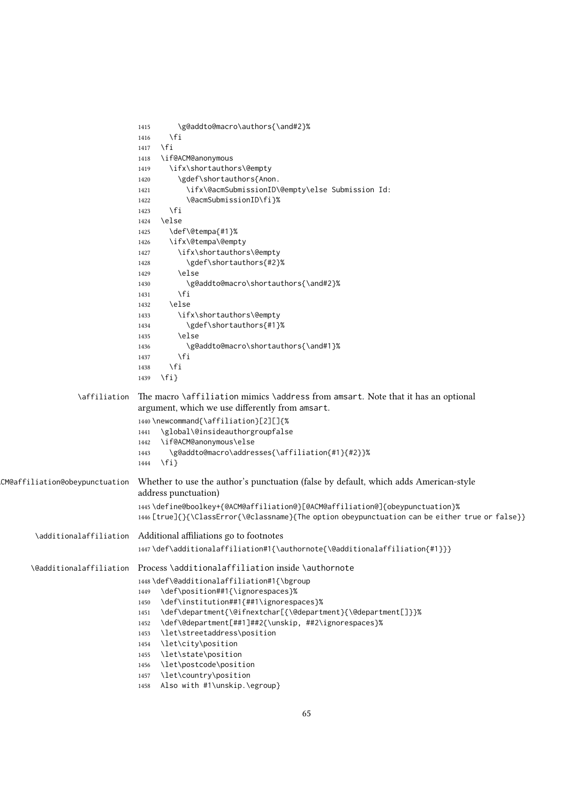|                                | \g@addto@macro\authors{\and#2}%<br>1415                                                                      |
|--------------------------------|--------------------------------------------------------------------------------------------------------------|
|                                | \fi<br>1416                                                                                                  |
|                                | $\sqrt{fi}$<br>1417                                                                                          |
|                                | \if@ACM@anonymous<br>1418                                                                                    |
|                                | \ifx\shortauthors\@empty<br>1419                                                                             |
|                                | \gdef\shortauthors{Anon.<br>1420                                                                             |
|                                | \ifx\@acmSubmissionID\@empty\else Submission Id:<br>1421                                                     |
|                                | \@acmSubmissionID\fi}%<br>1422                                                                               |
|                                | \fi<br>1423                                                                                                  |
|                                | \else<br>1424                                                                                                |
|                                | \def\@tempa{#1}%<br>1425                                                                                     |
|                                | \ifx\@tempa\@empty<br>1426                                                                                   |
|                                | \ifx\shortauthors\@empty<br>1427                                                                             |
|                                | \gdef\shortauthors{#2}%<br>1428                                                                              |
|                                | \else<br>1429                                                                                                |
|                                | \g@addto@macro\shortauthors{\and#2}%<br>1430                                                                 |
|                                | \fi<br>1431                                                                                                  |
|                                | \else<br>1432                                                                                                |
|                                | \ifx\shortauthors\@empty<br>1433                                                                             |
|                                | \gdef\shortauthors{#1}%<br>1434                                                                              |
|                                | \else<br>1435                                                                                                |
|                                | \g@addto@macro\shortauthors{\and#1}%<br>1436                                                                 |
|                                | \fi<br>1437                                                                                                  |
|                                | \fi<br>1438                                                                                                  |
|                                | $\{f_i\}$<br>1439                                                                                            |
| \affiliation                   | The macro \affiliation mimics \address from amsart. Note that it has an optional                             |
|                                | argument, which we use differently from amsart.                                                              |
|                                | 1440\newcommand{\affiliation}[2][]{%                                                                         |
|                                | \global\@insideauthorgroupfalse<br>1441                                                                      |
|                                | \if@ACM@anonymous\else<br>1442                                                                               |
|                                | \g@addto@macro\addresses{\affiliation{#1}{#2}}%<br>1443                                                      |
|                                | $\{f_i\}$<br>1444                                                                                            |
| CM@affiliation@obeypunctuation | Whether to use the author's punctuation (false by default, which adds American-style<br>address punctuation) |
|                                | 1445\define@boolkey+{@ACM@affiliation@}[@ACM@affiliation@]{obeypunctuation}%                                 |
|                                | 1446 [true]{}{\ClassError{\@classname}{The option obeypunctuation can be either true or false}}              |
|                                | \additionalaffiliation Additional affiliations go to footnotes                                               |
|                                | 1447\def\additionalaffiliation#1{\authornote{\@additionalaffiliation{#1}}}                                   |
| <b>\@additionalaffiliation</b> | Process \additionalaffiliation inside \authornote                                                            |
|                                | 1448\def\@additionalaffiliation#1{\bgroup                                                                    |
|                                | \def\position##1{\ignorespaces}%<br>1449                                                                     |
|                                | \def\institution##1{##1\ignorespaces}%<br>1450                                                               |
|                                | \def\department{\@ifnextchar[{\@department}{\@department[]}}%<br>1451                                        |
|                                | \def\@department[##1]##2{\unskip, ##2\ignorespaces}%<br>1452                                                 |
|                                | \let\streetaddress\position<br>1453                                                                          |
|                                | \let\city\position<br>1454                                                                                   |
|                                | \let\state\position<br>1455                                                                                  |
|                                | \let\postcode\position<br>1456                                                                               |
|                                | \let\country\position<br>1457                                                                                |
|                                | Also with #1\unskip.\egroup}<br>1458                                                                         |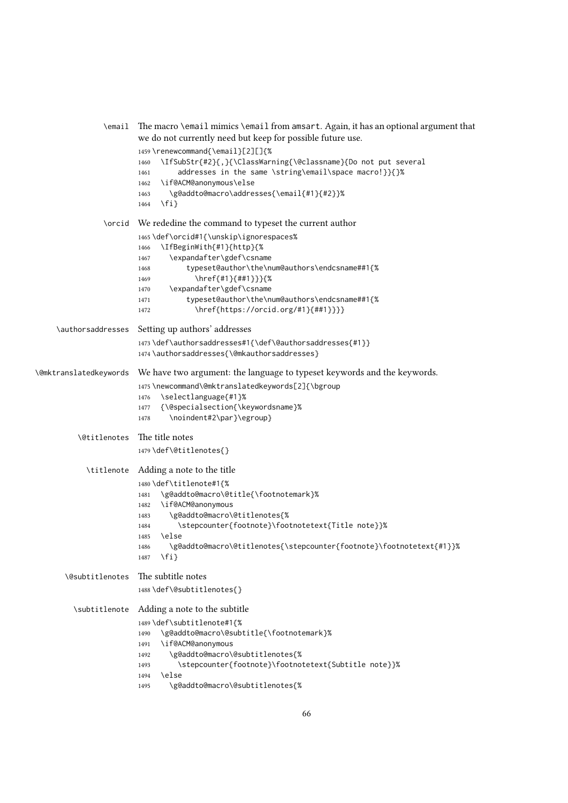| \email                 | The macro \email mimics \email from amsart. Again, it has an optional argument that<br>we do not currently need but keep for possible future use.                                                                                                                                                                                                 |
|------------------------|---------------------------------------------------------------------------------------------------------------------------------------------------------------------------------------------------------------------------------------------------------------------------------------------------------------------------------------------------|
|                        | 1459\renewcommand{\email}[2][]{%<br>\IfSubStr{#2}{,}{\ClassWarning{\@classname}{Do not put several<br>1460<br>addresses in the same \string\email\space macro!}}{}%<br>1461<br>\if@ACM@anonymous\else<br>1462<br>\g@addto@macro\addresses{\email{#1}{#2}}%<br>1463<br>$\{f_i\}$<br>1464                                                           |
|                        | \orcid We rededine the command to typeset the current author                                                                                                                                                                                                                                                                                      |
|                        | 1465\def\orcid#1{\unskip\ignorespaces%<br>\IfBeginWith{#1}{http}{%<br>1466<br>\expandafter\gdef\csname<br>1467<br>typeset@author\the\num@authors\endcsname##1{%<br>1468<br>\href{#1}{##1}}}{%<br>1469<br>\expandafter\gdef\csname<br>1470<br>typeset@author\the\num@authors\endcsname##1{%<br>1471<br>\href{https://orcid.org/#1}{##1}}}}<br>1472 |
| \authorsaddresses      | Setting up authors' addresses                                                                                                                                                                                                                                                                                                                     |
|                        | 1473\def\authorsaddresses#1{\def\@authorsaddresses{#1}}<br>1474 \authorsaddresses{\@mkauthorsaddresses}                                                                                                                                                                                                                                           |
| \@mktranslatedkeywords | We have two argument: the language to typeset keywords and the keywords.<br>1475\newcommand\@mktranslatedkeywords[2]{\bgroup<br>\selectlanguage{#1}%<br>1476<br>{\@specialsection{\keywordsname}%<br>1477<br>\noindent#2\par}\egroup}<br>1478                                                                                                     |
| \@titlenotes           | The title notes                                                                                                                                                                                                                                                                                                                                   |
|                        | 1479\def\@titlenotes{}                                                                                                                                                                                                                                                                                                                            |
| \titlenote             | Adding a note to the title                                                                                                                                                                                                                                                                                                                        |
|                        | 1480\def\titlenote#1{%<br>\g@addto@macro\@title{\footnotemark}%<br>1481<br>\if@ACM@anonymous<br>1482<br>\g@addto@macro\@titlenotes{%<br>1483<br>\stepcounter{footnote}\footnotetext{Title note}}%<br>1484<br>\else<br>1485<br>\g@addto@macro\@titlenotes{\stepcounter{footnote}\footnotetext{#1}}%<br>1486<br>$\{f_i\}$<br>1487                   |
| \@subtitlenotes        | The subtitle notes                                                                                                                                                                                                                                                                                                                                |
|                        | 1488\def\@subtitlenotes{}                                                                                                                                                                                                                                                                                                                         |
| \subtitlenote          | Adding a note to the subtitle<br>1489\def\subtitlenote#1{%<br>\g@addto@macro\@subtitle{\footnotemark}%<br>1490<br>\if@ACM@anonymous<br>1491<br>\g@addto@macro\@subtitlenotes{%<br>1492<br>\stepcounter{footnote}\footnotetext{Subtitle note}}%<br>1493<br>\else<br>1494<br>\g@addto@macro\@subtitlenotes{%<br>1495                                |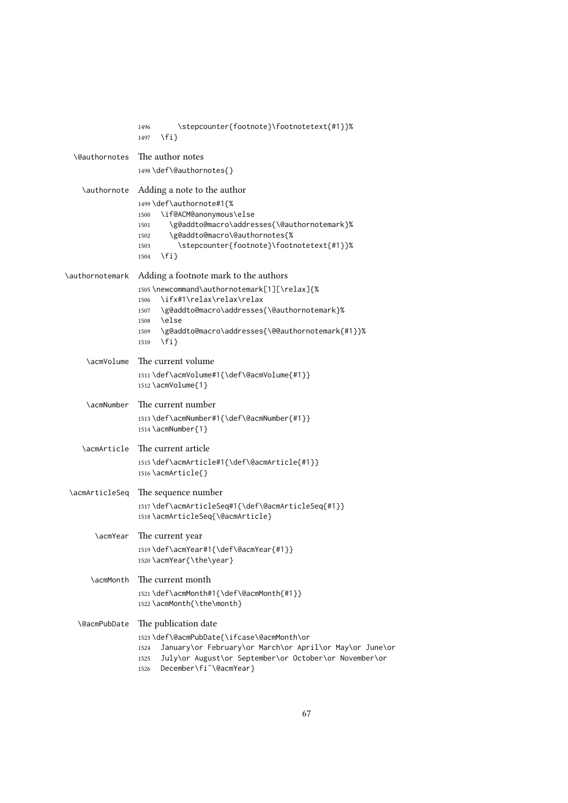|                      | \stepcounter{footnote}\footnotetext{#1}}%<br>1496<br>$\{f_i\}$<br>1497                                                                                                                                                       |
|----------------------|------------------------------------------------------------------------------------------------------------------------------------------------------------------------------------------------------------------------------|
| <b>\@authornotes</b> | The author notes                                                                                                                                                                                                             |
|                      | 1498 \def\@authornotes{}                                                                                                                                                                                                     |
| \authornote          | Adding a note to the author<br>1499 \def\authornote#1{%                                                                                                                                                                      |
|                      | \if@ACM@anonymous\else<br>1500<br>\g@addto@macro\addresses{\@authornotemark}%<br>1501<br>\g@addto@macro\@authornotes{%<br>1502                                                                                               |
|                      | \stepcounter{footnote}\footnotetext{#1}}%<br>1503<br>$\{f_i\}$<br>1504                                                                                                                                                       |
| \authornotemark      | Adding a footnote mark to the authors                                                                                                                                                                                        |
|                      | 1505\newcommand\authornotemark[1][\relax]{%<br>\ifx#1\relax\relax\relax<br>1506<br>\g@addto@macro\addresses{\@authornotemark}%<br>1507                                                                                       |
|                      | <b>\else</b><br>1508<br>\g@addto@macro\addresses{\@@authornotemark{#1}}%<br>1509<br>$\{f_i\}$<br>1510                                                                                                                        |
| \acmVolume           | The current volume                                                                                                                                                                                                           |
|                      | 1511 \def\acmVolume#1{\def\@acmVolume{#1}}<br>1512 \acmVolume{1}                                                                                                                                                             |
| \acmNumber           | The current number                                                                                                                                                                                                           |
|                      | 1513 \def\acmNumber#1{\def\@acmNumber{#1}}<br>1514 \acmNumber{1}                                                                                                                                                             |
| \acmArticle          | The current article                                                                                                                                                                                                          |
|                      | 1515\def\acmArticle#1{\def\@acmArticle{#1}}<br>1516\acmArticle{}                                                                                                                                                             |
| \acmArticleSeq       | The sequence number                                                                                                                                                                                                          |
|                      | 1517\def\acmArticleSeq#1{\def\@acmArticleSeq{#1}}<br>1518 \acmArticleSeq{\@acmArticle}                                                                                                                                       |
| \acmYear             | The current year                                                                                                                                                                                                             |
|                      | 1519 \def\acmYear#1{\def\@acmYear{#1}}<br>1520 \acmYear{\the\year}                                                                                                                                                           |
| \acmMonth            | The current month                                                                                                                                                                                                            |
|                      | 1521\def\acmMonth#1{\def\@acmMonth{#1}}<br>1522 \acmMonth{\the\month}                                                                                                                                                        |
| <b>\@acmPubDate</b>  | The publication date                                                                                                                                                                                                         |
|                      | 1523\def\@acmPubDate{\ifcase\@acmMonth\or<br>January\or February\or March\or April\or May\or June\or<br>1524<br>July\or August\or September\or October\or November\or<br>1525<br>December\fi <sup>~</sup> \@acmYear}<br>1526 |
|                      |                                                                                                                                                                                                                              |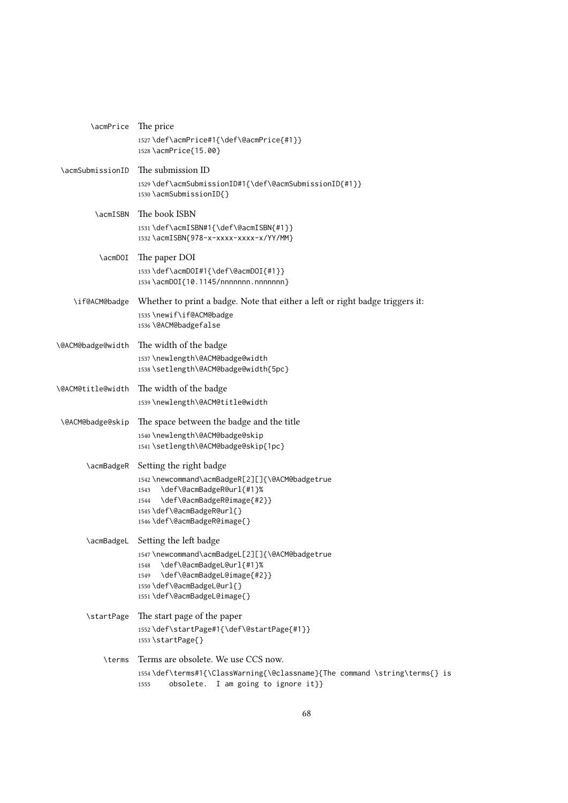| \acmPrice         | The price<br>1527\def\acmPrice#1{\def\@acmPrice{#1}}<br>1528 \acmPrice{15.00}                                                                                                                                      |
|-------------------|--------------------------------------------------------------------------------------------------------------------------------------------------------------------------------------------------------------------|
| \acmSubmissionID  | The submission ID<br>1529\def\acmSubmissionID#1{\def\@acmSubmissionID{#1}}<br>1530\acmSubmissionID{}                                                                                                               |
| \acmISBN          | The book ISBN<br>1531 \def\acmISBN#1{\def\@acmISBN{#1}}<br>1532\acmISBN{978-x-xxxx-xxxx-x/YY/MM}                                                                                                                   |
| \acmDOI           | The paper DOI<br>1533 \def\acmDOI#1{\def\@acmDOI{#1}}<br>1534 \acmDOI{10.1145/nnnnnnn.nnnnnnn}                                                                                                                     |
| \if@ACM@badge     | Whether to print a badge. Note that either a left or right badge triggers it:<br>1535 \newif\if@ACM@badge<br>1536 \@ACM@badgefalse                                                                                 |
| \@ACM@badge@width | The width of the badge<br>1537 \newlength\@ACM@badge@width<br>1538 \setlength\@ACM@badge@width{5pc}                                                                                                                |
| \@ACM@title@width | The width of the badge<br>1539\newlength\@ACM@title@width                                                                                                                                                          |
| \@ACM@badge@skip  | The space between the badge and the title<br>1540 \newlength\@ACM@badge@skip<br>1541 \setlength\@ACM@badge@skip{1pc}                                                                                               |
| \acmBadgeR        | Setting the right badge<br>1542 \newcommand\acmBadgeR[2][]{\@ACM@badgetrue<br>\def\@acmBadgeR@url{#1}%<br>1543<br>\def\@acmBadgeR@image{#2}}<br>1544<br>1545 \def\@acmBadgeR@url{}<br>1546 \def\@acmBadgeR@image{} |
| \acmBadgeL        | Setting the left badge<br>1547 \newcommand\acmBadgeL[2][]{\@ACM@badgetrue<br>\def\@acmBadgeL@url{#1}%<br>1548<br>\def\@acmBadgeL@image{#2}}<br>1549<br>1550\def\@acmBadgeL@url{}<br>1551\def\@acmBadgeL@image{}    |
| \startPage        | The start page of the paper<br>1552\def\startPage#1{\def\@startPage{#1}}<br>$1553$ \startPage{}                                                                                                                    |
| \terms            | Terms are obsolete. We use CCS now.<br>1554\def\terms#1{\ClassWarning{\@classname}{The command \string\terms{} is<br>obsolete.<br>I am going to ignore it}}<br>1555                                                |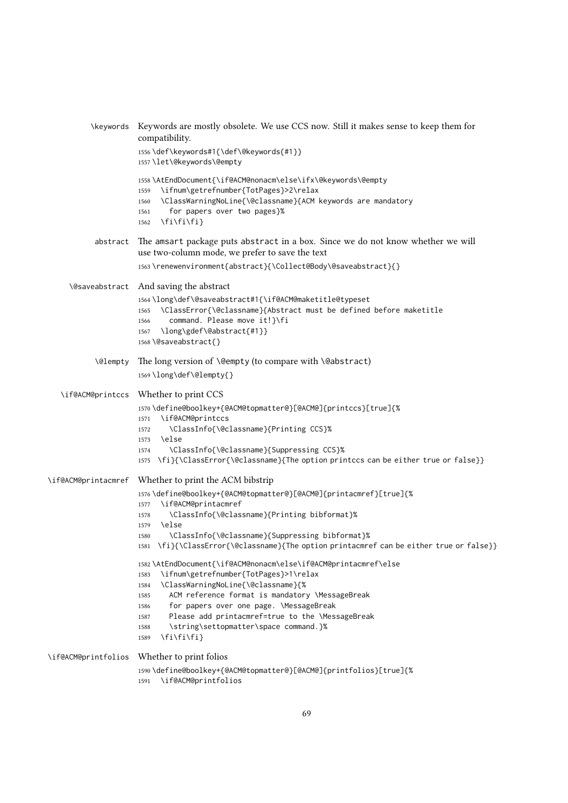|                       | \keywords Keywords are mostly obsolete. We use CCS now. Still it makes sense to keep them for<br>compatibility.                                                                                                                                  |
|-----------------------|--------------------------------------------------------------------------------------------------------------------------------------------------------------------------------------------------------------------------------------------------|
|                       | 1556\def\keywords#1{\def\@keywords{#1}}<br>1557\let\@keywords\@empty                                                                                                                                                                             |
|                       | 1558\AtEndDocument{\if@ACM@nonacm\else\ifx\@keywords\@empty<br>\ifnum\getrefnumber{TotPages}>2\relax<br>1559<br>\ClassWarningNoLine{\@classname}{ACM keywords are mandatory<br>1560<br>for papers over two pages}%<br>1561<br>\fi\fi\fi}<br>1562 |
| abstract              | The amsart package puts abstract in a box. Since we do not know whether we will<br>use two-column mode, we prefer to save the text                                                                                                               |
|                       | 1563\renewenvironment{abstract}{\Collect@Body\@saveabstract}{}                                                                                                                                                                                   |
| <b>\@saveabstract</b> | And saving the abstract                                                                                                                                                                                                                          |
|                       | 1564\long\def\@saveabstract#1{\if@ACM@maketitle@typeset<br>\ClassError{\@classname}{Abstract must be defined before maketitle<br>1565<br>command. Please move it!}\fi<br>1566<br>\long\gdef\@abstract{#1}}<br>1567<br>1568\@saveabstract{}       |
| \@lempty              | The long version of \@empty (to compare with \@abstract)                                                                                                                                                                                         |
|                       | 1569\long\def\@lempty{}                                                                                                                                                                                                                          |
|                       | \if@ACM@printccs Whether to print CCS                                                                                                                                                                                                            |
|                       | 1570\define@boolkey+{@ACM@topmatter@}[@ACM@]{printccs}[true]{%<br>\if@ACM@printccs<br>1571<br>\ClassInfo{\@classname}{Printing CCS}%<br>1572<br>\else<br>1573<br>\ClassInfo{\@classname}{Suppressing CCS}%<br>1574                               |
|                       | \fi}{\ClassError{\@classname}{The option printccs can be either true or false}}<br>1575                                                                                                                                                          |
| \if@ACM@printacmref   | Whether to print the ACM bibstrip                                                                                                                                                                                                                |
|                       | 1576\define@boolkey+{@ACM@topmatter@}[@ACM@]{printacmref}[true]{%<br>\if@ACM@printacmref<br>1577                                                                                                                                                 |
|                       | \ClassInfo{\@classname}{Printing bibformat}%<br>1578<br>\else<br>1579                                                                                                                                                                            |
|                       | \ClassInfo{\@classname}{Suppressing bibformat}%<br>1580                                                                                                                                                                                          |
|                       | 1581 \fi}{\ClassError{\@classname}{The option printacmref can be either true or false}}                                                                                                                                                          |
|                       | 1582\AtEndDocument{\if@ACM@nonacm\else\if@ACM@printacmref\else<br>\ifnum\getrefnumber{TotPages}>1\relax<br>1583                                                                                                                                  |
|                       | \ClassWarningNoLine{\@classname}{%<br>1584                                                                                                                                                                                                       |
|                       | ACM reference format is mandatory \MessageBreak<br>1585                                                                                                                                                                                          |
|                       | for papers over one page. \MessageBreak<br>1586<br>Please add printacmref=true to the \MessageBreak<br>1587                                                                                                                                      |
|                       | \string\settopmatter\space command.}%<br>1588                                                                                                                                                                                                    |
|                       | \fi\fi\fi}<br>1589                                                                                                                                                                                                                               |
| \if@ACM@printfolios   | Whether to print folios                                                                                                                                                                                                                          |
|                       | 1590\define@boolkey+{@ACM@topmatter@}[@ACM@]{printfolios}[true]{%<br>\if@ACM@printfolios<br>1591                                                                                                                                                 |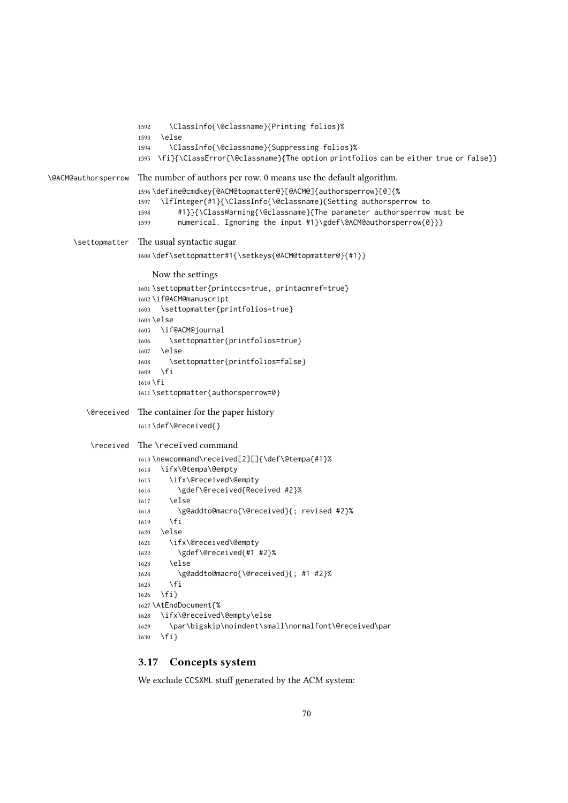```
1592 \ClassInfo{\@classname}{Printing folios}%
                     1593 \else
                     1594 \ClassInfo{\@classname}{Suppressing folios}%
                     1595 \fi}{\ClassError{\@classname}{The option printfolios can be either true or false}}
\@ACM@authorsperrow The number of authors per row. 0 means use the default algorithm.
                     1596 \define@cmdkey{@ACM@topmatter@}[@ACM@]{authorsperrow}[0]{%
                     1597 \IfInteger{#1}{\ClassInfo{\@classname}{Setting authorsperrow to
                     1598 #1}}{\ClassWarning{\@classname}{The parameter authorsperrow must be
                     1599 numerical. Ignoring the input #1}\gdef\@ACM@authorsperrow{0}}}
      \settopmatter The usual syntactic sugar
                     1600 \def\settopmatter#1{\setkeys{@ACM@topmatter@}{#1}}
                        Now the settings
                     1601 \settopmatter{printccs=true, printacmref=true}
                     1602 \if@ACM@manuscript
                     1603 \settopmatter{printfolios=true}
                     1604 \else
                     1605 \if@ACM@journal
                     1606 \settopmatter{printfolios=true}
                     1607 \else
                     1608 \settopmatter{printfolios=false}
                     1609 \fi
                     1610 \fi
                     1611 \settopmatter{authorsperrow=0}
         \@received The container for the paper history
                     1612 \def\@received{}
          \received The \received command
                     1613 \newcommand\received[2][]{\def\@tempa{#1}%
                     1614 \ifx\@tempa\@empty
                     1615 \ifx\@received\@empty
                     1616 \gdef\@received{Received #2}%
                     1617 \else
                     1618 \g@addto@macro{\@received}{; revised #2}%
                     1619 \fi
                     1620 \else
                     1621 \ifx\@received\@empty
                     1622 \gdef\@received{#1 #2}%
                     1623 \else
                     1624 \g@addto@macro{\@received}{; #1 #2}%
                     1625 \fi
                     1626 \fi}
                     1627 \AtEndDocument{%
                     1628 \ifx\@received\@empty\else
                     1629 \par\bigskip\noindent\small\normalfont\@received\par
                     1630 \fi}
```
# 3.17 Concepts system

We exclude CCSXML stuff generated by the ACM system: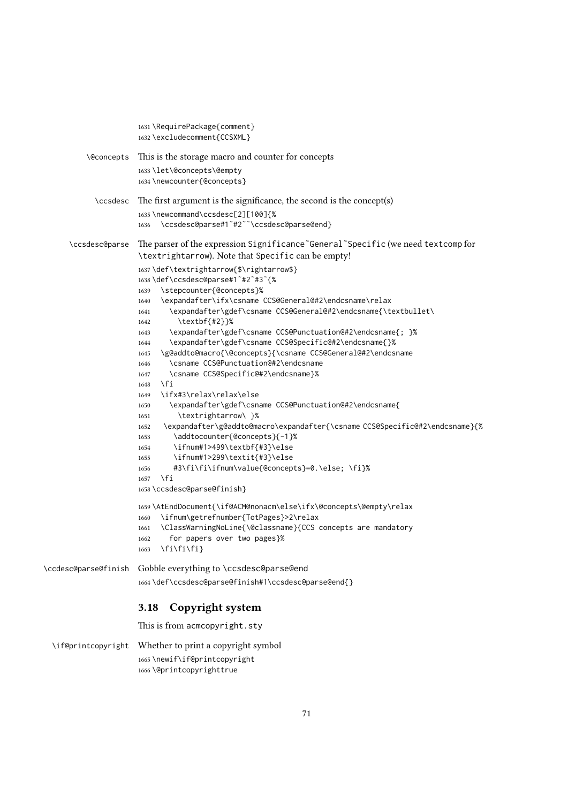```
1631 \RequirePackage{comment}
                      1632 \excludecomment{CCSXML}
         \@concepts This is the storage macro and counter for concepts
                      1633 \let\@concepts\@empty
                     1634 \newcounter{@concepts}
           \ccsdesc The first argument is the significance, the second is the concept(s)
                      1635 \newcommand\ccsdesc[2][100]{%
                      1636 \ccsdesc@parse#1˜#2˜˜\ccsdesc@parse@end}
     \ccsdesc@parse The parser of the expression Significance˜General˜Specific (we need textcomp for
                      \textrightarrow). Note that Specific can be empty!
                     1637 \def\textrightarrow{$\rightarrow$}
                     1638 \def\ccsdesc@parse#1˜#2˜#3˜{%
                     1639 \stepcounter{@concepts}%
                     1640 \expandafter\ifx\csname CCS@General@#2\endcsname\relax
                     1641 \expandafter\gdef\csname CCS@General@#2\endcsname{\textbullet\
                     1642 \textbf{#2}}%
                     1643 \expandafter\gdef\csname CCS@Punctuation@#2\endcsname{; }%
                     1644 \expandafter\gdef\csname CCS@Specific@#2\endcsname{}%
                      1645 \g@addto@macro{\@concepts}{\csname CCS@General@#2\endcsname
                      1646 \csname CCS@Punctuation@#2\endcsname
                      1647 \csname CCS@Specific@#2\endcsname}%
                     1648 \fi
                     1649 \ifx#3\relax\relax\else
                     1650 \expandafter\gdef\csname CCS@Punctuation@#2\endcsname{
                     1651 \textrightarrow\ }%
                     1652 \expandafter\g@addto@macro\expandafter{\csname CCS@Specific@#2\endcsname}{%
                     1653 \addtocounter{@concepts}{-1}%
                     1654 \ifnum#1>499\textbf{#3}\else
                     1655 \ifnum#1>299\textit{#3}\else
                      1656 #3\fi\fi\ifnum\value{@concepts}=0.\else; \fi}%
                      1657 \fi
                     1658 \ccsdesc@parse@finish}
                     1659 \AtEndDocument{\if@ACM@nonacm\else\ifx\@concepts\@empty\relax
                     1660 \ifnum\getrefnumber{TotPages}>2\relax
                     1661 \ClassWarningNoLine{\@classname}{CCS concepts are mandatory
                     1662 for papers over two pages}%
                     1663 \fi\fi\fi}
\ccdesc@parse@finish Gobble everything to \ccsdesc@parse@end
                      1664 \def\ccsdesc@parse@finish#1\ccsdesc@parse@end{}
                      3.18 Copyright system
                     This is from acmcopyright.sty
 \if@printcopyright Whether to print a copyright symbol
                     1665 \newif\if@printcopyright
                     1666 \@printcopyrighttrue
```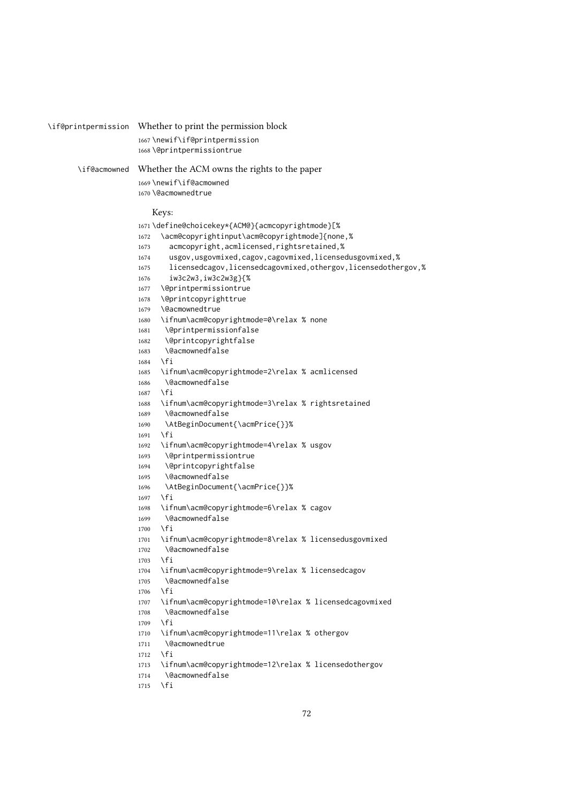| \if@printpermission | Whether to print the permission block                                             |
|---------------------|-----------------------------------------------------------------------------------|
|                     |                                                                                   |
|                     | 1667\newif\if@printpermission                                                     |
|                     | 1668\@printpermissiontrue                                                         |
| \if@acmowned        | Whether the ACM owns the rights to the paper                                      |
|                     | 1669\newif\if@acmowned                                                            |
|                     | 1670 \@acmownedtrue                                                               |
|                     |                                                                                   |
|                     | Keys:                                                                             |
|                     | 1671 \define@choicekey*{ACM@}{acmcopyrightmode}[%                                 |
|                     | \acm@copyrightinput\acm@copyrightmode]{none,%<br>1672                             |
|                     | acmcopyright, acmlicensed, rightsretained,%<br>1673                               |
|                     | usgov, usgovmixed, cagov, cagovmixed, licensedusgovmixed, %<br>1674               |
|                     | licensedcagov, licensedcagovmixed, othergov, licensedothergov, %<br>1675          |
|                     | iw3c2w3, iw3c2w3g}{%<br>1676                                                      |
|                     | \@printpermissiontrue<br>1677                                                     |
|                     | \@printcopyrighttrue<br>1678<br>\@acmownedtrue                                    |
|                     | 1679                                                                              |
|                     | \ifnum\acm@copyrightmode=0\relax % none<br>1680<br>\@printpermissionfalse<br>1681 |
|                     | \@printcopyrightfalse<br>1682                                                     |
|                     | <b>\@acmownedfalse</b><br>1683                                                    |
|                     | \fi<br>1684                                                                       |
|                     | \ifnum\acm@copyrightmode=2\relax % acmlicensed<br>1685                            |
|                     | \@acmownedfalse<br>1686                                                           |
|                     | $\sqrt{fi}$<br>1687                                                               |
|                     | \ifnum\acm@copyrightmode=3\relax % rightsretained<br>1688                         |
|                     | \@acmownedfalse<br>1689                                                           |
|                     | \AtBeginDocument{\acmPrice{}}%<br>1690                                            |
|                     | \fi<br>1691                                                                       |
|                     | \ifnum\acm@copyrightmode=4\relax % usgov<br>1692                                  |
|                     | \@printpermissiontrue<br>1693                                                     |
|                     | \@printcopyrightfalse<br>1694                                                     |
|                     | <b>\@acmownedfalse</b><br>1695                                                    |
|                     | \AtBeginDocument{\acmPrice{}}%<br>1696<br>\fi                                     |
|                     | 1697<br>\ifnum\acm@copyrightmode=6\relax % cagov<br>1698                          |
|                     | \@acmownedfalse<br>1699                                                           |
|                     | \fi<br>1700                                                                       |
|                     | \ifnum\acm@copyrightmode=8\relax % licensedusgovmixed<br>1701                     |
|                     | \@acmownedfalse<br>1702                                                           |
|                     | \fi<br>1703                                                                       |
|                     | \ifnum\acm@copyrightmode=9\relax % licensedcagov<br>1704                          |
|                     | \@acmownedfalse<br>1705                                                           |
|                     | $\sqrt{fi}$<br>1706                                                               |
|                     | \ifnum\acm@copyrightmode=10\relax % licensedcagovmixed<br>1707                    |
|                     | \@acmownedfalse<br>1708                                                           |
|                     | \fi<br>1709                                                                       |
|                     | \ifnum\acm@copyrightmode=11\relax % othergov<br>1710                              |
|                     | \@acmownedtrue<br>1711                                                            |
|                     | \fi<br>1712                                                                       |
|                     | \ifnum\acm@copyrightmode=12\relax % licensedothergov<br>1713<br>\@acmownedfalse   |
|                     | 1714<br>\fi<br>1715                                                               |
|                     |                                                                                   |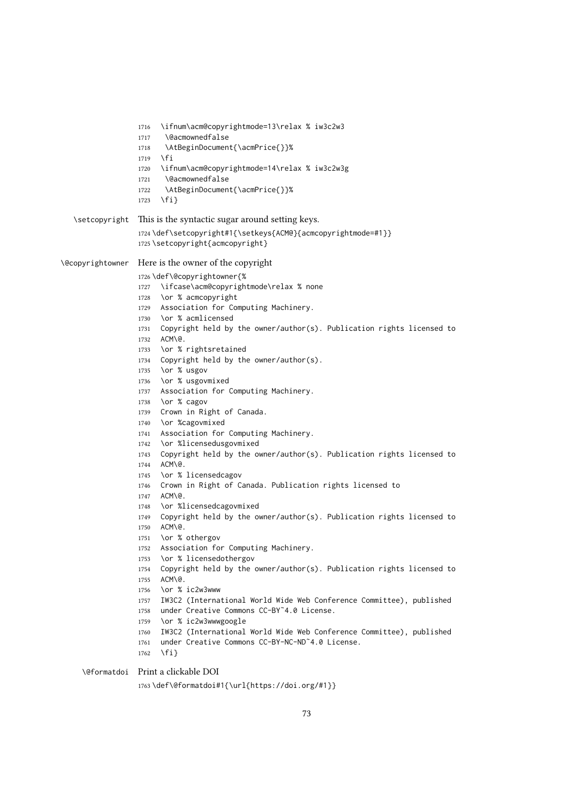\ifnum\acm@copyrightmode=13\relax % iw3c2w3 \@acmownedfalse \AtBeginDocument{\acmPrice{}}% \fi \ifnum\acm@copyrightmode=14\relax % iw3c2w3g \@acmownedfalse \AtBeginDocument{\acmPrice{}}% \fi} \setcopyright This is the syntactic sugar around setting keys. \def\setcopyright#1{\setkeys{ACM@}{acmcopyrightmode=#1}} \setcopyright{acmcopyright} \@copyrightowner Here is the owner of the copyright \def\@copyrightowner{% \ifcase\acm@copyrightmode\relax % none \or % acmcopyright Association for Computing Machinery. \or % acmlicensed Copyright held by the owner/author(s). Publication rights licensed to ACM\@. \or % rightsretained Copyright held by the owner/author(s). \or % usgov \or % usgovmixed Association for Computing Machinery. \or % cagov Crown in Right of Canada. \or %cagovmixed Association for Computing Machinery. \or %licensedusgovmixed Copyright held by the owner/author(s). Publication rights licensed to ACM\@. 1745 \or % licensedcagov Crown in Right of Canada. Publication rights licensed to ACM\@. \or %licensedcagovmixed Copyright held by the owner/author(s). Publication rights licensed to ACM\@. \or % othergov Association for Computing Machinery. \or % licensedothergov Copyright held by the owner/author(s). Publication rights licensed to ACM\@. \or % ic2w3www IW3C2 (International World Wide Web Conference Committee), published under Creative Commons CC-BY˜4.0 License. \or % ic2w3wwwgoogle IW3C2 (International World Wide Web Conference Committee), published under Creative Commons CC-BY-NC-ND˜4.0 License. 1762 \fi} \@formatdoi Print a clickable DOI \def\@formatdoi#1{\url{https://doi.org/#1}}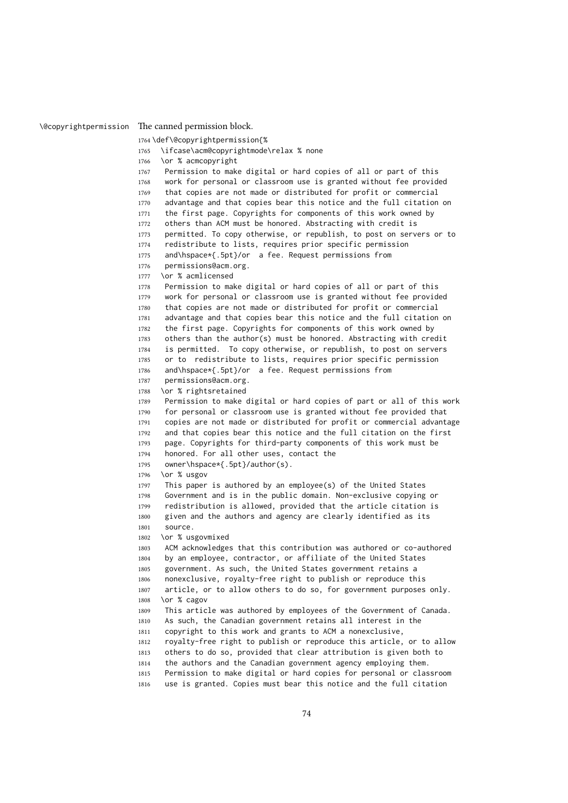\@copyrightpermission The canned permission block.

```
1764 \def\@copyrightpermission{%
1765 \ifcase\acm@copyrightmode\relax % none
1766 \or % acmcopyright
1767 Permission to make digital or hard copies of all or part of this
1768 work for personal or classroom use is granted without fee provided
1769 that copies are not made or distributed for profit or commercial
1770 advantage and that copies bear this notice and the full citation on
1771 the first page. Copyrights for components of this work owned by
1772 others than ACM must be honored. Abstracting with credit is
1773 permitted. To copy otherwise, or republish, to post on servers or to
1774 redistribute to lists, requires prior specific permission
1775 and\hspace*{.5pt}/or a fee. Request permissions from
1776 permissions@acm.org.
1777 \or % acmlicensed
1778 Permission to make digital or hard copies of all or part of this
1779 work for personal or classroom use is granted without fee provided
1780 that copies are not made or distributed for profit or commercial
1781 advantage and that copies bear this notice and the full citation on
1782 the first page. Copyrights for components of this work owned by
1783 others than the author(s) must be honored. Abstracting with credit
1784 is permitted. To copy otherwise, or republish, to post on servers
1785 or to redistribute to lists, requires prior specific permission
1786 and\hspace*{.5pt}/or a fee. Request permissions from
1787 permissions@acm.org.
1788 \or % rightsretained
1789 Permission to make digital or hard copies of part or all of this work
1790 for personal or classroom use is granted without fee provided that
1791 copies are not made or distributed for profit or commercial advantage
1792 and that copies bear this notice and the full citation on the first
1793 page. Copyrights for third-party components of this work must be
1794 honored. For all other uses, contact the
1795 owner\hspace*{.5pt}/author(s).
1796 \or % usgov
1797 This paper is authored by an employee(s) of the United States
1798 Government and is in the public domain. Non-exclusive copying or
1799 redistribution is allowed, provided that the article citation is
1800 given and the authors and agency are clearly identified as its
1801 source.
1802 \or % usgovmixed
1803 ACM acknowledges that this contribution was authored or co-authored
1804 by an employee, contractor, or affiliate of the United States
1805 government. As such, the United States government retains a
1806 nonexclusive, royalty-free right to publish or reproduce this
1807 article, or to allow others to do so, for government purposes only.
1808 \or % cagov
1809 This article was authored by employees of the Government of Canada.
1810 As such, the Canadian government retains all interest in the
1811 copyright to this work and grants to ACM a nonexclusive,
1812 royalty-free right to publish or reproduce this article, or to allow
1813 others to do so, provided that clear attribution is given both to
1814 the authors and the Canadian government agency employing them.
1815 Permission to make digital or hard copies for personal or classroom
1816 use is granted. Copies must bear this notice and the full citation
```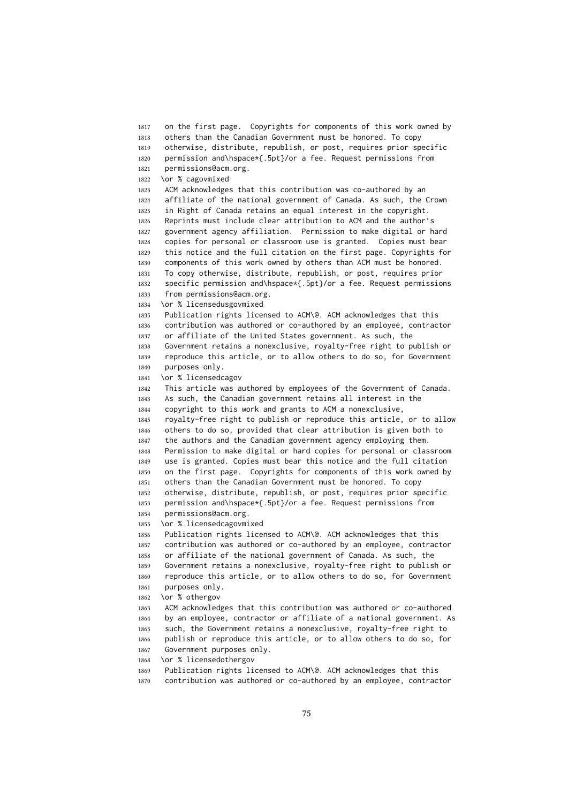on the first page. Copyrights for components of this work owned by others than the Canadian Government must be honored. To copy otherwise, distribute, republish, or post, requires prior specific permission and\hspace\*{.5pt}/or a fee. Request permissions from permissions@acm.org. \or % cagovmixed ACM acknowledges that this contribution was co-authored by an affiliate of the national government of Canada. As such, the Crown in Right of Canada retains an equal interest in the copyright. Reprints must include clear attribution to ACM and the author's government agency affiliation. Permission to make digital or hard copies for personal or classroom use is granted. Copies must bear this notice and the full citation on the first page. Copyrights for components of this work owned by others than ACM must be honored. To copy otherwise, distribute, republish, or post, requires prior specific permission and\hspace\*{.5pt}/or a fee. Request permissions from permissions@acm.org. \or % licensedusgovmixed Publication rights licensed to ACM\@. ACM acknowledges that this contribution was authored or co-authored by an employee, contractor or affiliate of the United States government. As such, the Government retains a nonexclusive, royalty-free right to publish or reproduce this article, or to allow others to do so, for Government purposes only. \or % licensedcagov This article was authored by employees of the Government of Canada. As such, the Canadian government retains all interest in the copyright to this work and grants to ACM a nonexclusive, royalty-free right to publish or reproduce this article, or to allow others to do so, provided that clear attribution is given both to the authors and the Canadian government agency employing them. Permission to make digital or hard copies for personal or classroom use is granted. Copies must bear this notice and the full citation on the first page. Copyrights for components of this work owned by others than the Canadian Government must be honored. To copy otherwise, distribute, republish, or post, requires prior specific permission and\hspace\*{.5pt}/or a fee. Request permissions from permissions@acm.org. \or % licensedcagovmixed Publication rights licensed to ACM\@. ACM acknowledges that this contribution was authored or co-authored by an employee, contractor or affiliate of the national government of Canada. As such, the Government retains a nonexclusive, royalty-free right to publish or reproduce this article, or to allow others to do so, for Government purposes only. \or % othergov ACM acknowledges that this contribution was authored or co-authored by an employee, contractor or affiliate of a national government. As such, the Government retains a nonexclusive, royalty-free right to publish or reproduce this article, or to allow others to do so, for Government purposes only. \or % licensedothergov Publication rights licensed to ACM\@. ACM acknowledges that this

contribution was authored or co-authored by an employee, contractor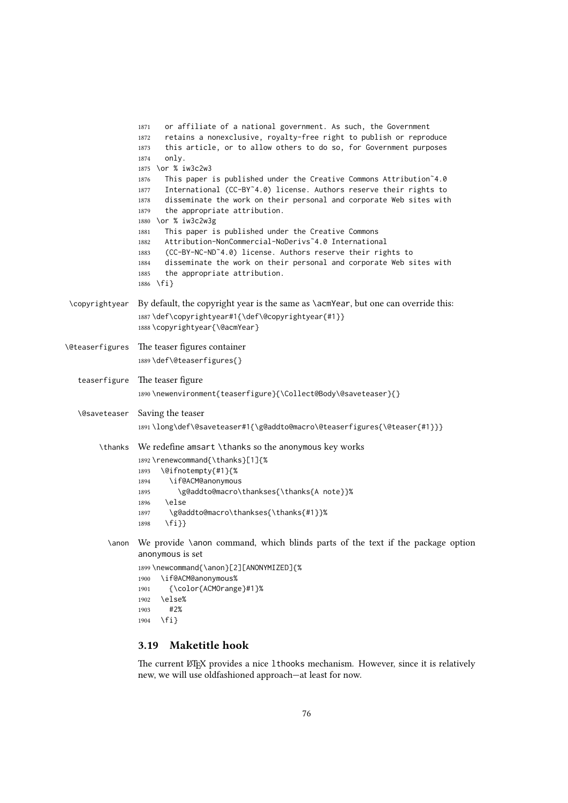```
1871 or affiliate of a national government. As such, the Government
                 1872 retains a nonexclusive, royalty-free right to publish or reproduce
                 1873 this article, or to allow others to do so, for Government purposes
                 1874 only.
                 1875 \or % iw3c2w3
                 1876 This paper is published under the Creative Commons Attribution~4.0
                 1877 International (CC-BY˜4.0) license. Authors reserve their rights to
                 1878 disseminate the work on their personal and corporate Web sites with
                 1879 the appropriate attribution.
                 1880 \or % iw3c2w3g
                 1881 This paper is published under the Creative Commons
                 1882 Attribution-NonCommercial-NoDerivs˜4.0 International
                 1883 (CC-BY-NC-ND˜4.0) license. Authors reserve their rights to
                 1884 disseminate the work on their personal and corporate Web sites with
                 1885 the appropriate attribution.
                 1886 \fi}
 \copyrightyear By default, the copyright year is the same as \acmYear, but one can override this:
                 1887 \def\copyrightyear#1{\def\@copyrightyear{#1}}
                 1888 \copyrightyear{\@acmYear}
\@teaserfigures The teaser figures container
                 1889 \def\@teaserfigures{}
   teaserfigure The teaser figure
                 1890 \newenvironment{teaserfigure}{\Collect@Body\@saveteaser}{}
   \@saveteaser Saving the teaser
                 1891 \long\def\@saveteaser#1{\g@addto@macro\@teaserfigures{\@teaser{#1}}}
       \thanks We redefine amsart \thanks so the anonymous key works
                 1892 \renewcommand{\thanks}[1]{%
                 1893 \@ifnotempty{#1}{%
                 1894 \if@ACM@anonymous
                 1895 \g@addto@macro\thankses{\thanks{A note}}%
                 1896 \else
                 1897 \g@addto@macro\thankses{\thanks{#1}}%
                 1898 \fi}}
          \anon We provide \anon command, which blinds parts of the text if the package option
                 anonymous is set
                 1899 \newcommand{\anon}[2][ANONYMIZED]{%
```

```
1900 \if@ACM@anonymous%
1901 {\color{ACMOrange}#1}%
1902 \else%
1903 #2%
1904 \fi}
```
## 3.19 Maketitle hook

The current LATEX provides a nice 1 thooks mechanism. However, since it is relatively new, we will use oldfashioned approach—at least for now.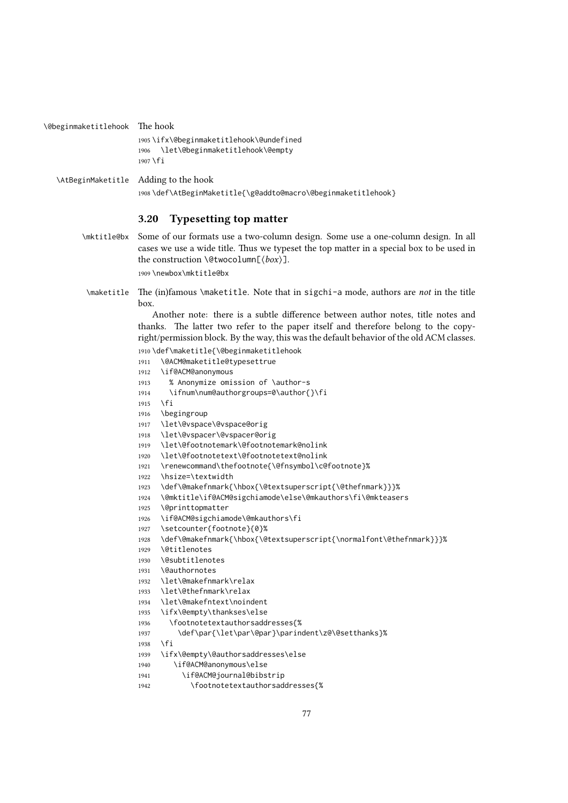```
1905 \ifx\@beginmaketitlehook\@undefined
                   1906 \let\@beginmaketitlehook\@empty
                   1907 \fi
\AtBeginMaketitle Adding to the hook
                   1908 \def\AtBeginMaketitle{\g@addto@macro\@beginmaketitlehook}
                   3.20 Typesetting top matter
      \mktitle@bx Some of our formats use a two-column design. Some use a one-column design. In all
                   cases we use a wide title. Thus we typeset the top matter in a special box to be used in
                   the construction \@twocolumn[⟨box⟩].
                   1909 \newbox\mktitle@bx
       \maketitle The (in)famous \maketitle. Note that in sigchi-a mode, authors are not in the title
                   box.
                       Another note: there is a subtle difference between author notes, title notes and
                   thanks. The latter two refer to the paper itself and therefore belong to the copy-
                   right/permission block. By the way, this was the default behavior of the old ACM classes.
                   1910 \def\maketitle{\@beginmaketitlehook
                   1911 \@ACM@maketitle@typesettrue
                   1912 \if@ACM@anonymous
                   1913 % Anonymize omission of \author-s
                   1914 \ifnum\num@authorgroups=0\author{}\fi
                   1915 \fi
```

```
1916 \begingroup
```
\@beginmaketitlehook The hook

```
1917 \let\@vspace\@vspace@orig
```

```
1918 \let\@vspacer\@vspacer@orig
```

```
1919 \let\@footnotemark\@footnotemark@nolink
```
- \let\@footnotetext\@footnotetext@nolink
- \renewcommand\thefootnote{\@fnsymbol\c@footnote}%
- \hsize=\textwidth
- \def\@makefnmark{\hbox{\@textsuperscript{\@thefnmark}}}%
- \@mktitle\if@ACM@sigchiamode\else\@mkauthors\fi\@mkteasers
- \@printtopmatter
- \if@ACM@sigchiamode\@mkauthors\fi
- \setcounter{footnote}{0}%
- \def\@makefnmark{\hbox{\@textsuperscript{\normalfont\@thefnmark}}}%
- \@titlenotes
- \@subtitlenotes
- \@authornotes
- \let\@makefnmark\relax
- \let\@thefnmark\relax
- \let\@makefntext\noindent
- \ifx\@empty\thankses\else
- \footnotetextauthorsaddresses{%
- \def\par{\let\par\@par}\parindent\z@\@setthanks}%
- \fi
- \ifx\@empty\@authorsaddresses\else
- \if@ACM@anonymous\else
- \if@ACM@journal@bibstrip
- \footnotetextauthorsaddresses{%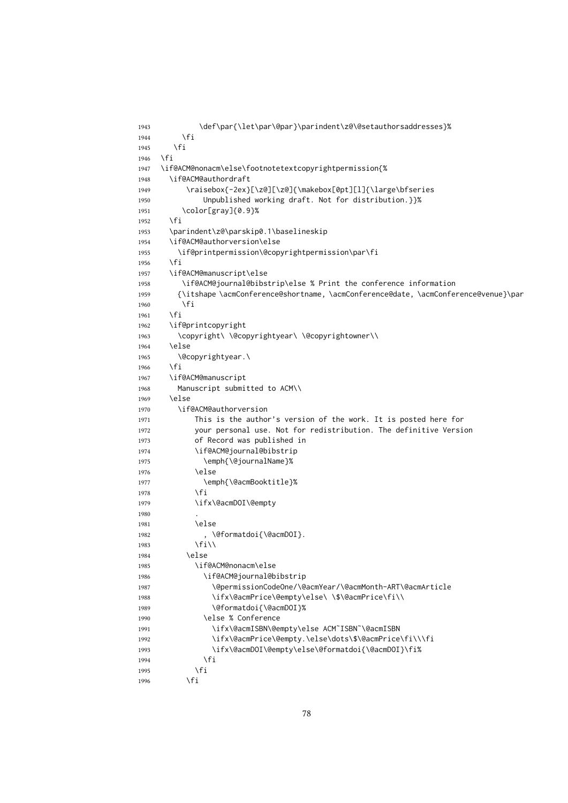```
1943 \def\par{\let\par\@par}\parindent\z@\@setauthorsaddresses}%
1944 \fi
1945 \fi
1946 \fi
1947 \if@ACM@nonacm\else\footnotetextcopyrightpermission{%
1948 \if@ACM@authordraft
1949 \raisebox{-2ex}[\z@][\z@]{\makebox[0pt][l]{\large\bfseries
1950 Unpublished working draft. Not for distribution.}}%
1951 \color[gray]{0.9}%
1952 \fi
1953 \parindent\z@\parskip0.1\baselineskip
1954 \if@ACM@authorversion\else
1955 \if@printpermission\@copyrightpermission\par\fi
1956 \fi
1957 \if@ACM@manuscript\else
1958 \if@ACM@journal@bibstrip\else % Print the conference information
1959 {\itshape \acmConference@shortname, \acmConference@date, \acmConference@venue}\par
1960 \fi
1961 \fi
1962 \if@printcopyright
1963 \copyright\ \@copyrightyear\ \@copyrightowner\\
1964 \left\{ \begin{array}{c} \infty \end{array} \right\}1965 \@copyrightyear.\
1966 \fi
1967 \if@ACM@manuscript
1968 Manuscript submitted to ACM\\
1969 \else
1970 \if@ACM@authorversion
1971 This is the author's version of the work. It is posted here for
1972 your personal use. Not for redistribution. The definitive Version
1973 of Record was published in
1974 \if@ACM@journal@bibstrip
1975 \emph{\@journalName}%
1976 \else
1977 \emph{\@acmBooktitle}%
1978 \fi
1979 \ifx\@acmDOI\@empty
1980
1981 \else
1982 , \@formatdoi{\@acmDOI}.
1983 \forallfi\setminus1984 \bigcap \bigcap \bigcap1985 \if@ACM@nonacm\else
1986 \if@ACM@journal@bibstrip
1987 \@permissionCodeOne/\@acmYear/\@acmMonth-ART\@acmArticle
1988 \ifx\@acmPrice\@empty\else\ \$\@acmPrice\fi\\
1989 \@formatdoi{\@acmDOI}%
1990 \else % Conference
1991 \ifx\@acmISBN\@empty\else ACM˜ISBN˜\@acmISBN
1992 \ifx\@acmPrice\@empty.\else\dots\$\@acmPrice\fi\\\fi
1993 \ifx\@acmDOI\@empty\else\@formatdoi{\@acmDOI}\fi%
1994 \fi
1995 \fi
1996 \fi
```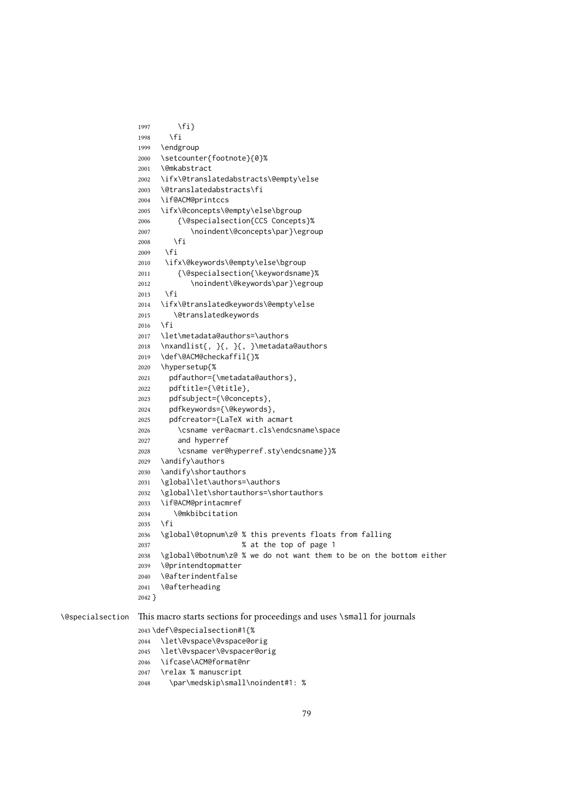```
1997 \fi}
1998 \fi
1999 \endgroup
2000 \setcounter{footnote}{0}%
2001 \@mkabstract
2002 \ifx\@translatedabstracts\@empty\else
2003 \@translatedabstracts\fi
2004 \if@ACM@printccs
2005 \ifx\@concepts\@empty\else\bgroup
2006 {\@specialsection{CCS Concepts}%
2007 \noindent\@concepts\par}\egroup
2008 \fi
2009 \fi
2010 \ifx\@keywords\@empty\else\bgroup
2011 {\@specialsection{\keywordsname}%
2012 \noindent\@keywords\par}\egroup
2013 \fi
2014 \ifx\@translatedkeywords\@empty\else
2015 \@translatedkeywords
2016 \fi
2017 \let\metadata@authors=\authors
2018 \nxandlist{, }{, }{, }\metadata@authors
2019 \def\@ACM@checkaffil{}%
2020 \hypersetup{%
2021 pdfauthor={\metadata@authors},
2022 pdftitle={\@title},
2023 pdfsubject={\@concepts},
2024 pdfkeywords={\@keywords},
2025 pdfcreator={LaTeX with acmart
2026 \csname ver@acmart.cls\endcsname\space
2027 and hyperref
2028 \csname ver@hyperref.sty\endcsname}}%
2029 \andify\authors
2030 \andify\shortauthors
2031 \global\let\authors=\authors
2032 \global\let\shortauthors=\shortauthors
2033 \if@ACM@printacmref
2034 \@mkbibcitation
2035 \fi
2036 \global\@topnum\z@ % this prevents floats from falling
2037 % at the top of page 1
2038 \global\@botnum\z@ % we do not want them to be on the bottom either
2039 \@printendtopmatter
2040 \@afterindentfalse
2041 \@afterheading
2042 }
```
\@specialsection This macro starts sections for proceedings and uses \small for journals

- \def\@specialsection#1{%
- \let\@vspace\@vspace@orig
- \let\@vspacer\@vspacer@orig
- \ifcase\ACM@format@nr
- \relax % manuscript
- \par\medskip\small\noindent#1: %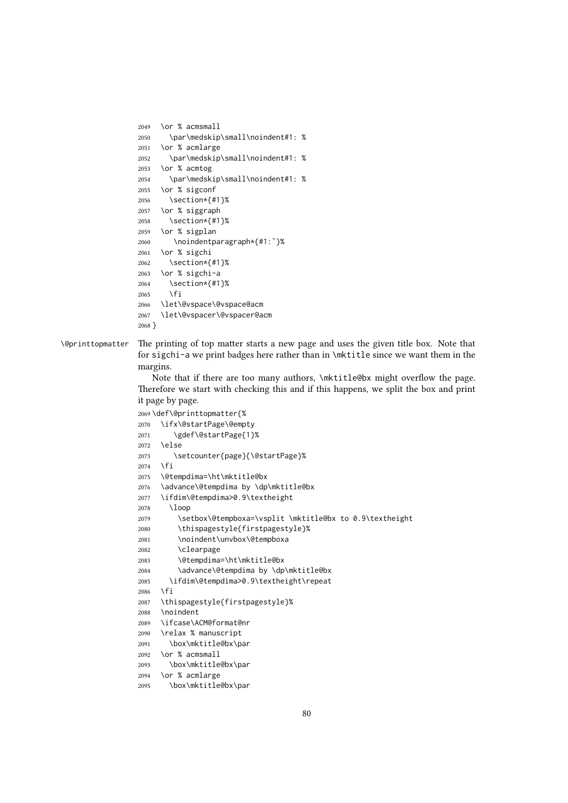```
2049 \or % acmsmall
2050 \par\medskip\small\noindent#1: %
2051 \or % acmlarge
2052 \par\medskip\small\noindent#1: %
2053 \or % acmtog
2054 \par\medskip\small\noindent#1: %
2055 \or % sigconf
2056 \section*{#1}%
2057 \or % siggraph
2058 \section*{#1}%
2059 \or % sigplan
2060 \noindentparagraph*{#1:˜}%
2061 \or % sigchi
2062 \section*{#1}%
2063 \or % sigchi-a
2064 \section*{#1}%
2065 \fi
2066 \let\@vspace\@vspace@acm
2067 \let\@vspacer\@vspacer@acm
2068 }
```
#### \@printtopmatter The printing of top matter starts a new page and uses the given title box. Note that for sigchi-a we print badges here rather than in \mktitle since we want them in the margins.

Note that if there are too many authors, \mktitle@bx might overflow the page. Therefore we start with checking this and if this happens, we split the box and print it page by page.

```
2069 \def\@printtopmatter{%
2070 \ifx\@startPage\@empty
2071 \gdef\@startPage{1}%
2072 \else
2073 \setcounter{page}{\@startPage}%
2074 \fi
2075 \@tempdima=\ht\mktitle@bx
2076 \advance\@tempdima by \dp\mktitle@bx
2077 \ifdim\@tempdima>0.9\textheight
2078 \loop
2079 \setbox\@tempboxa=\vsplit \mktitle@bx to 0.9\textheight
2080 \thispagestyle{firstpagestyle}%
2081 \noindent\unvbox\@tempboxa
2082 \clearpage
2083 \@tempdima=\ht\mktitle@bx
2084 \advance\@tempdima by \dp\mktitle@bx
2085 \ifdim\@tempdima>0.9\textheight\repeat
2086 \fi
2087 \thispagestyle{firstpagestyle}%
2088 \noindent
2089 \ifcase\ACM@format@nr
2090 \relax % manuscript
2091 \box\mktitle@bx\par
2092 \or % acmsmall
2093 \box\mktitle@bx\par
2094 \or % acmlarge
```

```
2095 \box\mktitle@bx\par
```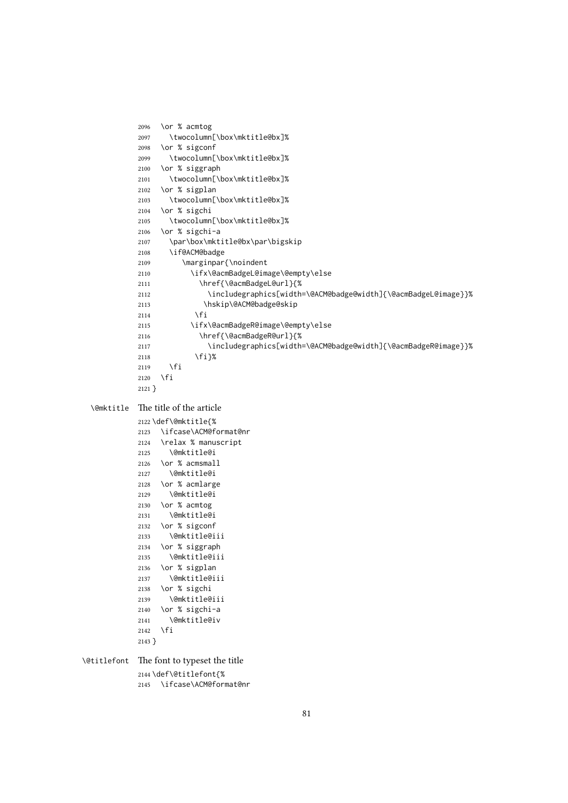```
2096 \or % acmtog
          2097 \twocolumn[\box\mktitle@bx]%
          2098 \or % sigconf
          2099 \twocolumn[\box\mktitle@bx]%
         2100 \or % siggraph
         2101 \twocolumn[\box\mktitle@bx]%
         2102 \or % sigplan
         2103 \twocolumn[\box\mktitle@bx]%
         2104 \or % sigchi
         2105 \twocolumn[\box\mktitle@bx]%
         2106 \or % sigchi-a
         2107 \par\box\mktitle@bx\par\bigskip
         2108 \if@ACM@badge
         2109 \marginpar{\noindent
         2110 \ifx\@acmBadgeL@image\@empty\else
          2111 \href{\@acmBadgeL@url}{%
          2112 \includegraphics[width=\@ACM@badge@width]{\@acmBadgeL@image}}%
          2113 \hskip\@ACM@badge@skip
         2114 \qquad \qquad \int f2115 \ifx\@acmBadgeR@image\@empty\else
         2116 \href{\@acmBadgeR@url}{%
         2117 \includegraphics[width=\@ACM@badge@width]{\@acmBadgeR@image}}%
         2118 \fi}%
         2119 \fi
         2120 \fi
         2121 }
\@mktitle The title of the article
         2122 \def\@mktitle{%
         2123 \ifcase\ACM@format@nr
```

```
2124 \relax % manuscript
2125 \@mktitle@i
2126 \or % acmsmall
2127 \@mktitle@i
2128 \or % acmlarge
2129 \@mktitle@i
2130 \or % acmtog
2131 \@mktitle@i
2132 \or % sigconf
2133 \@mktitle@iii
2134 \or % siggraph
2135 \@mktitle@iii
2136 \or % sigplan
2137 \@mktitle@iii
2138 \or % sigchi
2139 \@mktitle@iii
2140 \or % sigchi-a
2141 \@mktitle@iv
2142 \fi
2143 }
```
\@titlefont The font to typeset the title \def\@titlefont{% \ifcase\ACM@format@nr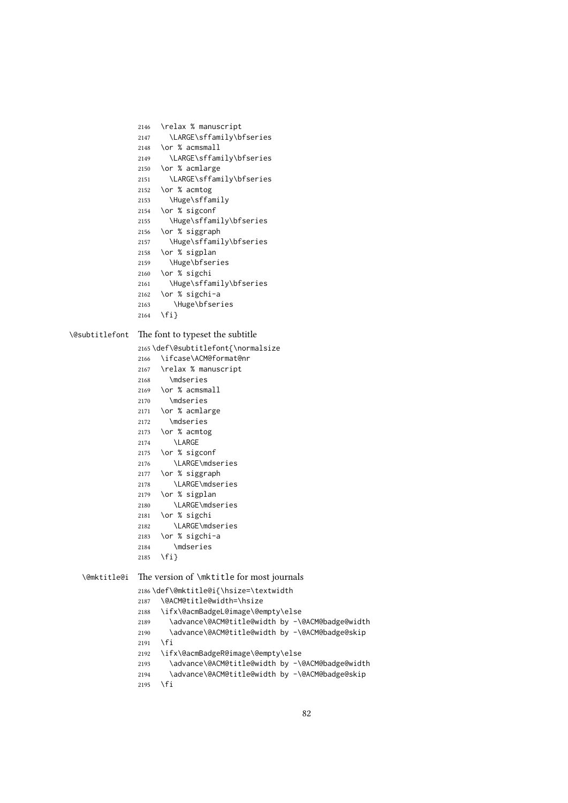```
2146 \relax % manuscript
2147 \LARGE\sffamily\bfseries
2148 \or % acmsmall
2149 \LARGE\sffamily\bfseries
2150 \or % acmlarge
2151 \LARGE\sffamily\bfseries
2152 \or % acmtog
2153 \Huge\sffamily
2154 \or % sigconf
2155 \Huge\sffamily\bfseries
2156 \or % siggraph
2157 \Huge\sffamily\bfseries
2158 \or % sigplan
2159 \Huge\bfseries
2160 \or % sigchi
2161 \Huge\sffamily\bfseries
2162 \or % sigchi-a
2163 \Huge\bfseries
2164 \fi}
```
\@subtitlefont The font to typeset the subtitle

```
2165 \def\@subtitlefont{\normalsize
2166 \ifcase\ACM@format@nr
2167 \relax % manuscript
2168 \mdseries
2169 \or % acmsmall
2170 \mdseries
2171 \or % acmlarge
2172 \mdseries
2173 \or % acmtog
2174 \LARGE
2175 \or % sigconf
2176 \LARGE\mdseries
2177 \or % siggraph
2178 \LARGE\mdseries
2179 \or % sigplan
2180 \LARGE\mdseries
2181 \or % sigchi
2182 \LARGE\mdseries
2183 \or % sigchi-a
2184 \mdseries
2185 \fi}
```
\@mktitle@i The version of \mktitle for most journals

```
2186 \def\@mktitle@i{\hsize=\textwidth
2187 \@ACM@title@width=\hsize
2188 \ifx\@acmBadgeL@image\@empty\else
2189 \advance\@ACM@title@width by -\@ACM@badge@width
2190 \advance\@ACM@title@width by -\@ACM@badge@skip
2191 \fi
2192 \ifx\@acmBadgeR@image\@empty\else
2193 \advance\@ACM@title@width by -\@ACM@badge@width
2194 \advance\@ACM@title@width by -\@ACM@badge@skip
2195 \fi
```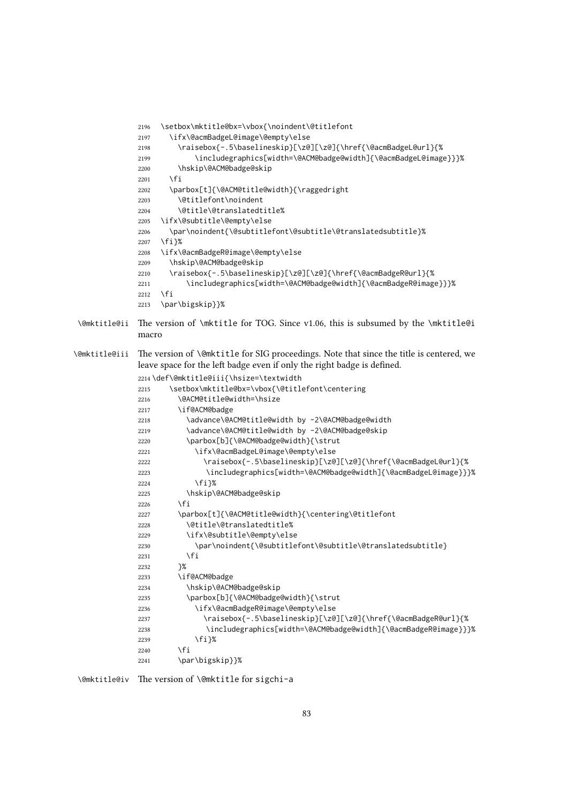```
2196 \setbox\mktitle@bx=\vbox{\noindent\@titlefont
             2197 \ifx\@acmBadgeL@image\@empty\else
             2198 \raisebox{-.5\baselineskip}[\z@][\z@]{\href{\@acmBadgeL@url}{%
             2199 \includegraphics[width=\@ACM@badge@width]{\@acmBadgeL@image}}}%
             2200 \hskip\@ACM@badge@skip
             2201 \fi
             2202 \parbox[t]{\@ACM@title@width}{\raggedright
             2203 \@titlefont\noindent
             2204 \@title\@translatedtitle%
             2205 \ifx\@subtitle\@empty\else
             2206 \par\noindent{\@subtitlefont\@subtitle\@translatedsubtitle}%
             2207 \fi}%
             2208 \ifx\@acmBadgeR@image\@empty\else
             2209 \hskip\@ACM@badge@skip
             2210 \raisebox{-.5\baselineskip}[\z@][\z@]{\href{\@acmBadgeR@url}{%
             2211 \includegraphics[width=\@ACM@badge@width]{\@acmBadgeR@image}}}%
             2212 \fi
             2213 \par\bigskip}}%
\@mktitle@ii The version of \mktitle for TOG. Since v1.06, this is subsumed by the \mktitle@i
             macro
\@mktitle@iii The version of \@mktitle for SIG proceedings. Note that since the title is centered, we
             leave space for the left badge even if only the right badge is defined.
             2214 \def\@mktitle@iii{\hsize=\textwidth
             2215 \setbox\mktitle@bx=\vbox{\@titlefont\centering
             2216 \@ACM@title@width=\hsize
             2217 \if@ACM@badge
             2218 \advance\@ACM@title@width by -2\@ACM@badge@width
             2219 \advance\@ACM@title@width by -2\@ACM@badge@skip
             2220 \parbox[b]{\@ACM@badge@width}{\strut
             2221 \ifx\@acmBadgeL@image\@empty\else
             2222 \raisebox{-.5\baselineskip}[\z@][\z@]{\href{\@acmBadgeL@url}{%
             2223 \includegraphics[width=\@ACM@badge@width]{\@acmBadgeL@image}}}%
             2224 \fi}%
             2225 \hskip\@ACM@badge@skip
             2226 \fi
             2227 \parbox[t]{\@ACM@title@width}{\centering\@titlefont
             2228 \@title\@translatedtitle%
             2229 \ifx\@subtitle\@empty\else
             2230 \par\noindent{\@subtitlefont\@subtitle\@translatedsubtitle}
             2231 \fi
             2232 }%
             2233 \if@ACM@badge
             2234 \hskip\@ACM@badge@skip
             2235 \parbox[b]{\@ACM@badge@width}{\strut
             2236 \ifx\@acmBadgeR@image\@empty\else
             2237 \raisebox{-.5\baselineskip}[\z@][\z@]{\href{\@acmBadgeR@url}{%
             2238 \includegraphics[width=\@ACM@badge@width]{\@acmBadgeR@image}}}%
             2239 \fi}%
             2240 \fi
             2241 \par\bigskip}}%
```
\@mktitle@iv The version of \@mktitle for sigchi-a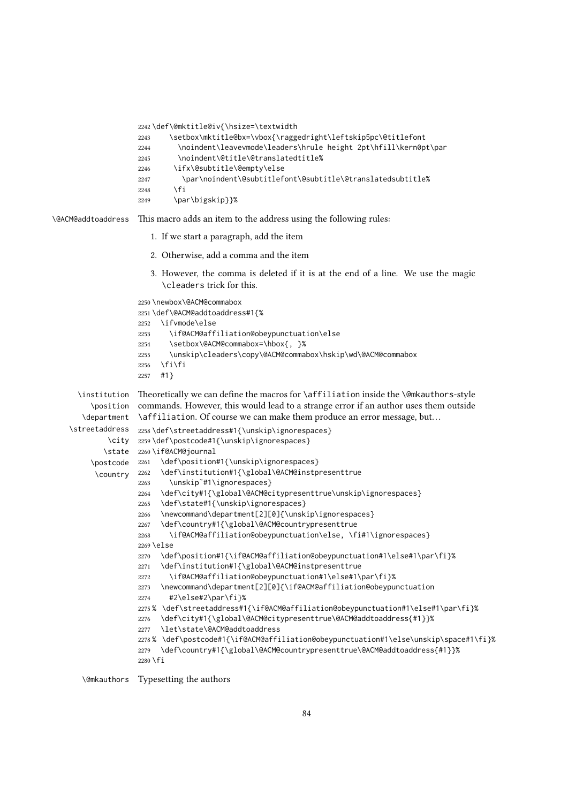2242 \def\@mktitle@iv{\hsize=\textwidth

```
2243 \setbox\mktitle@bx=\vbox{\raggedright\leftskip5pc\@titlefont
                    2244 \noindent\leavevmode\leaders\hrule height 2pt\hfill\kern0pt\par
                    2245 \noindent\@title\@translatedtitle%
                    2246 \ifx\@subtitle\@empty\else
                    2247 \par\noindent\@subtitlefont\@subtitle\@translatedsubtitle%
                    2248 \fi
                    2249 \par\bigskip}}%
\@ACM@addtoaddress This macro adds an item to the address using the following rules:
                       1. If we start a paragraph, add the item
                       2. Otherwise, add a comma and the item
                       3. However, the comma is deleted if it is at the end of a line. We use the magic
                          \cleaders trick for this.
                    2250 \newbox\@ACM@commabox
                    2251 \def\@ACM@addtoaddress#1{%
                    2252 \ifvmode\else
                    2253 \if@ACM@affiliation@obeypunctuation\else
                    2254 \setbox\@ACM@commabox=\hbox{, }%
                    2255 \unskip\cleaders\copy\@ACM@commabox\hskip\wd\@ACM@commabox
                    2256 \ifmmode \big\vert \text{ifif} \big\}2257 #1}
      \institution
Theoretically we can define the macros for \affiliation inside the \@mkauthors-style
         \position
      \department
    \streetaddress  2258\def\streetaddress#1{\unskip\ignorespaces}
             \city 2259\def\postcode#1{\unskip\ignorespaces}
            \state
2260 \if@ACM@journal
         \postcode 2261
          \country
                    commands. However, this would lead to a strange error if an author uses them outside
                    \affiliation. Of course we can make them produce an error message, but. . .
                         \def\position#1{\unskip\ignorespaces}
                         \def\institution#1{\global\@ACM@instpresenttrue
                    2263 \unskip˜#1\ignorespaces}
                    2264 \def\city#1{\global\@ACM@citypresenttrue\unskip\ignorespaces}
                    2265 \def\state#1{\unskip\ignorespaces}
                    2266 \newcommand\department[2][0]{\unskip\ignorespaces}
                    2267 \def\country#1{\global\@ACM@countrypresenttrue
                    2268 \if@ACM@affiliation@obeypunctuation\else, \fi#1\ignorespaces}
                    2269 \else
                    2270 \def\position#1{\if@ACM@affiliation@obeypunctuation#1\else#1\par\fi}%
                    2271 \def\institution#1{\global\@ACM@instpresenttrue
                    2272 \if@ACM@affiliation@obeypunctuation#1\else#1\par\fi}%
                    2273 \newcommand\department[2][0]{\if@ACM@affiliation@obeypunctuation
                    2274 #2\else#2\par\fi}%
                    2275 % \def\streetaddress#1{\if@ACM@affiliation@obeypunctuation#1\else#1\par\fi}%
                    2276 \def\city#1{\global\@ACM@citypresenttrue\@ACM@addtoaddress{#1}}%
                    2277 \let\state\@ACM@addtoaddress
                    2278 % \def\postcode#1{\if@ACM@affiliation@obeypunctuation#1\else\unskip\space#1\fi}%
                    2279 \def\country#1{\global\@ACM@countrypresenttrue\@ACM@addtoaddress{#1}}%
                    2280 \fi
```
\@mkauthors Typesetting the authors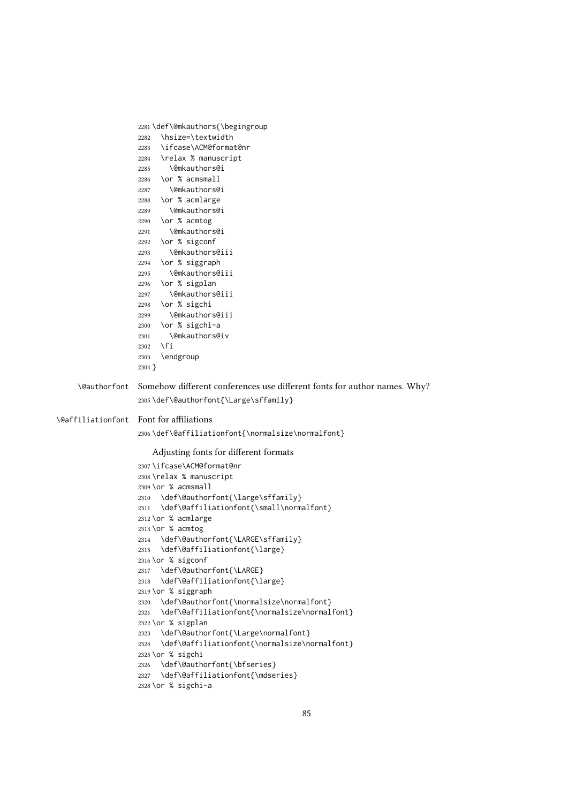```
2281 \def\@mkauthors{\begingroup
                   2282 \hsize=\textwidth
                   2283 \ifcase\ACM@format@nr
                   2284 \relax % manuscript
                   2285 \@mkauthors@i
                   2286 \or % acmsmall
                   2287 \@mkauthors@i
                   2288 \or % acmlarge
                   2289 \@mkauthors@i
                   2290 \or % acmtog
                  2291 \@mkauthors@i
                   2292 \or % sigconf
                   2293 \@mkauthors@iii
                   2294 \or % siggraph
                   2295 \@mkauthors@iii
                   2296 \or % sigplan
                   2297 \@mkauthors@iii
                   2298 \or % sigchi
                   2299 \@mkauthors@iii
                   2300 \or % sigchi-a
                   2301 \@mkauthors@iv
                   2302 \fi
                   2303 \endgroup
                   2304 }
    \@authorfont Somehow different conferences use different fonts for author names. Why?
                   2305 \def\@authorfont{\Large\sffamily}
\@affiliationfont Font for affiliations
                   2306 \def\@affiliationfont{\normalsize\normalfont}
                      Adjusting fonts for different formats
                   2307 \ifcase\ACM@format@nr
                   2308 \relax % manuscript
                   2309 \or % acmsmall
                   2310 \def\@authorfont{\large\sffamily}
                   2311 \def\@affiliationfont{\small\normalfont}
                   2312 \or % acmlarge
                  2313 \or % acmtog
                  2314 \def\@authorfont{\LARGE\sffamily}
                  2315 \def\@affiliationfont{\large}
                  2316 \or % sigconf
                  2317 \def\@authorfont{\LARGE}
                  2318 \def\@affiliationfont{\large}
                   2319 \or % siggraph
                   2320 \def\@authorfont{\normalsize\normalfont}
                   2321 \def\@affiliationfont{\normalsize\normalfont}
                   2322 \or % sigplan
                   2323 \def\@authorfont{\Large\normalfont}
                   2324 \def\@affiliationfont{\normalsize\normalfont}
                   2325 \or % sigchi
                   2326 \def\@authorfont{\bfseries}
                   2327 \def\@affiliationfont{\mdseries}
                   2328 \or % sigchi-a
```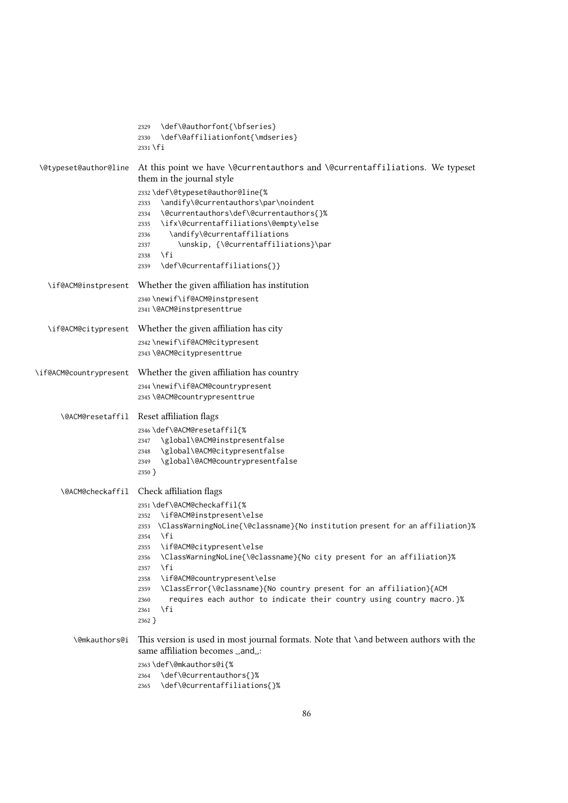|                        | \def\@authorfont{\bfseries}<br>2329<br>\def\@affiliationfont{\mdseries}<br>2330<br>$2331$ \fi                                                                                                                                                                                                                                                                                                                                                                                                                                                     |
|------------------------|---------------------------------------------------------------------------------------------------------------------------------------------------------------------------------------------------------------------------------------------------------------------------------------------------------------------------------------------------------------------------------------------------------------------------------------------------------------------------------------------------------------------------------------------------|
| \@typeset@author@line  | At this point we have \@currentauthors and \@currentaffiliations. We typeset<br>them in the journal style                                                                                                                                                                                                                                                                                                                                                                                                                                         |
|                        | 2332\def\@typeset@author@line{%<br>\andify\@currentauthors\par\noindent<br>2333<br>\@currentauthors\def\@currentauthors{}%<br>2334<br>\ifx\@currentaffiliations\@empty\else<br>2335<br>\andify\@currentaffiliations<br>2336<br>\unskip, {\@currentaffiliations}\par<br>2337<br>\fi<br>2338<br>\def\@currentaffiliations{}}<br>2339                                                                                                                                                                                                                |
| \if@ACM@instpresent    | Whether the given affiliation has institution<br>2340 \newif\if@ACM@instpresent<br>2341 \@ACM@instpresenttrue                                                                                                                                                                                                                                                                                                                                                                                                                                     |
|                        |                                                                                                                                                                                                                                                                                                                                                                                                                                                                                                                                                   |
| \if@ACM@citypresent    | Whether the given affiliation has city<br>2342\newif\if@ACM@citypresent<br>2343 \@ACM@citypresenttrue                                                                                                                                                                                                                                                                                                                                                                                                                                             |
| \if@ACM@countrypresent | Whether the given affiliation has country<br>2344 \newif\if@ACM@countrypresent<br>2345 \@ACM@countrypresenttrue                                                                                                                                                                                                                                                                                                                                                                                                                                   |
|                        |                                                                                                                                                                                                                                                                                                                                                                                                                                                                                                                                                   |
| \@ACM@resetaffil       | Reset affiliation flags<br>2346\def\@ACM@resetaffil{%<br>\global\@ACM@instpresentfalse<br>2347<br>\global\@ACM@citypresentfalse<br>2348<br>\global\@ACM@countrypresentfalse<br>2349<br>$2350$ }                                                                                                                                                                                                                                                                                                                                                   |
| \@ACM@checkaffil       | Check affiliation flags                                                                                                                                                                                                                                                                                                                                                                                                                                                                                                                           |
|                        | 2351\def\@ACM@checkaffil{%<br>\if@ACM@instpresent\else<br>2352<br>\ClassWarningNoLine{\@classname}{No institution present for an affiliation}%<br>2353<br>\fi<br>2354<br>\if@ACM@citypresent\else<br>2355<br>\ClassWarningNoLine{\@classname}{No city present for an affiliation}%<br>2356<br>$\sqrt{fi}$<br>2357<br>\if@ACM@countrypresent\else<br>2358<br>\ClassError{\@classname}{No country present for an affiliation}{ACM<br>2359<br>requires each author to indicate their country using country macro.}%<br>2360<br>\fi<br>2361<br>2362 } |
| <b>\@mkauthors@i</b>   | This version is used in most journal formats. Note that \and between authors with the<br>same affiliation becomes _and_:<br>2363\def\@mkauthors@i{%<br>\def\@currentauthors{}%<br>2364<br>\def\@currentaffiliations{}%<br>2365                                                                                                                                                                                                                                                                                                                    |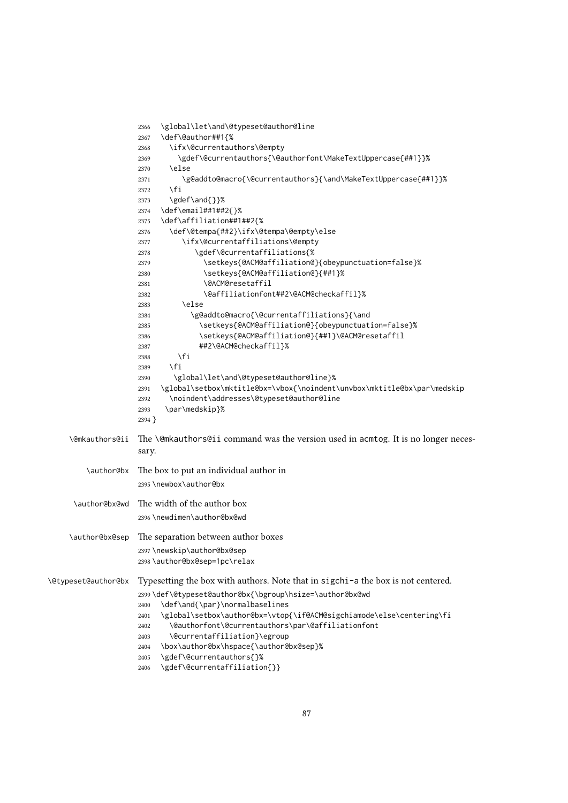|                     | \global\let\and\@typeset@author@line<br>2366<br>\def\@author##1{%<br>2367                  |
|---------------------|--------------------------------------------------------------------------------------------|
|                     | \ifx\@currentauthors\@empty<br>2368                                                        |
|                     | \gdef\@currentauthors{\@authorfont\MakeTextUppercase{##1}}%<br>2369                        |
|                     | \else<br>2370                                                                              |
|                     | \g@addto@macro{\@currentauthors}{\and\MakeTextUppercase{##1}}%<br>2371                     |
|                     | $\sqrt{fi}$<br>2372                                                                        |
|                     | \gdef\and{}}%<br>2373                                                                      |
|                     | \def\email##1##2{}%<br>2374                                                                |
|                     | \def\affiliation##1##2{%<br>2375                                                           |
|                     | \def\@tempa{##2}\ifx\@tempa\@empty\else<br>2376                                            |
|                     | \ifx\@currentaffiliations\@empty<br>2377                                                   |
|                     | \gdef\@currentaffiliations{%<br>2378                                                       |
|                     | \setkeys{@ACM@affiliation@}{obeypunctuation=false}%<br>2379                                |
|                     | \setkeys{@ACM@affiliation@}{##1}%<br>2380                                                  |
|                     | \@ACM@resetaffil<br>2381                                                                   |
|                     | \@affiliationfont##2\@ACM@checkaffil}%<br>2382                                             |
|                     | \else<br>2383                                                                              |
|                     | \g@addto@macro{\@currentaffiliations}{\and<br>2384                                         |
|                     | \setkeys{@ACM@affiliation@}{obeypunctuation=false}%<br>2385                                |
|                     | \setkeys{@ACM@affiliation@}{##1}\@ACM@resetaffil<br>2386                                   |
|                     | ##2\@ACM@checkaffil}%<br>2387                                                              |
|                     | \fi<br>2388                                                                                |
|                     | \fi<br>2389                                                                                |
|                     | \global\let\and\@typeset@author@line}%<br>2390                                             |
|                     | \global\setbox\mktitle@bx=\vbox{\noindent\unvbox\mktitle@bx\par\medskip<br>2391            |
|                     | \noindent\addresses\@typeset@author@line<br>2392                                           |
|                     | \par\medskip}%<br>2393                                                                     |
|                     | $2394$ }                                                                                   |
|                     |                                                                                            |
| \@mkauthors@ii      | The \@mkauthors@ii command was the version used in acmtog. It is no longer neces-<br>sary. |
| \author@bx          | The box to put an individual author in                                                     |
|                     |                                                                                            |
|                     | 2395 \newbox\author@bx                                                                     |
| \author@bx@wd       | The width of the author box                                                                |
|                     | 2396 \newdimen\author@bx@wd                                                                |
|                     |                                                                                            |
| \author@bx@sep      | The separation between author boxes                                                        |
|                     | 2397\newskip\author@bx@sep                                                                 |
|                     | 2398\author@bx@sep=1pc\relax                                                               |
|                     |                                                                                            |
| \@typeset@author@bx | Typesetting the box with authors. Note that in sigchi-a the box is not centered.           |
|                     | 2399 \def\@typeset@author@bx{\bgroup\hsize=\author@bx@wd                                   |
|                     | \def\and{\par}\normalbaselines<br>2400                                                     |
|                     | \global\setbox\author@bx=\vtop{\if@ACM@sigchiamode\else\centering\fi<br>2401               |
|                     | \@authorfont\@currentauthors\par\@affiliationfont<br>2402                                  |
|                     | \@currentaffiliation}\egroup<br>2403                                                       |
|                     | \box\author@bx\hspace{\author@bx@sep}%<br>2404                                             |
|                     | \gdef\@currentauthors{}%<br>2405                                                           |
|                     | \gdef\@currentaffiliation{}}<br>2406                                                       |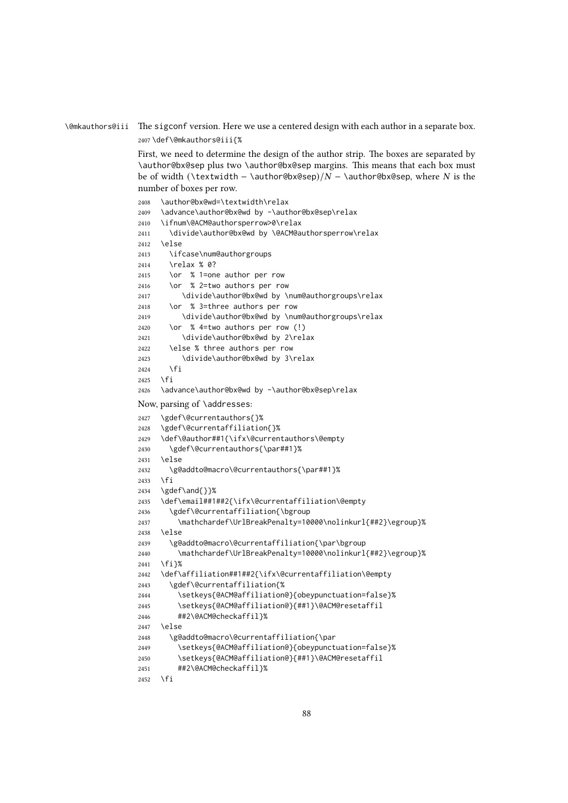\@mkauthors@iii The sigconf version. Here we use a centered design with each author in a separate box. \def\@mkauthors@iii{%

> First, we need to determine the design of the author strip. The boxes are separated by \author@bx@sep plus two \author@bx@sep margins. This means that each box must be of width (\textwidth – \author@bx@sep)/ $N - \alpha$ uthor@bx@sep, where  $N$  is the number of boxes per row.

```
2408 \author@bx@wd=\textwidth\relax
2409 \advance\author@bx@wd by -\author@bx@sep\relax
2410 \ifnum\@ACM@authorsperrow>0\relax
2411 \divide\author@bx@wd by \@ACM@authorsperrow\relax
2412 \else
2413 \ifcase\num@authorgroups
2414 \relax % 0?
2415 \or % 1=one author per row
2416 \or % 2=two authors per row
2417 \divide\author@bx@wd by \num@authorgroups\relax
2418 \or % 3=three authors per row
2419 \divide\author@bx@wd by \num@authorgroups\relax
2420 \or % 4=two authors per row (!)
2421 \divide\author@bx@wd by 2\relax
2422 \else % three authors per row
2423 \divide\author@bx@wd by 3\relax
2424 \fi
2425 \fi
2426 \advance\author@bx@wd by -\author@bx@sep\relax
Now, parsing of \addresses:
2427 \gdef\@currentauthors{}%
2428 \gdef\@currentaffiliation{}%
2429 \def\@author##1{\ifx\@currentauthors\@empty
2430 \gdef\@currentauthors{\par##1}%
2431 \else
2432 \g@addto@macro\@currentauthors{\par##1}%
2433 \fi
2434 \ \text{gdef}\and\{\}2435 \def\email##1##2{\ifx\@currentaffiliation\@empty
2436 \gdef\@currentaffiliation{\bgroup
2437 \mathchardef\UrlBreakPenalty=10000\nolinkurl{##2}\egroup}%
2438 \else
2439 \g@addto@macro\@currentaffiliation{\par\bgroup
2440 \mathchardef\UrlBreakPenalty=10000\nolinkurl{##2}\egroup}%
2441 \fi}%
2442 \def\affiliation##1##2{\ifx\@currentaffiliation\@empty
2443 \gdef\@currentaffiliation{%
2444 \setkeys{@ACM@affiliation@}{obeypunctuation=false}%
2445 \setkeys{@ACM@affiliation@}{##1}\@ACM@resetaffil
2446 ##2\@ACM@checkaffil}%
2447 \else
2448 \g@addto@macro\@currentaffiliation{\par
2449 \setkeys{@ACM@affiliation@}{obeypunctuation=false}%
2450 \setkeys{@ACM@affiliation@}{##1}\@ACM@resetaffil
2451 ##2\@ACM@checkaffil}%
2452 \fi
```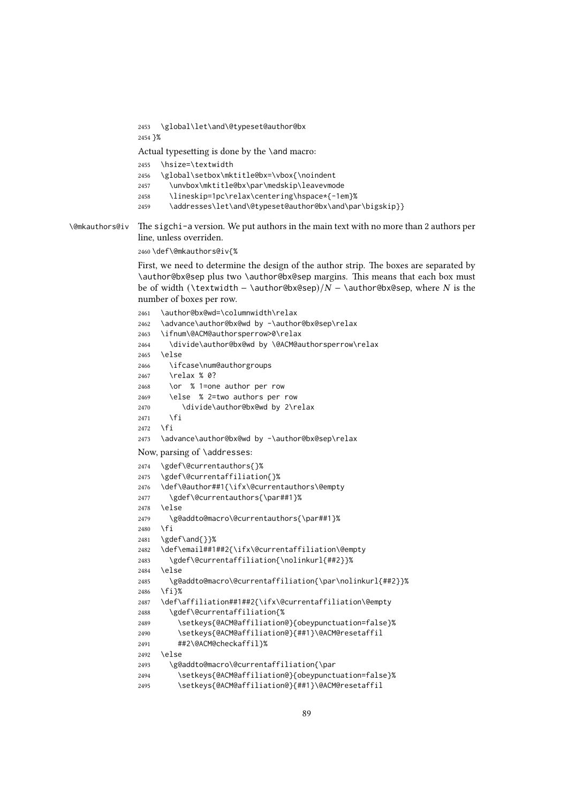```
2453 \global\let\and\@typeset@author@bx
               2454 }%
               Actual typesetting is done by the \and macro:
               2455 \hsize=\textwidth
               2456 \global\setbox\mktitle@bx=\vbox{\noindent
               2457 \unvbox\mktitle@bx\par\medskip\leavevmode
               2458 \lineskip=1pc\relax\centering\hspace*{-1em}%
               2459 \addresses\let\and\@typeset@author@bx\and\par\bigskip}}
\@mkauthors@iv The sigchi-a version. We put authors in the main text with no more than 2 authors per
               line, unless overriden.
               2460 \def\@mkauthors@iv{%
               First, we need to determine the design of the author strip. The boxes are separated by
               \author@bx@sep plus two \author@bx@sep margins. This means that each box must
               be of width (\textwidth – \author@bx@sep)/N - \alphauthor@bx@sep, where N is the
               number of boxes per row.
               2461 \author@bx@wd=\columnwidth\relax
               2462 \advance\author@bx@wd by -\author@bx@sep\relax
               2463 \ifnum\@ACM@authorsperrow>0\relax
               2464 \divide\author@bx@wd by \@ACM@authorsperrow\relax
               2465 \{9, 15, 6\}2466 \ifcase\num@authorgroups
               2467 \relax % 0?
               2468 \or % 1=one author per row
               2469 \else % 2=two authors per row
               2470 \divide\author@bx@wd by 2\relax
               2471 \fi
               2472 \sqrt{fi}2473 \advance\author@bx@wd by -\author@bx@sep\relax
               Now, parsing of \addresses:
               2474 \gdef\@currentauthors{}%
               2475 \gdef\@currentaffiliation{}%
               2476 \def\@author##1{\ifx\@currentauthors\@empty
               2477 \gdef\@currentauthors{\par##1}%
               2478 \else
               2479 \g@addto@macro\@currentauthors{\par##1}%
               2480 \fi
               2481 \gdef\and{}}%
               2482 \def\email##1##2{\ifx\@currentaffiliation\@empty
               2483 \gdef\@currentaffiliation{\nolinkurl{##2}}%
               2484 \else
               2485 \g@addto@macro\@currentaffiliation{\par\nolinkurl{##2}}%
               2486 \fi}%
               2487 \def\affiliation##1##2{\ifx\@currentaffiliation\@empty
               2488 \gdef\@currentaffiliation{%
               2489 \setkeys{@ACM@affiliation@}{obeypunctuation=false}%
               2490 \setkeys{@ACM@affiliation@}{##1}\@ACM@resetaffil
               2491 ##2\@ACM@checkaffil}%
               2492 \else
               2493 \g@addto@macro\@currentaffiliation{\par
               2494 \setkeys{@ACM@affiliation@}{obeypunctuation=false}%
               2495 \setkeys{@ACM@affiliation@}{##1}\@ACM@resetaffil
```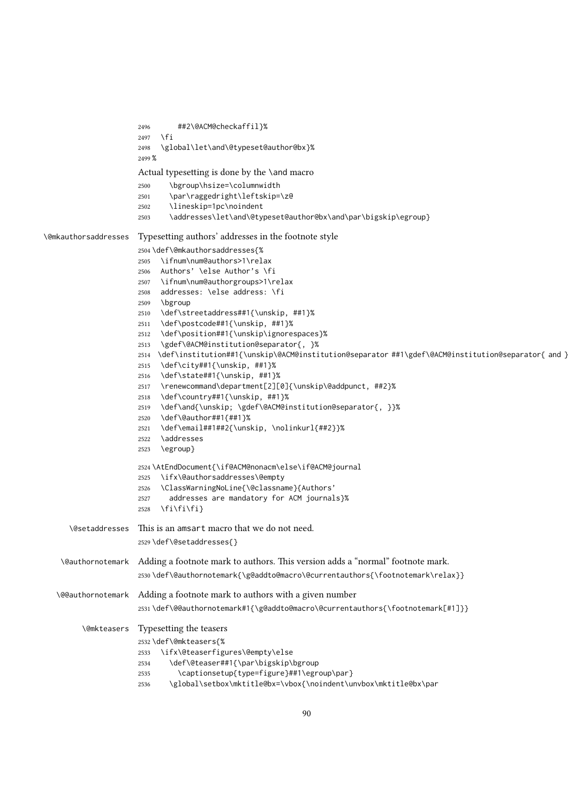```
2496 ##2\@ACM@checkaffil}%
                      2497 \fi
                      2498 \global\let\and\@typeset@author@bx}%
                      2499 %
                      Actual typesetting is done by the \and macro
                      2500 \bgroup\hsize=\columnwidth
                      2501 \par\raggedright\leftskip=\z@
                      2502 \lineskip=1pc\noindent
                      2503 \addresses\let\and\@typeset@author@bx\and\par\bigskip\egroup}
\@mkauthorsaddresses Typesetting authors' addresses in the footnote style
                      2504 \def\@mkauthorsaddresses{%
                      2505 \ifnum\num@authors>1\relax
                      2506 Authors' \else Author's \fi
                      2507 \ifnum\num@authorgroups>1\relax
                      2508 addresses: \else address: \fi
                      2509 \bgroup
                      2510 \def\streetaddress##1{\unskip, ##1}%
                      2511 \def\postcode##1{\unskip, ##1}%
                      2512 \def\position##1{\unskip\ignorespaces}%
                      2513 \gdef\@ACM@institution@separator{, }%
                      2514 \def\institution##1{\unskip\@ACM@institution@separator ##1\gdef\@ACM@institution@separator{ and }}%
                      2515 \def\city##1{\unskip, ##1}%
                      2516 \def\state##1{\unskip, ##1}%
                      2517 \renewcommand\department[2][0]{\unskip\@addpunct, ##2}%
                      2518 \def\country##1{\unskip, ##1}%
                      2519 \def\and{\unskip; \gdef\@ACM@institution@separator{, }}%
                      2520 \def\@author##1{##1}%
                      2521 \def\email##1##2{\unskip, \nolinkurl{##2}}%
                      2522 \addresses
                      2523 \egroup}
                      2524 \AtEndDocument{\if@ACM@nonacm\else\if@ACM@journal
                     2525 \ifx\@authorsaddresses\@empty
                      2526 \ClassWarningNoLine{\@classname}{Authors'
                      2527 addresses are mandatory for ACM journals}%
                      2528 \fi\fi\fi}
     \@setaddresses This is an amsart macro that we do not need.
                      2529 \def\@setaddresses{}
    \@authornotemark Adding a footnote mark to authors. This version adds a "normal" footnote mark.
                      2530 \def\@authornotemark{\g@addto@macro\@currentauthors{\footnotemark\relax}}
   \@@authornotemark Adding a footnote mark to authors with a given number
                      2531 \def\@@authornotemark#1{\g@addto@macro\@currentauthors{\footnotemark[#1]}}
        \@mkteasers Typesetting the teasers
                      2532 \def\@mkteasers{%
                      2533 \ifx\@teaserfigures\@empty\else
                      2534 \def\@teaser##1{\par\bigskip\bgroup
                      2535 \captionsetup{type=figure}##1\egroup\par}
                      2536 \global\setbox\mktitle@bx=\vbox{\noindent\unvbox\mktitle@bx\par
```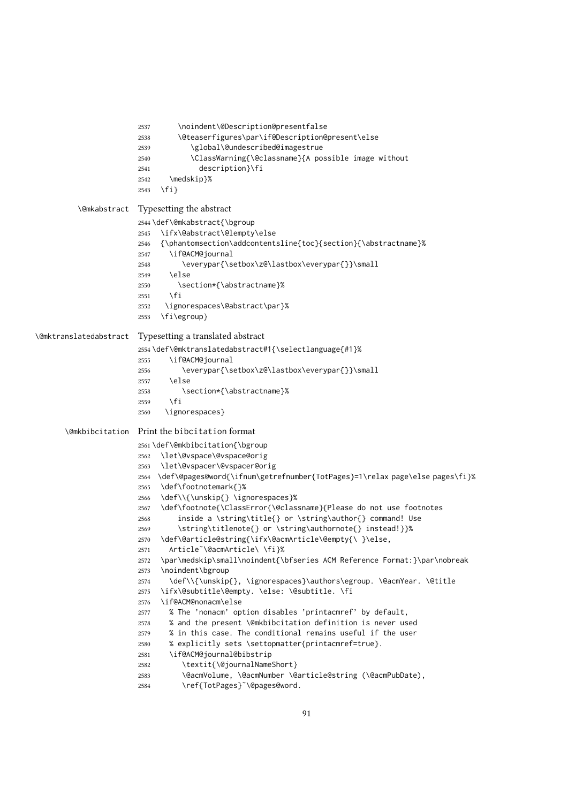```
2537 \noindent\@Description@presentfalse
                       2538 \@teaserfigures\par\if@Description@present\else
                       2539 \global\@undescribed@imagestrue
                       2540 \ClassWarning{\@classname}{A possible image without
                       2541 description}\fi
                       2542 \medskip}%
                       2543 \fi}
         \@mkabstract Typesetting the abstract
                       2544 \def\@mkabstract{\bgroup
                       2545 \ifx\@abstract\@lempty\else
                       2546 {\phantomsection\addcontentsline{toc}{section}{\abstractname}%
                       2547 \if@ACM@journal
                       2548 \everypar{\setbox\z@\lastbox\everypar{}}\small
                       2549 \else
                       2550 \section*{\abstractname}%
                       2551 \fi
                       2552 \ignorespaces\@abstract\par}%
                       2553 \fi\egroup}
\@mktranslatedabstract Typesetting a translated abstract
                       2554 \def\@mktranslatedabstract#1{\selectlanguage{#1}%
                       2555 \if@ACM@journal
                       2556 \everypar{\setbox\z@\lastbox\everypar{}}\small
                       2557 \else
                       2558 \section*{\abstractname}%
                       2559 \fi
                       2560 \ignorespaces}
      \@mkbibcitation Print the bibcitation format
                       2561 \def\@mkbibcitation{\bgroup
                      2562 \let\@vspace\@vspace@orig
                       2563 \let\@vspacer\@vspacer@orig
                       2564 \def\@pages@word{\ifnum\getrefnumber{TotPages}=1\relax page\else pages\fi}%
                       2565 \def\footnotemark{}%
                       2566 \def\\{\unskip{} \ignorespaces}%
                       2567 \def\footnote{\ClassError{\@classname}{Please do not use footnotes
                       2568 inside a \string\title{} or \string\author{} command! Use
                      2569 \string\titlenote{} or \string\authornote{} instead!}}%
                       2570 \def\@article@string{\ifx\@acmArticle\@empty{\ }\else,
                      2571 Article˜\@acmArticle\ \fi}%
                      2572 \par\medskip\small\noindent{\bfseries ACM Reference Format:}\par\nobreak
                      2573 \noindent\bgroup
                      2574 \def\\{\unskip{}, \ignorespaces}\authors\egroup. \@acmYear. \@title
                       2575 \ifx\@subtitle\@empty. \else: \@subtitle. \fi
                       2576 \if@ACM@nonacm\else
                      2577 % The 'nonacm' option disables 'printacmref' by default,
                      2578 % and the present \@mkbibcitation definition is never used
                       2579 % in this case. The conditional remains useful if the user
                       2580 % explicitly sets \settopmatter{printacmref=true}.
                       2581 \if@ACM@journal@bibstrip
                       2582 \textit{\@journalNameShort}
                       2583 \@acmVolume, \@acmNumber \@article@string (\@acmPubDate),
```

```
2584 \ref{TotPages}˜\@pages@word.
```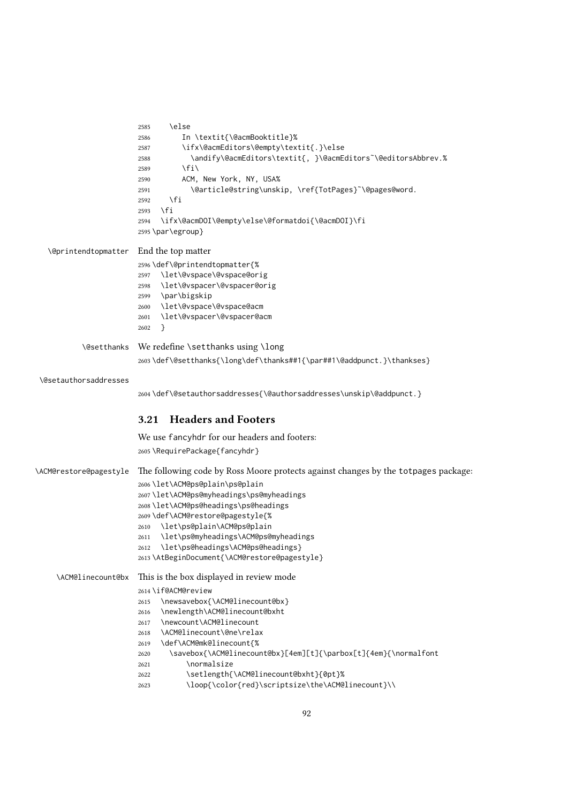```
2585 \left[\n\begin{array}{cc}\n2585\n\end{array}\n\right]2586 In \textit{\@acmBooktitle}%
                        2587 \ifx\@acmEditors\@empty\textit{.}\else
                        2588 \andify\@acmEditors\textit{, }\@acmEditors˜\@editorsAbbrev.%
                        2589 \fi\
                        2590 ACM, New York, NY, USA%
                        2591 \@article@string\unskip, \ref{TotPages}~\@pages@word.
                        2592 \fi
                        2593 \fi
                        2594 \ifx\@acmDOI\@empty\else\@formatdoi{\@acmDOI}\fi
                        2595 \par\egroup}
  \@printendtopmatter End the top matter
                        2596 \def\@printendtopmatter{%
                        2597 \let\@vspace\@vspace@orig
                        2598 \let\@vspacer\@vspacer@orig
                        2599 \par\bigskip
                        2600 \let\@vspace\@vspace@acm
                        2601 \let\@vspacer\@vspacer@acm
                        2602 }
          \@setthanks We redefine \setthanks using \long
                        2603\def\@setthanks{\long\def\thanks##1{\par##1\@addpunct.}\thankses}
 \@setauthorsaddresses
                        2604 \def\@setauthorsaddresses{\@authorsaddresses\unskip\@addpunct.}
                        3.21 Headers and Footers
                        We use fancyhdr for our headers and footers:
                        2605 \RequirePackage{fancyhdr}
\ACM@restore@pagestyle The following code by Ross Moore protects against changes by the totpages package:
                        2606 \let\ACM@ps@plain\ps@plain
                        2607 \let\ACM@ps@myheadings\ps@myheadings
                        2608 \let\ACM@ps@headings\ps@headings
                        2609 \def\ACM@restore@pagestyle{%
                        2610 \let\ps@plain\ACM@ps@plain
                        2611 \let\ps@myheadings\ACM@ps@myheadings
                        2612 \let\ps@headings\ACM@ps@headings}
                        2613 \AtBeginDocument{\ACM@restore@pagestyle}
     \ACM@linecount@bx This is the box displayed in review mode
                        2614 \if@ACM@review
                        2615 \newsavebox{\ACM@linecount@bx}
                        2616 \newlength\ACM@linecount@bxht
                        2617 \newcount\ACM@linecount
                        2618 \ACM@linecount\@ne\relax
                        2619 \def\ACM@mk@linecount{%
                        2620 \savebox{\ACM@linecount@bx}[4em][t]{\parbox[t]{4em}{\normalfont
                        2621 \normalsize
                        2622 \setlength{\ACM@linecount@bxht}{0pt}%
                        2623 \loop{\color{red}\scriptsize\the\ACM@linecount}\\
```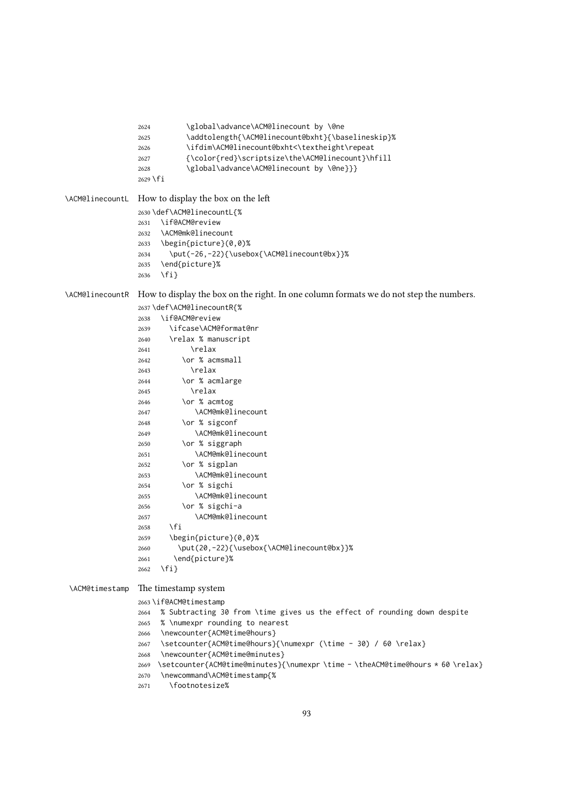```
2624 \global\advance\ACM@linecount by \@ne
               2625 \addtolength{\ACM@linecount@bxht}{\baselineskip}%
               2626 \ifdim\ACM@linecount@bxht<\textheight\repeat
               2627 {\color{red}\scriptsize\the\ACM@linecount}\hfill
               2628 \global\advance\ACM@linecount by \@ne}}}
               2629 \fi
\ACM@linecountL How to display the box on the left
               2630 \def\ACM@linecountL{%
               2631 \if@ACM@review
               2632 \ACM@mk@linecount
               2633 \begin{picture}(0,0)%
               2634 \put(-26,-22){\usebox{\ACM@linecount@bx}}%
               2635 \end{picture}%
               2636 \fi}
\ACM@linecountR How to display the box on the right. In one column formats we do not step the numbers.
               2637 \def\ACM@linecountR{%
               2638 \if@ACM@review
               2639 \ifcase\ACM@format@nr
               2640 \relax % manuscript
               2641 \relax
               2642 \or % acmsmall
               2643 \relax
               2644 \or % acmlarge
               2645 \relax
               2646 \or % acmtog
               2647 \ACM@mk@linecount
               2648 \or % sigconf
               2649 \ACM@mk@linecount
               2650 \or % siggraph
               2651 \ACM@mk@linecount
               2652 \or % sigplan
               2653 \ACM@mk@linecount
               2654 \or % sigchi
               2655 \ACM@mk@linecount
               2656 \or % sigchi-a
               2657 \ACM@mk@linecount
               2658 \fi
               2659 \begin{picture}(0,0)%
               2660 \put(20,-22){\usebox{\ACM@linecount@bx}}%
               2661 \end{picture}%
               2662 \fi}
\ACM@timestamp The timestamp system
               2663 \if@ACM@timestamp
               2664 % Subtracting 30 from \time gives us the effect of rounding down despite
               2665 % \numexpr rounding to nearest
               2666 \newcounter{ACM@time@hours}
               2667 \setcounter{ACM@time@hours}{\numexpr (\time - 30) / 60 \relax}
               2668 \newcounter{ACM@time@minutes}
               2669 \setcounter{ACM@time@minutes}{\numexpr \time - \theACM@time@hours * 60 \relax}
               2670 \newcommand\ACM@timestamp{%
               2671 \footnotesize%
```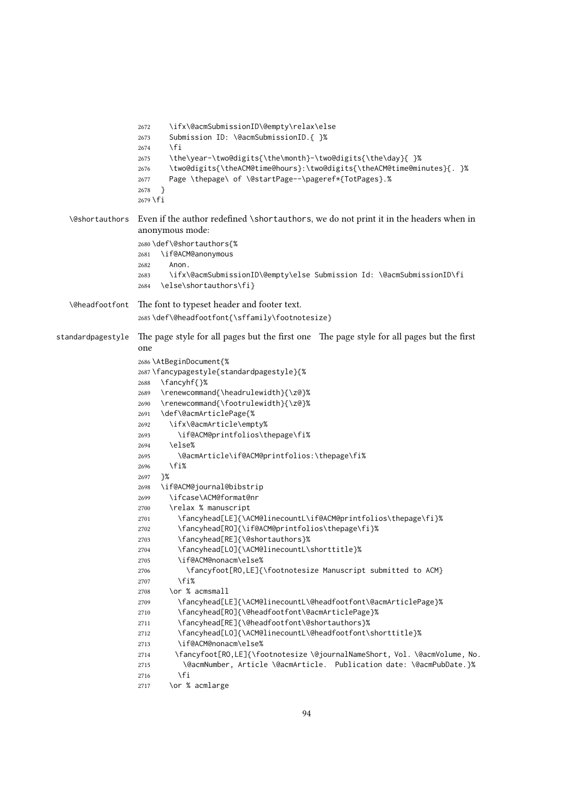```
2672 \ifx\@acmSubmissionID\@empty\relax\else
                  2673 Submission ID: \@acmSubmissionID.{ }%
                  2674 \fi
                  2675 \the\year-\two@digits{\the\month}-\two@digits{\the\day}{ }%
                  2676 \two@digits{\theACM@time@hours}:\two@digits{\theACM@time@minutes}{. }%
                  2677 Page \thepage\ of \@startPage--\pageref*{TotPages}.%
                  2678 }
                  2679 \fi
  \@shortauthors Even if the author redefined \shortauthors, we do not print it in the headers when in
                  anonymous mode:
                  2680 \def\@shortauthors{%
                  2681 \if@ACM@anonymous
                  2682 Anon.
                  2683 \ifx\@acmSubmissionID\@empty\else Submission Id: \@acmSubmissionID\fi
                  2684 \else\shortauthors\fi}
  \@headfootfont The font to typeset header and footer text.
                  2685 \def\@headfootfont{\sffamily\footnotesize}
standardpagestyle The page style for all pages but the first one The page style for all pages but the first
                  one
                  2686 \AtBeginDocument{%
                  2687 \fancypagestyle{standardpagestyle}{%
                  2688 \fancyhf{}%
                  2689 \renewcommand{\headrulewidth}{\z@}%
                  2690 \renewcommand{\footrulewidth}{\z@}%
                  2691 \def\@acmArticlePage{%
                  2692 \ifx\@acmArticle\empty%
                  2693 \if@ACM@printfolios\thepage\fi%
                  2694 \else%
                  2695 \@acmArticle\if@ACM@printfolios:\thepage\fi%
                  2696 \fi%
                  2697 }%
                  2698 \if@ACM@journal@bibstrip
                  2699 \ifcase\ACM@format@nr
                  2700 \relax % manuscript
                  2701 \fancyhead[LE]{\ACM@linecountL\if@ACM@printfolios\thepage\fi}%
                  2702 \fancyhead[RO]{\if@ACM@printfolios\thepage\fi}%
                  2703 \fancyhead[RE]{\@shortauthors}%
                  2704 \fancyhead[LO]{\ACM@linecountL\shorttitle}%
                  2705 \if@ACM@nonacm\else%
                  2706 \fancyfoot[RO,LE]{\footnotesize Manuscript submitted to ACM}
                  2707 \fi%
                  2708 \or % acmsmall
                  2709 \fancyhead[LE]{\ACM@linecountL\@headfootfont\@acmArticlePage}%
                  2710 \fancyhead[RO]{\@headfootfont\@acmArticlePage}%
                  2711 \fancyhead[RE]{\@headfootfont\@shortauthors}%
                  2712 \fancyhead[LO]{\ACM@linecountL\@headfootfont\shorttitle}%
                  2713 \if@ACM@nonacm\else%
                  2714 \fancyfoot[RO,LE]{\footnotesize \@journalNameShort, Vol. \@acmVolume, No.
                  2715 \@acmNumber, Article \@acmArticle. Publication date: \@acmPubDate.}%
                  2716 \fi
                  2717 \or % acmlarge
```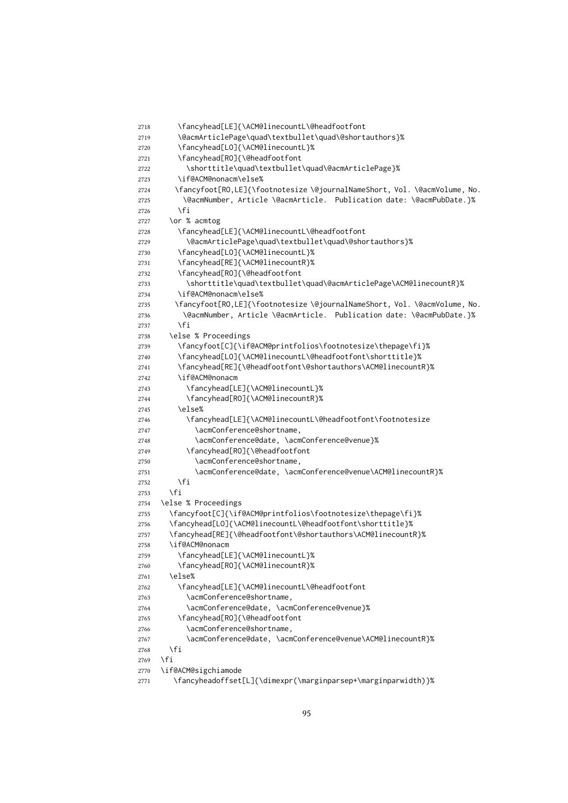```
2718 \fancyhead[LE]{\ACM@linecountL\@headfootfont
2719 \@acmArticlePage\quad\textbullet\quad\@shortauthors}%
2720 \fancyhead[LO]{\ACM@linecountL}%
2721 \fancyhead[RO]{\@headfootfont
2722 \shorttitle\quad\textbullet\quad\@acmArticlePage}%
2723 \if@ACM@nonacm\else%
2724 \fancyfoot[RO,LE]{\footnotesize \@journalNameShort, Vol. \@acmVolume, No.
2725 \@acmNumber, Article \@acmArticle. Publication date: \@acmPubDate.}%
2726 \fi
2727 \or % acmtog
2728 \fancyhead[LE]{\ACM@linecountL\@headfootfont
2729 \@acmArticlePage\quad\textbullet\quad\@shortauthors}%
2730 \fancyhead[LO]{\ACM@linecountL}%
2731 \fancyhead[RE]{\ACM@linecountR}%
2732 \fancyhead[RO]{\@headfootfont
2733 \shorttitle\quad\textbullet\quad\@acmArticlePage\ACM@linecountR}%
2734 \if@ACM@nonacm\else%
2735 \fancyfoot[RO,LE]{\footnotesize \@journalNameShort, Vol. \@acmVolume, No.
2736 \@acmNumber, Article \@acmArticle. Publication date: \@acmPubDate.}%
2737 \fi
2738 \else % Proceedings
2739 \fancyfoot[C]{\if@ACM@printfolios\footnotesize\thepage\fi}%
2740 \fancyhead[LO]{\ACM@linecountL\@headfootfont\shorttitle}%
2741 \fancyhead[RE]{\@headfootfont\@shortauthors\ACM@linecountR}%
2742 \if@ACM@nonacm
2743 \fancyhead[LE]{\ACM@linecountL}%
2744 \fancyhead[RO]{\ACM@linecountR}%
2745 \else%
2746 \fancyhead[LE]{\ACM@linecountL\@headfootfont\footnotesize
2747 \acmConference@shortname,
2748 \acmConference@date, \acmConference@venue}%
2749 \fancyhead[RO]{\@headfootfont
2750 \acmConference@shortname,
2751 \acmConference@date, \acmConference@venue\ACM@linecountR}%
2752 \fi
2753 \fi
2754 \else % Proceedings
2755 \fancyfoot[C]{\if@ACM@printfolios\footnotesize\thepage\fi}%
2756 \fancyhead[LO]{\ACM@linecountL\@headfootfont\shorttitle}%
2757 \fancyhead[RE]{\@headfootfont\@shortauthors\ACM@linecountR}%
2758 \if@ACM@nonacm
2759 \fancyhead[LE]{\ACM@linecountL}%
2760 \fancyhead[RO]{\ACM@linecountR}%
2761 \else%
2762 \fancyhead[LE]{\ACM@linecountL\@headfootfont
2763 \acmConference@shortname,
2764 \acmConference@date, \acmConference@venue}%
2765 \fancyhead[RO]{\@headfootfont
2766 \acmConference@shortname,
2767 \acmConference@date, \acmConference@venue\ACM@linecountR}%
2768 \fi
2769 \fi
2770 \if@ACM@sigchiamode
2771 \fancyheadoffset[L]{\dimexpr(\marginparsep+\marginparwidth)}%
```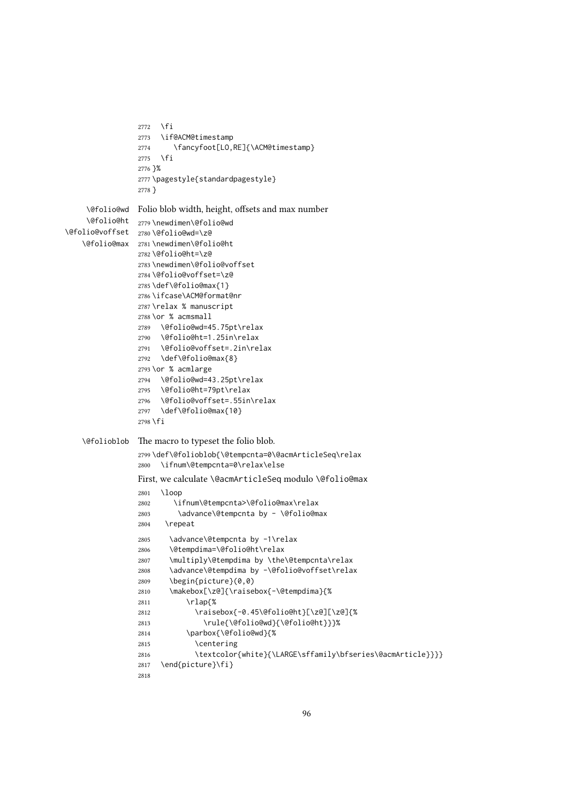```
2772 \fi
                2773 \if@ACM@timestamp
                2774 \fancyfoot[LO,RE]{\ACM@timestamp}
                2775 \fi
                2776 }%
                2777 \pagestyle{standardpagestyle}
                2778 }
    \@folio@wd
Folio blob width, height, offsets and max number
    \@folio@ht
2779 \newdimen\@folio@wd
\@folio@voffset
2780 \@folio@wd=\z@
   \@folio@max
2781 \newdimen\@folio@ht
                2782 \@folio@ht=\z@
                2783 \newdimen\@folio@voffset
                2784 \@folio@voffset=\z@
                2785 \def\@folio@max{1}
                2786 \ifcase\ACM@format@nr
                2787 \relax % manuscript
                2788 \or % acmsmall
                2789 \@folio@wd=45.75pt\relax
                2790 \@folio@ht=1.25in\relax
                2791 \@folio@voffset=.2in\relax
                2792 \def\@folio@max{8}
                2793 \or % acmlarge
                2794 \@folio@wd=43.25pt\relax
                2795 \@folio@ht=79pt\relax
                2796 \@folio@voffset=.55in\relax
                2797 \def\@folio@max{10}
                2798 \fi
   \@folioblob The macro to typeset the folio blob.
                2799 \def\@folioblob{\@tempcnta=0\@acmArticleSeq\relax
                2800 \ifnum\@tempcnta=0\relax\else
                First, we calculate \@acmArticleSeq modulo \@folio@max
                2801 \loop
                2802 \ifnum\@tempcnta>\@folio@max\relax
                2803 \advance\@tempcnta by - \@folio@max
                2804 \repeat
                2805 \advance\@tempcnta by -1\relax
                2806 \@tempdima=\@folio@ht\relax
                2807 \multiply\@tempdima by \the\@tempcnta\relax
                2808 \advance\@tempdima by -\@folio@voffset\relax
                2809 \begin{picture}(0,0)
                2810 \makebox[\z@]{\raisebox{-\@tempdima}{%
                2811 \rlap{%
                2812 \raisebox{-0.45\@folio@ht}[\z@][\z@]{%
                2813 \rule{\@folio@wd}{\@folio@ht}}}%
                2814 \parbox{\@folio@wd}{%
                2815 \centering
                2816 \textcolor{white}{\LARGE\sffamily\bfseries\@acmArticle}}}}
                2817 \end{picture}\fi}
                2818
```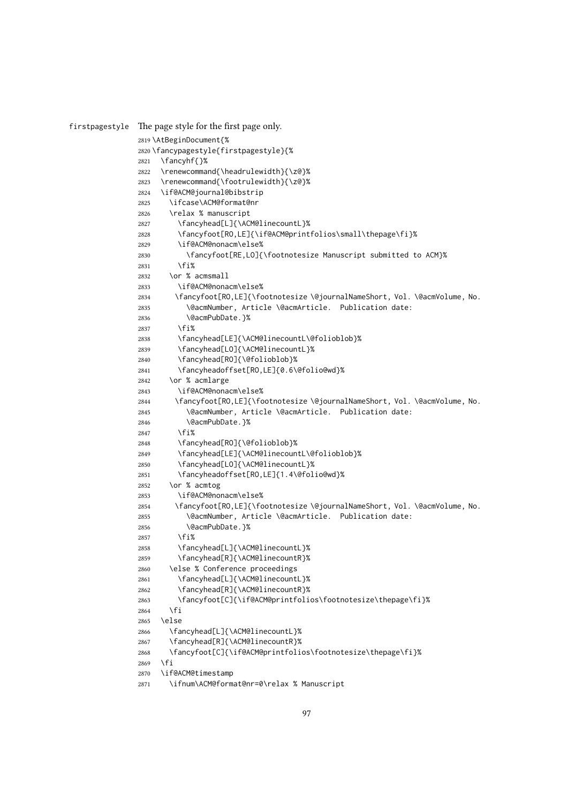```
firstpagestyle The page style for the first page only.
              2819 \AtBeginDocument{%
              2820 \fancypagestyle{firstpagestyle}{%
              2821 \fancyhf{}%
              2822 \renewcommand{\headrulewidth}{\z@}%
              2823 \renewcommand{\footrulewidth}{\z@}%
              2824 \if@ACM@journal@bibstrip
              2825 \ifcase\ACM@format@nr
              2826 \relax % manuscript
              2827 \fancyhead[L]{\ACM@linecountL}%
              2828 \fancyfoot[RO,LE]{\if@ACM@printfolios\small\thepage\fi}%
              2829 \if@ACM@nonacm\else%
              2830 \fancyfoot[RE,LO]{\footnotesize Manuscript submitted to ACM}%
              2831 \fi%
              2832 \or % acmsmall
              2833 \if@ACM@nonacm\else%
              2834 \fancyfoot[RO,LE]{\footnotesize \@journalNameShort, Vol. \@acmVolume, No.
              2835 \@acmNumber, Article \@acmArticle. Publication date:
              2836 \@acmPubDate.}%
              2837 \fi%
              2838 \fancyhead[LE]{\ACM@linecountL\@folioblob}%
              2839 \fancyhead[LO]{\ACM@linecountL}%
              2840 \fancyhead[RO]{\@folioblob}%
              2841 \fancyheadoffset[RO,LE]{0.6\@folio@wd}%
              2842 \or % acmlarge
              2843 \if@ACM@nonacm\else%
              2844 \fancyfoot[RO,LE]{\footnotesize \@journalNameShort, Vol. \@acmVolume, No.
              2845 \@acmNumber, Article \@acmArticle. Publication date:
              2846 \@acmPubDate.}%
              2847 \fi%
              2848 \fancyhead[RO]{\@folioblob}%
              2849 \fancyhead[LE]{\ACM@linecountL\@folioblob}%
              2850 \fancyhead[LO]{\ACM@linecountL}%
              2851 \fancyheadoffset[RO,LE]{1.4\@folio@wd}%
              2852 \or % acmtog
              2853 \if@ACM@nonacm\else%
              2854 \fancyfoot[RO,LE]{\footnotesize \@journalNameShort, Vol. \@acmVolume, No.
              2855 \@acmNumber, Article \@acmArticle. Publication date:
              2856 \@acmPubDate.}%
              2857 \fi%
              2858 \fancyhead[L]{\ACM@linecountL}%
              2859 \fancyhead[R]{\ACM@linecountR}%
              2860 \else % Conference proceedings
              2861 \fancyhead[L]{\ACM@linecountL}%
              2862 \fancyhead[R]{\ACM@linecountR}%
              2863 \fancyfoot[C]{\if@ACM@printfolios\footnotesize\thepage\fi}%
              2864 \fi
              2865 \else
              2866 \fancyhead[L]{\ACM@linecountL}%
              2867 \fancyhead[R]{\ACM@linecountR}%
              2868 \fancyfoot[C]{\if@ACM@printfolios\footnotesize\thepage\fi}%
              2869 \fi
              2870 \if@ACM@timestamp
              2871 \ifnum\ACM@format@nr=0\relax % Manuscript
```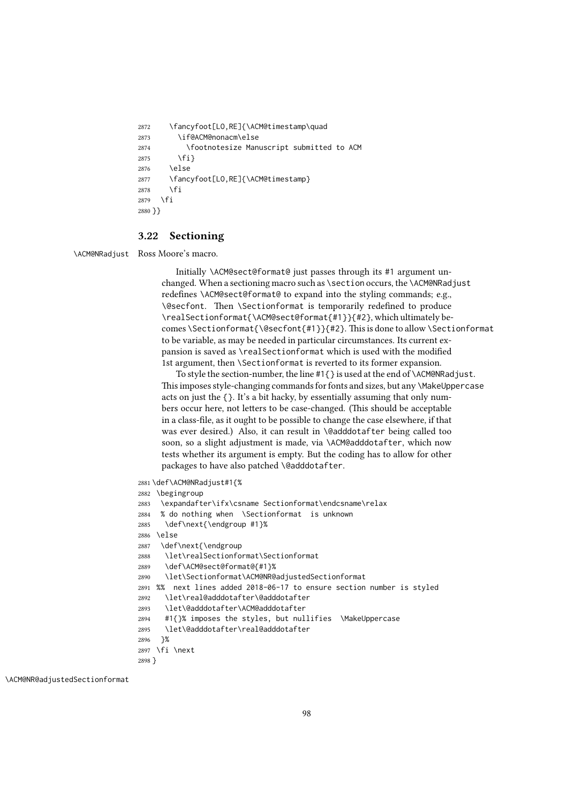```
2872 \fancyfoot[LO,RE]{\ACM@timestamp\quad
2873 \if@ACM@nonacm\else
2874 \footnotesize Manuscript submitted to ACM
2875 \fi}
2876 \else
2877 \fancyfoot[LO,RE]{\ACM@timestamp}
2878 \fi
2879 \fi
2880 }}
```
#### 3.22 Sectioning

\ACM@NRadjust Ross Moore's macro.

Initially \ACM@sect@format@ just passes through its #1 argument unchanged. When a sectioning macro such as \section occurs, the \ACM@NRadjust redefines \ACM@sect@format@ to expand into the styling commands; e.g., \@secfont. Then \Sectionformat is temporarily redefined to produce \realSectionformat{\ACM@sect@format{#1}}{#2}, which ultimately becomes \Sectionformat{\@secfont{#1}}{#2}. This is done to allow \Sectionformat to be variable, as may be needed in particular circumstances. Its current expansion is saved as \realSectionformat which is used with the modified 1st argument, then \Sectionformat is reverted to its former expansion.

To style the section-number, the line #1{} is used at the end of \ACM@NRadjust. This imposes style-changing commands for fonts and sizes, but any \MakeUppercase acts on just the {}. It's a bit hacky, by essentially assuming that only numbers occur here, not letters to be case-changed. (This should be acceptable in a class-file, as it ought to be possible to change the case elsewhere, if that was ever desired.) Also, it can result in \@adddotafter being called too soon, so a slight adjustment is made, via \ACM@adddotafter, which now tests whether its argument is empty. But the coding has to allow for other packages to have also patched \@adddotafter.

2881 \def\ACM@NRadjust#1{%

```
2882 \begingroup
```

```
2883 \expandafter\ifx\csname Sectionformat\endcsname\relax
```
2884 % do nothing when \Sectionformat is unknown

- 2885 \def\next{\endgroup #1}%
- 2886 \else
- 2887 \def\next{\endgroup
- 2888 \let\realSectionformat\Sectionformat
- 2889 \def\ACM@sect@format@{#1}%
- 2890 \let\Sectionformat\ACM@NR@adjustedSectionformat
- 2891 %% next lines added 2018-06-17 to ensure section number is styled
- 2892 \let\real@adddotafter\@adddotafter
- 2893 \let\@adddotafter\ACM@adddotafter
- 2894 #1{}% imposes the styles, but nullifies \MakeUppercase
- 2895 \let\@adddotafter\real@adddotafter

```
2896 }%
```

```
2897 \fi \next
```
2898 }

```
\ACM@NR@adjustedSectionformat
```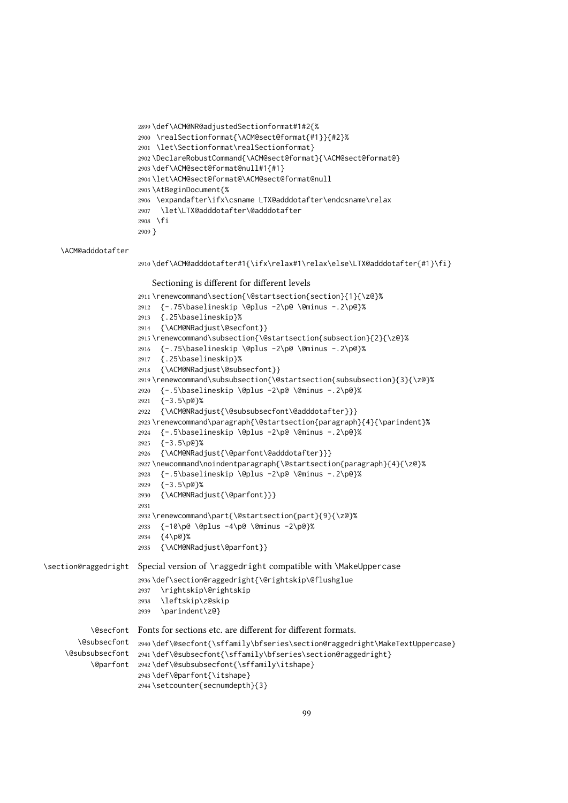```
2899 \def\ACM@NR@adjustedSectionformat#1#2{%
2900 \realSectionformat{\ACM@sect@format{#1}}{#2}%
2901 \let\Sectionformat\realSectionformat}
2902 \DeclareRobustCommand{\ACM@sect@format}{\ACM@sect@format@}
2903 \def\ACM@sect@format@null#1{#1}
2904 \let\ACM@sect@format@\ACM@sect@format@null
2905 \AtBeginDocument{%
2906 \expandafter\ifx\csname LTX@adddotafter\endcsname\relax
2907 \let\LTX@adddotafter\@adddotafter
2908 \fi
2909 }
```
\ACM@adddotafter

```
2910 \def\ACM@adddotafter#1{\ifx\relax#1\relax\else\LTX@adddotafter{#1}\fi}
```
Sectioning is different for different levels

```
2911 \renewcommand\section{\@startsection{section}{1}{\z@}%
                      2912 {-.75\baselineskip \@plus -2\p@ \@minus -.2\p@}%
                      2913 {.25\baselineskip}%
                      2914 {\ACM@NRadjust\@secfont}}
                      2915 \renewcommand\subsection{\@startsection{subsection}{2}{\z@}%
                      2916 {-.75\baselineskip \@plus -2\p@ \@minus -.2\p@}%
                      2917 {.25\baselineskip}%
                      2918 {\ACM@NRadjust\@subsecfont}}
                      2919 \renewcommand\subsubsection{\@startsection{subsubsection}{3}{\z@}%
                      2920 {-.5\baselineskip \@plus -2\p@ \@minus -.2\p@}%
                      2921 {-3.5\p{0}\%}2922 {\ACM@NRadjust{\@subsubsecfont\@adddotafter}}}
                      2923\renewcommand\paragraph{\@startsection{paragraph}{4}{\parindent}%
                      2924 {-.5\baselineskip \@plus -2\p@ \@minus -.2\p@}%
                      2925 {-3.5\p@}%
                      2926 {\ACM@NRadjust{\@parfont\@adddotafter}}}
                      2927 \newcommand\noindentparagraph{\@startsection{paragraph}{4}{\z@}%
                      2928 {-.5\baselineskip \@plus -2\p@ \@minus -.2\p@}%
                      2929 {-3.5\p@}%
                      2930 {\ACM@NRadjust{\@parfont}}}
                      2931
                      2932 \renewcommand\part{\@startsection{part}{9}{\z@}%
                      2933 {-10\p@ \@plus -4\p@ \@minus -2\p@}%
                      2934 {4\p@}%
                      2935 {\ACM@NRadjust\@parfont}}
\section@raggedright Special version of \raggedright compatible with \MakeUppercase
                      2936 \def\section@raggedright{\@rightskip\@flushglue
                      2937 \rightskip\@rightskip
                      2938 \leftskip\z@skip
                      2939 \parindent\z@}
           \@secfont
Fonts for sections etc. are different for different formats.
        \@subsecfont
2940 \def\@secfont{\sffamily\bfseries\section@raggedright\MakeTextUppercase}
     \@subsubsecfont 2941\def\@subsecfont{\sffamily\bfseries\section@raggedright}
           \@parfont
2942 \def\@subsubsecfont{\sffamily\itshape}
                      2943 \def\@parfont{\itshape}
                      2944 \setcounter{secnumdepth}{3}
```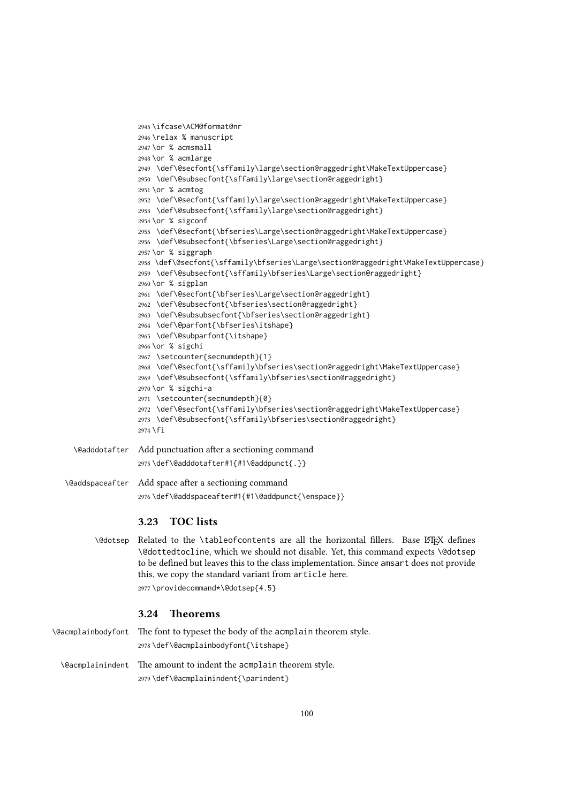```
2945 \ifcase\ACM@format@nr
               2946 \relax % manuscript
               2947 \or % acmsmall
               2948 \or % acmlarge
               2949 \def\@secfont{\sffamily\large\section@raggedright\MakeTextUppercase}
               2950 \def\@subsecfont{\sffamily\large\section@raggedright}
               2951 \or % acmtog
               2952 \def\@secfont{\sffamily\large\section@raggedright\MakeTextUppercase}
               2953 \def\@subsecfont{\sffamily\large\section@raggedright}
               2954 \or % sigconf
               2955 \def\@secfont{\bfseries\Large\section@raggedright\MakeTextUppercase}
               2956 \def\@subsecfont{\bfseries\Large\section@raggedright}
               2957 \or % siggraph
               2958 \def\@secfont{\sffamily\bfseries\Large\section@raggedright\MakeTextUppercase}
               2959 \def\@subsecfont{\sffamily\bfseries\Large\section@raggedright}
               2960 \or % sigplan
               2961 \def\@secfont{\bfseries\Large\section@raggedright}
               2962 \def\@subsecfont{\bfseries\section@raggedright}
               2963 \def\@subsubsecfont{\bfseries\section@raggedright}
               2964 \def\@parfont{\bfseries\itshape}
               2965 \def\@subparfont{\itshape}
               2966 \or % sigchi
               2967 \setcounter{secnumdepth}{1}
               2968 \def\@secfont{\sffamily\bfseries\section@raggedright\MakeTextUppercase}
               2969 \def\@subsecfont{\sffamily\bfseries\section@raggedright}
               2970 \or % sigchi-a
               2971 \setcounter{secnumdepth}{0}
               2972 \def\@secfont{\sffamily\bfseries\section@raggedright\MakeTextUppercase}
               2973 \def\@subsecfont{\sffamily\bfseries\section@raggedright}
               2974 \fi
\@adddotafter Add punctuation after a sectioning command
               2975 \def\@adddotafter#1{#1\@addpunct{.}}
```
\@addspaceafter Add space after a sectioning command \def\@addspaceafter#1{#1\@addpunct{\enspace}}

## 3.23 TOC lists

\@dotsep Related to the \tableofcontents are all the horizontal fillers. Base LATEX defines \@dottedtocline, which we should not disable. Yet, this command expects \@dotsep to be defined but leaves this to the class implementation. Since amsart does not provide this, we copy the standard variant from article here. \providecommand\*\@dotsep{4.5}

#### 3.24 Theorems

| \@acmplainbodyfont The font to typeset the body of the acmplain theorem style. |
|--------------------------------------------------------------------------------|
| 2978\def\@acmplainbodyfont{\itshape}                                           |
| \eacmplainindent The amount to indent the acmplain theorem style.              |
| 2979 \def\@acmplainindent{\parindent}                                          |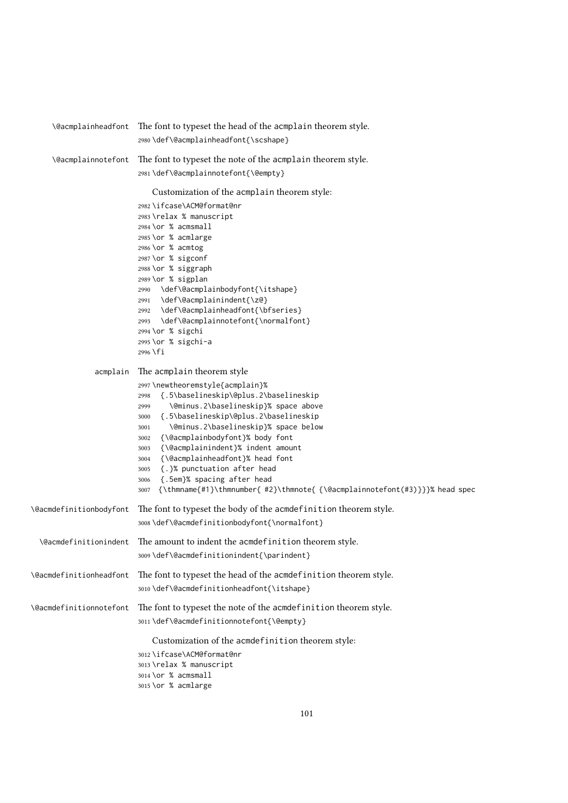| \@acmplainheadfont      | The font to typeset the head of the acmplain theorem style.                          |
|-------------------------|--------------------------------------------------------------------------------------|
|                         | 2980\def\@acmplainheadfont{\scshape}                                                 |
| \@acmplainnotefont      | The font to typeset the note of the acmplain theorem style.                          |
|                         | 2981\def\@acmplainnotefont{\@empty}                                                  |
|                         | Customization of the acmplain theorem style:                                         |
|                         | 2982 \ifcase\ACM@format@nr                                                           |
|                         | 2983 \relax % manuscript                                                             |
|                         | $2984$ \or % acmsmall                                                                |
|                         | 2985 \or % acmlarge                                                                  |
|                         | 2986 \or % acmtog                                                                    |
|                         | 2987 \or % sigconf                                                                   |
|                         | 2988 \or % siggraph                                                                  |
|                         | 2989 \or % sigplan                                                                   |
|                         | \def\@acmplainbodyfont{\itshape}<br>2990<br>\def\@acmplainindent{\z@}                |
|                         | 2991<br>\def\@acmplainheadfont{\bfseries}<br>2992                                    |
|                         | \def\@acmplainnotefont{\normalfont}<br>2993                                          |
|                         | 2994 \or % sigchi                                                                    |
|                         | 2995 \or % sigchi-a                                                                  |
|                         | $2996$ \fi                                                                           |
| acmplain                | The acmplain theorem style                                                           |
|                         | 2997\newtheoremstyle{acmplain}%                                                      |
|                         | {.5\baselineskip\@plus.2\baselineskip<br>2998                                        |
|                         | \@minus.2\baselineskip}% space above<br>2999                                         |
|                         | {.5\baselineskip\@plus.2\baselineskip<br>3000                                        |
|                         | \@minus.2\baselineskip}% space below<br>3001                                         |
|                         | {\@acmplainbodyfont}% body font<br>3002                                              |
|                         | {\@acmplainindent}% indent amount<br>3003<br>{\@acmplainheadfont}% head font<br>3004 |
|                         | {.}% punctuation after head<br>3005                                                  |
|                         | {.5em}% spacing after head<br>3006                                                   |
|                         | {\thmname{#1}\thmnumber{ #2}\thmnote{ {\@acmplainnotefont(#3)}}}% head spec<br>3007  |
| \@acmdefinitionbodyfont | The font to typeset the body of the acmdefinition theorem style.                     |
|                         | 3008\def\@acmdefinitionbodyfont{\normalfont}                                         |
| \@acmdefinitionindent   | The amount to indent the acmdefinition theorem style.                                |
|                         | 3009\def\@acmdefinitionindent{\parindent}                                            |
| \@acmdefinitionheadfont | The font to typeset the head of the acmdefinition theorem style.                     |
|                         | 3010\def\@acmdefinitionheadfont{\itshape}                                            |
| \@acmdefinitionnotefont | The font to typeset the note of the acmdefinition theorem style.                     |
|                         | 3011\def\@acmdefinitionnotefont{\@empty}                                             |
|                         | Customization of the acmdefinition theorem style:                                    |
|                         | 3012 \ifcase\ACM@format@nr                                                           |
|                         | 3013 \relax % manuscript                                                             |
|                         | $3014$ \or % acmsmall                                                                |
|                         | 3015 \or % acmlarge                                                                  |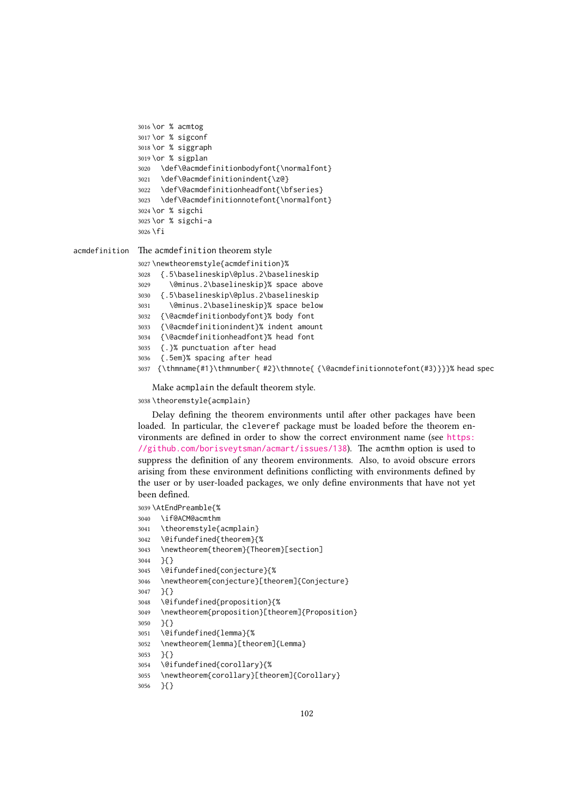```
3016 \or % acmtog
3017 \or % sigconf
3018 \or % siggraph
3019 \or % sigplan
3020 \def\@acmdefinitionbodyfont{\normalfont}
3021 \def\@acmdefinitionindent{\z@}
3022 \def\@acmdefinitionheadfont{\bfseries}
3023 \def\@acmdefinitionnotefont{\normalfont}
3024 \or % sigchi
3025 \or % sigchi-a
3026 \fi
```
acmdefinition The acmdefinition theorem style

```
3027 \newtheoremstyle{acmdefinition}%
3028 {.5\baselineskip\@plus.2\baselineskip
3029 \@minus.2\baselineskip}% space above
3030 {.5\baselineskip\@plus.2\baselineskip
3031 \@minus.2\baselineskip}% space below
3032 {\@acmdefinitionbodyfont}% body font
3033 {\@acmdefinitionindent}% indent amount
3034 {\@acmdefinitionheadfont}% head font
3035 {.}% punctuation after head
3036 {.5em}% spacing after head
3037 {\thmname{#1}\thmnumber{ #2}\thmnote{ {\@acmdefinitionnotefont(#3)}}}% head spec
```
Make acmplain the default theorem style.

#### \theoremstyle{acmplain}

Delay defining the theorem environments until after other packages have been loaded. In particular, the cleveref package must be loaded before the theorem environments are defined in order to show the correct environment name (see [https:](https://github.com/borisveytsman/acmart/issues/138) [//github.com/borisveytsman/acmart/issues/138](https://github.com/borisveytsman/acmart/issues/138)). The acmthm option is used to suppress the definition of any theorem environments. Also, to avoid obscure errors arising from these environment definitions conflicting with environments defined by the user or by user-loaded packages, we only define environments that have not yet been defined.

\AtEndPreamble{%

- \if@ACM@acmthm
- \theoremstyle{acmplain}
- \@ifundefined{theorem}{%
- \newtheorem{theorem}{Theorem}[section]
- }{}
- \@ifundefined{conjecture}{%
- \newtheorem{conjecture}[theorem]{Conjecture}

```
3047 }{}
```
- \@ifundefined{proposition}{%
- \newtheorem{proposition}[theorem]{Proposition}
- }{}
- \@ifundefined{lemma}{%
- \newtheorem{lemma}[theorem]{Lemma}
- }{}
- \@ifundefined{corollary}{%
- \newtheorem{corollary}[theorem]{Corollary}
- }{}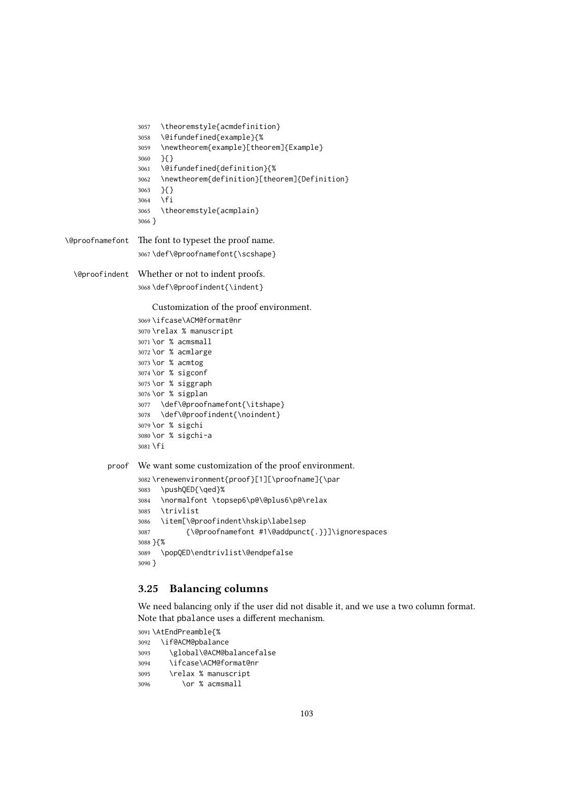```
3057 \theoremstyle{acmdefinition}
                 3058 \@ifundefined{example}{%
                 3059 \newtheorem{example}[theorem]{Example}
                 3060 }{}
                 3061 \@ifundefined{definition}{%
                 3062 \newtheorem{definition}[theorem]{Definition}
                 3063 }{}
                 3064 \fi
                 3065 \theoremstyle{acmplain}
                 3066 }
\@proofnamefont The font to typeset the proof name.
                 3067\def\@proofnamefont{\scshape}
  \@proofindent Whether or not to indent proofs.
                 3068 \def\@proofindent{\indent}
                     Customization of the proof environment.
                 3069 \ifcase\ACM@format@nr
                 3070 \relax % manuscript
                 3071 \or % acmsmall
                 3072 \or % acmlarge
                 3073 \or % acmtog
                 3074 \or % sigconf
                 3075 \or % siggraph
                 3076 \or % sigplan
                 3077 \def\@proofnamefont{\itshape}
                 3078 \def\@proofindent{\noindent}
                 3079 \or % sigchi
                 3080 \or % sigchi-a
                 3081 \fi
          proof We want some customization of the proof environment.
                 3082 \renewenvironment{proof}[1][\proofname]{\par
                 3083 \pushQED{\qed}%
                 3084 \normalfont \topsep6\p@\@plus6\p@\relax
                 3085 \trivlist
                 3086 \item[\@proofindent\hskip\labelsep
                 3087 {\@proofnamefont #1\@addpunct{.}}]\ignorespaces
                 3088 }{%
                 3089 \popQED\endtrivlist\@endpefalse
                 3090 }
```
# 3.25 Balancing columns

We need balancing only if the user did not disable it, and we use a two column format. Note that pbalance uses a different mechanism.

```
3091 \AtEndPreamble{%
3092 \if@ACM@pbalance
3093 \global\@ACM@balancefalse
3094 \ifcase\ACM@format@nr
3095 \relax % manuscript
3096 \or % acmsmall
```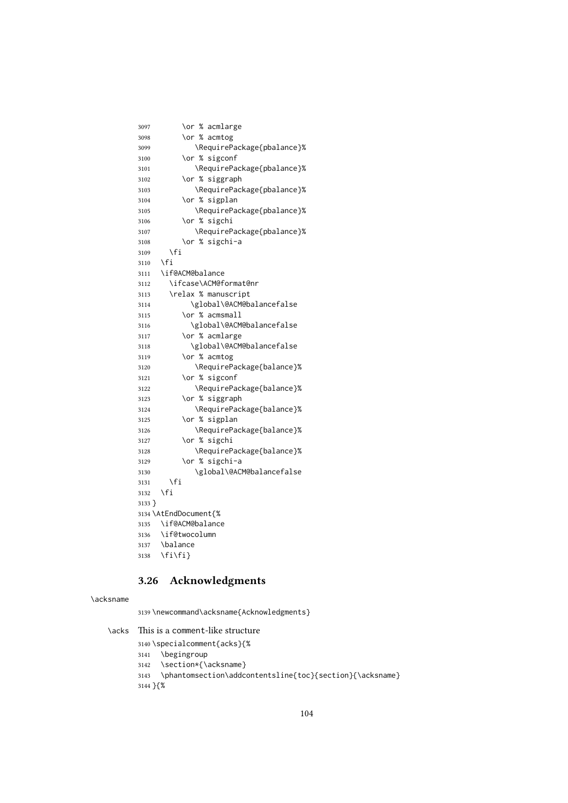| 3097   | \or % acmlarge             |
|--------|----------------------------|
| 3098   | \or % acmtog               |
| 3099   | \RequirePackage{pbalance}% |
| 3100   | \or % sigconf              |
| 3101   | \RequirePackage{pbalance}% |
| 3102   | \or % siggraph             |
| 3103   | \RequirePackage{pbalance}% |
| 3104   | \or % sigplan              |
| 3105   | \RequirePackage{pbalance}% |
| 3106   | \or % sigchi               |
| 3107   | \RequirePackage{pbalance}% |
| 3108   | \or % sigchi-a             |
| 3109   | \fi                        |
| 3110   | \fi                        |
| 3111   | \if@ACM@balance            |
| 3112   | \ifcase\ACM@format@nr      |
| 3113   | \relax % manuscript        |
| 3114   | \global\@ACM@balancefalse  |
| 3115   | \or % acmsmall             |
| 3116   | \global\@ACM@balancefalse  |
| 3117   | \or % acmlarge             |
| 3118   | \global\@ACM@balancefalse  |
| 3119   | \or % acmtog               |
| 3120   | \RequirePackage{balance}%  |
| 3121   | \or % sigconf              |
| 3122   | \RequirePackage{balance}%  |
| 3123   | \or % siggraph             |
| 3124   | \RequirePackage{balance}%  |
| 3125   | \or % sigplan              |
| 3126   | \RequirePackage{balance}%  |
| 3127   | \or % sigchi               |
| 3128   | \RequirePackage{balance}%  |
| 3129   | \or % sigchi-a             |
| 3130   | \global\@ACM@balancefalse  |
| 3131   | \fi                        |
| 3132   | \fi                        |
| 3133 } |                            |
|        | 3134 \AtEndDocument{%      |
| 3135   | \if@ACM@balance            |
| 3136   | \if@twocolumn              |
| 3137   | \balance                   |
| 3138   | \fi\fi}                    |

# 3.26 Acknowledgments

#### \acksname

\newcommand\acksname{Acknowledgments}

\acks This is a comment-like structure

 \specialcomment{acks}{% \begingroup \section\*{\acksname} 3143 \phantomsection\addcontentsline{toc}{section}{\acksname} }{%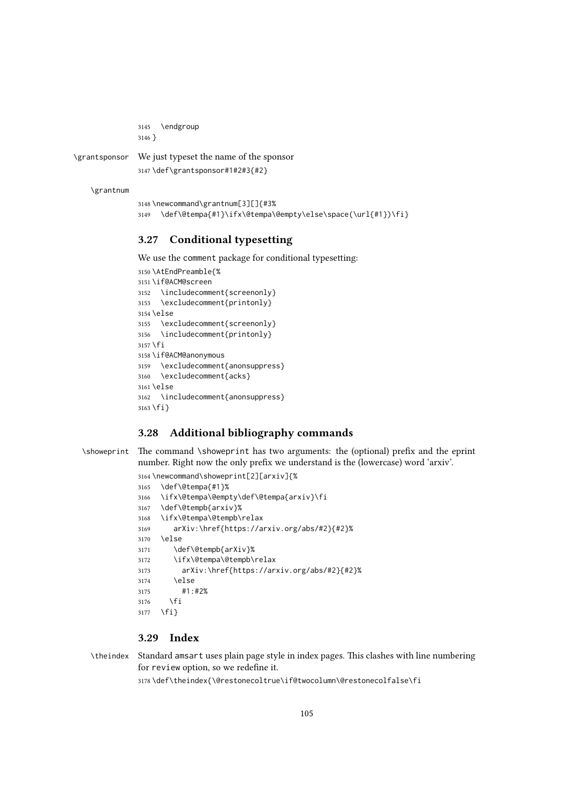```
3145 \endgroup
3146 }
```
\grantsponsor We just typeset the name of the sponsor

```
3147 \def\grantsponsor#1#2#3{#2}
```
\grantnum

```
3148 \newcommand\grantnum[3][]{#3%
3149 \def\@tempa{#1}\ifx\@tempa\@empty\else\space(\url{#1})\fi}
```
#### 3.27 Conditional typesetting

We use the comment package for conditional typesetting:

```
3150 \AtEndPreamble{%
3151 \if@ACM@screen
3152 \includecomment{screenonly}
3153 \excludecomment{printonly}
3154 \else
3155 \excludecomment{screenonly}
3156 \includecomment{printonly}
3157 \fi
3158 \if@ACM@anonymous
3159 \excludecomment{anonsuppress}
3160 \excludecomment{acks}
3161 \else
3162 \includecomment{anonsuppress}
3163 \fi}
```
## 3.28 Additional bibliography commands

\showeprint The command \showeprint has two arguments: the (optional) prefix and the eprint number. Right now the only prefix we understand is the (lowercase) word 'arxiv'.

```
3164 \newcommand\showeprint[2][arxiv]{%
3165 \def\@tempa{#1}%
3166 \ifx\@tempa\@empty\def\@tempa{arxiv}\fi
3167 \def\@tempb{arxiv}%
3168 \ifx\@tempa\@tempb\relax
3169 arXiv:\href{https://arxiv.org/abs/#2}{#2}%
3170 \else
3171 \def\@tempb{arXiv}%
3172 \ifx\@tempa\@tempb\relax
3173 arXiv:\href{https://arxiv.org/abs/#2}{#2}%
3174 \else
3175 #1:#2%
3176 \fi
3177 \fi}
```
#### 3.29 Index

\theindex Standard amsart uses plain page style in index pages. This clashes with line numbering for review option, so we redefine it.

\def\theindex{\@restonecoltrue\if@twocolumn\@restonecolfalse\fi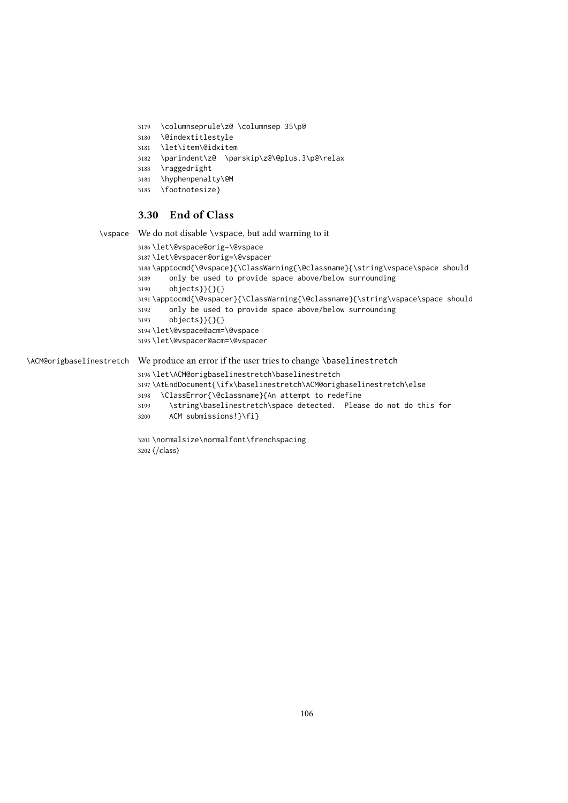- <span id="page-105-0"></span>\columnseprule\z@ \columnsep 35\p@
- \@indextitlestyle
- \let\item\@idxitem
- \parindent\z@ \parskip\z@\@plus.3\p@\relax
- \raggedright
- \hyphenpenalty\@M
- \footnotesize}

# 3.30 End of Class

\vspace We do not disable \vspace, but add warning to it

```
3186 \let\@vspace@orig=\@vspace
3187 \let\@vspacer@orig=\@vspacer
3188 \apptocmd{\@vspace}{\ClassWarning{\@classname}{\string\vspace\space should
3189 only be used to provide space above/below surrounding
3190 objects}}{}{}
3191 \apptocmd{\@vspacer}{\ClassWarning{\@classname}{\string\vspace\space should
3192 only be used to provide space above/below surrounding
3193 objects}}{}{}
3194 \let\@vspace@acm=\@vspace
3195 \let\@vspacer@acm=\@vspacer
```
\ACM@origbaselinestretch We produce an error if the user tries to change \baselinestretch

\let\ACM@origbaselinestretch\baselinestretch

- \AtEndDocument{\ifx\baselinestretch\ACM@origbaselinestretch\else
- \ClassError{\@classname}{An attempt to redefine
- \string\baselinestretch\space detected. Please do not do this for
- ACM submissions!}\fi}

 \normalsize\normalfont\frenchspacing ⟨/class⟩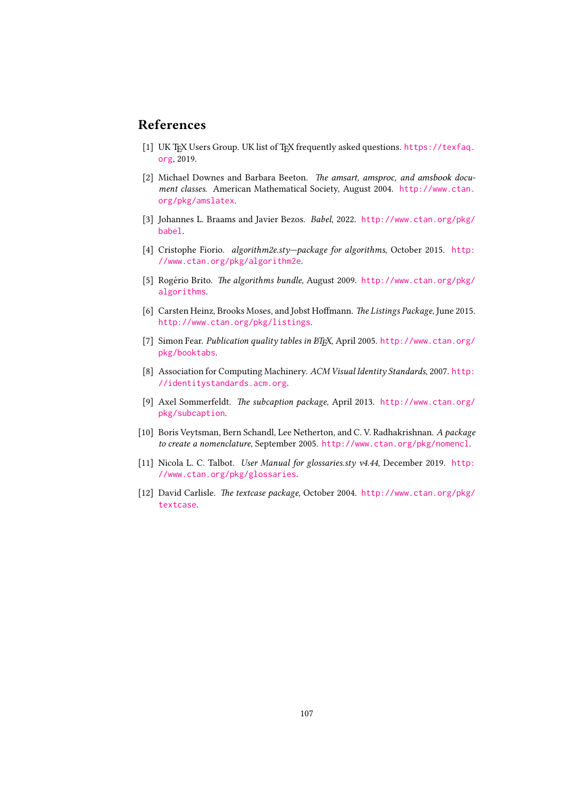# References

- [1] UK TEX Users Group. UK list of TEX frequently asked questions. [https://texfaq.](https://texfaq.org) [org](https://texfaq.org), 2019.
- [2] Michael Downes and Barbara Beeton. The amsart, amsproc, and amsbook document classes. American Mathematical Society, August 2004. [http://www.ctan.](http://www.ctan.org/pkg/amslatex) [org/pkg/amslatex](http://www.ctan.org/pkg/amslatex).
- [3] Johannes L. Braams and Javier Bezos. Babel, 2022. [http://www.ctan.org/pkg/](http://www.ctan.org/pkg/babel) [babel](http://www.ctan.org/pkg/babel).
- [4] Cristophe Fiorio. algorithm2e.sty—package for algorithms, October 2015. [http:](http://www.ctan.org/pkg/algorithm2e) [//www.ctan.org/pkg/algorithm2e](http://www.ctan.org/pkg/algorithm2e).
- [5] Rogério Brito. The algorithms bundle, August 2009. [http://www.ctan.org/pkg/](http://www.ctan.org/pkg/algorithms) [algorithms](http://www.ctan.org/pkg/algorithms).
- [6] Carsten Heinz, Brooks Moses, and Jobst Hoffmann. The Listings Package, June 2015. <http://www.ctan.org/pkg/listings>.
- [7] Simon Fear. Publication quality tables in BTEX, April 2005. [http://www.ctan.org/](http://www.ctan.org/pkg/booktabs) [pkg/booktabs](http://www.ctan.org/pkg/booktabs).
- [8] Association for Computing Machinery. ACM Visual Identity Standards, 2007. [http:](http://identitystandards.acm.org) [//identitystandards.acm.org](http://identitystandards.acm.org).
- [9] Axel Sommerfeldt. The subcaption package, April 2013. [http://www.ctan.org/](http://www.ctan.org/pkg/subcaption) [pkg/subcaption](http://www.ctan.org/pkg/subcaption).
- [10] Boris Veytsman, Bern Schandl, Lee Netherton, and C. V. Radhakrishnan. A package to create a nomenclature, September 2005. <http://www.ctan.org/pkg/nomencl>.
- [11] Nicola L. C. Talbot. User Manual for glossaries.sty v4.44, December 2019. [http:](http://www.ctan.org/pkg/glossaries) [//www.ctan.org/pkg/glossaries](http://www.ctan.org/pkg/glossaries).
- [12] David Carlisle. The textcase package, October 2004. [http://www.ctan.org/pkg/](http://www.ctan.org/pkg/textcase) [textcase](http://www.ctan.org/pkg/textcase).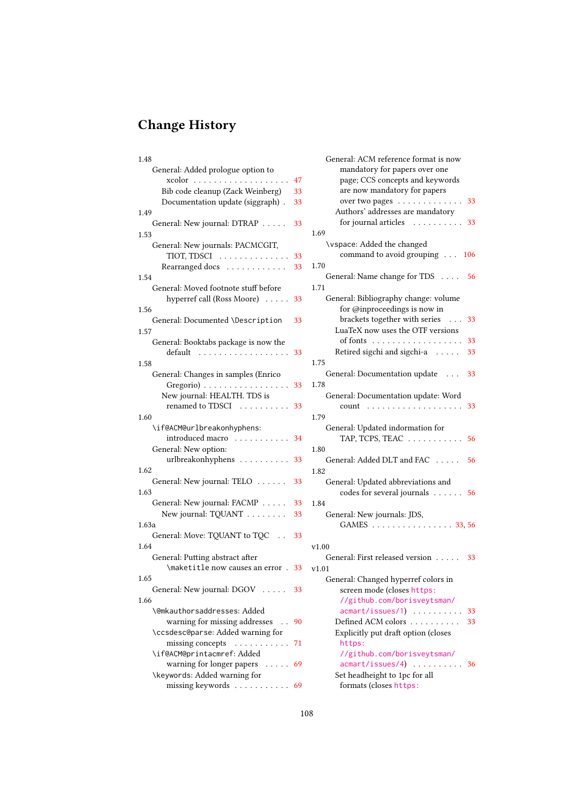# Change History

| 1.48                                                                      |    |
|---------------------------------------------------------------------------|----|
| General: Added prologue option to                                         |    |
|                                                                           | 47 |
| Bib code cleanup (Zack Weinberg)                                          | 33 |
| Documentation update (siggraph).                                          | 33 |
| 1.49                                                                      |    |
| General: New journal: DTRAP                                               | 33 |
| 1.53                                                                      |    |
| General: New journals: PACMCGIT,                                          |    |
| TIOT, TDSCI                                                               | 33 |
| Rearranged docs                                                           | 33 |
| 1.54                                                                      |    |
| General: Moved footnote stuff before                                      |    |
| hyperref call (Ross Moore)                                                | 33 |
| 1.56                                                                      |    |
| General: Documented \Description                                          | 33 |
| 1.57                                                                      |    |
| General: Booktabs package is now the                                      |    |
| default<br>.                                                              | 33 |
| 1.58                                                                      |    |
| General: Changes in samples (Enrico                                       |    |
| Gregorio) 33                                                              |    |
| New journal: HEALTH. TDS is                                               |    |
| renamed to TDSCI<br>$\mathbb{R}^n$ . The set of the set of $\mathbb{R}^n$ | 33 |
| 1.60                                                                      | 1  |
| \if@ACM@urlbreakonhyphens:                                                |    |
|                                                                           |    |
| introduced macro                                                          | 34 |
| General: New option:                                                      | 1  |
| urlbreakonhyphens                                                         | 33 |
| 1.62                                                                      | 1  |
| General: New journal: TELO                                                | 33 |
| 1.63                                                                      |    |
| General: New journal: FACMP                                               | 33 |
| New journal: TQUANT                                                       | 33 |
| 1.63a                                                                     |    |
| General: Move: TQUANT to TQC                                              | 33 |
| 1.64                                                                      |    |
| General: Putting abstract after                                           |    |
| \maketitle now causes an error . 33                                       |    |
| 1.65                                                                      |    |
| General: New journal: DGOV                                                | 33 |
| 1.66                                                                      |    |
| <b>\@mkauthorsaddresses: Added</b>                                        |    |
| warning for missing addresses                                             | 90 |
| \ccsdesc@parse: Added warning for                                         |    |
| missing concepts $\dots \dots \dots$                                      |    |
| \if@ACM@printacmref: Added                                                | 71 |
|                                                                           |    |
| warning for longer papers                                                 | 69 |
| \keywords: Added warning for                                              |    |
| missing keywords $\dots\dots\dots\dots$                                   | 69 |

| General: ACM reference format is now<br>mandatory for papers over one<br>page; CCS concepts and keywords |    |
|----------------------------------------------------------------------------------------------------------|----|
| are now mandatory for papers<br>over two pages                                                           | 33 |
| Authors' addresses are mandatory                                                                         |    |
| for journal articles<br>.<br>1.69                                                                        | 33 |
| \vspace: Added the changed                                                                               |    |
| command to avoid grouping 106                                                                            |    |
| 1.70                                                                                                     |    |
| General: Name change for TDS                                                                             | 56 |
| 1.71                                                                                                     |    |
| General: Bibliography change: volume                                                                     |    |
| for @inproceedings is now in<br>brackets together with series                                            |    |
| LuaTeX now uses the OTF versions                                                                         | 33 |
| of fonts                                                                                                 | 33 |
| Retired sigchi and sigchi-a<br>.                                                                         | 33 |
| 1.75                                                                                                     |    |
| General: Documentation update                                                                            | 33 |
| 1.78                                                                                                     |    |
| General: Documentation update: Word                                                                      |    |
| count                                                                                                    | 33 |
| 1.79                                                                                                     |    |
| General: Updated indormation for                                                                         |    |
| TAP, TCPS, TEAC                                                                                          | 56 |
| 1.80                                                                                                     |    |
| General: Added DLT and FAC                                                                               | 56 |
| 1.82                                                                                                     |    |
| General: Updated abbreviations and                                                                       |    |
| codes for several journals 56                                                                            |    |
| 1.84                                                                                                     |    |
| General: New journals: JDS,                                                                              |    |
| GAMES<br>33, 56                                                                                          |    |
|                                                                                                          |    |
| v1.00                                                                                                    |    |
| General: First released version                                                                          | 33 |
| v1.01                                                                                                    |    |
| General: Changed hyperref colors in                                                                      |    |
| screen mode (closes https:                                                                               |    |
| //github.com/borisveytsman/                                                                              |    |
| $acmart/issues/1) \ldots \ldots$                                                                         | 33 |
| Defined ACM colors<br>.<br>Explicitly put draft option (closes                                           | 33 |
| https:                                                                                                   |    |
| //github.com/borisveytsman/                                                                              |    |
| acmart/issues/4)<br>.                                                                                    | 36 |
| Set headheight to 1pc for all                                                                            |    |

formats (closes [https:](https://github.com/borisveytsman/acmart/issues/5)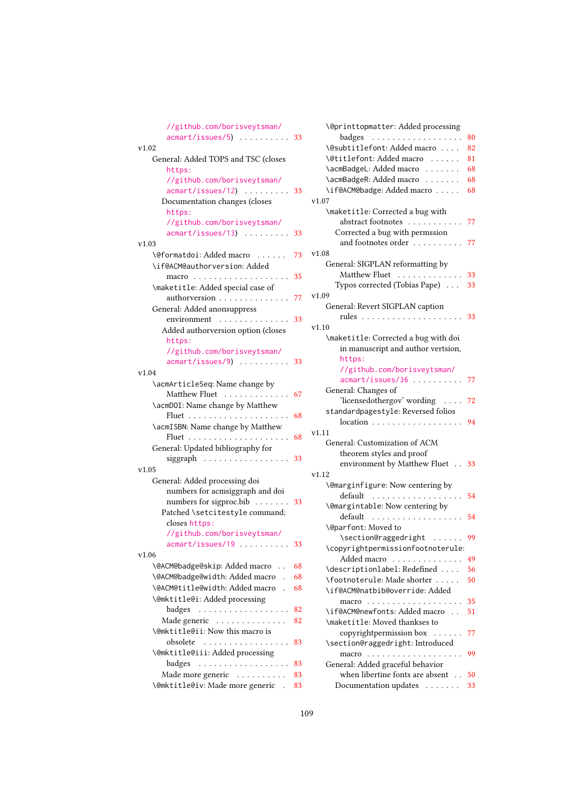| //github.com/borisveytsman/<br>$acmart/issues/5)$ 33 |    |
|------------------------------------------------------|----|
| v1.02                                                |    |
| General: Added TOPS and TSC (closes                  |    |
| https:                                               |    |
| //github.com/borisveytsman/                          |    |
| acmart/issues/12)<br>$\ldots \ldots \ldots$ 33       |    |
|                                                      |    |
| Documentation changes (closes                        |    |
| https:                                               |    |
| //github.com/borisveytsman/<br>$acmart/issues/13)$   |    |
|                                                      | 33 |
| v1.03                                                |    |
| \@formatdoi: Added macro                             | 73 |
| \if@ACM@authorversion: Added                         |    |
| macro                                                | 35 |
| \maketitle: Added special case of                    |    |
| authorversion                                        | 77 |
| General: Added anonsuppress                          |    |
| environment                                          | 33 |
| Added authorversion option (closes                   |    |
| https:                                               |    |
| //github.com/borisveytsman/                          |    |
| $acmart/issues/9)$ 33                                |    |
| v1.04                                                |    |
| \acmArticleSeq: Name change by                       |    |
| Matthew Fluet                                        | 67 |
| \acmD0I: Name change by Matthew                      |    |
|                                                      | 68 |
| \acmISBN: Name change by Matthew                     |    |
| Fluet                                                | 68 |
| $\ldots$ .<br>General: Updated bibliography for      |    |
|                                                      |    |
| siggraph                                             | 33 |
| v1.05                                                |    |
| General: Added processing doi                        |    |
| numbers for acmsiggraph and doi                      |    |
| numbers for sigproc.bib $\ldots \ldots$              | 33 |
| Patched \setcitestyle command;                       |    |
| closes https:                                        |    |
| //github.com/borisveytsman/                          |    |
| $a$ cmart/issues/19                                  | 33 |
| v1.06                                                |    |
| \@ACM@badge@skip: Added macro                        | 68 |
| \@ACM@badge@width: Added macro .                     | 68 |
| \@ACM@title@width: Added macro                       | 68 |
| \@mktitle@i: Added processing                        |    |
| badges<br>.                                          | 82 |
| Made generic                                         | 82 |
| \@mktitle@ii: Now this macro is                      |    |
| obsolete<br>.                                        | 83 |
| \@mktitle@iii: Added processing                      |    |
| badges<br>.                                          | 83 |
| Made more generic                                    | 83 |
| \@mktitle@iv: Made more generic .                    |    |
|                                                      | 83 |

| \@printtopmatter: Added processing                     |    |
|--------------------------------------------------------|----|
| badges                                                 | 80 |
| \@subtitlefont: Added macro                            | 82 |
| \@titlefont: Added macro                               | 81 |
| \acmBadgeL: Added macro                                | 68 |
| \acmBadgeR: Added macro                                | 68 |
| \if@ACM@badge: Added macro                             | 68 |
| v1.07                                                  |    |
|                                                        |    |
| \maketitle: Corrected a bug with<br>abstract footnotes |    |
|                                                        | 77 |
| Corrected a bug with permssion                         |    |
| and footnotes order                                    | 77 |
| v1.08                                                  |    |
| General: SIGPLAN reformatting by                       |    |
| Matthew Fluet                                          | 33 |
| Typos corrected (Tobias Pape)                          | 33 |
| v1.09                                                  |    |
| General: Revert SIGPLAN caption                        |    |
| rules                                                  | 33 |
| v1.10                                                  |    |
| \maketitle: Corrected a bug with doi                   |    |
| in manuscript and author vertsion,                     |    |
| https:                                                 |    |
| //github.com/borisveytsman/                            |    |
| acmart/issues/36                                       | 77 |
|                                                        |    |
| General: Changes of                                    |    |
| 'licensedothergov' wording                             | 72 |
| standardpagestyle: Reversed folios                     |    |
| $location \dots \dots \dots \dots$                     | 94 |
| v1.11                                                  |    |
| General: Customization of ACM                          |    |
| theorem styles and proof                               |    |
| environment by Matthew Fluet                           | 33 |
| v1.12                                                  |    |
| \@marginfigure: Now centering by                       |    |
| default<br>$\ldots$<br>.                               | 54 |
| \@margintable: Now centering by                        |    |
| default<br>.                                           | 54 |
| \@parfont: Moved to                                    |    |
| \section@raggedright                                   | 99 |
| \copyrightpermissionfootnoterule:                      |    |
| Added macro                                            | 49 |
| \descriptionlabel: Redefined                           | 56 |
|                                                        |    |
| \footnoterule: Made shorter                            | 50 |
| \if@ACM@natbib@override:Added                          |    |
|                                                        | 35 |
| \if@ACM@newfonts: Added macro                          | 51 |
| \maketitle: Moved thankses to                          |    |
| copyrightpermission box                                | 77 |
| \section@raggedright: Introduced                       |    |
|                                                        | 99 |
| General: Added graceful behavior                       |    |
| when libertine fonts are absent                        | 50 |
| Documentation updates 33                               |    |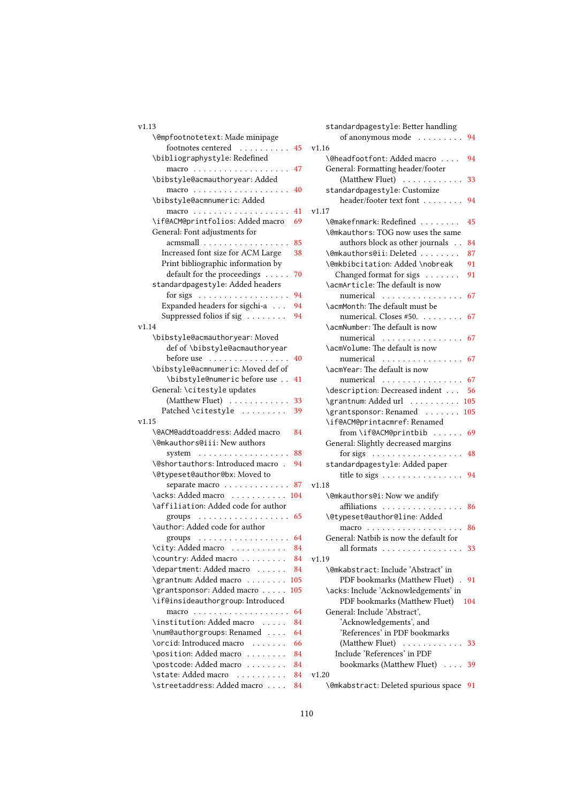## v1.13

| \@mpfootnotetext: Made minipage                       |
|-------------------------------------------------------|
| footnotes centered<br>45                              |
| \bibliographystyle: Redefined                         |
| 47                                                    |
| \bibstyle@acmauthoryear: Added                        |
| 40                                                    |
| \bibstyle@acmnumeric: Added                           |
| 41                                                    |
| \if@ACM@printfolios: Added macro<br>69                |
| General: Font adjustments for                         |
| acmsmall<br>85                                        |
| Increased font size for ACM Large<br>38               |
| Print bibliographic information by                    |
| default for the proceedings<br>70                     |
| standardpagestyle: Added headers                      |
| for sigs $\ldots \ldots \ldots \ldots \ldots$<br>94   |
| Expanded headers for sigchi-a<br>94                   |
| Suppressed folios if sig<br>94                        |
| v1.14                                                 |
| \bibstyle@acmauthoryear: Moved                        |
| def of \bibstyle@acmauthoryear                        |
| before use<br>40                                      |
| \bibstyle@acmnumeric: Moved def of                    |
| \bibstyle@numeric before use<br>41                    |
| General: \citestyle updates                           |
| (Matthew Fluet)<br>33<br>Patched \citestyle           |
| 39<br>v1.15                                           |
| \@ACM@addtoaddress: Added macro<br>84                 |
| \@mkauthors@iii: New authors                          |
| system $\ldots \ldots \ldots \ldots \ldots$<br>88     |
| \@shortauthors: Introduced macro .<br>94              |
| \@typeset@author@bx: Moved to                         |
| separate macro<br>87                                  |
| \acks: Added macro 104                                |
| \affiliation: Added code for author                   |
| groups $\ldots \ldots \ldots \ldots \ldots \ldots$ 65 |
| \author: Added code for author                        |
| groups 64                                             |
| \city: Added macro  84                                |
| \country: Added macro<br>84                           |
| \department: Added macro<br>84                        |
| \grantnum: Added macro<br>105                         |
| \grantsponsor: Added macro<br>105                     |
| \if@insideauthorgroup: Introduced                     |
| 64                                                    |
| \institution: Added macro<br>84<br>and the con-       |
| \num@authorgroups: Renamed<br>64                      |
| \orcid: Introduced macro<br>66<br>1.1.1.1.1.1         |
| \position: Added macro<br>84                          |
| \postcode: Added macro<br>84                          |
| \state: Added macro<br>$\alpha$<br>84                 |
| \streetaddress: Added macro<br>84                     |

|   | standardpagestyle: Better handling                                                                              |
|---|-----------------------------------------------------------------------------------------------------------------|
|   | of anonymous mode<br>94                                                                                         |
| 5 | v1.16                                                                                                           |
|   | \@headfootfont: Added macro<br>94                                                                               |
|   | General: Formatting header/footer                                                                               |
|   | (Matthew Fluet)<br>33                                                                                           |
|   | standardpagestyle: Customize                                                                                    |
|   | header/footer text font<br>94                                                                                   |
|   | v1.17                                                                                                           |
|   | \@makefnmark: Redefined<br>45                                                                                   |
|   | \@mkauthors: TOG now uses the same                                                                              |
|   | authors block as other journals<br>84                                                                           |
|   | \@mkauthors@ii:Deleted<br>87                                                                                    |
|   | \@mkbibcitation: Added \nobreak<br>91                                                                           |
| ) | Changed format for sigs<br>91                                                                                   |
|   | \acmArticle: The default is now                                                                                 |
|   |                                                                                                                 |
|   | 67<br>numerical                                                                                                 |
|   | \acmMonth: The default must be                                                                                  |
|   | numerical. Closes #50.<br>67                                                                                    |
|   | \acmNumber: The default is now                                                                                  |
|   | numerical<br>67                                                                                                 |
|   | \acmVolume: The default is now                                                                                  |
|   | numerical<br>67                                                                                                 |
|   | \acmYear: The default is now                                                                                    |
|   | numerical<br>67                                                                                                 |
|   | \description: Decreased indent<br>56                                                                            |
|   | \grantnum: Added url<br>105                                                                                     |
|   | \grantsponsor: Renamed<br>105                                                                                   |
|   | \if@ACM@printacmref: Renamed                                                                                    |
|   | from \if@ACM@printbib  69                                                                                       |
|   | General: Slightly decreased margins                                                                             |
|   | 48<br>for sigs                                                                                                  |
| Į | standardpagestyle: Added paper                                                                                  |
|   | title to sigs<br>94                                                                                             |
|   | v1.18                                                                                                           |
| Į | \@mkauthors@i: Now we andify                                                                                    |
|   | affiliations<br>86                                                                                              |
|   | \@typeset@author@line: Added                                                                                    |
|   | $macro \dots \dots$<br>$\mathbb{R}^2$ . $\mathbb{R}^2$ , $\mathbb{R}^2$ , $\mathbb{R}^2$ , $\mathbb{R}^2$<br>86 |
|   | General: Natbib is now the default for                                                                          |
|   | all formats $\dots \dots$<br>33                                                                                 |
| ŀ | v1.19                                                                                                           |
|   | \@mkabstract: Include 'Abstract' in                                                                             |
|   |                                                                                                                 |
|   | PDF bookmarks (Matthew Fluet).<br>91                                                                            |
|   | \acks: Include 'Acknowledgements' in                                                                            |
|   | PDF bookmarks (Matthew Fluet)<br>104                                                                            |
|   | General: Include 'Abstract',                                                                                    |
|   | 'Acknowledgements', and                                                                                         |
|   | 'References' in PDF bookmarks                                                                                   |
|   | (Matthew Fluet)<br>33<br>$\ldots$ .<br>                                                                         |
|   | Include 'References' in PDF                                                                                     |
|   | bookmarks (Matthew Fluet)<br>39                                                                                 |
|   | v1.20                                                                                                           |
|   |                                                                                                                 |

\@mkabstract: Deleted spurious space [91](#page-90-0)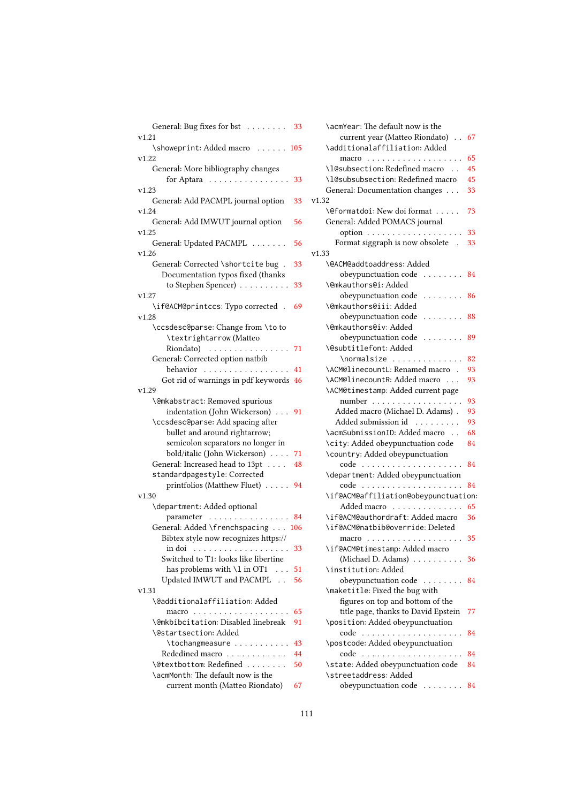| General: Bug fixes for bst<br>33                 |
|--------------------------------------------------|
| v1.21<br>\showeprint: Added macro  105           |
| v1.22                                            |
| General: More bibliography changes               |
| for Aptara<br>33                                 |
| v1.23                                            |
| General: Add PACMPL journal option<br>33         |
| v1.24                                            |
| General: Add IMWUT journal option<br>56<br>v1.25 |
| General: Updated PACMPL<br>56                    |
| v1.26                                            |
| General: Corrected \shortcite bug.<br>33         |
| Documentation typos fixed (thanks                |
| to Stephen Spencer)<br>33                        |
| v1.27                                            |
| \if@ACM@printccs: Typo corrected<br>69<br>v1.28  |
| \ccsdesc@parse: Change from \to to               |
| \textrightarrow (Matteo                          |
| Riondato)<br>71<br>.                             |
| General: Corrected option natbib                 |
| behavior<br>41                                   |
| Got rid of warnings in pdf keywords<br>46        |
| v1.29                                            |
| \@mkabstract: Removed spurious                   |
| indentation (John Wickerson)<br>91               |
| \ccsdesc@parse: Add spacing after                |
| bullet and around rightarrow;                    |
| semicolon separators no longer in                |
| bold/italic (John Wickerson)<br>71               |
| General: Increased head to 13pt<br>48            |
| standardpagestyle: Corrected                     |
| printfolios (Matthew Fluet)<br>94                |
| v1.30                                            |
| \department: Added optional                      |
| parameter<br>.<br>84                             |
| General: Added \frenchspacing<br>106             |
| Bibtex style now recognizes https://             |
| 33<br>in doi<br>.                                |
| Switched to T1: looks like libertine             |
| has problems with \1 in OT1<br>$\ldots$<br>51    |
| Updated IMWUT and PACMPL<br>56                   |
| v1.31                                            |
| <b>\@additionalaffiliation: Added</b>            |
| 65                                               |
| \@mkbibcitation: Disabled linebreak<br>91        |
| \@startsection: Added                            |
| \tochangmeasure<br>43                            |
| Rededined macro<br>44                            |
| \@textbottom: Redefined<br>50                    |
| \acmMonth: The default now is the                |
| current month (Matteo Riondato)<br>67            |

| \acmYear: The default now is the     |    |
|--------------------------------------|----|
| current year (Matteo Riondato)       | 67 |
| \additionalaffiliation: Added        |    |
|                                      | 65 |
| \l@subsection: Redefined macro       | 45 |
| \l@subsubsection: Redefined macro    | 45 |
| General: Documentation changes       | 33 |
| v1.32                                |    |
| \@formatdoi: New doi format          | 73 |
| General: Added POMACS journal        |    |
| $option \ldots \ldots \ldots \ldots$ | 33 |
| Format siggraph is now obsolete .    | 33 |
|                                      |    |
| v1.33                                |    |
| \@ACM@addtoaddress: Added            |    |
| obeypunctuation code<br>.            | 84 |
| \@mkauthors@i: Added                 |    |
| obeypunctuation code  86             |    |
| \@mkauthors@iii:Added                |    |
| obeypunctuation code                 | 88 |
| \@mkauthors@iv: Added                |    |
| obeypunctuation code                 | 89 |
| \@subtitlefont: Added                |    |
| \normalsize                          | 82 |
| \ACM@linecountL: Renamed macro .     | 93 |
| \ACM@linecountR: Added macro         | 93 |
| \ACM@timestamp: Added current page   |    |
| $number \ldots \ldots \ldots \ldots$ | 93 |
| Added macro (Michael D. Adams).      | 93 |
| Added submission id<br>.             | 93 |
| \acmSubmissionID: Added macro        | 68 |
| \city: Added obeypunctuation code    | 84 |
| \country: Added obeypunctuation      |    |
| code<br>.                            | 84 |
| \department: Added obeypunctuation   |    |
| code                                 | 84 |
| \if@ACM@affiliation@obeypunctuation: |    |
| Added macro                          | 65 |
| \if@ACM@authordraft: Added macro     |    |
|                                      | 36 |
| \if@ACM@natbib@override:Deleted      |    |
|                                      | 35 |
| \if@ACM@timestamp: Added macro       |    |
| (Michael D. Adams) $\dots \dots$     | 36 |
| \institution: Added                  |    |
| obeypunctuation code                 | 84 |
| \maketitle: Fixed the bug with       |    |
| figures on top and bottom of the     |    |
| title page, thanks to David Epstein  | 77 |
| \position: Added obeypunctuation     |    |
| code                                 | 84 |
| \postcode: Added obeypunctuation     |    |
| code<br>.                            | 84 |
| \state: Added obeypunctuation code   | 84 |
| \streetaddress: Added                |    |
| obeypunctuation code                 | 84 |
|                                      |    |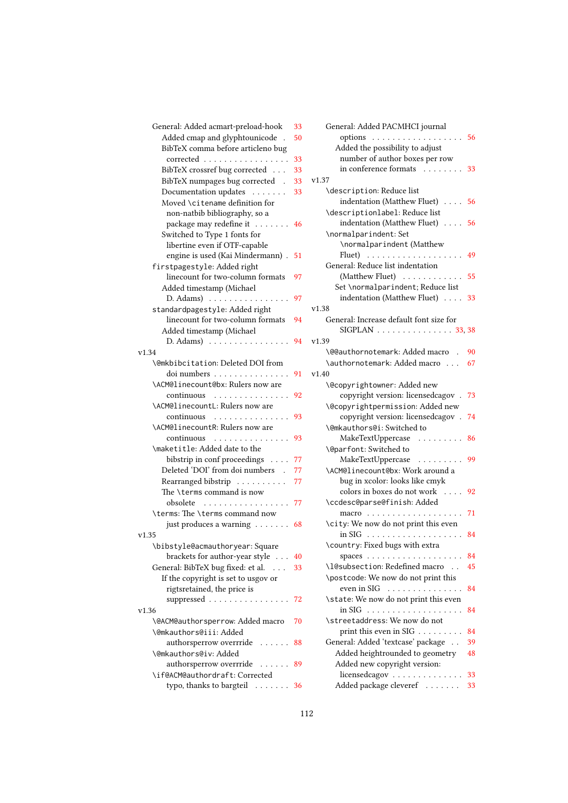| General: Added acmart-preload-hook                              | 33 |
|-----------------------------------------------------------------|----|
| Added cmap and glyphtounicode                                   | 50 |
| BibTeX comma before articleno bug                               |    |
| corrected                                                       | 33 |
| BibTeX crossref bug corrected                                   | 33 |
| BibTeX numpages bug corrected .                                 | 33 |
| Documentation updates                                           | 33 |
| Moved \citename definition for                                  |    |
| non-natbib bibliography, so a                                   |    |
| package may redefine it                                         | 46 |
| Switched to Type 1 fonts for                                    |    |
| libertine even if OTF-capable                                   |    |
| engine is used (Kai Mindermann).                                | 51 |
| firstpagestyle: Added right<br>linecount for two-column formats |    |
| Added timestamp (Michael                                        | 97 |
| $D. Adams) \dots \dots \dots \dots \dots \dots$                 | 97 |
| standardpagestyle: Added right                                  |    |
| linecount for two-column formats                                | 94 |
| Added timestamp (Michael                                        |    |
| $D. Adams) \dots \dots \dots \dots \dots \dots$                 | 94 |
| v1.34                                                           |    |
| \@mkbibcitation: Deleted DOI from                               |    |
| doi numbers                                                     | 91 |
| \ACM@linecount@bx: Rulers now are                               |    |
| continuous                                                      | 92 |
| \ACM@linecountL: Rulers now are                                 |    |
| continuous                                                      | 93 |
| \ACM@linecountR: Rulers now are                                 |    |
| continuous                                                      | 93 |
| \maketitle: Added date to the                                   |    |
| bibstrip in conf proceedings                                    | 77 |
| Deleted 'DOI' from doi numbers                                  | 77 |
| Rearranged bibstrip<br>The \terms command is now                | 77 |
| obsolete                                                        |    |
| \terms: The \terms command now                                  | 77 |
| just produces a warning                                         | 68 |
| v1.35                                                           |    |
| \bibstyle@acmauthoryear:Square                                  |    |
| brackets for author-year style                                  | 40 |
| General: BibTeX bug fixed: et al.                               | 33 |
| If the copyright is set to usgov or                             |    |
| rigtsretained, the price is                                     |    |
| suppressed                                                      | 72 |
| v1.36                                                           |    |
| \@ACM@authorsperrow: Added macro                                | 70 |
| \@mkauthors@iii: Added                                          |    |
| authorsperrow overrride<br>.                                    | 88 |
| \@mkauthors@iv: Added                                           |    |
| authorsperrow overrride                                         | 89 |
| \if@ACM@authordraft: Corrected                                  |    |
| typo, thanks to bargteil $\ldots \ldots$                        | 36 |

| General: Added PACMHCI journal          |    |
|-----------------------------------------|----|
| options 56                              |    |
| Added the possibility to adjust         |    |
| number of author boxes per row          |    |
| in conference formats  33               |    |
| v1.37                                   |    |
| \description: Reduce list               |    |
| indentation (Matthew Fluet) $\ldots$ 56 |    |
| \descriptionlabel: Reduce list          |    |
| indentation (Matthew Fluet) 56          |    |
| \normalparindent: Set                   |    |
| \normalparindent (Matthew               |    |
|                                         | 49 |
| General: Reduce list indentation        |    |
| (Matthew Fluet)                         | 55 |
| Set \normalparindent; Reduce list       |    |
| indentation (Matthew Fluet)             | 33 |
| v1.38                                   |    |
| General: Increase default font size for |    |
| $SIGPLAN$ 33, 38                        |    |
| v1.39                                   |    |
| \@@authornotemark: Added macro          | 90 |
| \authornotemark: Added macro            | 67 |
| v1.40                                   |    |
| \@copyrightowner: Added new             |    |
| copyright version: licensedcagov.       | 73 |
| \@copyrightpermission: Added new        |    |
| copyright version: licensedcagov . 74   |    |
| \@mkauthors@i: Switched to              |    |
| MakeTextUppercase                       | 86 |
| \@parfont: Switched to                  |    |
| MakeTextUppercase                       | 99 |
| \ACM@linecount@bx: Work around a        |    |
| bug in xcolor: looks like cmyk          |    |
| colors in boxes do not work             | 92 |
| \ccdesc@parse@finish: Added             |    |
| macro<br>$\sim$                         | 71 |
| \city: We now do not print this even    |    |
| $\overline{\text{in SIG}}$              | 84 |
| \country: Fixed bugs with extra         |    |
|                                         | 84 |
| \l@subsection: Redefined macro          | 45 |
| \postcode: We now do not print this     |    |
| even in SIG                             | 84 |
| \state: We now do not print this even   |    |
| $in SIG$<br>$\ddot{\phantom{0}}$        | 84 |
| \streetaddress: We now do not           |    |
| print this even in SIG                  | 84 |
| General: Added 'textcase' package       | 39 |
| Added heightrounded to geometry         | 48 |
| Added new copyright version:            |    |
| licensedcagov                           | 33 |
| Added package cleveref                  | 33 |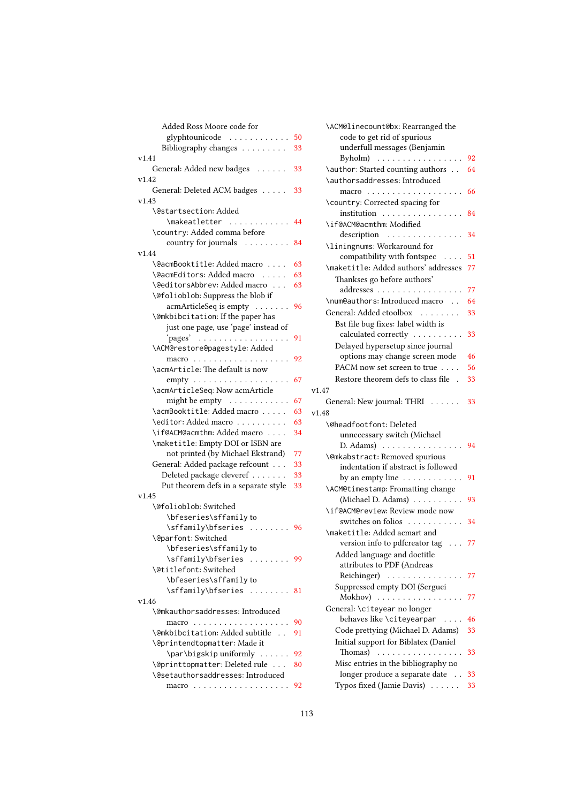| Added Ross Moore code for                                          |    |
|--------------------------------------------------------------------|----|
| glyphtounicode                                                     | 50 |
| Bibliography changes                                               | 33 |
| v1.41                                                              |    |
| General: Added new badges                                          | 33 |
| v1.42                                                              |    |
| General: Deleted ACM badges                                        | 33 |
| v1.43                                                              |    |
| <b>\@startsection: Added</b>                                       |    |
| \makeatletter                                                      | 44 |
|                                                                    |    |
| \country: Added comma before                                       |    |
| country for journals                                               | 84 |
| v1.44                                                              |    |
| \@acmBooktitle: Added macro                                        | 63 |
| \@acmEditors: Added macro                                          | 63 |
| \@editorsAbbrev: Added macro                                       | 63 |
| \@folioblob: Suppress the blob if                                  |    |
| acmArticleSeq is empty                                             | 96 |
| \@mkbibcitation: If the paper has                                  |    |
| just one page, use 'page' instead of                               |    |
| pages'<br>.                                                        | 91 |
| \ACM@restore@pagestyle: Added                                      |    |
|                                                                    | 92 |
| \acmArticle: The default is now                                    |    |
|                                                                    | 67 |
| \acmArticleSeq: Now acmArticle                                     |    |
| might be empty                                                     | 67 |
| \acmBooktitle: Added macro                                         | 63 |
| \editor: Added macro                                               | 63 |
| \if@ACM@acmthm: Added macro                                        | 34 |
| \maketitle: Empty DOI or ISBN are                                  |    |
| not printed (by Michael Ekstrand)                                  | 77 |
| General: Added package refcount                                    |    |
|                                                                    | 33 |
| Deleted package cleveref                                           | 33 |
| Put theorem defs in a separate style                               | 33 |
| v1.45                                                              |    |
| \@folioblob: Switched                                              |    |
| \bfeseries\sffamily to                                             |    |
| \sffamily\bfseries  96                                             |    |
| \@parfont: Switched                                                |    |
| \bfeseries\sffamily to                                             |    |
| \sffamily\bfseries<br>$\mathcal{A}$ . The set of the $\mathcal{A}$ | 99 |
| \@titlefont: Switched                                              |    |
| \bfeseries\sffamily to                                             |    |
| \sffamily\bfseries                                                 | 81 |
| v1.46                                                              |    |
| \@mkauthorsaddresses: Introduced                                   |    |
|                                                                    | 90 |
| \@mkbibcitation: Added subtitle                                    | 91 |
| \@printendtopmatter: Made it                                       |    |
| \par\bigskip uniformly                                             | 92 |
| \@printtopmatter: Deleted rule                                     | 80 |
| \@setauthorsaddresses: Introduced                                  |    |
|                                                                    | 92 |
|                                                                    |    |

| \ACM@linecount@bx: Rearranged the                                               |    |
|---------------------------------------------------------------------------------|----|
| code to get rid of spurious                                                     |    |
| underfull messages (Benjamin                                                    |    |
| Byholm)<br>.                                                                    | 92 |
| \author: Started counting authors                                               | 64 |
| \authorsaddresses: Introduced                                                   |    |
| macro<br>.<br>$\mathbb{R}^n$ . $\mathbb{R}^n$ , $\mathbb{R}^n$ , $\mathbb{R}^n$ | 66 |
| \country: Corrected spacing for                                                 |    |
| institution                                                                     | 84 |
| \if@ACM@acmthm: Modified                                                        |    |
| description                                                                     | 34 |
| \liningnums: Workaround for                                                     |    |
| compatibility with fontspec<br>$\sim$ $\sim$ $\sim$ $\sim$                      | 51 |
| \maketitle: Added authors' addresses                                            | 77 |
| Thankses go before authors'                                                     |    |
| addresses                                                                       | 77 |
| \num@authors: Introduced macro                                                  | 64 |
| General: Added etoolbox                                                         | 33 |
| Bst file bug fixes: label width is                                              |    |
| calculated correctly                                                            | 33 |
| Delayed hypersetup since journal                                                |    |
| options may change screen mode                                                  | 46 |
| PACM now set screen to true                                                     | 56 |
| Restore theorem defs to class file.                                             | 33 |
| v1.47                                                                           |    |
| General: New journal: THRI                                                      | 33 |
| v1.48                                                                           |    |
| \@headfootfont: Deleted                                                         |    |
| unnecessary switch (Michael                                                     |    |
| $D. Adams) \dots \dots \dots \dots \dots \dots$                                 | 94 |
| \@mkabstract: Removed spurious                                                  |    |
| indentation if abstract is followed                                             |    |
| by an empty line $\dots \dots \dots$                                            | 91 |
| \ACM@timestamp: Fromatting change                                               |    |
| (Michael D. Adams)                                                              | 93 |
| \if@ACM@review: Review mode now                                                 |    |
| switches on folios                                                              | 34 |
| \maketitle: Added acmart and                                                    |    |
| version info to pdfcreator tag 77                                               |    |
| Added language and doctitle                                                     |    |
| attributes to PDF (Andreas                                                      |    |
| Reichinger)<br>$\sim 100$ km s $^{-1}$                                          | 77 |
| Suppressed empty DOI (Serguei                                                   |    |
| Mokhov)<br>1.1.1.1.1<br>$\sim$ $\sim$ $\sim$ $\sim$ $\sim$ $\sim$               | 77 |
| General: \citeyear no longer                                                    |    |
| behaves like \citeyearpar                                                       | 46 |
| Code prettying (Michael D. Adams)                                               | 33 |
| Initial support for Biblatex (Daniel                                            |    |
| Thomas)                                                                         | 33 |
| Misc entries in the bibliography no                                             |    |
| longer produce a separate date                                                  | 33 |
| Typos fixed (Jamie Davis)<br>$\mathbb{R}^n$ . In the $\mathbb{R}^n$             | 33 |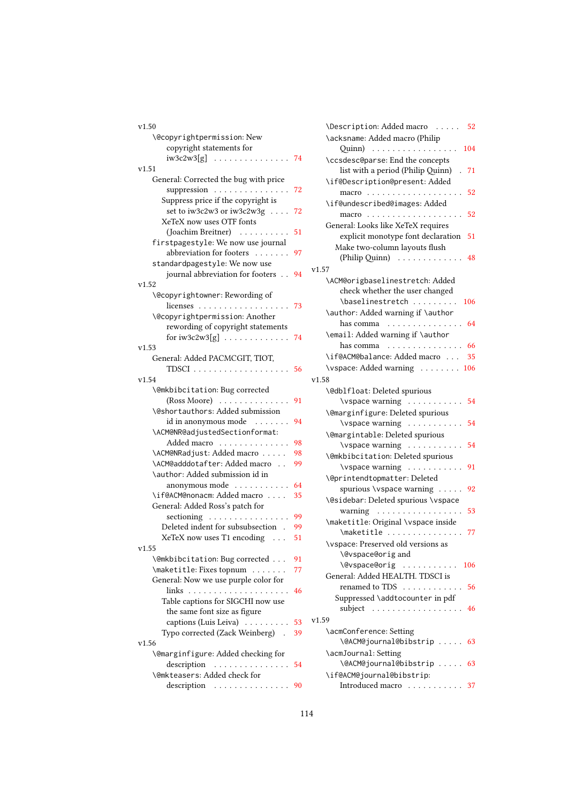| v1.50                                                                   | \Description: Added macro<br>52               |
|-------------------------------------------------------------------------|-----------------------------------------------|
| \@copyrightpermission: New                                              | \acksname: Added macro (Philip                |
| copyright statements for                                                | 104                                           |
| $iw3c2w3[g]$ 74                                                         | \ccsdesc@parse: End the concepts              |
| v1.51                                                                   | list with a period (Philip Quinn)<br>.71      |
| General: Corrected the bug with price                                   | \if@Description@present: Added                |
| suppression 72                                                          |                                               |
| Suppress price if the copyright is                                      | \if@undescribed@images: Added                 |
| set to iw3c2w3 or iw3c2w3g 72                                           |                                               |
| XeTeX now uses OTF fonts                                                | General: Looks like XeTeX requires            |
| (Joachim Breitner) 51                                                   | explicit monotype font declaration 51         |
| firstpagestyle: We now use journal                                      | Make two-column layouts flush                 |
| abbreviation for footers<br>97                                          | (Philip Quinn) 48                             |
| standardpagestyle: We now use                                           | v1.57                                         |
| journal abbreviation for footers 94                                     | \ACM@origbaselinestretch: Added               |
| v1.52                                                                   | check whether the user changed                |
| \@copyrightowner: Rewording of                                          | \baselinestretch<br>106                       |
| licenses $\ldots \ldots \ldots \ldots \ldots \ldots$ 73                 | \author: Added warning if \author             |
| \@copyrightpermission: Another                                          | has comma $\ldots \ldots \ldots \ldots 64$    |
| rewording of copyright statements                                       | \email: Added warning if \author              |
|                                                                         | has comma $\ldots \ldots \ldots \ldots$<br>66 |
| v1.53                                                                   | \if@ACM@balance: Added macro                  |
| General: Added PACMCGIT, TIOT,                                          | 35                                            |
| TDSCI $\ldots \ldots \ldots \ldots \ldots 56$                           | \vspace: Added warning 106                    |
| v1.54                                                                   | v1.58                                         |
| \@mkbibcitation: Bug corrected                                          | \@dblfloat: Deleted spurious                  |
| $(Ross Moore)$<br>91                                                    | \vspace warning 54                            |
| \@shortauthors: Added submission                                        | \@marginfigure: Deleted spurious              |
| id in anonymous mode<br>94                                              | $\verb \vspace warning            $<br>54     |
| \ACM@NR@adjustedSectionformat:                                          | \@margintable: Deleted spurious               |
| Added macro<br>98                                                       | \vspace warning 54                            |
| \ACM@NRadjust: Added macro<br>98<br>\ACM@adddotafter: Added macro<br>99 | \@mkbibcitation: Deleted spurious             |
| \author: Added submission id in                                         | \vspace warning 91                            |
| anonymous mode $\dots\dots\dots\dots$<br>64                             | \@printendtopmatter: Deleted                  |
| \if@ACM@nonacm: Added macro<br>35                                       | spurious \vspace warning  92                  |
| General: Added Ross's patch for                                         | \@sidebar: Deleted spurious \vspace           |
| sectioning<br>99                                                        | warning 53                                    |
| Deleted indent for subsubsection .<br>99                                | \maketitle: Original \vspace inside           |
| XeTeX now uses T1 encoding<br>51                                        | \maketitle  77                                |
| v1.55                                                                   | \vspace: Preserved old versions as            |
| \@mkbibcitation: Bug corrected<br>91                                    | \@vspace@origand                              |
| \maketitle: Fixes topnum<br>77                                          | \@vspace@orig  106                            |
| General: Now we use purple color for                                    | General: Added HEALTH. TDSCI is               |
| 46                                                                      | renamed to TDS 56                             |
| Table captions for SIGCHI now use                                       | Suppressed \addtocounter in pdf               |
| the same font size as figure                                            | subject 46                                    |
| captions (Luis Leiva)<br>53                                             | v1.59                                         |
| Typo corrected (Zack Weinberg)<br>39                                    | \acmConference: Setting                       |
| v1.56                                                                   | \@ACM@journal@bibstrip  63                    |
| \@marginfigure: Added checking for                                      | \acmJournal: Setting                          |
| description $\ldots \ldots \ldots \ldots 54$                            | \@ACM@journal@bibstrip  63                    |
| \@mkteasers: Added check for                                            | \if@ACM@journal@bibstrip:                     |
| description<br>90                                                       | Introduced macro<br>37                        |

| \Description: Added macro<br>52                           |
|-----------------------------------------------------------|
| \acksname: Added macro (Philip                            |
| $Quinn)$<br>104                                           |
| \ccsdesc@parse: End the concepts                          |
| list with a period (Philip Quinn)<br>71                   |
| \if@Description@present: Added                            |
| 52                                                        |
| \if@undescribed@images: Added                             |
| 52                                                        |
| General: Looks like XeTeX requires                        |
| explicit monotype font declaration<br>51                  |
| Make two-column layouts flush                             |
| (Philip Quinn) $\ldots \ldots \ldots$<br>48               |
| v1.57                                                     |
| \ACM@origbaselinestretch: Added                           |
| check whether the user changed<br>\baselinestretch<br>106 |
| \author: Added warning if \author                         |
| 64<br>has comma                                           |
| \email: Added warning if \author                          |
| has comma<br>66<br>.                                      |
| \if@ACM@balance: Added macro<br>35                        |
| \vspace: Added warning 106                                |
| v1.58                                                     |
| \@dblfloat: Deleted spurious                              |
| \vspace warning<br>54                                     |
| \@marginfigure: Deleted spurious                          |
| \vspace warning<br>54                                     |
| \@margintable: Deleted spurious                           |
| \vspace warning<br>54                                     |
| \@mkbibcitation: Deleted spurious                         |
| \vspace warning<br>91                                     |
| \@printendtopmatter: Deleted                              |
| spurious \vspace warning<br>92                            |
| \@sidebar: Deleted spurious \vspace                       |
| 53<br>warning<br>.                                        |
| \maketitle: Original \vspace inside                       |
| \maketitle<br>77<br>.                                     |
| \vspace: Preserved old versions as                        |
| \@vspace@origand                                          |
| \@vspace@orig  106                                        |
| General: Added HEALTH. TDSCI is                           |
| renamed to TDS 56                                         |
| Suppressed \addtocounter in pdf                           |
| subject<br>46<br>.                                        |
| v1.59                                                     |
| \acmConference: Setting                                   |
| \@ACM@journal@bibstrip  63                                |
| \acmJournal: Setting                                      |
| \@ACM@journal@bibstrip  63                                |
| \if@ACM@journal@bibstrip:                                 |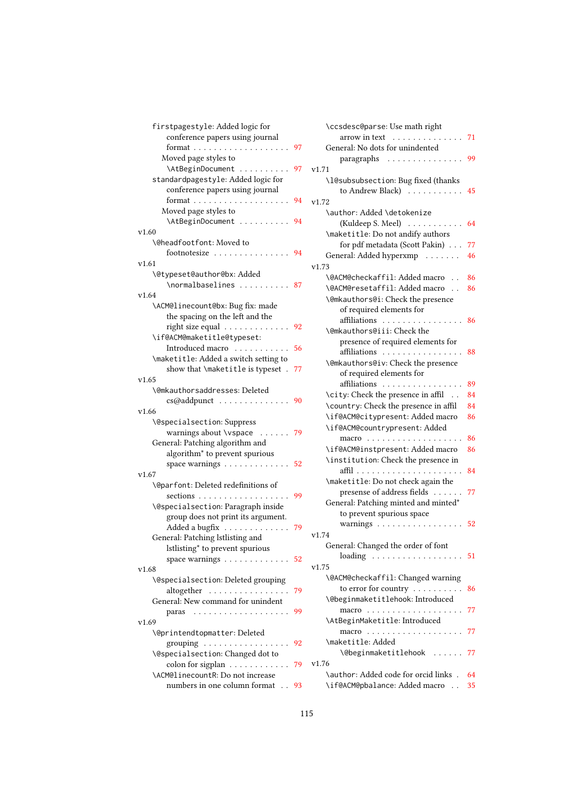| firstpagestyle: Added logic for                   |    |      |
|---------------------------------------------------|----|------|
| conference papers using journal                   |    |      |
|                                                   |    |      |
| Moved page styles to                              |    |      |
| \AtBeginDocument  97                              |    | v1.7 |
| standardpagestyle: Added logic for                |    |      |
| conference papers using journal                   |    |      |
|                                                   | 94 | v1.7 |
| Moved page styles to                              |    |      |
| \AtBeginDocument  94                              |    |      |
| v1.60                                             |    |      |
| \@headfootfont: Moved to                          |    |      |
| footnotesize 94                                   |    |      |
| v1.61                                             |    | v1.7 |
| \@typeset@author@bx: Added                        |    |      |
| \normalbaselines  87                              |    |      |
| v1.64                                             |    |      |
| \ACM@linecount@bx: Bug fix: made                  |    |      |
| the spacing on the left and the                   |    |      |
| right size equal                                  | 92 |      |
| \if@ACM@maketitle@typeset:                        |    |      |
| Introduced macro                                  | 56 |      |
| \maketitle: Added a switch setting to             |    |      |
| show that \maketitle is typeset .                 | 77 |      |
| v1.65                                             |    |      |
| \@mkauthorsaddresses: Deleted                     |    |      |
| cs@addpunct  90                                   |    |      |
| v1.66                                             |    |      |
| \@specialsection: Suppress                        |    |      |
| warnings about \vspace  79                        |    |      |
| General: Patching algorithm and                   |    |      |
| algorithm <sup>*</sup> to prevent spurious        |    |      |
| space warnings 52                                 |    |      |
| v1.67                                             |    |      |
| \@parfont: Deleted redefinitions of               |    |      |
| sections                                          | 99 |      |
| \@specialsection: Paragraph inside                |    |      |
| group does not print its argument.                |    |      |
| Added a bugfix                                    | 79 |      |
| General: Patching lstlisting and                  |    | v1.7 |
| lstlisting* to prevent spurious                   |    |      |
| space warnings $\dots \dots \dots \dots \dots$ 52 |    |      |
| v1.68                                             |    | v1.7 |
| \@specialsection: Deleted grouping                |    |      |
| altogether                                        | 79 |      |
| General: New command for unindent                 |    |      |
| .<br>paras                                        | 99 |      |
| v1.69                                             |    |      |
| \@printendtopmatter: Deleted                      |    |      |
| grouping                                          | 92 |      |
| \@specialsection: Changed dot to                  |    |      |
| colon for sigplan $\dots \dots \dots$             | 79 | v1.7 |
| \ACM@linecountR: Do not increase                  |    |      |
| numbers in one column format . 93                 |    |      |

|    | \ccsdesc@parse: Use math right                                                         |    |
|----|----------------------------------------------------------------------------------------|----|
|    | arrow in text $\ldots \ldots \ldots \ldots 71$                                         |    |
| 97 | General: No dots for unindented                                                        |    |
|    | paragraphs                                                                             | 99 |
| 97 | v1.71                                                                                  |    |
|    | \l@subsubsection: Bug fixed (thanks                                                    |    |
|    | to Andrew Black) $\dots \dots \dots$                                                   | 45 |
| 94 | v1.72                                                                                  |    |
|    | \author: Added \detokenize                                                             |    |
| 94 | (Kuldeep S. Meel)                                                                      | 64 |
|    | \maketitle: Do not andify authors                                                      |    |
|    | for pdf metadata (Scott Pakin)                                                         | 77 |
| 94 |                                                                                        |    |
|    | General: Added hyperxmp                                                                | 46 |
|    | v1.73                                                                                  |    |
| 87 | \@ACM@checkaffil: Added macro                                                          | 86 |
|    | <b>\@ACM@resetaffil: Added macro</b>                                                   | 86 |
|    | \@mkauthors@i: Check the presence                                                      |    |
|    | of required elements for                                                               |    |
| 92 | affiliations                                                                           | 86 |
|    | \@mkauthors@iii: Check the                                                             |    |
| 56 | presence of required elements for                                                      |    |
|    | affiliations                                                                           | 88 |
|    | \@mkauthors@iv: Check the presence                                                     |    |
| 77 | of required elements for                                                               |    |
|    | affiliations                                                                           | 89 |
|    | \city: Check the presence in affil                                                     | 84 |
| 90 | \country: Check the presence in affil                                                  | 84 |
|    | \if@ACM@citypresent: Added macro                                                       | 86 |
|    | \if@ACM@countrypresent: Added                                                          |    |
| 79 | macro<br>.                                                                             | 86 |
|    | \if@ACM@instpresent: Added macro                                                       | 86 |
|    | \institution: Check the presence in                                                    |    |
| 52 | affil                                                                                  | 84 |
|    | \maketitle: Do not check again the                                                     |    |
|    | presense of address fields                                                             | 77 |
| 99 | General: Patching minted and minted*                                                   |    |
|    | to prevent spurious space                                                              |    |
|    |                                                                                        |    |
| 79 | warnings $\ldots \ldots \ldots \ldots \ldots 52$                                       |    |
|    | v1.74                                                                                  |    |
|    | General: Changed the order of font                                                     |    |
| 52 | $loading \ldots \ldots \ldots \ldots \ldots 51$                                        |    |
|    | v1.75                                                                                  |    |
|    | \@ACM@checkaffil: Changed warning                                                      |    |
| 79 | to error for country                                                                   | 86 |
|    | \@beginmaketitlehook: Introduced                                                       |    |
| 99 | macro<br>$\begin{array}{cccccccccccccc} . & . & . & . & . & . & . & . & . \end{array}$ | 77 |
|    | \AtBeginMaketitle: Introduced                                                          |    |
|    |                                                                                        | 77 |
| 92 | \maketitle: Added                                                                      |    |
|    | <b>\@beginmaketitlehook</b><br>.                                                       | 77 |
| 79 | v1.76                                                                                  |    |
|    | \author: Added code for orcid links .                                                  | 64 |
| 93 | \if@ACM@pbalance: Added macro                                                          | 35 |
|    |                                                                                        |    |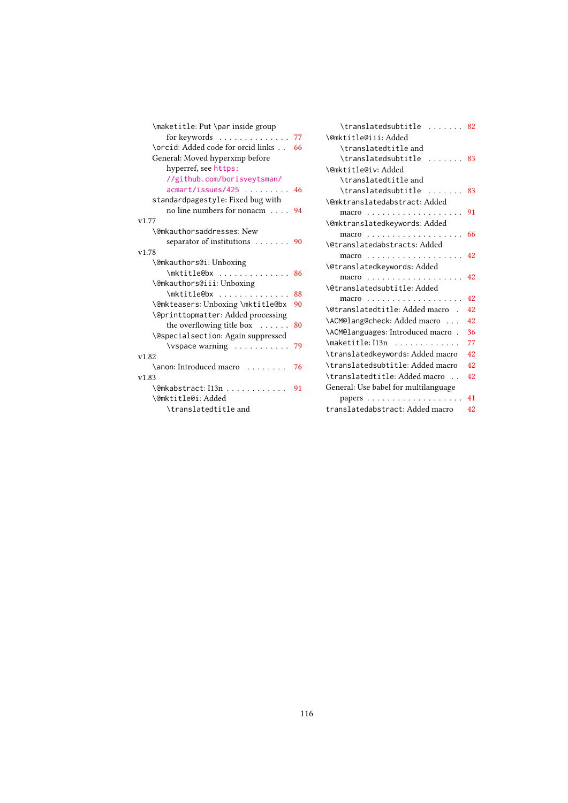| \maketitle: Put \par inside group  |    |
|------------------------------------|----|
| for keywords 77                    |    |
| \orcid: Added code for orcid links | 66 |
| General: Moved hyperxmp before     |    |
| hyperref, see https:               |    |
| //github.com/borisveytsman/        |    |
| $a$ cmart/issues/425 46            |    |
| standardpagestyle: Fixed bug with  |    |
| no line numbers for nonacm         | 94 |
| v1.77                              |    |
| \@mkauthorsaddresses: New          |    |
| separator of institutions          | 90 |
| v1.78                              |    |
| \@mkauthors@i:Unboxing             |    |
| \mktitle@bx                        | 86 |
| \@mkauthors@iii:Unboxing           |    |
| \mktitle@bx                        | 88 |
| \@mkteasers: Unboxing \mktitle@bx  | 90 |
| \@printtopmatter: Added processing |    |
| the overflowing title box          | 80 |
| \@specialsection: Again suppressed |    |
| $\varepsilon$ \vspace warning      | 79 |
| v1.82                              |    |
| \anon: Introduced macro            | 76 |
| v1.83                              |    |
| \@mkabstract: I13n                 | 91 |
| \@mktitle@i:Added                  |    |
| \translatedtitle and               |    |

| \translatedsubtitle<br>. 82                      |    |
|--------------------------------------------------|----|
| \@mktitle@iii:Added                              |    |
| \translatedtitle and                             |    |
| \translatedsubtitle                              | 83 |
| \@mktitle@iv:Added                               |    |
| \translatedtitle and                             |    |
| \translatedsubtitle                              | 83 |
| <b>\@mktranslatedabstract: Added</b>             |    |
| macro                                            | 91 |
| \@mktranslatedkeywords: Added                    |    |
|                                                  | 66 |
| <b>\@translatedabstracts: Added</b>              |    |
|                                                  | 42 |
| \@translatedkeywords: Added                      |    |
| macro $\dots\dots\dots\dots\dots\dots\dots\dots$ | 42 |
| \@translatedsubtitle: Added                      |    |
| macro $\ldots \ldots \ldots \ldots$              | 42 |
| \@translatedtitle: Added macro                   | 42 |
| \ACM@lang@check: Added macro                     | 42 |
| \ACM@languages: Introduced macro.                | 36 |
| $\mathcal{L}$ maketitle: I13n                    | 77 |
| \translatedkeywords: Added macro                 | 42 |
| \translatedsubtitle: Added macro                 | 42 |
| \translatedtitle: Added macro                    | 42 |
| General: Use babel for multilanguage             |    |
|                                                  | 41 |
| translatedabstract: Added macro                  | 42 |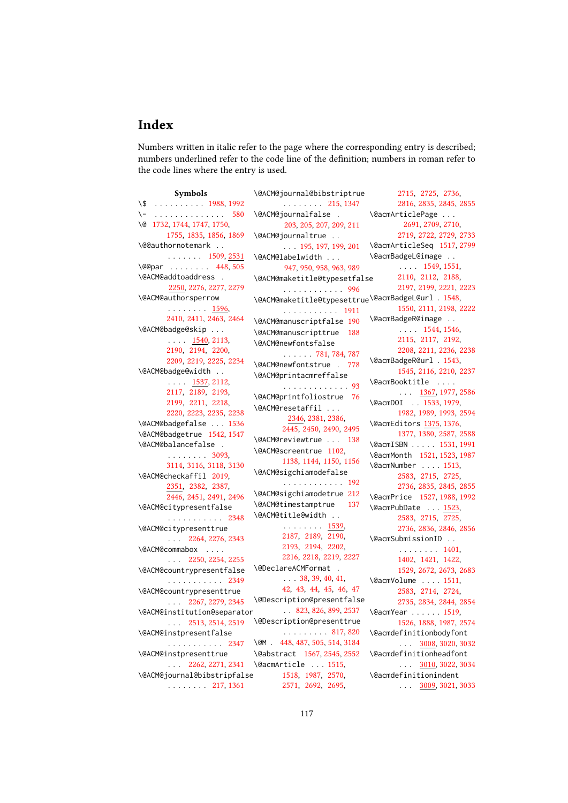## Index

Numbers written in italic refer to the page where the corresponding entry is described; numbers underlined refer to the code line of the definition; numbers in roman refer to the code lines where the entry is used.

Symbols \\$ . . . . . . . . . . [1988,](#page-0-0) [1992](#page-0-0) \- . . . . . . . . . . . . . . [580](#page-0-0) \@ [1732,](#page-0-0) [1744,](#page-0-0) [1747,](#page-0-0) [1750,](#page-0-0) [1755,](#page-0-0) [1835,](#page-0-0) [1856,](#page-0-0) [1869](#page-0-0) \@@authornotemark . . . . . . . . . [1509,](#page-0-0) [2531](#page-0-0) \@@par . . . . . . . . [448,](#page-0-0) [505](#page-0-0) \@ACM@addtoaddress . [2250,](#page-0-0) [2276,](#page-0-0) [2277,](#page-0-0) [2279](#page-0-0) \@ACM@authorsperrow . . . . . . . . [1596,](#page-0-0) [2410,](#page-0-0) [2411,](#page-0-0) [2463,](#page-0-0) [2464](#page-0-0) \@ACM@badge@skip . . .  $\ldots$  . [1540,](#page-0-0) [2113,](#page-0-0) [2190,](#page-0-0) [2194,](#page-0-0) [2200,](#page-0-0) [2209,](#page-0-0) [2219,](#page-0-0) [2225,](#page-0-0) [2234](#page-0-0) \@ACM@badge@width . . . . . . [1537,](#page-0-0) [2112,](#page-0-0) [2117,](#page-0-0) [2189,](#page-0-0) [2193,](#page-0-0) [2199,](#page-0-0) [2211,](#page-0-0) [2218,](#page-0-0) [2220,](#page-0-0) [2223,](#page-0-0) [2235,](#page-0-0) [2238](#page-0-0) \@ACM@badgefalse . . . [1536](#page-0-0) \@ACM@badgetrue [1542,](#page-0-0) [1547](#page-0-0) \@ACM@balancefalse . . . . . . . . . [3093,](#page-0-0) [3114,](#page-0-0) [3116,](#page-0-0) [3118,](#page-0-0) [3130](#page-0-0) \@ACM@checkaffil [2019,](#page-0-0) [2351,](#page-0-0) [2382,](#page-0-0) [2387,](#page-0-0) [2446,](#page-0-0) [2451,](#page-0-0) [2491,](#page-0-0) [2496](#page-0-0) \@ACM@citypresentfalse . . . . . . . . . . . [2348](#page-0-0) \@ACM@citypresenttrue . . . [2264,](#page-0-0) [2276,](#page-0-0) [2343](#page-0-0) \@ACM@commabox . . . . . . . [2250,](#page-0-0) [2254,](#page-0-0) [2255](#page-0-0) \@ACM@countrypresentfalse . . . . . . . . . . . [2349](#page-0-0) \@ACM@countrypresenttrue . . . [2267,](#page-0-0) [2279,](#page-0-0) [2345](#page-0-0) \@ACM@institution@separator . . . [2513,](#page-0-0) [2514,](#page-0-0) [2519](#page-0-0) \@ACM@instpresentfalse . . . . . . . . . . . [2347](#page-0-0) \@ACM@instpresenttrue \@ACM@journal@bibstripfalse . . . . . . . . [217,](#page-0-0) [1361](#page-0-0)

. . . [2262,](#page-0-0) [2271,](#page-0-0) [2341](#page-0-0) \@acmArticle . . . [1515,](#page-0-0) . . . . . . . . [215,](#page-0-0) [1347](#page-0-0) \@ACM@journalfalse . [203,](#page-0-0) [205,](#page-0-0) [207,](#page-0-0) [209,](#page-0-0) [211](#page-0-0) \@ACM@journaltrue . . . . . [195,](#page-0-0) [197,](#page-0-0) [199,](#page-0-0) [201](#page-0-0) \@ACM@labelwidth . . . [947,](#page-0-0) [950,](#page-0-0) [958,](#page-0-0) [963,](#page-0-0) [989](#page-0-0) \@ACM@maketitle@typesetfalse . . . . . . . . . . . . [996](#page-0-0) \@ACM@maketitle@typesettrue \@acmBadgeL@url . [1548,](#page-0-0) . . . . . . . . . . . [1911](#page-0-0) \@ACM@manuscriptfalse [190](#page-0-0) \@ACM@manuscripttrue [188](#page-0-0) \@ACM@newfontsfalse . . . . . . [781,](#page-0-0) [784,](#page-0-0) [787](#page-0-0) \@ACM@newfontstrue . [778](#page-0-0) \@ACM@printacmreffalse . . . . . . . . . . . . . [93](#page-0-0) \@ACM@printfoliostrue [76](#page-0-0) \@ACM@resetaffil . . . [2346,](#page-0-0) [2381,](#page-0-0) [2386,](#page-0-0) [2445,](#page-0-0) [2450,](#page-0-0) [2490,](#page-0-0) [2495](#page-0-0) \@ACM@reviewtrue . . . [138](#page-0-0) \@ACM@screentrue [1102,](#page-0-0) [1138,](#page-0-0) [1144,](#page-0-0) [1150,](#page-0-0) [1156](#page-0-0) \@ACM@sigchiamodefalse . . . . . . . . . . . . [192](#page-0-0) \@ACM@sigchiamodetrue [212](#page-0-0) \@ACM@timestamptrue [137](#page-0-0) \@ACM@title@width . . . . . . . . . . [1539,](#page-0-0) [2187,](#page-0-0) [2189,](#page-0-0) [2190,](#page-0-0) [2193,](#page-0-0) [2194,](#page-0-0) [2202,](#page-0-0) [2216,](#page-0-0) [2218,](#page-0-0) [2219,](#page-0-0) [2227](#page-0-0) \@DeclareACMFormat . . . . [38,](#page-0-0) [39,](#page-0-0) [40,](#page-0-0) [41,](#page-0-0) [42,](#page-0-0) [43,](#page-0-0) [44,](#page-0-0) [45,](#page-0-0) [46,](#page-0-0) [47](#page-0-0) \@Description@presentfalse . . [823,](#page-0-0) [826,](#page-0-0) [899,](#page-0-0) [2537](#page-0-0) \@Description@presenttrue . . . . . . . . . [817,](#page-0-0) [820](#page-0-0) \@M . [448,](#page-0-0) [487,](#page-0-0) [505,](#page-0-0) [514,](#page-0-0) [3184](#page-0-0) \@abstract [1567,](#page-0-0) [2545,](#page-0-0) [2552](#page-0-0) [1518,](#page-0-0) [1987,](#page-0-0) [2570,](#page-0-0) [2571,](#page-0-0) [2692,](#page-0-0) [2695,](#page-0-0)

\@ACM@journal@bibstriptrue [2715,](#page-0-0) [2725,](#page-0-0) [2736,](#page-0-0) [2816,](#page-0-0) [2835,](#page-0-0) [2845,](#page-0-0) [2855](#page-0-0) \@acmArticlePage . . . [2691,](#page-0-0) [2709,](#page-0-0) [2710,](#page-0-0) [2719,](#page-0-0) [2722,](#page-0-0) [2729,](#page-0-0) [2733](#page-0-0) \@acmArticleSeq [1517,](#page-0-0) [2799](#page-0-0) \@acmBadgeL@image . . . . . . [1549,](#page-0-0) [1551,](#page-0-0) [2110,](#page-0-0) [2112,](#page-0-0) [2188,](#page-0-0) [2197,](#page-0-0) [2199,](#page-0-0) [2221,](#page-0-0) [2223](#page-0-0) [1550,](#page-0-0) [2111,](#page-0-0) [2198,](#page-0-0) [2222](#page-0-0) \@acmBadgeR@image . . . . . . [1544,](#page-0-0) [1546,](#page-0-0) [2115,](#page-0-0) [2117,](#page-0-0) [2192,](#page-0-0) [2208,](#page-0-0) [2211,](#page-0-0) [2236,](#page-0-0) [2238](#page-0-0) \@acmBadgeR@url . [1543,](#page-0-0) [1545,](#page-0-0) [2116,](#page-0-0) [2210,](#page-0-0) [2237](#page-0-0) \@acmBooktitle . . . .  $\ldots$  [1367,](#page-0-0) [1977,](#page-0-0) [2586](#page-0-0) \@acmDOI . [1533,](#page-0-0) [1979,](#page-0-0) [1982,](#page-0-0) [1989,](#page-0-0) [1993,](#page-0-0) [2594](#page-0-0) \@acmEditors [1375,](#page-0-0) [1376,](#page-0-0) [1377,](#page-0-0) [1380,](#page-0-0) [2587,](#page-0-0) [2588](#page-0-0) \@acmISBN . . . . . [1531,](#page-0-0) [1991](#page-0-0) \@acmMonth [1521,](#page-0-0) [1523,](#page-0-0) [1987](#page-0-0) \@acmNumber . . . . [1513,](#page-0-0) [2583,](#page-0-0) [2715,](#page-0-0) [2725,](#page-0-0) [2736,](#page-0-0) [2835,](#page-0-0) [2845,](#page-0-0) [2855](#page-0-0) \@acmPrice [1527,](#page-0-0) [1988,](#page-0-0) [1992](#page-0-0) \@acmPubDate . . . [1523,](#page-0-0) [2583,](#page-0-0) [2715,](#page-0-0) [2725,](#page-0-0) [2736,](#page-0-0) [2836,](#page-0-0) [2846,](#page-0-0) [2856](#page-0-0) \@acmSubmissionID . . . . . . . . . . [1401,](#page-0-0) [1402,](#page-0-0) [1421,](#page-0-0) [1422,](#page-0-0) [1529,](#page-0-0) [2672,](#page-0-0) [2673,](#page-0-0) [2683](#page-0-0) \@acmVolume . . . . [1511,](#page-0-0) [2583,](#page-0-0) [2714,](#page-0-0) [2724,](#page-0-0) [2735,](#page-0-0) [2834,](#page-0-0) [2844,](#page-0-0) [2854](#page-0-0) \@acmYear . . . . . . [1519,](#page-0-0) [1526,](#page-0-0) [1888,](#page-0-0) [1987,](#page-0-0) [2574](#page-0-0) \@acmdefinitionbodyfont . . . [3008,](#page-0-0) [3020,](#page-0-0) [3032](#page-0-0) \@acmdefinitionheadfont . . . [3010,](#page-0-0) [3022,](#page-0-0) [3034](#page-0-0) \@acmdefinitionindent . . . [3009,](#page-0-0) [3021,](#page-0-0) [3033](#page-0-0)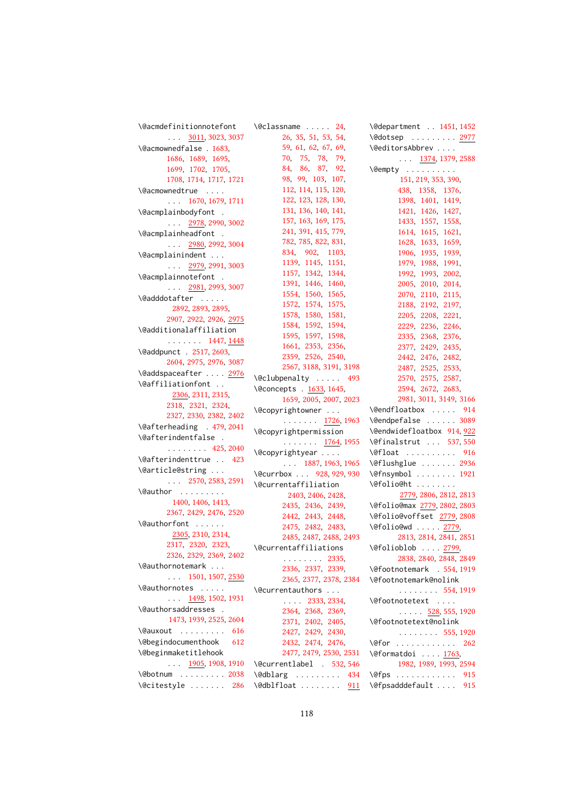| \@acmdefinitionnotefont    | \@classname  24,                             | \@department . 1451, 1452        |
|----------------------------|----------------------------------------------|----------------------------------|
| $\ldots$ 3011, 3023, 3037  | 26, 35, 51, 53, 54,                          | \@dotsep  2977                   |
| \@acmownedfalse . 1683,    | 59, 61, 62, 67, 69,                          | \@editorsAbbrev                  |
| 1686, 1689, 1695,          | 70, 75, 78, 79,                              | $\ldots$ 1374, 1379, 2588        |
| 1699, 1702, 1705,          | 84, 86, 87, 92,                              | $\emptyset$ empty                |
| 1708, 1714, 1717, 1721     | 98, 99, 103, 107,                            | 151, 219, 353, 390,              |
| \@acmownedtrue             | 112, 114, 115, 120,                          | 438, 1358, 1376,                 |
| $\ldots$ 1670, 1679, 1711  | 122, 123, 128, 130,                          | 1398, 1401, 1419,                |
| \@acmplainbodyfont .       | 131, 136, 140, 141,                          | 1421, 1426, 1427,                |
| $\ldots$ 2978, 2990, 3002  | 157, 163, 169, 175,                          | 1433, 1557, 1558,                |
| \@acmplainheadfont .       | 241, 391, 415, 779,                          | 1614, 1615, 1621,                |
| $\ldots$ 2980, 2992, 3004  | 782, 785, 822, 831,                          | 1628, 1633, 1659,                |
| \@acmplainindent           | 834, 902, 1103,                              | 1906, 1935, 1939,                |
| $\ldots$ 2979, 2991, 3003  | 1139, 1145, 1151,                            | 1979, 1988, 1991,                |
| \@acmplainnotefont .       | 1157, 1342, 1344,                            | 1992, 1993, 2002,                |
|                            | 1391, 1446, 1460,                            | 2005, 2010, 2014,                |
| $\ldots$ 2981, 2993, 3007  | 1554, 1560, 1565,                            | 2070, 2110, 2115,                |
| \@adddotafter              | 1572, 1574, 1575,                            | 2188, 2192, 2197,                |
| 2892, 2893, 2895,          | 1578, 1580, 1581,                            | 2205, 2208, 2221,                |
| 2907, 2922, 2926, 2975     | 1584, 1592, 1594,                            | 2229, 2236, 2246,                |
| \@additionalaffiliation    | 1595, 1597, 1598,                            | 2335, 2368, 2376,                |
| $\ldots \ldots 1447, 1448$ | 1661, 2353, 2356,                            | 2377, 2429, 2435,                |
| \@addpunct . 2517, 2603,   | 2359, 2526, 2540,                            | 2442, 2476, 2482,                |
| 2604, 2975, 2976, 3087     | 2567, 3188, 3191, 3198                       | 2487, 2525, 2533,                |
| \@addspaceafter  2976      | \@clubpenalty  493                           | 2570, 2575, 2587,                |
| \@affiliationfont          | \@concepts . 1633, 1645,                     | 2594, 2672, 2683,                |
| 2306, 2311, 2315,          | 1659, 2005, 2007, 2023                       | 2981, 3011, 3149, 3166           |
| 2318, 2321, 2324,          | \@copyrightowner                             | \@endfloatbox  914               |
| 2327, 2330, 2382, 2402     |                                              | \@endpefalse  3089               |
| \@afterheading . 479, 2041 | $\cdots$ $\cdots$ $\frac{1726}{1726}$ , 1963 |                                  |
| \@afterindentfalse .       | \@copyrightpermission                        | \@endwidefloatbox 914, 922       |
| $\ldots \ldots 425, 2040$  | $\cdots$ $\cdots$ $\frac{1764}{1764}$ , 1955 | \@finalstrut  537,550            |
| \@afterindenttrue  423     | \@copyrightyear                              | $\left\{\text{eff} \right\}$ 916 |
| \@article@string           | $\ldots$ 1887, 1963, 1965                    | \@flushglue  2936                |
| $\ldots$ 2570, 2583, 2591  | \@currbox  928, 929, 930                     | \@fnsymbol  1921                 |
| \@author                   | \@currentaffiliation                         | \@folio@ht                       |
| 1400, 1406, 1413,          | 2403, 2406, 2428                             | 2779, 2806, 2812, 2813           |
| 2367, 2429, 2476, 2520     | 2435, 2436, 2439,                            | \@folio@max 2779, 2802, 2803     |
|                            | 2442, 2443, 2448,                            | \@folio@voffset 2779,2808        |
| \@authorfont               | 2475, 2482, 2483,                            | \@folio@wd  2779,                |
| 2305, 2310, 2314,          | 2485, 2487, 2488, 2493                       | 2813, 2814, 2841, 2851           |
| 2317, 2320, 2323,          | \@currentaffiliations                        | \@folioblob  2799,               |
| 2326, 2329, 2369, 2402     |                                              |                                  |
| \@authornotemark           | $\ldots \ldots 2335$                         | 2838, 2840, 2848, 2849           |
| $\ldots$ 1501, 1507, 2530  | 2336, 2337, 2339,                            | \@footnotemark . 554, 1919       |
|                            | 2365, 2377, 2378, 2384                       | \@footnotemark@nolink            |
| \@authornotes              | \@currentauthors                             | $\cdots$ 554, 1919               |
| $\ldots$ 1498, 1502, 1931  | $\ldots$ 2333, 2334,                         | \@footnotetext                   |
| \@authorsaddresses .       | 2364, 2368, 2369,                            | $\ldots$ 528, 555, 1920          |
| 1473, 1939, 2525, 2604     | 2371, 2402, 2405,                            | \@footnotetext@nolink            |
| \@auxout<br>616            | 2427, 2429, 2430,                            | $\ldots$ . 555, 1920             |
| \@begindocumenthook<br>612 | 2432, 2474, 2476,                            | $\sqrt{9}$ for  262              |
| \@beginmaketitlehook       | 2477, 2479, 2530, 2531                       | \@formatdoi  1763,               |
| $\ldots$ 1905, 1908, 1910  | \@currentlabel . 532,546                     | 1982, 1989, 1993, 2594           |
| $\delta$ \@botnum  2038    | \@dblarg  434                                | $\sqrt{efps}$<br>915             |
| \@citestyle  286           | \@dblfloat  911                              | \@fpsadddefault<br>915           |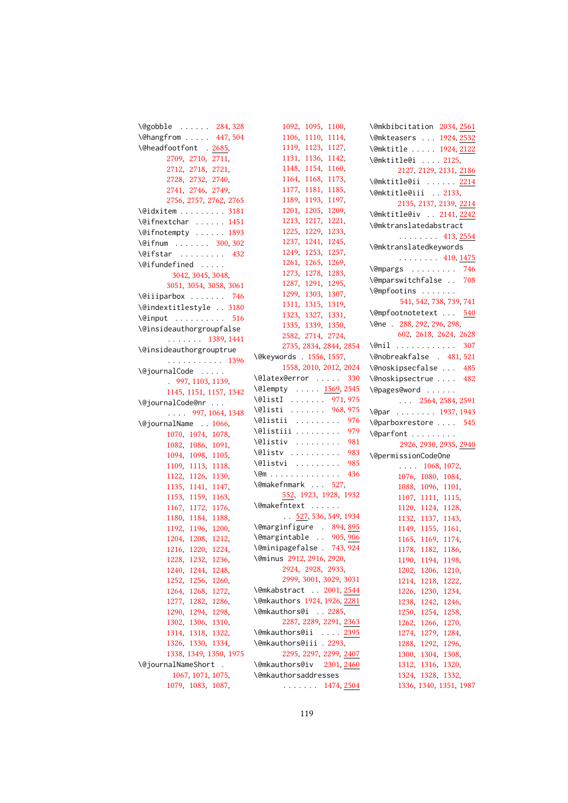| \@gobble  284,328                                                  |
|--------------------------------------------------------------------|
| $\sqrt{20 + 320}$<br>\@hangfrom  447,504                           |
| \@headfootfont . 2685,                                             |
| 2709, 2710, 2711,                                                  |
| 2712, 2718, 2721,                                                  |
| 2728, 2732, 2740,                                                  |
| 2741, 2746, 2749,                                                  |
| 2756, 2757, 2762, 2765                                             |
| $\text{V}$ didxitem 3181                                           |
| \@ifnextchar  1451                                                 |
| \@ifnotempty  1893                                                 |
|                                                                    |
| \@ifnum  300,302                                                   |
| $\left\{\text{Cifstar}\right.\dots\dots\quad432$                   |
| \@ifundefined                                                      |
| 3042, 3045, 3048,                                                  |
| 3051, 3054, 3058, 3061                                             |
| \@iiiparbox  746                                                   |
| \@indextitlestyle  3180                                            |
| \@input  516                                                       |
| \@insideauthorgroupfalse                                           |
| $\cdots$ 1389, 1441                                                |
| \@insideauthorgrouptrue                                            |
| $\overline{\phantom{0}}$<br>. 1396                                 |
| \@journalCode                                                      |
| ١<br>997, 1103, 1139,                                              |
| ١<br>1145, 1151, 1157, 1342                                        |
| \@journalCode@nr                                                   |
| $\ldots$ 997, 1064, 1348                                           |
| 、、、、<br>\@journalName  1066,                                       |
| 1070, 1074, 1078,                                                  |
| $\overline{\phantom{0}}$<br>1082, 1086, 1091,                      |
| $\overline{\phantom{0}}$                                           |
| 1094, 1098, 1105,                                                  |
|                                                                    |
| $\overline{\phantom{0}}$<br>1109, 1113, 1118,                      |
| $\overline{\phantom{0}}$                                           |
| 1122, 1126, 1130,<br>1135, 1141, 1147,<br>$\overline{\phantom{0}}$ |
| 1153, 1159, 1163,                                                  |
| 1167, 1172, 1176,                                                  |
| $\overline{\phantom{a}}$<br>1180, 1184, 1188,                      |
| $\overline{\phantom{0}}$<br>1192, 1196, 1200,                      |
| $\checkmark$<br>1204, 1208, 1212,                                  |
| 1216, 1220, 1224,                                                  |
| 1228, 1232, 1236,                                                  |
| 1240, 1244, 1248,                                                  |
|                                                                    |
| 1252, 1256, 1260,                                                  |
| 1264, 1268, 1272,                                                  |
|                                                                    |
| 1277, 1282, 1286,<br>1290, 1294, 1298,                             |
| 1302, 1306, 1310,                                                  |
| 1314, 1318, 1322,                                                  |
| 1326, 1330, 1334,                                                  |
| 1338, 1349, 1350, 1975                                             |
| \@journalNameShort .                                               |
| 1067, 1071, 1075,<br>1079, 1083, 1087,                             |

| 1092, 1095, 1100,<br>1106, 1110, 1114,                                          |
|---------------------------------------------------------------------------------|
| 1119, 1123, 1127,                                                               |
| 1131, 1136, 1142,                                                               |
| 1148, 1154, 1160,                                                               |
| 1164, 1168, 1173,                                                               |
|                                                                                 |
| 1177, 1181, 1185,<br>1189, 1193, 1197,                                          |
| 1201, 1205, 1209,                                                               |
| 1213, 1217, 1221,                                                               |
| 1225, 1229, 1233,                                                               |
|                                                                                 |
|                                                                                 |
| 1237, 1241, 1245,<br>1249, 1253, 1257,<br>1261, 1265, 1269,                     |
| 1273, 1278, 1283,                                                               |
| 1287, 1291, 1295,                                                               |
| 1299, 1303, 1307,                                                               |
|                                                                                 |
| 1311, 1315, 1319,<br>1323, 1327, 1331,<br>1335, 1339, 1350,                     |
|                                                                                 |
| 2582, 2714, 2724,                                                               |
| 2735, 2834, 2844, 2854                                                          |
|                                                                                 |
| \@keywords . 1556, 1557,                                                        |
| 1558, 2010, 2012, 2024                                                          |
| \@latex@error  330                                                              |
| \@lempty  1569, 2545                                                            |
| $\text{QlistI}$ 971, 975                                                        |
| \@listi  968,975                                                                |
| \@listii  976                                                                   |
| \@listiii  979                                                                  |
| $\text{Qlistiv} \dots \dots \dots \quad 981$                                    |
| \@listv<br>\@listvi<br>983                                                      |
| 985                                                                             |
| $\sqrt{2m}$ 436                                                                 |
| \@makefnmark  527,                                                              |
| 552, 1923, 1928, 1932                                                           |
| \@makefntext                                                                    |
| $\frac{527}{536}$ , 536, 549, 1934                                              |
|                                                                                 |
| Nemarginfigure $894, \frac{895}{006}$<br>Nemargintable . $905, \frac{906}{000}$ |
| 743, 924<br>\@minipagefalse .                                                   |
| \@minus 2912, 2916, 2920,                                                       |
| 2924, 2928, 2933,                                                               |
| 2999, 3001, 3029, 3031                                                          |
| \@mkabstract  2001, 2544                                                        |
| \@mkauthors 1924, 1926, 2281                                                    |
| \@mkauthors@i  2285,                                                            |
| 2287, 2289, 2291, 2363                                                          |
|                                                                                 |
| \@mkauthors@ii  2395<br>\@mkauthors@iii.2293,                                   |
|                                                                                 |
| 2295, 2297, 2299, 2407                                                          |
| \@mkauthors@iv 2301, 2460                                                       |
| \@mkauthorsaddresses                                                            |
| $\ldots$ $1474, 2504$                                                           |

| \@mkbibcitation 2034, 2561                                  |
|-------------------------------------------------------------|
| \@mkteasers  1924, 2532                                     |
| \@mktitle  1924, 2122                                       |
| \@mktitle@i  2125,                                          |
| 2127, 2129, 2131, 2186                                      |
|                                                             |
| \@mktitle@ii <u>2214</u>                                    |
| \@mktitle@iii  2133,                                        |
| 2135, 2137, 2139, 2214                                      |
| \@mktitle@iv  2141, 2242                                    |
| \@mktranslatedabstract                                      |
| $\cdots$ 413, 2554                                          |
| \@mktranslatedkeywords                                      |
| $\cdots$ 410, 1475                                          |
|                                                             |
|                                                             |
| \@mpfootins                                                 |
| 541, 542, 738, 739, 741                                     |
| \@mpfootnotetext  540                                       |
| \@ne . 288, 292, 296, 298,                                  |
| 602, 2618, 2624, 2628                                       |
| \@nil  307                                                  |
|                                                             |
| \@nobreakfalse . 481,521                                    |
| \@noskipsecfalse  485                                       |
| \@noskipsectrue  482                                        |
| \@pages@word                                                |
| $\ldots$ 2564, 2584, 2591                                   |
| \@par 1937, 1943                                            |
|                                                             |
| \@parboxrestore  545                                        |
| \@parfont                                                   |
| 2926, 2930, 2935, 2940                                      |
| \@permissionCodeOne                                         |
|                                                             |
| $\ldots$ 1068, 1072,                                        |
| 1076, 1080, 1084,                                           |
|                                                             |
|                                                             |
| 1088, 1096, 1101,<br>1107, 1111, 1115,<br>1120, 1124, 1128, |
| 1132, 1137, 1143,                                           |
| 1149, 1155, 1161,                                           |
| 1165, 1169, 1174,                                           |
| 1178, 1182, 1186,                                           |
| 1190, 1194, 1198,                                           |
| 1206,<br>1202,<br>1210,                                     |
| 1214, 1218,<br>1222,                                        |
| 1226,<br>1230,<br>1234,                                     |
| 1238,<br>1242,<br>1246,                                     |
| 1250,<br>1254,<br>1258,                                     |
| 1262,<br>1266,<br>1270,                                     |
| 1279,<br>1274,<br>1284,                                     |
| 1288, 1292, 1296,                                           |
| 1300, 1304, 1308,                                           |
| 1312, 1316, 1320,                                           |
| 1324, 1328, 1332,<br>1336, 1340, 1351, 1987                 |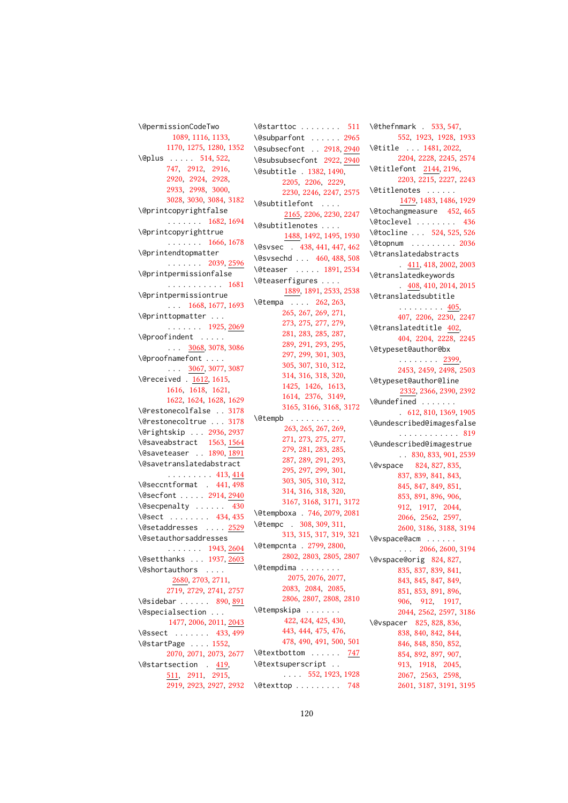```
\@permissionCodeTwo
        1089, 1116, 1133,
      1170, 1275, 1280, 1352
514,522,
      747, 2912, 2916,
      2920, 2924, 2928,
      2933, 2998, 3000,
      3028, 3030, 3084, 3182
\@printcopyrightfalse
      . . . . . . . 1682, 1694
\@printcopyrighttrue
      . . . . . . . 1666, 1678
\@printendtopmatter
      . . . . . . . 2039, 2596
\@printpermissionfalse
      . . . . . . . . . . . 1681
\@printpermissiontrue
      . . . 1668, 1677, 1693
\@printtopmatter . . .
      1925,2069</u>
\@proofindent . . . . .
      . . . 3068, 3078, 3086
\@proofnamefont . . . .
      \ldots3067,3077,3087
\@received . 1612, 1615,
      1616, 1618, 1621,
      1622, 1624, 1628, 1629
\@restonecolfalse . . 3178
\@restonecoltrue . . . 3178
\@rightskip . . . 2936, 2937
\@saveabstract 1563, 1564
1890,1891
\@savetranslatedabstract
      413,414</u>
\@seccntformat . 441, 498
\@secfont . . . . . 2914, 2940
\@secpenalty . . . . . . 430
434,435
\@setaddresses . . . . 2529
\@setauthorsaddresses
      . . . . . . . 1943, 2604
\@setthanks . . . 1937, 2603
\@shortauthors . . . .
        2680, 2703, 2711,
      2719, 2729, 2741, 2757
890,891
\@specialsection . . .
       1477, 2006, 2011, 2043
433,499
\@startPage . . . . 1552,
      2070, 2071, 2073, 2677
419,
      511, 2911, 2915,
```
[2919,](#page-0-0) [2923,](#page-0-0) [2927,](#page-0-0) [2932](#page-0-0) \@texttop . . . . . . . . . [748](#page-0-0) \@starttoc ....... [511](#page-0-0) \@subparfont . . . . . . [2965](#page-0-0) \@subsecfont . . [2918,](#page-0-0) [2940](#page-0-0) \@subsubsecfont [2922,](#page-0-0) [2940](#page-0-0) \@subtitle . [1382,](#page-0-0) [1490,](#page-0-0) [2205,](#page-0-0) [2206,](#page-0-0) [2229,](#page-0-0) [2230,](#page-0-0) [2246,](#page-0-0) [2247,](#page-0-0) [2575](#page-0-0) \@subtitlefont . . . . [2165,](#page-0-0) [2206,](#page-0-0) [2230,](#page-0-0) [2247](#page-0-0) \@subtitlenotes . . . . [1488,](#page-0-0) [1492,](#page-0-0) [1495,](#page-0-0) [1930](#page-0-0) \@svsec . [438,](#page-0-0) [441,](#page-0-0) [447,](#page-0-0) [462](#page-0-0) \@svsechd . . . [460,](#page-0-0) [488,](#page-0-0) [508](#page-0-0) \@teaser . . . . . [1891,](#page-0-0) [2534](#page-0-0) \@teaserfigures . . . . [1889,](#page-0-0) [1891,](#page-0-0) [2533,](#page-0-0) [2538](#page-0-0) \@tempa . . . . [262,](#page-0-0) [263,](#page-0-0) [265,](#page-0-0) [267,](#page-0-0) [269,](#page-0-0) [271,](#page-0-0) [273,](#page-0-0) [275,](#page-0-0) [277,](#page-0-0) [279,](#page-0-0) [281,](#page-0-0) [283,](#page-0-0) [285,](#page-0-0) [287,](#page-0-0) [289,](#page-0-0) [291,](#page-0-0) [293,](#page-0-0) [295,](#page-0-0) [297,](#page-0-0) [299,](#page-0-0) [301,](#page-0-0) [303,](#page-0-0) [305,](#page-0-0) [307,](#page-0-0) [310,](#page-0-0) [312,](#page-0-0) [314,](#page-0-0) [316,](#page-0-0) [318,](#page-0-0) [320,](#page-0-0) [1425,](#page-0-0) [1426,](#page-0-0) [1613,](#page-0-0) [1614,](#page-0-0) [2376,](#page-0-0) [3149,](#page-0-0) [3165,](#page-0-0) [3166,](#page-0-0) [3168,](#page-0-0) [3172](#page-0-0) \@tempb . . . . . . . . . . [263,](#page-0-0) [265,](#page-0-0) [267,](#page-0-0) [269,](#page-0-0) [271,](#page-0-0) [273,](#page-0-0) [275,](#page-0-0) [277,](#page-0-0) [279,](#page-0-0) [281,](#page-0-0) [283,](#page-0-0) [285,](#page-0-0) [287,](#page-0-0) [289,](#page-0-0) [291,](#page-0-0) [293,](#page-0-0) [295,](#page-0-0) [297,](#page-0-0) [299,](#page-0-0) [301,](#page-0-0) [303,](#page-0-0) [305,](#page-0-0) [310,](#page-0-0) [312,](#page-0-0) [314,](#page-0-0) [316,](#page-0-0) [318,](#page-0-0) [320,](#page-0-0) [3167,](#page-0-0) [3168,](#page-0-0) [3171,](#page-0-0) [3172](#page-0-0) \@tempboxa . [746,](#page-0-0) [2079,](#page-0-0) [2081](#page-0-0) \@tempc . [308,](#page-0-0) [309,](#page-0-0) [311,](#page-0-0) [313,](#page-0-0) [315,](#page-0-0) [317,](#page-0-0) [319,](#page-0-0) [321](#page-0-0) \@tempcnta . [2799,](#page-0-0) [2800,](#page-0-0) [2802,](#page-0-0) [2803,](#page-0-0) [2805,](#page-0-0) [2807](#page-0-0) \@tempdima . . . . . . . . [2075,](#page-0-0) [2076,](#page-0-0) [2077,](#page-0-0) [2083,](#page-0-0) [2084,](#page-0-0) [2085,](#page-0-0) [2806,](#page-0-0) [2807,](#page-0-0) [2808,](#page-0-0) [2810](#page-0-0) \@tempskipa . . . . . . . [422,](#page-0-0) [424,](#page-0-0) [425,](#page-0-0) [430,](#page-0-0) [443,](#page-0-0) [444,](#page-0-0) [475,](#page-0-0) [476,](#page-0-0) [478,](#page-0-0) [490,](#page-0-0) [491,](#page-0-0) [500,](#page-0-0) [501](#page-0-0) \@textbottom . . . . . . [747](#page-0-0) \@textsuperscript . . . . . . [552,](#page-0-0) [1923,](#page-0-0) [1928](#page-0-0)

\@thefnmark . [533,](#page-0-0) [547,](#page-0-0) [552,](#page-0-0) [1923,](#page-0-0) [1928,](#page-0-0) [1933](#page-0-0) \@title . . . [1481,](#page-0-0) [2022,](#page-0-0) [2204,](#page-0-0) [2228,](#page-0-0) [2245,](#page-0-0) [2574](#page-0-0) \@titlefont [2144,](#page-0-0) [2196,](#page-0-0) [2203,](#page-0-0) [2215,](#page-0-0) [2227,](#page-0-0) [2243](#page-0-0) \@titlenotes . . . . . . [1479,](#page-0-0) [1483,](#page-0-0) [1486,](#page-0-0) [1929](#page-0-0) \@tochangmeasure [452,](#page-0-0) [465](#page-0-0) \@toclevel . . . . . . . . [436](#page-0-0) \@tocline . . . [524,](#page-0-0) [525,](#page-0-0) [526](#page-0-0) \@topnum . . . . . . . . . [2036](#page-0-0) \@translatedabstracts . [411,](#page-0-0) [418,](#page-0-0) [2002,](#page-0-0) [2003](#page-0-0) \@translatedkeywords . [408,](#page-0-0) [410,](#page-0-0) [2014,](#page-0-0) [2015](#page-0-0) \@translatedsubtitle . . . . . . . . . <u>405</u>, [407,](#page-0-0) [2206,](#page-0-0) [2230,](#page-0-0) [2247](#page-0-0) \@translatedtitle [402,](#page-0-0) [404,](#page-0-0) [2204,](#page-0-0) [2228,](#page-0-0) [2245](#page-0-0) \@typeset@author@bx . . . . . . . . [2399,](#page-0-0) [2453,](#page-0-0) [2459,](#page-0-0) [2498,](#page-0-0) [2503](#page-0-0) \@typeset@author@line [2332,](#page-0-0) [2366,](#page-0-0) [2390,](#page-0-0) [2392](#page-0-0) \@undefined . . . . . . . . [612,](#page-0-0) [810,](#page-0-0) [1369,](#page-0-0) [1905](#page-0-0) \@undescribed@imagesfalse . . . . . . . . . . . . [819](#page-0-0) \@undescribed@imagestrue . . [830,](#page-0-0) [833,](#page-0-0) [901,](#page-0-0) [2539](#page-0-0) \@vspace [824,](#page-0-0) [827,](#page-0-0) [835,](#page-0-0) [837,](#page-0-0) [839,](#page-0-0) [841,](#page-0-0) [843,](#page-0-0) [845,](#page-0-0) [847,](#page-0-0) [849,](#page-0-0) [851,](#page-0-0) [853,](#page-0-0) [891,](#page-0-0) [896,](#page-0-0) [906,](#page-0-0) [912,](#page-0-0) [1917,](#page-0-0) [2044,](#page-0-0) [2066,](#page-0-0) [2562,](#page-0-0) [2597,](#page-0-0) [2600,](#page-0-0) [3186,](#page-0-0) [3188,](#page-0-0) [3194](#page-0-0) \@vspace@acm . . . . . . . . . [2066,](#page-0-0) [2600,](#page-0-0) [3194](#page-0-0) \@vspace@orig [824,](#page-0-0) [827,](#page-0-0) [835,](#page-0-0) [837,](#page-0-0) [839,](#page-0-0) [841,](#page-0-0) [843,](#page-0-0) [845,](#page-0-0) [847,](#page-0-0) [849,](#page-0-0) [851,](#page-0-0) [853,](#page-0-0) [891,](#page-0-0) [896,](#page-0-0) [906,](#page-0-0) [912,](#page-0-0) [1917,](#page-0-0) [2044,](#page-0-0) [2562,](#page-0-0) [2597,](#page-0-0) [3186](#page-0-0) \@vspacer [825,](#page-0-0) [828,](#page-0-0) [836,](#page-0-0) [838,](#page-0-0) [840,](#page-0-0) [842,](#page-0-0) [844,](#page-0-0) [846,](#page-0-0) [848,](#page-0-0) [850,](#page-0-0) [852,](#page-0-0) [854,](#page-0-0) [892,](#page-0-0) [897,](#page-0-0) [907,](#page-0-0) [913,](#page-0-0) [1918,](#page-0-0) [2045,](#page-0-0) [2067,](#page-0-0) [2563,](#page-0-0) [2598,](#page-0-0) [2601,](#page-0-0) [3187,](#page-0-0) [3191,](#page-0-0) [3195](#page-0-0)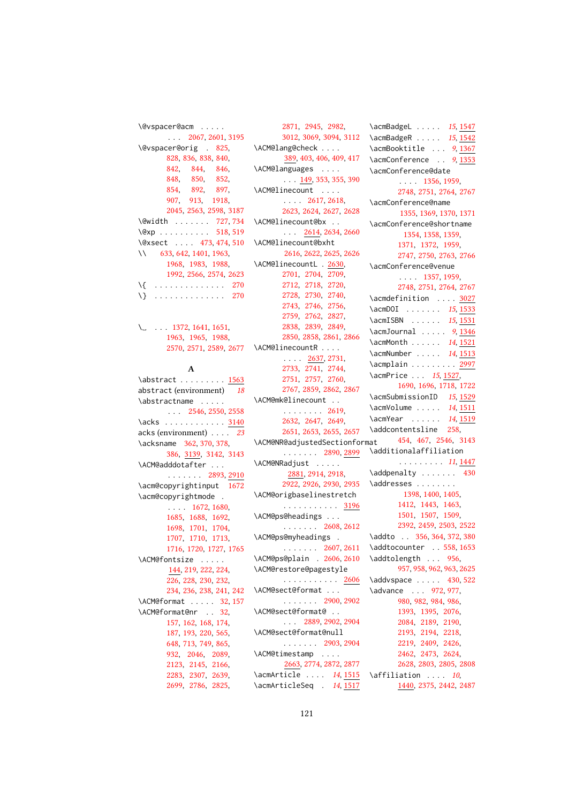| \@vspacer@acm                         |             |
|---------------------------------------|-------------|
| $\ldots$ 2067, 2601, 3195             |             |
| \@vspacer@orig . 825,                 | \/          |
| 828, 836, 838, 840,                   |             |
| 842, 844, 846,                        | $\setminus$ |
| 848, 850, 852,                        |             |
|                                       | $\setminus$ |
| 854, 892, 897,<br>907, 913, 1918,     |             |
| 2045, 2563, 2598, 3187                |             |
| \@width  727,734                      | \/          |
| $\sqrt{e}xp$ 518, 519                 |             |
| \@xsect  473, 474, 510                | \/          |
| 11 633, 642, 1401, 1963,              |             |
| 1968, 1983, 1988,                     | $\setminus$ |
| 1992, 2566, 2574, 2623                |             |
| . 270<br>\{                           |             |
| $\cdots$ 270<br>\}<br>.               |             |
|                                       |             |
|                                       |             |
| $\ldots$ 1372, 1641, 1651,<br>\__     |             |
| 1963, 1965, 1988,                     |             |
| 2570, 2571, 2589, 2677                | $\setminus$ |
|                                       |             |
| A                                     |             |
| \abstract <u>1563</u>                 |             |
| abstract (environment) 18             |             |
| \abstractname                         | \/          |
| $\ldots$ 2546, 2550, 2558             |             |
| $\backslash acks$ 3140                |             |
| acks (environment) 23                 |             |
| \acksname 362, 370, 378,              | $\setminus$ |
| 386, 3139, 3142, 3143                 |             |
|                                       | $\setminus$ |
| \ACM@adddotafter<br>2893, <u>2910</u> |             |
| \acm@copyrightinput 1672              |             |
| \acm@copyrightmode .                  | \/          |
| $\ldots$ 1672, 1680,                  |             |
| 1685, 1688, 1692,                     | \/          |
| 1698, 1701, 1704,                     |             |
| 1707, 1710, 1713,                     | \/          |
| 1716, 1720, 1727, 1765                |             |
| \ACM@fontsize                         | ∖∕          |
| 144, 219, 222, 224,                   | \/          |
| 226, 228, 230, 232,                   |             |
| 234, 236, 238, 241, 242               | ∖∕          |
| \ACM@format  32, 157                  |             |
| \ACM@format@nr<br>32.                 | \/          |
| 157, 162, 168, 174,                   |             |
| 187, 193, 220, 565,                   | \/          |
| 648, 713, 749, 865,                   |             |
| 932, 2046, 2089,                      | \/          |
|                                       |             |
| 2123, 2145, 2166, 2283, 2307, 2639,   | ۱ć          |
| 2699 2786 2825                        | م \         |

[2871,](#page-0-0) [2945,](#page-0-0) [2982,](#page-0-0) [3012,](#page-0-0) [3069,](#page-0-0) [3094,](#page-0-0) [3112](#page-0-0) ACM@lang@check . . . . [389,](#page-0-0) [403,](#page-0-0) [406,](#page-0-0) [409,](#page-0-0) [417](#page-0-0) ACM@languages . . . .  $\ldots$  [149,](#page-0-0) [353,](#page-0-0) [355,](#page-0-0) [390](#page-0-0) \ACM@linecount . . . . . . . . [2617,](#page-0-0) [2618,](#page-0-0) [2623,](#page-0-0) [2624,](#page-0-0) [2627,](#page-0-0) [2628](#page-0-0) \ACM@linecount@bx . . . . . [2614,](#page-0-0) [2634,](#page-0-0) [2660](#page-0-0) \ACM@linecount@bxht [2616,](#page-0-0) [2622,](#page-0-0) [2625,](#page-0-0) [2626](#page-0-0) ACM@linecountL . [2630,](#page-0-0) [2701,](#page-0-0) [2704,](#page-0-0) [2709,](#page-0-0) [2712,](#page-0-0) [2718,](#page-0-0) [2720,](#page-0-0) [2728,](#page-0-0) [2730,](#page-0-0) [2740,](#page-0-0) [2743,](#page-0-0) [2746,](#page-0-0) [2756,](#page-0-0) [2759,](#page-0-0) [2762,](#page-0-0) [2827,](#page-0-0) [2838,](#page-0-0) [2839,](#page-0-0) [2849,](#page-0-0) [2850,](#page-0-0) [2858,](#page-0-0) [2861,](#page-0-0) [2866](#page-0-0) \ACM@linecountR . . . . . . . . [2637,](#page-0-0) [2731,](#page-0-0) [2733,](#page-0-0) [2741,](#page-0-0) [2744,](#page-0-0) [2751,](#page-0-0) [2757,](#page-0-0) [2760,](#page-0-0) [2767,](#page-0-0) [2859,](#page-0-0) [2862,](#page-0-0) [2867](#page-0-0) \ACM@mk@linecount . . . . . . . . . . [2619,](#page-0-0) [2632,](#page-0-0) [2647,](#page-0-0) [2649,](#page-0-0) [2651,](#page-0-0) [2653,](#page-0-0) [2655,](#page-0-0) [2657](#page-0-0) \ACM@NR@adjustedSectionformat . . . . . . . [2890,](#page-0-0) [2899](#page-0-0) ACM@NRadjust . . . . . [2881,](#page-0-0) [2914,](#page-0-0) [2918,](#page-0-0) [2922,](#page-0-0) [2926,](#page-0-0) [2930,](#page-0-0) [2935](#page-0-0) \ACM@origbaselinestretch . . . . . . . . . . . [3196](#page-0-0) \ACM@ps@headings . . . . . . . . . . [2608,](#page-0-0) [2612](#page-0-0) \ACM@ps@myheadings . . . . . . . . [2607,](#page-0-0) [2611](#page-0-0) ACM@ps@plain . [2606,](#page-0-0) [2610](#page-0-0) \ACM@restore@pagestyle . . . . . . . . . . . [2606](#page-0-0) \ACM@sect@format . . . . . . . . . . [2900,](#page-0-0) [2902](#page-0-0) \ACM@sect@format@ . . . . . [2889,](#page-0-0) [2902,](#page-0-0) [2904](#page-0-0) \ACM@sect@format@null . . . . . . . [2903,](#page-0-0) [2904](#page-0-0) \ACM@timestamp . . . . [2663,](#page-0-0) [2774,](#page-0-0) [2872,](#page-0-0) [2877](#page-0-0) acmArticle .... *[14](#page-0-0)*, <u>[1515](#page-0-0)</u> \acmArticleSeq . [14](#page-0-0), [1517](#page-0-0)

\acmBadgeL . . . . . [15](#page-0-0), [1547](#page-0-0) \acmBadgeR . . . . . [15](#page-0-0), [1542](#page-0-0) \acmBooktitle ... [9](#page-0-0), [1367](#page-0-0) \acmConference . . [9](#page-0-0), [1353](#page-0-0) \acmConference@date . . . . [1356,](#page-0-0) [1959,](#page-0-0) [2748,](#page-0-0) [2751,](#page-0-0) [2764,](#page-0-0) [2767](#page-0-0) \acmConference@name [1355,](#page-0-0) [1369,](#page-0-0) [1370,](#page-0-0) [1371](#page-0-0) \acmConference@shortname [1354,](#page-0-0) [1358,](#page-0-0) [1359,](#page-0-0) [1371,](#page-0-0) [1372,](#page-0-0) [1959,](#page-0-0) [2747,](#page-0-0) [2750,](#page-0-0) [2763,](#page-0-0) [2766](#page-0-0) \acmConference@venue . . . . [1357,](#page-0-0) [1959,](#page-0-0) [2748,](#page-0-0) [2751,](#page-0-0) [2764,](#page-0-0) [2767](#page-0-0) \acmdefinition . . . . [3027](#page-0-0) \acmDOI . . . . . . . [15](#page-0-0), [1533](#page-0-0) \acmISBN . . . . . . [15](#page-0-0), [1531](#page-0-0) \acmJournal . . . . . [9](#page-0-0), [1346](#page-0-0) \acmMonth . . . . . . [14](#page-0-0), [1521](#page-0-0) \acmNumber . . . . . [14](#page-0-0), [1513](#page-0-0) \acmplain . . . . . . . . [2997](#page-0-0) \acmPrice ... [15](#page-0-0), [1527,](#page-0-0) [1690,](#page-0-0) [1696,](#page-0-0) [1718,](#page-0-0) [1722](#page-0-0) \acmSubmissionID [15](#page-0-0), [1529](#page-0-0) \acmVolume . . . . . [14](#page-0-0), [1511](#page-0-0) \acmYear . . . . . . [14](#page-0-0), [1519](#page-0-0) \addcontentsline [258,](#page-0-0) [454,](#page-0-0) [467,](#page-0-0) [2546,](#page-0-0) [3143](#page-0-0) \additionalaffiliation . . . . . . . . . [11](#page-0-0), [1447](#page-0-0) \addpenalty ....... [430](#page-0-0) \addresses ........ [1398,](#page-0-0) [1400,](#page-0-0) [1405,](#page-0-0) [1412,](#page-0-0) [1443,](#page-0-0) [1463,](#page-0-0) [1501,](#page-0-0) [1507,](#page-0-0) [1509,](#page-0-0) [2392,](#page-0-0) [2459,](#page-0-0) [2503,](#page-0-0) [2522](#page-0-0) \addto . . [356,](#page-0-0) [364,](#page-0-0) [372,](#page-0-0) [380](#page-0-0) \addtocounter . . [558,](#page-0-0) [1653](#page-0-0) \addtolength . . . [956,](#page-0-0) [957,](#page-0-0) [958,](#page-0-0) [962,](#page-0-0) [963,](#page-0-0) [2625](#page-0-0) \addvspace . . . . . [430,](#page-0-0) [522](#page-0-0) \advance . . . [972,](#page-0-0) [977,](#page-0-0) [980,](#page-0-0) [982,](#page-0-0) [984,](#page-0-0) [986,](#page-0-0) [1393,](#page-0-0) [1395,](#page-0-0) [2076,](#page-0-0) [2084,](#page-0-0) [2189,](#page-0-0) [2190,](#page-0-0) [2193,](#page-0-0) [2194,](#page-0-0) [2218,](#page-0-0) [2219,](#page-0-0) [2409,](#page-0-0) [2426,](#page-0-0) [2462,](#page-0-0) [2473,](#page-0-0) [2624,](#page-0-0) [2628,](#page-0-0) [2803,](#page-0-0) [2805,](#page-0-0) [2808](#page-0-0) \affiliation . . . . [10](#page-0-0), [1440,](#page-0-0) [2375,](#page-0-0) [2442,](#page-0-0) [2487](#page-0-0)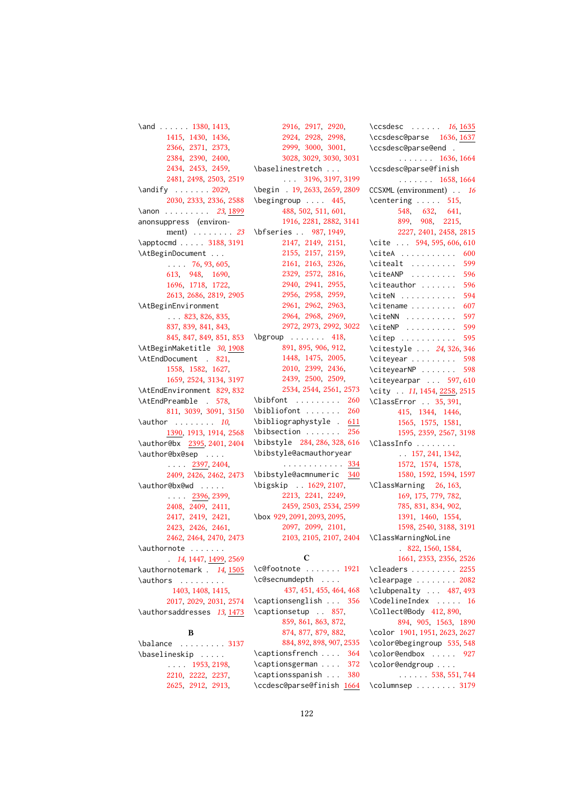```
1380,1413,
       1415, 1430, 1436,
       2366, 2371, 2373,
       2384, 2390, 2400,
       2434, 2453, 2459,
       2481, 2498, 2503, 2519
\andify . . . . . . . 2029,
       2030, 2333, 2336, 2588
231899
anonsuppress (environ-
      ment) . . . . . . . . 23
3188,3191
\AtBeginDocument . . .
       . . . . 76, 93, 605,
       613, 948, 1690,
       1696, 1718, 1722,
       2613, 2686, 2819, 2905
\AtBeginEnvironment
       \ldots823,826,835,
       837, 839, 841, 843,
       845, 847, 849, 851, 853
\AtBeginMaketitle 30, 1908
\AtEndDocument . 821,
       1558, 1582, 1627,
       1659, 2524, 3134, 3197
\AtEndEnvironment 829, 832
\AtEndPreamble . 578,
       811, 3039, 3091, 3150
\lambda10,
       1390, 1913, 1914, 2568
\author@bx 2395, 2401, 2404
\author@bx@sep . . . .
       \ldots2397,2404,
       2409, 2426, 2462, 2473
\author@bx@wd . . . . .
       . . . . 2396, 2399,
       2408, 2409, 2411,
       2417, 2419, 2421,
       2423, 2426, 2461,
      2462, 2464, 2470, 2473
\authornote . . . . . . .
       . 14, 1447, 1499, 2569
\authornotemark . 14, 1505
\authors . . . . . . . . .
        1403, 1408, 1415,
       2017, 2029, 2031, 2574
\authorsaddresses 13, 1473
            B
```

```
3137
\baselineskip . . . . .
     \ldots1953,2198,
     2210, 2222, 2237,
     2625, 2912, 2913,
```
[2916,](#page-0-0) [2917,](#page-0-0) [2920,](#page-0-0) [2924,](#page-0-0) [2928,](#page-0-0) [2998,](#page-0-0) [2999,](#page-0-0) [3000,](#page-0-0) [3001,](#page-0-0) [3028,](#page-0-0) [3029,](#page-0-0) [3030,](#page-0-0) [3031](#page-0-0) \baselinestretch . . . . . . [3196,](#page-0-0) [3197,](#page-0-0) [3199](#page-0-0) \begin . [19,](#page-0-0) [2633,](#page-0-0) [2659,](#page-0-0) [2809](#page-0-0) \begingroup . . . . [445,](#page-0-0) [488,](#page-0-0) [502,](#page-0-0) [511,](#page-0-0) [601,](#page-0-0) [1916,](#page-0-0) [2281,](#page-0-0) [2882,](#page-0-0) [3141](#page-0-0) \bfseries . . [987,](#page-0-0) [1949,](#page-0-0) [2147,](#page-0-0) [2149,](#page-0-0) [2151,](#page-0-0) [2155,](#page-0-0) [2157,](#page-0-0) [2159,](#page-0-0) [2161,](#page-0-0) [2163,](#page-0-0) [2326,](#page-0-0) [2329,](#page-0-0) [2572,](#page-0-0) [2816,](#page-0-0) [2940,](#page-0-0) [2941,](#page-0-0) [2955,](#page-0-0) [2956,](#page-0-0) [2958,](#page-0-0) [2959,](#page-0-0) [2961,](#page-0-0) [2962,](#page-0-0) [2963,](#page-0-0) [2964,](#page-0-0) [2968,](#page-0-0) [2969,](#page-0-0) [2972,](#page-0-0) [2973,](#page-0-0) [2992,](#page-0-0) [3022](#page-0-0)  $\begin{bmatrix} \begin{array}{ccc} \text{b} & \text{c} & \text{d} & \text{d} & \text{e} \\ \text{d} & \text{e} & \text{f} & \text{f} & \text{f} \\ \text{f} & \text{f} & \text{f} & \text{f} & \text{f} \end{array} \end{bmatrix}$ [891,](#page-0-0) [895,](#page-0-0) [906,](#page-0-0) [912,](#page-0-0) [1448,](#page-0-0) [1475,](#page-0-0) [2005,](#page-0-0) [2010,](#page-0-0) [2399,](#page-0-0) [2436,](#page-0-0) [2439,](#page-0-0) [2500,](#page-0-0) [2509,](#page-0-0) [2534,](#page-0-0) [2544,](#page-0-0) [2561,](#page-0-0) [2573](#page-0-0) \bibfont . . . . . . . . . [260](#page-0-0) \bibliofont ....... [260](#page-0-0) \bibliographystyle . [611](#page-0-0) \bibsection . . . . . . [256](#page-0-0) \bibstyle [284,](#page-0-0) [286,](#page-0-0) [328,](#page-0-0) [616](#page-0-0) \bibstyle@acmauthoryear . . . . . . . . . . . . [334](#page-0-0) \bibstyle@acmnumeric [340](#page-0-0) \bigskip . . [1629,](#page-0-0) [2107,](#page-0-0) [2213,](#page-0-0) [2241,](#page-0-0) [2249,](#page-0-0) [2459,](#page-0-0) [2503,](#page-0-0) [2534,](#page-0-0) [2599](#page-0-0) \box [929,](#page-0-0) [2091,](#page-0-0) [2093,](#page-0-0) [2095,](#page-0-0) [2097,](#page-0-0) [2099,](#page-0-0) [2101,](#page-0-0) [2103,](#page-0-0) [2105,](#page-0-0) [2107,](#page-0-0) [2404](#page-0-0)

## C

```
\c@footnote . . . . . . . 1921
\c@secnumdepth . . . .
      437, 451, 455, 464, 468
\captionsenglish . . . 356
\captionsetup . . 857,
      859, 861, 863, 872,
      874, 877, 879, 882,
      884, 892, 898, 907, 2535
364
\captionsgerman . . . . 372
380
\ccdesc@parse@finish 1664
```
\ccsdesc . . . . . . [16](#page-0-0), [1635](#page-0-0) \ccsdesc@parse [1636,](#page-0-0) [1637](#page-0-0) \ccsdesc@parse@end . . . . . . . . [1636,](#page-0-0) [1664](#page-0-0) \ccsdesc@parse@finish . . . . . . . [1658,](#page-0-0) [1664](#page-0-0) CCSXML (environment) . . [16](#page-0-0)  $\centerdot$   $\centerdot$  . . . . . [515,](#page-0-0) [548,](#page-0-0) [632,](#page-0-0) [641,](#page-0-0) [899,](#page-0-0) [908,](#page-0-0) [2215,](#page-0-0) [2227,](#page-0-0) [2401,](#page-0-0) [2458,](#page-0-0) [2815](#page-0-0) \cite ... [594,](#page-0-0) [595,](#page-0-0) [606,](#page-0-0) [610](#page-0-0) \citeA . . . . . . . . . . . [600](#page-0-0) \citealt . . . . . . . . [599](#page-0-0) \citeANP . . . . . . . . . [596](#page-0-0) \citeauthor ....... [596](#page-0-0) \citeN . . . . . . . . . . . [594](#page-0-0)  $\text{center} \ldots \ldots \quad 607$  $\text{center} \ldots \ldots \quad 607$ \citeNN . . . . . . . . . . [597](#page-0-0) \citeNP . . . . . . . . . . [599](#page-0-0) \citep . . . . . . . . . . . [595](#page-0-0) \citestyle . . . [24](#page-0-0), [326,](#page-0-0) [346](#page-0-0) \citeyear . . . . . . . . [598](#page-0-0) \citeyearNP ...... [598](#page-0-0) \citeyearpar . . . [597,](#page-0-0) [610](#page-0-0) \city . . [11](#page-0-0), [1454,](#page-0-0) [2258,](#page-0-0) [2515](#page-0-0) \ClassError . . [35,](#page-0-0) [391,](#page-0-0) [415,](#page-0-0) [1344,](#page-0-0) [1446,](#page-0-0) [1565,](#page-0-0) [1575,](#page-0-0) [1581,](#page-0-0) [1595,](#page-0-0) [2359,](#page-0-0) [2567,](#page-0-0) [3198](#page-0-0) \ClassInfo . . . . . . . . . . [157,](#page-0-0) [241,](#page-0-0) [1342,](#page-0-0) [1572,](#page-0-0) [1574,](#page-0-0) [1578,](#page-0-0) [1580,](#page-0-0) [1592,](#page-0-0) [1594,](#page-0-0) [1597](#page-0-0) \ClassWarning [26,](#page-0-0) [163,](#page-0-0) [169,](#page-0-0) [175,](#page-0-0) [779,](#page-0-0) [782,](#page-0-0) [785,](#page-0-0) [831,](#page-0-0) [834,](#page-0-0) [902,](#page-0-0) [1391,](#page-0-0) [1460,](#page-0-0) [1554,](#page-0-0) [1598,](#page-0-0) [2540,](#page-0-0) [3188,](#page-0-0) [3191](#page-0-0) \ClassWarningNoLine . [822,](#page-0-0) [1560,](#page-0-0) [1584,](#page-0-0) [1661,](#page-0-0) [2353,](#page-0-0) [2356,](#page-0-0) [2526](#page-0-0) \cleaders . . . . . . . . [2255](#page-0-0) \clearpage . . . . . . . [2082](#page-0-0) \clubpenalty ... [487,](#page-0-0) [493](#page-0-0) \CodelineIndex . . . . . [16](#page-0-0) \Collect@Body [412,](#page-0-0) [890,](#page-0-0) [894,](#page-0-0) [905,](#page-0-0) [1563,](#page-0-0) [1890](#page-0-0) \color [1901,](#page-0-0) [1951,](#page-0-0) [2623,](#page-0-0) [2627](#page-0-0) \color@begingroup [535,](#page-0-0) [548](#page-0-0) \color@endbox . . . . . [927](#page-0-0) \color@endgroup . . . . . . . . . . [538,](#page-0-0) [551,](#page-0-0) [744](#page-0-0) \columnsep . . . . . . . . [3179](#page-0-0)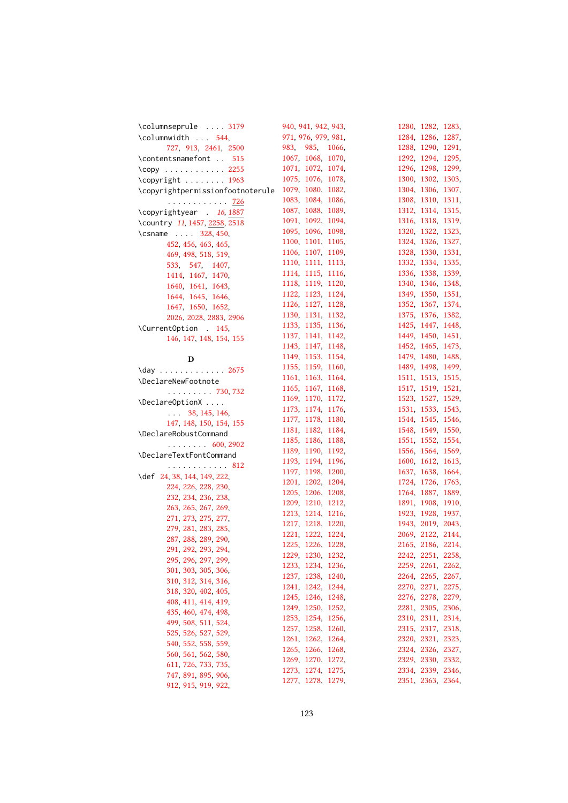| \columnseprule  3179                   | 940, 941, 942, 943, | 1280, 1282, 1283, |  |
|----------------------------------------|---------------------|-------------------|--|
| \columnwidth  544,                     | 971, 976, 979, 981, | 1284, 1286, 1287, |  |
| 727, 913, 2461, 2500                   | 983, 985, 1066,     | 1288, 1290, 1291, |  |
| \contentsnamefont  515                 | 1067, 1068, 1070,   | 1292, 1294, 1295, |  |
| \copy 2255                             | 1071, 1072, 1074,   | 1296, 1298, 1299, |  |
| \copyright  1963                       | 1075, 1076, 1078,   | 1300, 1302, 1303, |  |
| \copyrightpermissionfootnoterule       | 1079, 1080, 1082,   | 1304, 1306, 1307, |  |
| . <u>726</u>                           | 1083, 1084, 1086,   | 1308, 1310, 1311, |  |
| \copyrightyear . 16, 1887              | 1087, 1088, 1089,   | 1312, 1314, 1315, |  |
| \country 11, 1457, 2258, 2518          | 1091, 1092, 1094,   | 1316, 1318, 1319, |  |
| \csname  328, 450,                     | 1095, 1096, 1098,   | 1320, 1322, 1323, |  |
| 452, 456, 463, 465,                    | 1100, 1101, 1105,   | 1324, 1326, 1327, |  |
| 469, 498, 518, 519,                    | 1106, 1107, 1109,   | 1328, 1330, 1331, |  |
| 533, 547, 1407,                        | 1110, 1111, 1113,   | 1332, 1334, 1335, |  |
|                                        | 1114, 1115, 1116,   | 1336, 1338, 1339, |  |
| 1414, 1467, 1470,<br>1640, 1641, 1643, | 1118, 1119, 1120,   | 1340, 1346, 1348, |  |
|                                        | 1122, 1123, 1124,   | 1349, 1350, 1351, |  |
| 1644, 1645, 1646,                      | 1126, 1127, 1128,   | 1352, 1367, 1374, |  |
| 1647, 1650, 1652,                      | 1130, 1131, 1132,   | 1375, 1376, 1382, |  |
| 2026, 2028, 2883, 2906                 | 1133, 1135, 1136,   | 1425, 1447, 1448, |  |
| \CurrentOption . 145,                  | 1137, 1141, 1142,   | 1449, 1450, 1451, |  |
| 146, 147, 148, 154, 155                | 1143, 1147, 1148,   | 1452, 1465, 1473, |  |
|                                        |                     |                   |  |
| D                                      | 1149, 1153, 1154,   | 1479, 1480, 1488, |  |
| \day 2675                              | 1155, 1159, 1160,   | 1489, 1498, 1499, |  |
| \DeclareNewFootnote                    | 1161, 1163, 1164,   | 1511, 1513, 1515, |  |
| $\ldots \ldots \ldots 730, 732$        | 1165, 1167, 1168,   | 1517, 1519, 1521, |  |
| \DeclareOptionX                        | 1169, 1170, 1172,   | 1523, 1527, 1529, |  |
| $\ldots$ 38, 145, 146,                 | 1173, 1174, 1176,   | 1531, 1533, 1543, |  |
| 147, 148, 150, 154, 155                | 1177, 1178, 1180,   | 1544, 1545, 1546, |  |
| \DeclareRobustCommand                  | 1181, 1182, 1184,   | 1548, 1549, 1550, |  |
| $\ldots \ldots 600, 2902$              | 1185, 1186, 1188,   | 1551, 1552, 1554, |  |
| \DeclareTextFontCommand                | 1189, 1190, 1192,   | 1556, 1564, 1569, |  |
| . 812                                  | 1193, 1194, 1196,   | 1600, 1612, 1613, |  |
| \def 24, 38, 144, 149, 222,            | 1197, 1198, 1200,   | 1637, 1638, 1664, |  |
| 224, 226, 228, 230,                    | 1201, 1202, 1204,   | 1724, 1726, 1763, |  |
| 232, 234, 236, 238,                    | 1205, 1206, 1208,   | 1764, 1887, 1889, |  |
| 263, 265, 267, 269,                    | 1209, 1210, 1212,   | 1891, 1908, 1910, |  |
| 271, 273, 275, 277,                    | 1213, 1214, 1216,   | 1923, 1928, 1937, |  |
| 279, 281, 283, 285,                    | 1217, 1218, 1220,   | 1943, 2019, 2043, |  |
|                                        | 1221, 1222, 1224,   | 2069, 2122, 2144, |  |
| 287, 288, 289, 290,                    | 1225, 1226, 1228,   | 2165, 2186, 2214, |  |
| 291, 292, 293, 294,                    | 1229, 1230, 1232,   | 2242, 2251, 2258, |  |
| 295, 296, 297, 299,                    | 1233, 1234, 1236,   | 2259, 2261, 2262, |  |
| 301, 303, 305, 306,                    | 1237, 1238, 1240,   | 2264, 2265, 2267, |  |
| 310, 312, 314, 316,                    | 1241, 1242, 1244,   | 2270, 2271, 2275, |  |
| 318, 320, 402, 405,                    | 1245, 1246, 1248,   | 2276, 2278, 2279, |  |
| 408, 411, 414, 419,                    | 1249, 1250, 1252,   | 2281, 2305, 2306, |  |
| 435, 460, 474, 498,                    | 1253, 1254, 1256,   | 2310, 2311, 2314, |  |
| 499, 508, 511, 524,                    | 1257, 1258, 1260,   | 2315, 2317, 2318, |  |
| 525, 526, 527, 529,                    | 1261, 1262, 1264,   | 2320, 2321, 2323, |  |
| 540, 552, 558, 559,                    | 1265, 1266, 1268,   | 2324, 2326, 2327, |  |
| 560, 561, 562, 580,                    | 1269, 1270, 1272,   | 2329, 2330, 2332, |  |
| 611, 726, 733, 735,                    | 1273, 1274, 1275,   | 2334, 2339, 2346, |  |
| 747, 891, 895, 906,                    |                     | 2351, 2363, 2364, |  |
| 912 915 919 922                        | 1277, 1278, 1279,   |                   |  |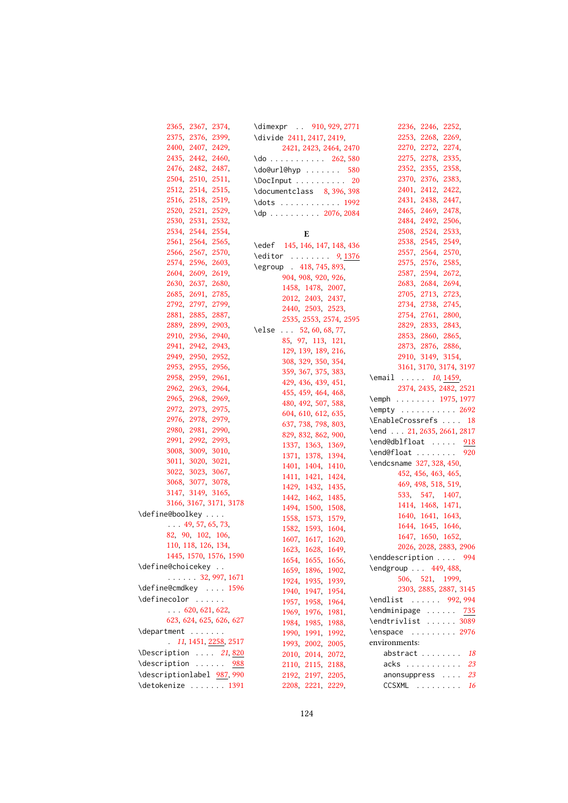| 2365, 2367, 2374,             | \dimexpr  910, 929, 2771                | 2236, 2246, 2252,                                 |
|-------------------------------|-----------------------------------------|---------------------------------------------------|
| 2375, 2376, 2399,             | \divide 2411, 2417, 2419,               | 2253, 2268, 2269,                                 |
| 2400, 2407, 2429,             | 2421, 2423, 2464, 2470                  | 2270, 2272, 2274,                                 |
| 2435, 2442, 2460,             | $\{do \ldots \ldots \ldots 262, 580\}$  | 2275, 2278, 2335,                                 |
| 2476, 2482, 2487,             | $\d{do@url@hyp \dots \dots 580}$        | 2352, 2355, 2358,                                 |
| 2504, 2510, 2511,             | $\Delta$ DocInput 20                    | 2370, 2376, 2383,                                 |
| 2512, 2514, 2515,             | \documentclass 8, 396, 398              | 2401, 2412, 2422,                                 |
| 2516, 2518, 2519,             |                                         | 2431, 2438, 2447,                                 |
| 2520, 2521, 2529,             | $\{dp \dots \dots \dots \ 2076, 2084\}$ | 2465, 2469, 2478,                                 |
| 2530, 2531, 2532,             |                                         | 2484, 2492, 2506,                                 |
| 2534, 2544, 2554,             | E                                       | 2508, 2524, 2533,                                 |
| 2561, 2564, 2565,             |                                         | 2538, 2545, 2549,                                 |
| 2566, 2567, 2570,             | \edef 145, 146, 147, 148, 436           | 2557, 2564, 2570,                                 |
| 2574, 2596, 2603,             | $\delta$ 9, 1376                        | 2575, 2576, 2585,                                 |
| 2604, 2609, 2619,             | \egroup 418, 745, 893,                  | 2587, 2594, 2672,                                 |
| 2630, 2637, 2680,             | 904, 908, 920, 926,                     | 2683, 2684, 2694,                                 |
| 2685, 2691, 2785,             | 1458, 1478, 2007,                       | 2705, 2713, 2723,                                 |
| 2792, 2797, 2799,             | 2012, 2403, 2437,                       | 2734, 2738, 2745,                                 |
| 2881, 2885, 2887,             | 2440, 2503, 2523,                       | 2754, 2761, 2800,                                 |
| 2889, 2899, 2903,             | 2535, 2553, 2574, 2595                  | 2829, 2833, 2843,                                 |
| 2910, 2936, 2940,             | \else 52, 60, 68, 77,                   | 2853, 2860, 2865,                                 |
| 2941, 2942, 2943,             | 85, 97, 113, 121,                       | 2873, 2876, 2886,                                 |
| 2949, 2950, 2952,             | 129, 139, 189, 216,                     | 2910, 3149, 3154,                                 |
| 2953, 2955, 2956,             | 308, 329, 350, 354,                     | 3161, 3170, 3174, 3197                            |
| 2958, 2959, 2961,             | 359, 367, 375, 383,                     |                                                   |
| 2962, 2963, 2964,             | 429, 436, 439, 451,                     | \email <i>10</i> ,1459,<br>2374, 2435, 2482, 2521 |
| 2965, 2968, 2969,             | 455, 459, 464, 468,                     |                                                   |
| 2972, 2973, 2975,             | 480, 492, 507, 588,                     | \emph 1975, 1977                                  |
| 2976, 2978, 2979,             | 604, 610, 612, 635,                     | \empty 2692                                       |
|                               | 637, 738, 798, 803,                     | \EnableCrossrefs  18                              |
| 2980, 2981, 2990,             | 829, 832, 862, 900,                     | \end 21, 2635, 2661, 2817                         |
| 2991, 2992, 2993,             | 1337, 1363, 1369,                       | \end@dblfloat  918                                |
| 3008, 3009, 3010,             | 1371, 1378, 1394,                       | \end@float  920                                   |
| 3011, 3020, 3021,             | 1401, 1404, 1410,                       | \endcsname 327, 328, 450,                         |
| 3022, 3023, 3067,             | 1411, 1421, 1424,                       | 452, 456, 463, 465,                               |
| 3068, 3077, 3078,             | 1429, 1432, 1435,                       | 469, 498, 518, 519,                               |
| 3147, 3149, 3165,             | 1442, 1462, 1485,                       | 533, 547, 1407,                                   |
| 3166, 3167, 3171, 3178        | 1494, 1500, 1508,                       | 1414, 1468, 1471,                                 |
| \define@boolkey               | 1558, 1573, 1579,                       | 1640, 1641, 1643,                                 |
| $\ldots$ 49, 57, 65, 73,      | 1582, 1593, 1604,                       | 1644, 1645, 1646,                                 |
| 82, 90, 102, 106,             | 1607, 1617, 1620,                       | 1647, 1650, 1652,                                 |
| 110, 118, 126, 134,           | 1623, 1628, 1649,                       | 2026, 2028, 2883, 2906                            |
| 1445, 1570, 1576, 1590        | 1654, 1655, 1656,                       | \enddescription  994                              |
| \define@choicekey             | 1659, 1896, 1902,                       | \endgroup  449, 488,                              |
| $\ldots$ 32, 997, 1671        | 1924, 1935, 1939,                       | 506, 521, 1999,                                   |
| \define@cmdkey  1596          | 1940, 1947, 1954,                       | 2303, 2885, 2887, 3145                            |
| \definecolor                  | 1957, 1958, 1964,                       | \endlist  992, 994                                |
| $\ldots$ 620, 621, 622,       | 1969, 1976, 1981,                       | \endminipage  735                                 |
| 623, 624, 625, 626, 627       | 1984, 1985, 1988,                       | \endtrivlist  3089                                |
| \department                   | 1990, 1991, 1992,                       | \enspace  2976                                    |
| $\ldots$ 11, 1451, 2258, 2517 | 1993, 2002, 2005,                       | environments:                                     |
| \Description $21,820$         | 2010, 2014, 2072,                       | abstract $18$                                     |
| \description<br>988           | 2110, 2115, 2188,                       | acks  23                                          |
| \descriptionlabel 987, 990    | 2192, 2197, 2205,                       | anonsuppress<br>23                                |
| \detokenize  1391             | 2208, 2221, 2229,                       | CCSXML<br>16                                      |
|                               |                                         |                                                   |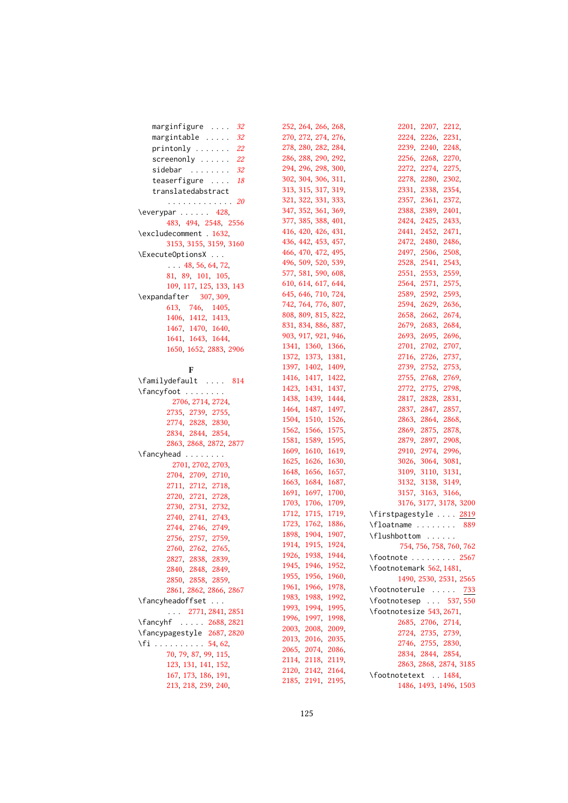| marginfigure  32                | 252, 264, 266, 268, | 2201, 2207, 2212,          |
|---------------------------------|---------------------|----------------------------|
| $margintable$<br>32             | 270, 272, 274, 276, | 2224, 2226, 2231,          |
| $printonly \ldots \ldots$<br>22 | 278, 280, 282, 284, | 2239, 2240, 2248,          |
| screen only<br>22               | 286, 288, 290, 292, | 2256, 2268, 2270,          |
| sidebar<br>32                   | 294, 296, 298, 300, | 2272, 2274, 2275,          |
| teaserfigure<br>18              | 302, 304, 306, 311, | 2278, 2280, 2302,          |
| translatedabstract              | 313, 315, 317, 319, | 2331, 2338, 2354,          |
| . <i>20</i>                     | 321, 322, 331, 333, | 2357, 2361, 2372,          |
| $\text{Veverypar} \ldots$ 428,  | 347, 352, 361, 369, | 2388, 2389, 2401,          |
| 483, 494, 2548, 2556            | 377, 385, 388, 401, | 2424, 2425, 2433,          |
|                                 | 416, 420, 426, 431, | 2441, 2452, 2471,          |
| \excludecomment . 1632,         | 436, 442, 453, 457, | 2472, 2480, 2486,          |
| 3153, 3155, 3159, 3160          | 466, 470, 472, 495, | 2497, 2506, 2508,          |
| \ExecuteOptionsX                | 496, 509, 520, 539, | 2528, 2541, 2543,          |
| $\ldots$ 48, 56, 64, 72,        | 577, 581, 590, 608, | 2551, 2553, 2559,          |
| 81, 89, 101, 105,               | 610, 614, 617, 644, | 2564, 2571, 2575,          |
| 109, 117, 125, 133, 143         | 645, 646, 710, 724, | 2589, 2592, 2593,          |
| \expandafter 307, 309,          | 742, 764, 776, 807, | 2594, 2629, 2636,          |
| 613, 746, 1405,                 | 808, 809, 815, 822, | 2658, 2662, 2674,          |
| 1406, 1412, 1413,               |                     | 2679, 2683, 2684,          |
| 1467, 1470, 1640,               | 831, 834, 886, 887, |                            |
| 1641, 1643, 1644,               | 903, 917, 921, 946, | 2693, 2695, 2696,          |
| 1650, 1652, 2883, 2906          | 1341, 1360, 1366,   | 2701, 2702, 2707,          |
|                                 | 1372, 1373, 1381,   | 2716, 2726, 2737,          |
| F                               | 1397, 1402, 1409,   | 2739, 2752, 2753,          |
| \familydefault  814             | 1416, 1417, 1422,   | 2755, 2768, 2769,          |
| \fancyfoot                      | 1423, 1431, 1437,   | 2772, 2775, 2798,          |
| 2706, 2714, 2724,               | 1438, 1439, 1444,   | 2817, 2828, 2831,          |
| 2735, 2739, 2755,               | 1464, 1487, 1497,   | 2837, 2847, 2857,          |
| 2774, 2828, 2830,               | 1504, 1510, 1526,   | 2863, 2864, 2868,          |
| 2834, 2844, 2854,               | 1562, 1566, 1575,   | 2869, 2875, 2878,          |
| 2863, 2868, 2872, 2877          | 1581, 1589, 1595,   | 2879, 2897, 2908,          |
| \fancyhead                      | 1609, 1610, 1619,   | 2910, 2974, 2996,          |
| 2701, 2702, 2703,               | 1625, 1626, 1630,   | 3026, 3064, 3081,          |
| 2704, 2709, 2710,               | 1648, 1656, 1657,   | 3109, 3110, 3131,          |
| 2711, 2712, 2718,               | 1663, 1684, 1687,   | 3132, 3138, 3149,          |
| 2720, 2721, 2728,               | 1691, 1697, 1700,   | 3157, 3163, 3166,          |
| 2730, 2731, 2732,               | 1703, 1706, 1709,   | 3176, 3177, 3178, 3200     |
| 2740, 2741, 2743,               | 1712, 1715, 1719,   | \firstpagestyle  2819      |
| 2744, 2746, 2749,               | 1723, 1762, 1886,   | \floatname  889            |
| 2756, 2757, 2759,               | 1898, 1904, 1907,   | \flushbottom               |
| 2760, 2762, 2765,               | 1914, 1915, 1924,   | 754, 756, 758, 760, 762    |
| 2827, 2838, 2839,               | 1926, 1938, 1944,   | $\setminus$ footnote  2567 |
| 2840, 2848, 2849,               | 1945, 1946, 1952,   | \footnotemark 562, 1481,   |
| 2850, 2858, 2859,               | 1955, 1956, 1960,   | 1490, 2530, 2531, 2565     |
| 2861, 2862, 2866, 2867          | 1961, 1966, 1978,   | \footnoterule<br>733       |
| \fancyheadoffset                | 1983, 1988, 1992,   | \footnotesep  537,550      |
| $\ldots$ 2771, 2841, 2851       | 1993, 1994, 1995,   | \footnotesize 543, 2671,   |
| \fancyhf  2688, 2821            | 1996, 1997, 1998,   | 2685, 2706, 2714,          |
| \fancypagestyle 2687, 2820      | 2003, 2008, 2009,   | 2724, 2735, 2739,          |
| $\iota$ fi 54, 62,              | 2013, 2016, 2035,   | 2746, 2755, 2830,          |
| 70, 79, 87, 99, 115,            | 2065, 2074, 2086,   | 2834, 2844, 2854,          |
| 123, 131, 141, 152,             | 2114, 2118, 2119,   | 2863, 2868, 2874, 3185     |
| 167, 173, 186, 191,             | 2120, 2142, 2164,   | \footnotetext . 1484,      |
| 213, 218, 239, 240,             | 2185, 2191, 2195,   | 1486, 1493, 1496, 1503     |
|                                 |                     |                            |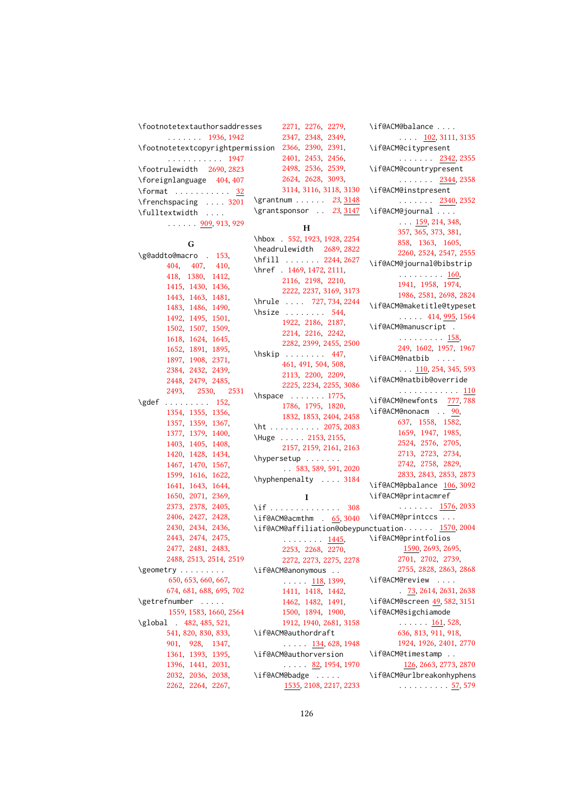| \footnotetextauthorsaddresses                                 | 2271, 2276, 2279,                       |
|---------------------------------------------------------------|-----------------------------------------|
| $\ldots$ 1936, 1942                                           | 2347, 2348, 2349,                       |
| \footnotetextcopyrightpermission 2366, 2390, 2391,            |                                         |
| . 1947                                                        | 2401, 2453, 2456,                       |
| \footrulewidth 2690, 2823                                     | 2498, 2536, 2539,                       |
| \foreignlanguage 404,407                                      | 2624, 2628, 3093,                       |
| \format $32$                                                  | 3114, 3116, 3118, 3130                  |
| \frenchspacing  3201                                          | \grantnum 23, 3148                      |
| \fulltextwidth                                                | \grantsponsor . 23, 3147                |
| $\cdots$ 909, 913, 929                                        |                                         |
|                                                               | н                                       |
| G                                                             | \hbox . 552, 1923, 1928, 2254           |
| \g@addto@macro . 153,                                         | \headrulewidth 2689, 2822               |
| 404, 407, 410,                                                | \hfill  2244,2627                       |
| 418, 1380, 1412,                                              | \href . 1469, 1472, 2111,               |
| 1415, 1430, 1436,                                             | 2116, 2198, 2210,                       |
| 1443, 1463, 1481,                                             | 2222, 2237, 3169, 3173                  |
| 1483, 1486, 1490,                                             | \hrule  727, 734, 2244                  |
| 1492, 1495, 1501,                                             | \hsize  544,                            |
| 1502, 1507, 1509,                                             | 1922, 2186, 2187,                       |
| 1618, 1624, 1645,                                             | 2214, 2216, 2242,                       |
| 1652, 1891, 1895,                                             | 2282, 2399, 2455, 2500                  |
| 1897, 1908, 2371,                                             | $\hbox{\scriptsize\textsf{hskip}}$ 447, |
| 2384, 2432, 2439,                                             | 461, 491, 504, 508,                     |
| 2448, 2479, 2485,                                             | 2113, 2200, 2209,                       |
| 2493, 2530, 2531                                              | 2225, 2234, 2255, 3086                  |
| \gdef<br>. 152,                                               | $\hbox{\tt Nspace} \ldots 1775,$        |
| 1354, 1355, 1356,                                             | 1786, 1795, 1820,                       |
| 1357, 1359, 1367,                                             | 1832, 1853, 2404, 2458                  |
| 1377, 1379, 1400,                                             | \ht 2075, 2083                          |
| 1403, 1405, 1408,                                             | \Huge 2153, 2155,                       |
| 1420, 1428, 1434,                                             | 2157, 2159, 2161, 2163                  |
| 1467, 1470, 1567,                                             | \hypersetup                             |
| 1599, 1616, 1622,                                             | 583, 589, 591, 2020                     |
| 1641, 1643, 1644,                                             | \hyphenpenalty  3184                    |
| 1650, 2071, 2369,                                             | I                                       |
| 2373, 2378, 2405,                                             | \if $\ldots$ 308                        |
| 2406, 2427, 2428,                                             | \if@ACM@acmthm . 65,3040                |
| 2430, 2434, 2436,                                             | \if@ACM@affiliation@obeyp               |
| 2443, 2474, 2475,                                             | . <u>1445</u> ,                         |
| 2477, 2481, 2483,                                             | 2253, 2268, 2270,                       |
| 2488, 2513, 2514, 2519                                        | 2272, 2273, 2275, 2278                  |
| $\genfrac{\@ifnextchar[{\@model{T}}{\mathbb{Q}}}{\mathbb{Q}}$ | \if@ACM@anonymous                       |
| 650, 653, 660, 667,                                           | $\ldots$ 118, 1399,                     |
| 674, 681, 688, 695, 702                                       | 1411, 1418, 1442,                       |
| \getrefnumber                                                 | 1462, 1482, 1491,                       |
| 1559, 1583, 1660, 2564                                        | 1500, 1894, 1900,                       |
| \global .482, 485, 521,                                       | 1912, 1940, 2681, 3158                  |
| 541, 820, 830, 833,                                           | \if@ACM@authordraft                     |
| 901, 928, 1347,                                               | $\ldots$ 134, 628, 1948                 |
| 1361, 1393, 1395,                                             | \if@ACM@authorversion                   |
| 1396, 1441, 2031,                                             | $\ldots$ 82, 1954, 1970                 |
| 2032, 2036, 2038,                                             | \if@ACM@badge                           |
| 2262, 2264, 2267,                                             | 1535, 2108, 2217, 2233                  |

\if@ACM@acmthm . [65,](#page-0-0) [3040](#page-0-0) \if@ACM@affiliation@obeypunctuation . . . . . . . [1570,](#page-0-0) [2004](#page-0-0) \if@ACM@balance . . . .  $\ldots$  [102,](#page-0-0) [3111,](#page-0-0) [3135](#page-0-0) \if@ACM@citypresent  $\ldots$  . . . . . [2342,](#page-0-0) [2355](#page-0-0) \if@ACM@countrypresent  $\cdots$  . . . . . [2344,](#page-0-0) [2358](#page-0-0) \if@ACM@instpresent  $\cdots$  . . . . . [2340,](#page-0-0) [2352](#page-0-0) \if@ACM@journal . . . . . . . [159,](#page-0-0) [214,](#page-0-0) [348,](#page-0-0) [357,](#page-0-0) [365,](#page-0-0) [373,](#page-0-0) [381,](#page-0-0) [858,](#page-0-0) [1363,](#page-0-0) [1605,](#page-0-0) [2260,](#page-0-0) [2524,](#page-0-0) [2547,](#page-0-0) [2555](#page-0-0) \if@ACM@journal@bibstrip . . . . . . . . . <u>160</u>, [1941,](#page-0-0) [1958,](#page-0-0) [1974,](#page-0-0) [1986,](#page-0-0) [2581,](#page-0-0) [2698,](#page-0-0) [2824](#page-0-0) \if@ACM@maketitle@typeset . . . . . [414,](#page-0-0) [995,](#page-0-0) [1564](#page-0-0) \if@ACM@manuscript . . . . . . . . . . [158,](#page-0-0) [249,](#page-0-0) [1602,](#page-0-0) [1957,](#page-0-0) [1967](#page-0-0) \if@ACM@natbib .... . . . [110,](#page-0-0) [254,](#page-0-0) [345,](#page-0-0) [593](#page-0-0) \if@ACM@natbib@override . . . . . . . . . . . . [110](#page-0-0) \if@ACM@newfonts [777,](#page-0-0)[788](#page-0-0) \if@ACM@nonacm . . [90,](#page-0-0) [637,](#page-0-0) [1558,](#page-0-0) [1582,](#page-0-0) [1659,](#page-0-0) [1947,](#page-0-0) [1985,](#page-0-0) [2524,](#page-0-0) [2576,](#page-0-0) [2705,](#page-0-0) [2713,](#page-0-0) [2723,](#page-0-0) [2734,](#page-0-0) [2742,](#page-0-0) [2758,](#page-0-0) [2829,](#page-0-0) [2833,](#page-0-0) [2843,](#page-0-0) [2853,](#page-0-0) [2873](#page-0-0) \if@ACM@pbalance [106,](#page-0-0)[3092](#page-0-0) \if@ACM@printacmref  $\ldots$  . . . . . [1576,](#page-0-0) [2033](#page-0-0) \if@ACM@printccs . . . \if@ACM@printfolios [1590,](#page-0-0) [2693,](#page-0-0) [2695,](#page-0-0) [2701,](#page-0-0) [2702,](#page-0-0) [2739,](#page-0-0) [2755,](#page-0-0) [2828,](#page-0-0) [2863,](#page-0-0) [2868](#page-0-0) \if@ACM@review . . . . . [73,](#page-0-0) [2614,](#page-0-0) [2631,](#page-0-0) [2638](#page-0-0) \if@ACM@screen [49,](#page-0-0) [582,](#page-0-0) [3151](#page-0-0) \if@ACM@sigchiamode  $\ldots$  . . . [161,](#page-0-0) [528,](#page-0-0) [636,](#page-0-0) [813,](#page-0-0) [911,](#page-0-0) [918,](#page-0-0) [1924,](#page-0-0) [1926,](#page-0-0) [2401,](#page-0-0) [2770](#page-0-0) \if@ACM@timestamp . . [126,](#page-0-0) [2663,](#page-0-0) [2773,](#page-0-0) [2870](#page-0-0) \if@ACM@urlbreakonhyphens . . . . . . . . . . [57,](#page-0-0) [579](#page-0-0)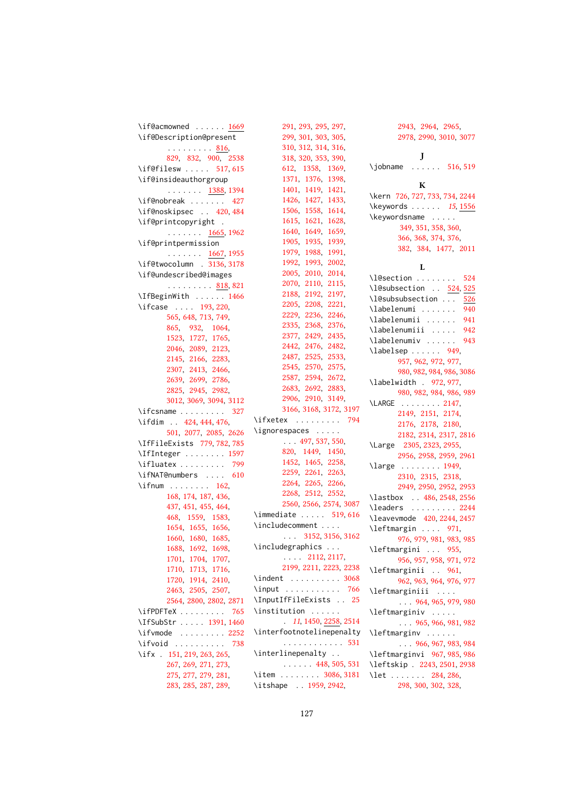```
1669
\if@Description@present
      . . . . . . . . . <u>816</u>,
      829, 832, 900, 2538
517,615
\if@insideauthorgroup
      \ldots \ldots1388,1394
427
\if@noskipsec . . 420, 484
\if@printcopyright .
      . . . . . . . 1665, 1962
\if@printpermission
      \ldots \ldots1667,1955
\if@twocolumn . 3136, 3178
\if@undescribed@images
      818,821
\IfBeginWith . . . . . . 1466
193,220,
     565, 648, 713, 749,
      865, 932, 1064,
      1523, 1727, 1765,
      2046, 2089, 2123,
      2145, 2166, 2283,
      2307, 2413, 2466,
      2639, 2699, 2786,
      2825, 2945, 2982,
      3012, 3069, 3094, 3112
327
424,444,476,
      501, 2077, 2085, 2626
\IfFileExists 779, 782, 785
\IfInteger . . . . . . . . 1597
\ifluatex . . . . . . . . . 799
610
162,
      168, 174, 187, 436,
      437, 451, 455, 464,
      468, 1559, 1583,
      1654, 1655, 1656,
      1660, 1680, 1685,
      1688, 1692, 1698,
      1701, 1704, 1707,
      1710, 1713, 1716,
      1720, 1914, 2410,
      2463, 2505, 2507,
      2564, 2800, 2802, 2871
\ifPDFTeX . . . . . . . . . 765
1391,1460
2252
738
151,219,263,265,
      267, 269, 271, 273,
      275, 277, 279, 281,
      283, 285, 287, 289,
```
[291,](#page-0-0) [293,](#page-0-0) [295,](#page-0-0) [297,](#page-0-0) [299,](#page-0-0) [301,](#page-0-0) [303,](#page-0-0) [305,](#page-0-0) [310,](#page-0-0) [312,](#page-0-0) [314,](#page-0-0) [316,](#page-0-0) [318,](#page-0-0) [320,](#page-0-0) [353,](#page-0-0) [390,](#page-0-0) [612,](#page-0-0) [1358,](#page-0-0) [1369,](#page-0-0) [1371,](#page-0-0) [1376,](#page-0-0) [1398,](#page-0-0) [1401,](#page-0-0) [1419,](#page-0-0) [1421,](#page-0-0) [1426,](#page-0-0) [1427,](#page-0-0) [1433,](#page-0-0) [1506,](#page-0-0) [1558,](#page-0-0) [1614,](#page-0-0) [1615,](#page-0-0) [1621,](#page-0-0) [1628,](#page-0-0) [1640,](#page-0-0) [1649,](#page-0-0) [1659,](#page-0-0) [1905,](#page-0-0) [1935,](#page-0-0) [1939,](#page-0-0) [1979,](#page-0-0) [1988,](#page-0-0) [1991,](#page-0-0) [1992,](#page-0-0) [1993,](#page-0-0) [2002,](#page-0-0) [2005,](#page-0-0) [2010,](#page-0-0) [2014,](#page-0-0) [2070,](#page-0-0) [2110,](#page-0-0) [2115,](#page-0-0) [2188,](#page-0-0) [2192,](#page-0-0) [2197,](#page-0-0) [2205,](#page-0-0) [2208,](#page-0-0) [2221,](#page-0-0) [2229,](#page-0-0) [2236,](#page-0-0) [2246,](#page-0-0) [2335,](#page-0-0) [2368,](#page-0-0) [2376,](#page-0-0) [2377,](#page-0-0) [2429,](#page-0-0) [2435,](#page-0-0) [2442,](#page-0-0) [2476,](#page-0-0) [2482,](#page-0-0) [2487,](#page-0-0) [2525,](#page-0-0) [2533,](#page-0-0) [2545,](#page-0-0) [2570,](#page-0-0) [2575,](#page-0-0) [2587,](#page-0-0) [2594,](#page-0-0) [2672,](#page-0-0) [2683,](#page-0-0) [2692,](#page-0-0) [2883,](#page-0-0) [2906,](#page-0-0) [2910,](#page-0-0) [3149,](#page-0-0) [3166,](#page-0-0) [3168,](#page-0-0) [3172,](#page-0-0) [3197](#page-0-0) \ifxetex . . . . . . . . . [794](#page-0-0) \ignorespaces . . . . . . . . [497,](#page-0-0) [537,](#page-0-0) [550,](#page-0-0) [820,](#page-0-0) [1449,](#page-0-0) [1450,](#page-0-0) [1452,](#page-0-0) [1465,](#page-0-0) [2258,](#page-0-0) [2259,](#page-0-0) [2261,](#page-0-0) [2263,](#page-0-0) [2264,](#page-0-0) [2265,](#page-0-0) [2266,](#page-0-0) [2268,](#page-0-0) [2512,](#page-0-0) [2552,](#page-0-0) [2560,](#page-0-0) [2566,](#page-0-0) [2574,](#page-0-0) [3087](#page-0-0) \immediate ..... [519,](#page-0-0)[616](#page-0-0) \includecomment . . . . . . . [3152,](#page-0-0) [3156,](#page-0-0) [3162](#page-0-0) \includegraphics . . .  $\ldots$  [2112,](#page-0-0) [2117,](#page-0-0) [2199,](#page-0-0) [2211,](#page-0-0) [2223,](#page-0-0) [2238](#page-0-0) \indent . . . . . . . . . . [3068](#page-0-0) \input . . . . . . . . . . [766](#page-0-0) \InputIfFileExists . . [25](#page-0-0) \institution . . . . . . . [11](#page-0-0), [1450,](#page-0-0) [2258,](#page-0-0) [2514](#page-0-0) \interfootnotelinepenalty . . . . . . . . . . . . [531](#page-0-0) \interlinepenalty . . . . . . . . [448,](#page-0-0) [505,](#page-0-0) [531](#page-0-0) \item . . . . . . . . [3086,](#page-0-0) [3181](#page-0-0) \itshape . . [1959,](#page-0-0) [2942,](#page-0-0)

[2943,](#page-0-0) [2964,](#page-0-0) [2965,](#page-0-0) [2978,](#page-0-0) [2990,](#page-0-0) [3010,](#page-0-0) [3077](#page-0-0) J \jobname . . . . . . [516,](#page-0-0) [519](#page-0-0) K \kern [726,](#page-0-0) [727,](#page-0-0) [733,](#page-0-0) [734,](#page-0-0) [2244](#page-0-0) \keywords . . . . . . [15](#page-0-0), [1556](#page-0-0) \keywordsname . . . . . [349,](#page-0-0) [351,](#page-0-0) [358,](#page-0-0) [360,](#page-0-0) [366,](#page-0-0) [368,](#page-0-0) [374,](#page-0-0) [376,](#page-0-0) [382,](#page-0-0) [384,](#page-0-0) [1477,](#page-0-0) [2011](#page-0-0) L \l@section . . . . . . . . [524](#page-0-0) \l@subsection . . [524,](#page-0-0) [525](#page-0-0) \l@subsubsection . . . [526](#page-0-0) \labelenumi . . . . . . [940](#page-0-0) \labelenumii ...... [941](#page-0-0) \labelenumiii . . . . [942](#page-0-0) \labelenumiv ..... [943](#page-0-0)  $\lambda$ labelsep . . . . . [949,](#page-0-0) [957,](#page-0-0) [962,](#page-0-0) [972,](#page-0-0) [977,](#page-0-0) [980,](#page-0-0) [982,](#page-0-0) [984,](#page-0-0) [986,](#page-0-0) [3086](#page-0-0) \labelwidth . [972,](#page-0-0) [977,](#page-0-0) [980,](#page-0-0) [982,](#page-0-0) [984,](#page-0-0) [986,](#page-0-0) [989](#page-0-0) \LARGE . . . . . . . . [2147,](#page-0-0) [2149,](#page-0-0) [2151,](#page-0-0) [2174,](#page-0-0) [2176,](#page-0-0) [2178,](#page-0-0) [2180,](#page-0-0) [2182,](#page-0-0) [2314,](#page-0-0) [2317,](#page-0-0) [2816](#page-0-0) \Large [2305,](#page-0-0) [2323,](#page-0-0) [2955,](#page-0-0) [2956,](#page-0-0) [2958,](#page-0-0) [2959,](#page-0-0) [2961](#page-0-0) \large . . . . . . . . [1949,](#page-0-0) [2310,](#page-0-0) [2315,](#page-0-0) [2318,](#page-0-0) [2949,](#page-0-0) [2950,](#page-0-0) [2952,](#page-0-0) [2953](#page-0-0) \lastbox . . [486,](#page-0-0) [2548,](#page-0-0) [2556](#page-0-0) \leaders . . . . . . . . [2244](#page-0-0) \leavevmode [420,](#page-0-0) [2244,](#page-0-0) [2457](#page-0-0) \leftmargin .... [971,](#page-0-0) [976,](#page-0-0) [979,](#page-0-0) [981,](#page-0-0) [983,](#page-0-0) [985](#page-0-0) \leftmargini . . . [955,](#page-0-0) [956,](#page-0-0) [957,](#page-0-0) [958,](#page-0-0) [971,](#page-0-0) [972](#page-0-0) \leftmarginii . . [961,](#page-0-0) [962,](#page-0-0) [963,](#page-0-0) [964,](#page-0-0) [976,](#page-0-0) [977](#page-0-0) \leftmarginiii . . . .  $\ldots$  [964,](#page-0-0) [965,](#page-0-0) [979,](#page-0-0) [980](#page-0-0) \leftmarginiv . . . . . . . . [965,](#page-0-0) [966,](#page-0-0) [981,](#page-0-0) [982](#page-0-0) \leftmarginv . . . . . . . . . [966,](#page-0-0) [967,](#page-0-0) [983,](#page-0-0) [984](#page-0-0) \leftmarginvi [967,](#page-0-0) [985,](#page-0-0) [986](#page-0-0) \leftskip . [2243,](#page-0-0) [2501,](#page-0-0) [2938](#page-0-0) \let . . . . . . . [284,](#page-0-0) [286,](#page-0-0) [298,](#page-0-0) [300,](#page-0-0) [302,](#page-0-0) [328,](#page-0-0)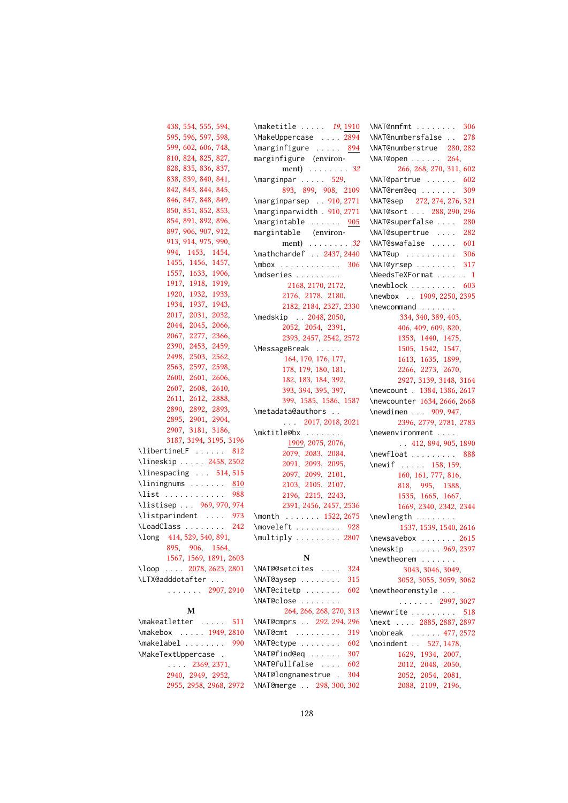```
438, 554, 555, 594,
      595, 596, 597, 598,
      599, 602, 606, 748,
      810, 824, 825, 827,
      828, 835, 836, 837,
      838, 839, 840, 841,
      842, 843, 844, 845,
      846, 847, 848, 849,
      850, 851, 852, 853,
      854, 891, 892, 896,
      897, 906, 907, 912,
      913, 914, 975, 990,
      994, 1453, 1454,
      1455, 1456, 1457,
      1557, 1633, 1906,
      1917, 1918, 1919,
      1920, 1932, 1933,
      1934, 1937, 1943,
      2017, 2031, 2032,
      2044, 2045, 2066,
      2067, 2277, 2366,
      2390, 2453, 2459,
      2498, 2503, 2562,
      2563, 2597, 2598,
      2600, 2601, 2606,
      2607, 2608, 2610,
      2611, 2612, 2888,
      2890, 2892, 2893,
      2895, 2901, 2904,
      2907, 3181, 3186,
      3187, 3194, 3195, 3196
812
\lineskip . . . . . 2458, 2502
\linespacing . . . 514, 515
810
988
\listisep . . . 969, 970, 974
973
\LoadClass . . . . . . . . 242
414,529,540,891,
      895, 906, 1564,
      1567, 1569, 1891, 2603
2078,2623,2801
\LTX@adddotafter . . .
      . . . . . . . 2907, 2910
          M
\makeatletter . . . . . 511
\makebox . . . . . 1949, 2810
990
\MakeTextUppercase .
      . . . . 2369, 2371,
      2940, 2949, 2952,
      2955, 2958, 2968, 2972
                         191910
                         \MakeUppercase . . . . 2894
                         \marginfigure ..... 894marginfigure (environ-
                               ment) . . . . . . . . 32
                         \text{N}529,
                               893, 899, 908, 2109
                         \marginparsep . . 910, 2771
                         \marginparwidth . 910, 2771
                         905
                         margintable (environ-
                               32
                         2437,2440
                         306
                         \mdseries . . . . . . . . .
                                2168, 2170, 2172,
                               2176, 2178, 2180,
                               2182, 2184, 2327, 2330
                         2048,2050,
                               2052, 2054, 2391,
                               2393, 2457, 2542, 2572
                         \MessageBreak . . . . .
                                164, 170, 176, 177,
                               178, 179, 180, 181,
                               182, 183, 184, 392,
                               393, 394, 395, 397,
                               399, 1585, 1586, 1587
                         \metadata@authors . .
                               . . . 2017, 2018, 2021
                         \mktitle@bx . . . . . . .
                                1909, 2075, 2076,
                               2079, 2083, 2084,
                               2091, 2093, 2095,
                               2097, 2099, 2101,
                               2103, 2105, 2107,
                               2196, 2215, 2243,
                               2391, 2456, 2457, 2536
                         \month . . . . . . . 1522, 2675
                         928
                         2807
                                    N
                         324
                         315
                         602
                         \NAT@close . . . . . . . .
                                264, 266, 268, 270, 313
                         \NAT@cmprs . . 292, 294, 296
                         319
                         602
                         307
                         602
                         \NAT@longnamestrue . 304
                         \NAT@merge . . 298, 300, 302
                                                   306
                                                   \NAT@numbersfalse . . 278
                                                   \NAT@numberstrue 280, 282
                                                   \NAT@open . . . . . . 264,
                                                         266, 268, 270, 311, 602
                                                   602
                                                   309
                                                   \NAT@sep 272, 274, 276, 321
                                                   \NAT@sort . . . 288, 290, 296
                                                   \NAT@superfalse . . . . 280
                                                   \NAT@supertrue . . . . 282
                                                   601
                                                   306
                                                   317
                                                   \NeedsTeXFormat . . . . . . 1
                                                   603
                                                   \newbox . . 1909, 2250, 2395
                                                   \newcommand . . . . . . .
                                                         334, 340, 389, 403,
                                                         406, 409, 609, 820,
                                                         1353, 1440, 1475,
                                                         1505, 1542, 1547,
                                                         1613, 1635, 1899,
                                                         2266, 2273, 2670,
                                                         2927, 3139, 3148, 3164
                                                   \newcount . 1384, 1386, 2617
                                                   \newcounter 1634, 2666, 2668
                                                   \newdimen . . . 909, 947,
                                                         2396, 2779, 2781, 2783
                                                   \newenvironment . . . .
                                                         . . 412, 894, 905, 1890
                                                   888
                                                   \newif . . . . . 158, 159,
                                                         160, 161, 777, 816,
                                                         818, 995, 1388,
                                                         1535, 1665, 1667,
                                                         1669, 2340, 2342, 2344
                                                   \newlength . . . . . . . .
                                                         1537, 1539, 1540, 2616
                                                   2615
                                                   \newskip . . . . . . 969, 2397
                                                   \newtheorem . . . . . . .
                                                          3043, 3046, 3049,
                                                         3052, 3055, 3059, 3062
                                                   \newtheoremstyle . . .
                                                         . . . . . . . 2997, 3027
                                                   518
                                                   \next . . . . 2885, 2887, 2897
                                                   \nobreak . . . . . . 477, 2572
                                                   527,1478,
                                                         1629, 1934, 2007,
                                                         2012, 2048, 2050,
                                                         2052, 2054, 2081,
                                                         2088, 2109, 2196,
```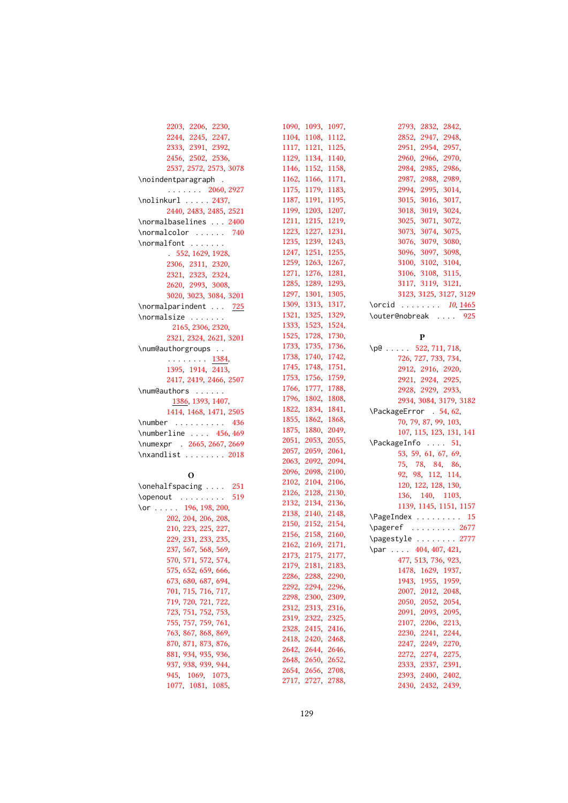| 2203, 2206, 2230,                    |
|--------------------------------------|
| 2244, 2245, 2247,                    |
| 2333, 2391, 2392,                    |
| 2456, 2502, 2536,                    |
| 2537, 2572, 2573, 3078               |
| \noindentparagraph .                 |
| $\cdots$ 2060, 2927                  |
| \nolinkurl  2437,                    |
| 2440, 2483, 2485, 2521               |
| \normalbaselines  2400               |
| \normalcolor<br>740<br>$\sim$ $\sim$ |
| \normalfont                          |
| 552, 1629, 1928,                     |
| 2306, 2311, 2320,                    |
| 2321, 2323, 2324,                    |
| 2620, 2993, 3008,                    |
| 3020, 3023, 3084, 3201               |
| \normalparindent  725                |
| \normalsize                          |
|                                      |
| 2165, 2306, 2320,                    |
| 2321, 2324, 2621, 3201               |
| \num@authorgroups                    |
| $\frac{1384}{1395}$ , 1914, 2413,    |
|                                      |
| 2417, 2419, 2466, 2507               |
| \num@authors                         |
| 1386, 1393, 1407,                    |
| 1414, 1468, 1471, 2505               |
| \number $436$                        |
| \numberline $\ldots$ 456,469         |
| \numexpr . 2665, 2667, 2669          |
| \nxandlist  2018                     |
|                                      |
| O                                    |
| \onehalfspacing  251                 |
| \openout<br>519                      |
| 196, 198, 200,<br>$\lor$ r           |
| 202, 204, 206, 208,                  |
| 210, 223, 225, 227,                  |
| 229, 231, 233, 235,                  |
| 237, 567, 568, 569,                  |
| 570, 571, 572, 574,                  |
| 575, 652, 659, 666,                  |
| 673, 680, 687, 694,                  |
| 701, 715, 716, 717,                  |
| 719, 720, 721, 722,                  |
| 723, 751, 752, 753                   |

 , [757](#page-0-0) , [759](#page-0-0) , [761](#page-0-0) , , [867](#page-0-0), [868](#page-0-0), [869](#page-0-0), , [871](#page-0-0), [873](#page-0-0), [876](#page-0-0), , [934](#page-0-0), [935](#page-0-0), [936](#page-0-0), , [938](#page-0-0), [939](#page-0-0), [944](#page-0-0). [945](#page-0-0), [1069](#page-0-0), [1073](#page-0-0), [1077](#page-0-0), [1081](#page-0-0), [1085](#page-0-0),

| 1090, | 1093,                            | 1097,       | 2793,<br>2832, 2842,            |
|-------|----------------------------------|-------------|---------------------------------|
| 1104, | 1108,                            | 1112,       | 2852, 2947,<br>2948,            |
| 1117, | 1121, 1125,                      |             | 2951, 2954, 2957,               |
| 1129, |                                  | 1134, 1140, | 2960.<br>2966, 2970,            |
| 1146, |                                  | 1152, 1158, | 2984,<br>2985, 2986,            |
| 1162, |                                  | 1166, 1171, | 2988, 2989,<br>2987,            |
| 1175. | 1179,                            | 1183.       | 2994,<br>2995, 3014,            |
| 1187, | 1191,                            | 1195,       | 3015,<br>3016, 3017,            |
| 1199, | 1203,                            | 1207,       | 3018.<br>3019, 3024,            |
| 1211, |                                  | 1215, 1219, | 3025,<br>3071, 3072,            |
| 1223, |                                  | 1227, 1231, | 3073, 3074, 3075,               |
| 1235, | 1239,                            | 1243,       | 3076, 3079, 3080,               |
| 1247, | 1251,                            | 1255,       | 3096, 3097, 3098,               |
| 1259, | 1263,                            | 1267,       | 3100, 3102, 3104,               |
| 1271, | 1276,                            | 1281,       | 3106, 3108, 3115,               |
| 1285. |                                  | 1289, 1293, | 3117, 3119, 3121,               |
| 1297, |                                  | 1301, 1305, | 3123, 3125, 3127, 3129          |
| 1309, | 1313,                            | 1317,       | \orcid  10, 1465                |
| 1321, |                                  | 1325, 1329, | \outer@nobreak  925             |
| 1333. |                                  | 1523, 1524, |                                 |
| 1525, |                                  | 1728, 1730, | P                               |
| 1733, |                                  | 1735, 1736, | $\pi$ 522, 711, 718,            |
| 1738, |                                  | 1740, 1742, | 726, 727, 733, 734,             |
| 1745, | 1748,                            | 1751,       | 2912, 2916, 2920,               |
| 1753, | 1756,                            | 1759,       |                                 |
| 1766, | 1777,                            | 1788,       | 2921, 2924, 2925,               |
| 1796, | 1802,                            | 1808,       | 2928, 2929, 2933,               |
| 1822. |                                  | 1834, 1841, | 2934, 3084, 3179, 3182          |
|       |                                  |             |                                 |
|       |                                  |             | \PackageError . 54, 62,         |
| 1855, |                                  | 1862, 1868, | 70, 79, 87, 99, 103,            |
| 1875, |                                  | 1880, 2049, | 107, 115, 123, 131, 141         |
| 2051, | 2053, 2055,                      |             | \PackageInfo  51,               |
| 2057. | 2059, 2061,                      |             | 53, 59, 61, 67, 69,             |
| 2063. |                                  | 2092, 2094, | 75, 78, 84, 86,                 |
| 2096, |                                  | 2098, 2100, | 92, 98, 112, 114,               |
| 2102, | 2104, 2106,                      |             | 120, 122, 128, 130,             |
|       | 2126, 2128, 2130,                |             | 136, 140, 1103,                 |
|       | 2132, 2134, 2136,                |             | 1139, 1145, 1151, 1157          |
|       | 2138, 2140, 2148,                |             | \PageIndex<br>15                |
|       | 2150, 2152, 2154,                |             | \pageref  2677                  |
|       | 2156, 2158, 2160,                |             | \pagestyle  2777                |
|       | 2162, 2169, 2171,                |             | $\ldots$ 404, 407, 421,<br>\par |
|       | 2173, 2175,                      | 2177,       | 477, 513, 736, 923,             |
|       | 2179, 2181, 2183,                |             | 1478, 1629, 1937,               |
| 2286, | 2288,                            | 2290,       | 1943, 1955, 1959,               |
| 2292, | 2294, 2296,                      |             | 2007,<br>2012, 2048,            |
| 2298, |                                  | 2300, 2309, | 2050,<br>2052, 2054,            |
| 2312, | 2313, 2316,                      |             | 2091,<br>2093, 2095,            |
| 2319, | 2322, 2325,                      |             | 2107.<br>2206, 2213,            |
| 2328. | 2415, 2416,                      |             | 2230<br>2241, 2244,             |
| 2418, | 2420, 2468,                      |             | 2249, 2270,<br>2247,            |
| 2642, | 2644, 2646,                      |             | 2272,<br>2274, 2275,            |
| 2648, | 2650, 2652,                      |             | 2333, 2337, 2391,               |
| 2717, | 2654, 2656, 2708,<br>2727, 2788, |             | 2393, 2400, 2402,               |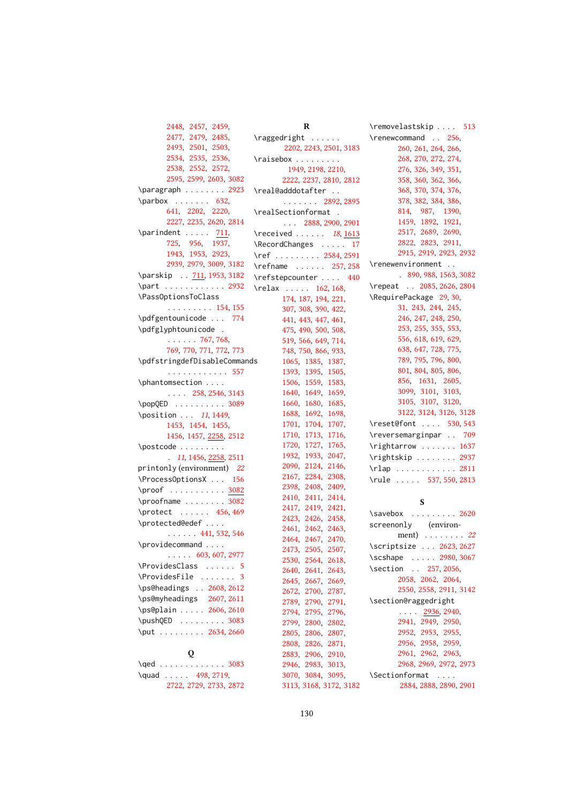[2448,](#page-0-0) [2457,](#page-0-0) [2459,](#page-0-0) [2477,](#page-0-0) [2479,](#page-0-0) [2485,](#page-0-0) [2493,](#page-0-0) [2501,](#page-0-0) [2503,](#page-0-0) [2534,](#page-0-0) [2535,](#page-0-0) [2536,](#page-0-0) [2538,](#page-0-0) [2552,](#page-0-0) [2572,](#page-0-0) [2595,](#page-0-0) [2599,](#page-0-0) [2603,](#page-0-0) [3082](#page-0-0) \paragraph . . . . . . . . [2923](#page-0-0)  $\n\sqrt{632}$ [641,](#page-0-0) [2202,](#page-0-0) [2220,](#page-0-0) [2227,](#page-0-0) [2235,](#page-0-0) [2620,](#page-0-0) [2814](#page-0-0)  $\partial$  \parindent . . . . . [711,](#page-0-0) [725,](#page-0-0) [956,](#page-0-0) [1937,](#page-0-0) [1943,](#page-0-0) [1953,](#page-0-0) [2923,](#page-0-0) [2939,](#page-0-0) [2979,](#page-0-0) [3009,](#page-0-0) [3182](#page-0-0) \parskip . . [711,](#page-0-0) [1953,](#page-0-0) [3182](#page-0-0) \part . . . . . . . . . . . [2932](#page-0-0) \PassOptionsToClass . . . . . . . . . [154,](#page-0-0) [155](#page-0-0) \pdfgentounicode . . . [774](#page-0-0) \pdfglyphtounicode . . . . . . . [767,](#page-0-0) [768,](#page-0-0) [769,](#page-0-0) [770,](#page-0-0) [771,](#page-0-0) [772,](#page-0-0) [773](#page-0-0) \pdfstringdefDisableCommands . . . . . . . . . . . . [557](#page-0-0) \phantomsection . . . . . . . . [258,](#page-0-0) [2546,](#page-0-0) [3143](#page-0-0) \popQED . . . . . . . . . . [3089](#page-0-0) \position . . [11](#page-0-0), 1449. [1453,](#page-0-0) [1454,](#page-0-0) [1455,](#page-0-0) [1456,](#page-0-0) [1457,](#page-0-0) [2258,](#page-0-0) [2512](#page-0-0) \postcode . . . . . . . . . . [11](#page-0-0), [1456,](#page-0-0) [2258,](#page-0-0) [2511](#page-0-0) printonly (environment) [22](#page-0-0) \ProcessOptionsX . . . [156](#page-0-0) \proof . . . . . . . . . . . [3082](#page-0-0) \proofname ........ [3082](#page-0-0) \protect . . . . . . [456,](#page-0-0) [469](#page-0-0) \protected@edef . . . . . . . . . . [441,](#page-0-0) [532,](#page-0-0) [546](#page-0-0) \providecommand . . . . . . . . . [603,](#page-0-0) [607,](#page-0-0) [2977](#page-0-0) \ProvidesClass . . . . . . [5](#page-0-0) \ProvidesFile . . . . . . . [3](#page-0-0) \ps@headings . [2608,](#page-0-0) [2612](#page-0-0) \ps@myheadings [2607,](#page-0-0) [2611](#page-0-0) \ps@plain . . . . . [2606,](#page-0-0) [2610](#page-0-0) \pushQED . . . . . . . . . [3083](#page-0-0) \put . . . . . . . . . [2634,](#page-0-0) [2660](#page-0-0) Q \qed . . . . . . . . . . . . . [3083](#page-0-0) \quad . . . . . [498,](#page-0-0) [2719,](#page-0-0)

[2722,](#page-0-0) [2729,](#page-0-0) [2733,](#page-0-0) [2872](#page-0-0)

R \raggedright . . . . . . [2202,](#page-0-0) [2243,](#page-0-0) [2501,](#page-0-0) [3183](#page-0-0) \raisebox . . . . . . . . . [1949,](#page-0-0) [2198,](#page-0-0) [2210,](#page-0-0) [2222,](#page-0-0) [2237,](#page-0-0) [2810,](#page-0-0) [2812](#page-0-0) \real@adddotafter . . . . . . . . . [2892,](#page-0-0) [2895](#page-0-0) \realSectionformat . . . . [2888,](#page-0-0) [2900,](#page-0-0) [2901](#page-0-0)  $\lvert \text{received} \ldots \rvert$  [18](#page-0-0), [1613](#page-0-0) \RecordChanges . . . . . [17](#page-0-0) \ref . . . . . . . . . [2584,](#page-0-0) [2591](#page-0-0) \refname . . . . . . [257,](#page-0-0) [258](#page-0-0) \refstepcounter . . . . [440](#page-0-0) \relax . . . . . [162,](#page-0-0) [168,](#page-0-0) [174,](#page-0-0) [187,](#page-0-0) [194,](#page-0-0) [221,](#page-0-0) [307,](#page-0-0) [308,](#page-0-0) [390,](#page-0-0) [422,](#page-0-0) [441,](#page-0-0) [443,](#page-0-0) [447,](#page-0-0) [461,](#page-0-0) [475,](#page-0-0) [490,](#page-0-0) [500,](#page-0-0) [508,](#page-0-0) [519,](#page-0-0) [566,](#page-0-0) [649,](#page-0-0) [714,](#page-0-0) [748,](#page-0-0) [750,](#page-0-0) [866,](#page-0-0) [933,](#page-0-0) [1065,](#page-0-0) [1385,](#page-0-0) [1387,](#page-0-0) [1393,](#page-0-0) [1395,](#page-0-0) [1505,](#page-0-0) [1506,](#page-0-0) [1559,](#page-0-0) [1583,](#page-0-0) [1640,](#page-0-0) [1649,](#page-0-0) [1659,](#page-0-0) [1660,](#page-0-0) [1680,](#page-0-0) [1685,](#page-0-0) [1688,](#page-0-0) [1692,](#page-0-0) [1698,](#page-0-0) [1701,](#page-0-0) [1704,](#page-0-0) [1707,](#page-0-0) [1710,](#page-0-0) [1713,](#page-0-0) [1716,](#page-0-0) [1720,](#page-0-0) [1727,](#page-0-0) [1765,](#page-0-0) [1932,](#page-0-0) [1933,](#page-0-0) [2047,](#page-0-0) [2090,](#page-0-0) [2124,](#page-0-0) [2146,](#page-0-0) [2167,](#page-0-0) [2284,](#page-0-0) [2308,](#page-0-0) [2398,](#page-0-0) [2408,](#page-0-0) [2409,](#page-0-0) [2410,](#page-0-0) [2411,](#page-0-0) [2414,](#page-0-0) [2417,](#page-0-0) [2419,](#page-0-0) [2421,](#page-0-0) [2423,](#page-0-0) [2426,](#page-0-0) [2458,](#page-0-0) [2461,](#page-0-0) [2462,](#page-0-0) [2463,](#page-0-0) [2464,](#page-0-0) [2467,](#page-0-0) [2470,](#page-0-0) [2473,](#page-0-0) [2505,](#page-0-0) [2507,](#page-0-0) [2530,](#page-0-0) [2564,](#page-0-0) [2618,](#page-0-0) [2640,](#page-0-0) [2641,](#page-0-0) [2643,](#page-0-0) [2645,](#page-0-0) [2667,](#page-0-0) [2669,](#page-0-0) [2672,](#page-0-0) [2700,](#page-0-0) [2787,](#page-0-0) [2789,](#page-0-0) [2790,](#page-0-0) [2791,](#page-0-0) [2794,](#page-0-0) [2795,](#page-0-0) [2796,](#page-0-0) [2799,](#page-0-0) [2800,](#page-0-0) [2802,](#page-0-0) [2805,](#page-0-0) [2806,](#page-0-0) [2807,](#page-0-0) [2808,](#page-0-0) [2826,](#page-0-0) [2871,](#page-0-0) [2883,](#page-0-0) [2906,](#page-0-0) [2910,](#page-0-0) [2946,](#page-0-0) [2983,](#page-0-0) [3013,](#page-0-0) [3070,](#page-0-0) [3084,](#page-0-0) [3095,](#page-0-0) \removelastskip .... [513](#page-0-0)

\renewcommand . . [256,](#page-0-0) [260,](#page-0-0) [261,](#page-0-0) [264,](#page-0-0) [266,](#page-0-0) [268,](#page-0-0) [270,](#page-0-0) [272,](#page-0-0) [274,](#page-0-0) [276,](#page-0-0) [326,](#page-0-0) [349,](#page-0-0) [351,](#page-0-0) [358,](#page-0-0) [360,](#page-0-0) [362,](#page-0-0) [366,](#page-0-0) [368,](#page-0-0) [370,](#page-0-0) [374,](#page-0-0) [376,](#page-0-0) [378,](#page-0-0) [382,](#page-0-0) [384,](#page-0-0) [386,](#page-0-0) [814,](#page-0-0) [987,](#page-0-0) [1390,](#page-0-0) [1459,](#page-0-0) [1892,](#page-0-0) [1921,](#page-0-0) [2517,](#page-0-0) [2689,](#page-0-0) [2690,](#page-0-0) [2822,](#page-0-0) [2823,](#page-0-0) [2911,](#page-0-0) [2915,](#page-0-0) [2919,](#page-0-0) [2923,](#page-0-0) [2932](#page-0-0) \renewenvironment . . . [890,](#page-0-0) [988,](#page-0-0) [1563,](#page-0-0) [3082](#page-0-0) \repeat . . [2085,](#page-0-0) [2626,](#page-0-0) [2804](#page-0-0) \RequirePackage [29,](#page-0-0) [30,](#page-0-0) [31,](#page-0-0) [243,](#page-0-0) [244,](#page-0-0) [245,](#page-0-0) [246,](#page-0-0) [247,](#page-0-0) [248,](#page-0-0) [250,](#page-0-0) [253,](#page-0-0) [255,](#page-0-0) [355,](#page-0-0) [553,](#page-0-0) [556,](#page-0-0) [618,](#page-0-0) [619,](#page-0-0) [629,](#page-0-0) [638,](#page-0-0) [647,](#page-0-0) [728,](#page-0-0) [775,](#page-0-0) [789,](#page-0-0) [795,](#page-0-0) [796,](#page-0-0) [800,](#page-0-0) [801,](#page-0-0) [804,](#page-0-0) [805,](#page-0-0) [806,](#page-0-0) [856,](#page-0-0) [1631,](#page-0-0) [2605,](#page-0-0) [3099,](#page-0-0) [3101,](#page-0-0) [3103,](#page-0-0) [3105,](#page-0-0) [3107,](#page-0-0) [3120,](#page-0-0) [3122,](#page-0-0) [3124,](#page-0-0) [3126,](#page-0-0) [3128](#page-0-0) \reset@font ... [530,](#page-0-0) [543](#page-0-0) \reversemarginpar . . [709](#page-0-0) \rightarrow ....... [1637](#page-0-0) \rightskip . . . . . . . . [2937](#page-0-0) \rlap . . . . . . . . . . . . [2811](#page-0-0) \rule ..... [537,](#page-0-0) [550,](#page-0-0) [2813](#page-0-0) S \savebox . . . . . . . . . [2620](#page-0-0) screenonly (environment) . . . . . . . . [22](#page-0-0) \scriptsize . . . [2623,](#page-0-0) [2627](#page-0-0) \scshape . . . . . [2980,](#page-0-0) [3067](#page-0-0) \section . . [257,](#page-0-0) [2056,](#page-0-0) [2058,](#page-0-0) [2062,](#page-0-0) [2064,](#page-0-0) [2550,](#page-0-0) [2558,](#page-0-0) [2911,](#page-0-0) [3142](#page-0-0) \section@raggedright  $\ldots$  [2936,](#page-0-0) [2940,](#page-0-0) [2941,](#page-0-0) [2949,](#page-0-0) [2950,](#page-0-0) [2952,](#page-0-0) [2953,](#page-0-0) [2955,](#page-0-0) [2956,](#page-0-0) [2958,](#page-0-0) [2959,](#page-0-0)

[2961,](#page-0-0) [2962,](#page-0-0) [2963,](#page-0-0) [2968,](#page-0-0) [2969,](#page-0-0) [2972,](#page-0-0) [2973](#page-0-0) \Sectionformat . . . . [2884,](#page-0-0) [2888,](#page-0-0) [2890,](#page-0-0) [2901](#page-0-0)

[3113,](#page-0-0) [3168,](#page-0-0) [3172,](#page-0-0) [3182](#page-0-0)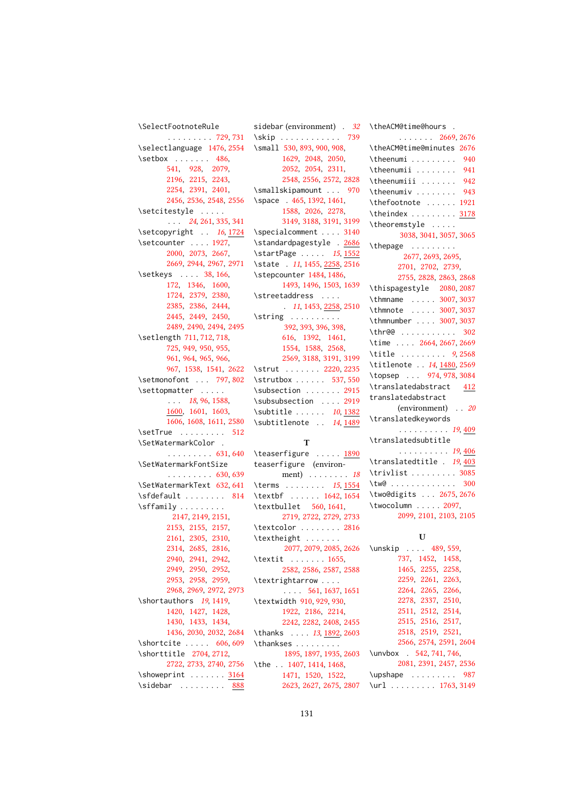```
\SelectFootnoteRule
      . . . . . . . . . 729, 731
\selectlanguage 1476, 2554
486,
      541, 928, 2079,
      2196, 2215, 2243,
      2254, 2391, 2401,
      2456, 2536, 2548, 2556
\setcitestyle . . . . .
      . . . 24, 261, 335, 341
161724
\setcounter . . . . 1927,
      2000, 2073, 2667,
      2669, 2944, 2967, 2971
38,166,
      172, 1346, 1600,
      1724, 2379, 2380,
      2385, 2386, 2444,
      2445, 2449, 2450,
      2489, 2490, 2494, 2495
\setlength 711, 712, 718,
      725, 949, 950, 955,
      961, 964, 965, 966,
      967, 1538, 1541, 2622
797,802
\settopmatter . . . . .
      . . . 18, 96, 1588,
      1600, 1601, 1603,
      1606, 1608, 1611, 2580
512
\SetWatermarkColor .
      . . . . . . . . . 631, 640
\SetWatermarkFontSize
      . . . . . . . . . 630, 639
\SetWatermarkText 632, 641
\setminus814
\sffamily . . . . . . . . .
       2147, 2149, 2151,
      2153, 2155, 2157,
      2161, 2305, 2310,
      2314, 2685, 2816,
      2940, 2941, 2942,
      2949, 2950, 2952,
      2953, 2958, 2959,
      2968, 2969, 2972, 2973
\shortauthors 19, 1419,
      1420, 1427, 1428,
      1430, 1433, 1434,
      1436, 2030, 2032, 2684
606,609
\shorttitle 2704, 2712,
      2722, 2733, 2740, 2756
\simeq3164
888
```

| sidebar (environment) 32                       |
|------------------------------------------------|
| 739<br>\skip                                   |
| \small 530, 893, 900, 908,                     |
| 1629, 2048, 2050,                              |
| 2052, 2054, 2311,                              |
| 2548, 2556, 2572, 2828                         |
| \smallskipamount  970                          |
| \space . 465, 1392, 1461,                      |
| 1588, 2026, 2278,                              |
| 3149, 3188, 3191, 3199                         |
| \specialcomment  3140                          |
| \standardpagestyle . 2686                      |
| \startPage  15, 1552                           |
| \state . 11, 1455, 2258, 2516                  |
| \stepcounter 1484, 1486,                       |
| 1493, 1496, 1503, 1639                         |
|                                                |
| \streetaddress                                 |
| $\ldots$ 11, 1453, 2258, 2510                  |
| $\scriptstyle\setminus$ string                 |
| 392, 393, 396, 398,                            |
| 616, 1392, 1461,                               |
| 1554, 1588, 2568,                              |
| 2569, 3188, 3191, 3199                         |
| \strut  2220, 2235                             |
| \strutbox  537,550                             |
| \subsection  2915<br>\subsubsection  2919      |
|                                                |
|                                                |
| $\sub{1382}$                                   |
| \subtitlenote . 14, 1489                       |
|                                                |
| т                                              |
| \teaserfigure <u>1890</u>                      |
| teaserfigure (environ-                         |
|                                                |
| ment) $\ldots$ 18<br>\terms  15, 1554          |
|                                                |
| \textbf $1642, 1654$<br>\textbullet 560, 1641, |
|                                                |
| 2719, 2722, 2729, 2733                         |
| \textcolor  2816                               |
| \textheight                                    |
| 2077, 2079, 2085, 2626                         |
| $\text{textit} \dots \dots \text{1655},$       |
| 2582, 2586, 2587, 2588                         |
| \textrightarrow                                |
| $\ldots$ 561, 1637, 1651                       |
| \textwidth 910, 929, 930,                      |
| 1922, 2186, 2214,                              |
| 2242, 2282, 2408, 2455                         |
| \thanks  13, 1892, 2603                        |
| \thankses                                      |
| 1895, 1897, 1935, 2603                         |
| \the 1407, 1414, 1468,                         |
| 1471, 1520, 1522,<br>2623, 2627, 2675, 2807    |

| \theACM@time@hours .                   |
|----------------------------------------|
| $\ldots \ldots 2669, 2676$             |
| \theACM@time@minutes 2676              |
| \theenumi $940$                        |
| $\theta$ \theenumii  941               |
| $\theta$ .<br>942                      |
| \theenumiv<br>943                      |
| \thefootnote  1921                     |
| \theindex  3178                        |
| \theoremstyle                          |
| 3038, 3041, 3057, 3065                 |
|                                        |
| \thepage $2677, 2693, 2695,$           |
| 2701, 2702, 2739,                      |
| 2755, 2828, 2863, 2868                 |
| \thispagestyle 2080, 2087              |
| \thmname  3007, 3037                   |
| \thmnote  3007, 3037                   |
| \thmnumber  3007,3037                  |
| \thr@@  302<br>\time  2664, 2667, 2669 |
|                                        |
| \title $9,2568$                        |
| \titlenote  14, 1480, 2569             |
| \topsep  974, 978, 3084                |
| \translatedabstract 412                |
| translatedabstract                     |
| (environment) 20                       |
| \translatedkeywords                    |
| . 19, <u>409</u>                       |
| \translatedsubtitle                    |
| . 19, <u>406</u>                       |
| \translatedtitle . 19,403              |
| \trivlist 3085                         |
|                                        |
| \two@digits  2675, 2676                |
| \twocolumn  2097,                      |
| 2099, 2101, 2103, 2105                 |
|                                        |
| U                                      |
| \unskip  489, 559,<br>737, 1452, 1458, |
| 1465 2255 2258                         |
|                                        |

|                          | 737, 1452, 1458,  |                        |
|--------------------------|-------------------|------------------------|
|                          | 1465, 2255, 2258, |                        |
|                          | 2259 2261 2263    |                        |
|                          | 2264, 2265, 2266, |                        |
|                          | 2278 2337 2510    |                        |
|                          | 2511, 2512, 2514, |                        |
|                          | 2515 2516 2517    |                        |
|                          | 2518, 2519, 2521, |                        |
|                          |                   | 2566, 2574, 2591, 2604 |
| \unvbox . 542, 741, 746, |                   |                        |
|                          |                   | 2081, 2391, 2457, 2536 |
|                          |                   | \upshape 987           |
|                          |                   | \url  1763,3149        |
|                          |                   |                        |